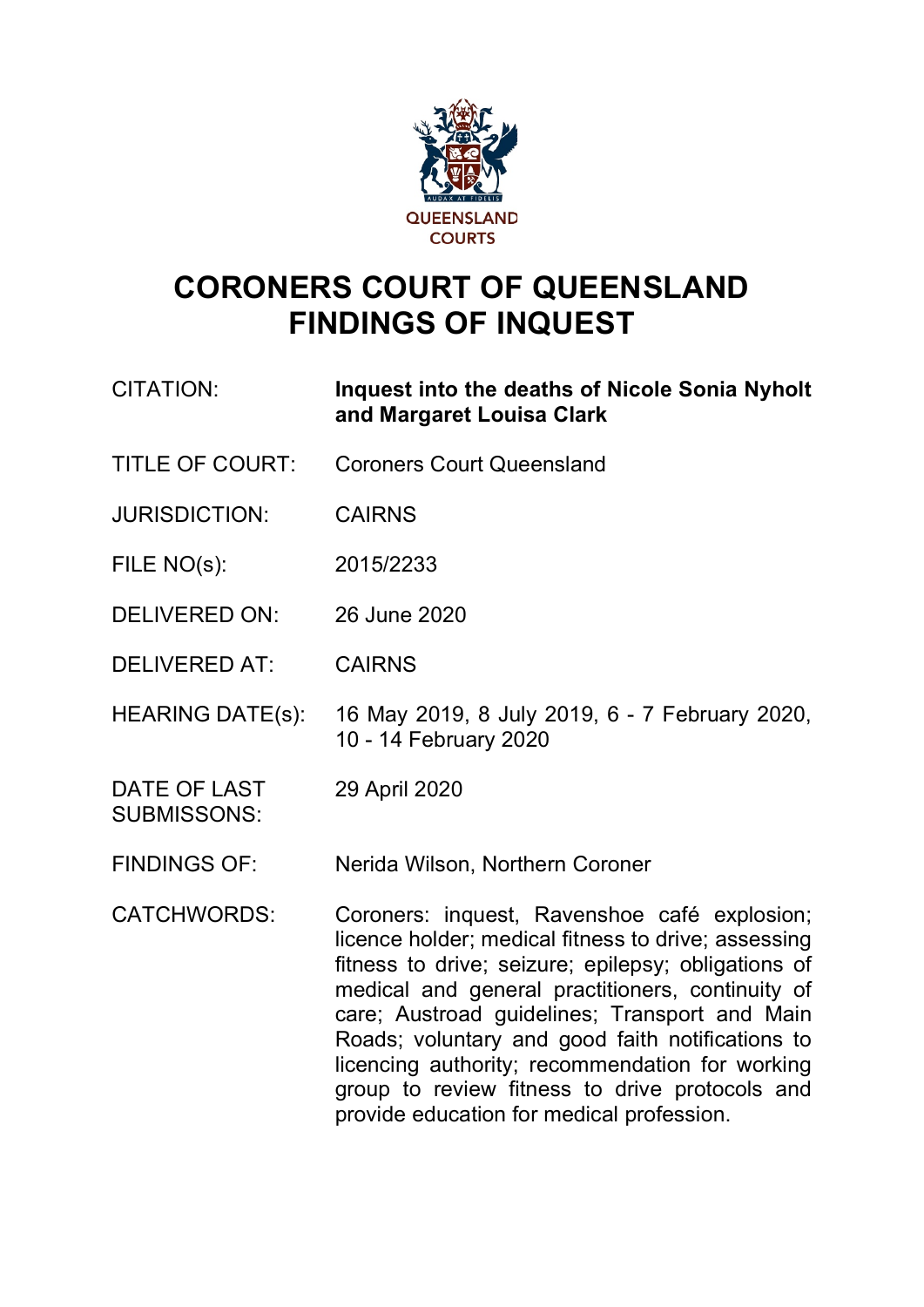

# **CORONERS COURT OF QUEENSLAND FINDINGS OF INQUEST**

| <b>CITATION:</b> | Inquest into the deaths of Nicole Sonia Nyholt<br>and Margaret Louisa Clark |
|------------------|-----------------------------------------------------------------------------|
|                  |                                                                             |

- TITLE OF COURT: Coroners Court Queensland
- JURISDICTION: CAIRNS
- FILE NO(s): 2015/2233
- DELIVERED ON: 26 June 2020
- DELIVERED AT: CAIRNS
- HEARING DATE(s): 16 May 2019, 8 July 2019, 6 7 February 2020, 10 - 14 February 2020
- DATE OF LAST 29 April 2020 SUBMISSONS:
- FINDINGS OF: Nerida Wilson, Northern Coroner
- CATCHWORDS: Coroners: inquest, Ravenshoe café explosion; licence holder; medical fitness to drive; assessing fitness to drive; seizure; epilepsy; obligations of medical and general practitioners, continuity of care; Austroad guidelines; Transport and Main Roads; voluntary and good faith notifications to licencing authority; recommendation for working group to review fitness to drive protocols and provide education for medical profession.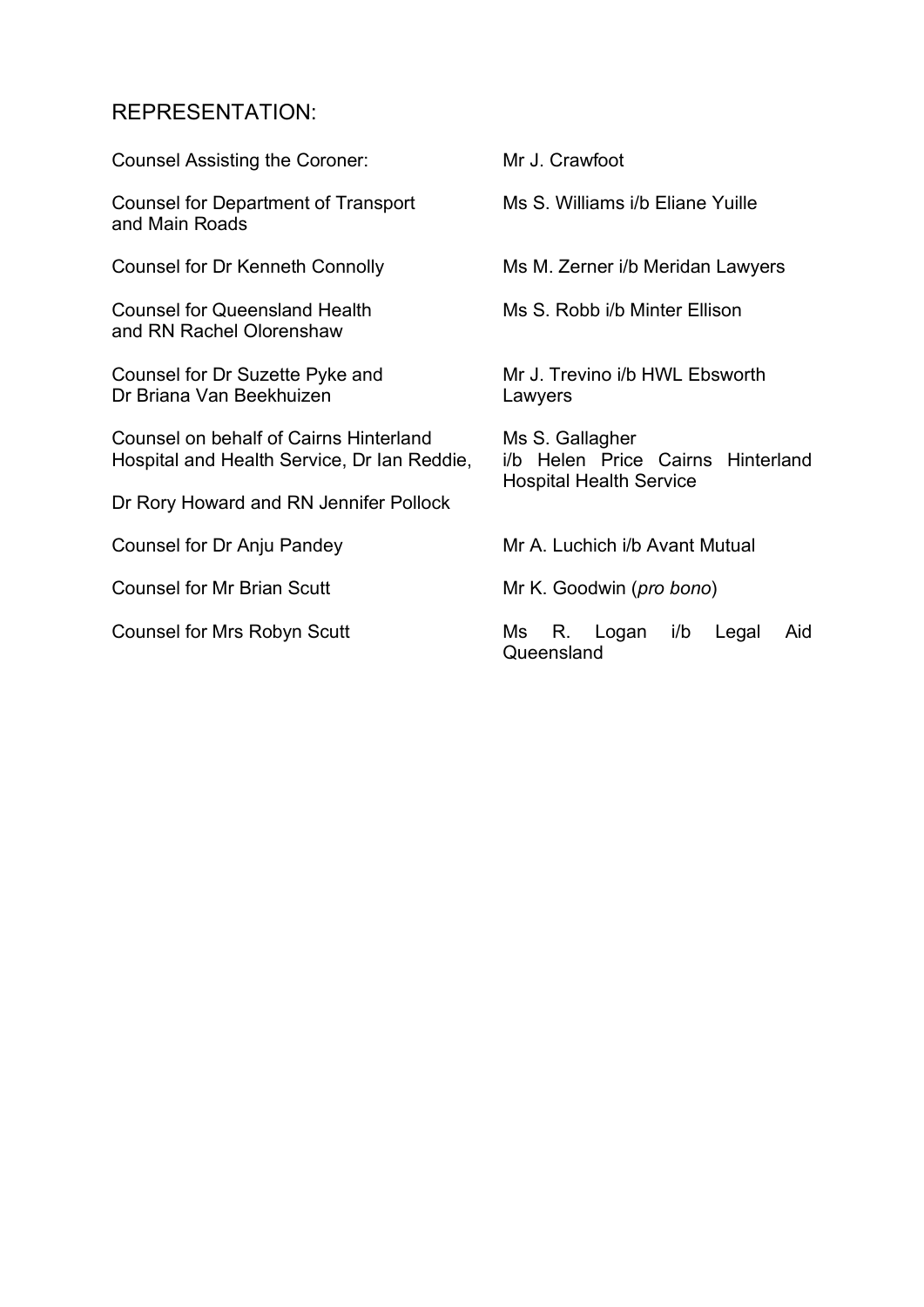# REPRESENTATION:

| <b>Counsel Assisting the Coroner:</b>                                                 | Mr J. Crawfoot                                                                         |  |
|---------------------------------------------------------------------------------------|----------------------------------------------------------------------------------------|--|
| Counsel for Department of Transport<br>and Main Roads                                 | Ms S. Williams i/b Eliane Yuille                                                       |  |
| Counsel for Dr Kenneth Connolly                                                       | Ms M. Zerner i/b Meridan Lawyers                                                       |  |
| <b>Counsel for Queensland Health</b><br>and RN Rachel Olorenshaw                      | Ms S. Robb i/b Minter Ellison                                                          |  |
| Counsel for Dr Suzette Pyke and<br>Dr Briana Van Beekhuizen                           | Mr J. Trevino i/b HWL Ebsworth<br>Lawyers                                              |  |
| Counsel on behalf of Cairns Hinterland<br>Hospital and Health Service, Dr Ian Reddie, | Ms S. Gallagher<br>i/b Helen Price Cairns Hinterland<br><b>Hospital Health Service</b> |  |
| Dr Rory Howard and RN Jennifer Pollock                                                |                                                                                        |  |
| Counsel for Dr Anju Pandey                                                            | Mr A. Luchich i/b Avant Mutual                                                         |  |
| <b>Counsel for Mr Brian Scutt</b>                                                     | Mr K. Goodwin ( <i>pro bono</i> )                                                      |  |
| <b>Counsel for Mrs Robyn Scutt</b>                                                    | Logan<br>i/b<br>R.<br>Legal<br>Aid<br>Ms.<br>Queensland                                |  |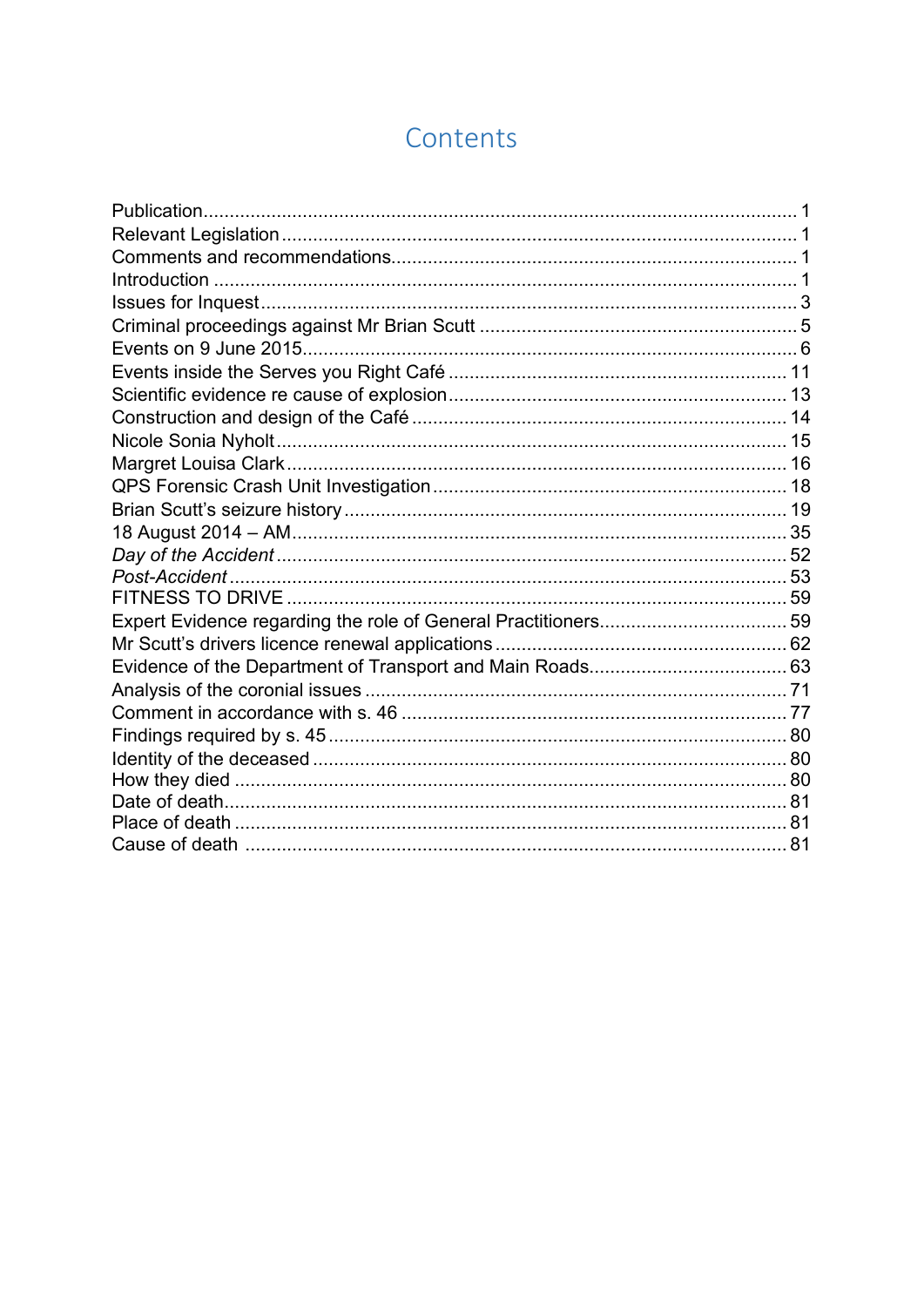# Contents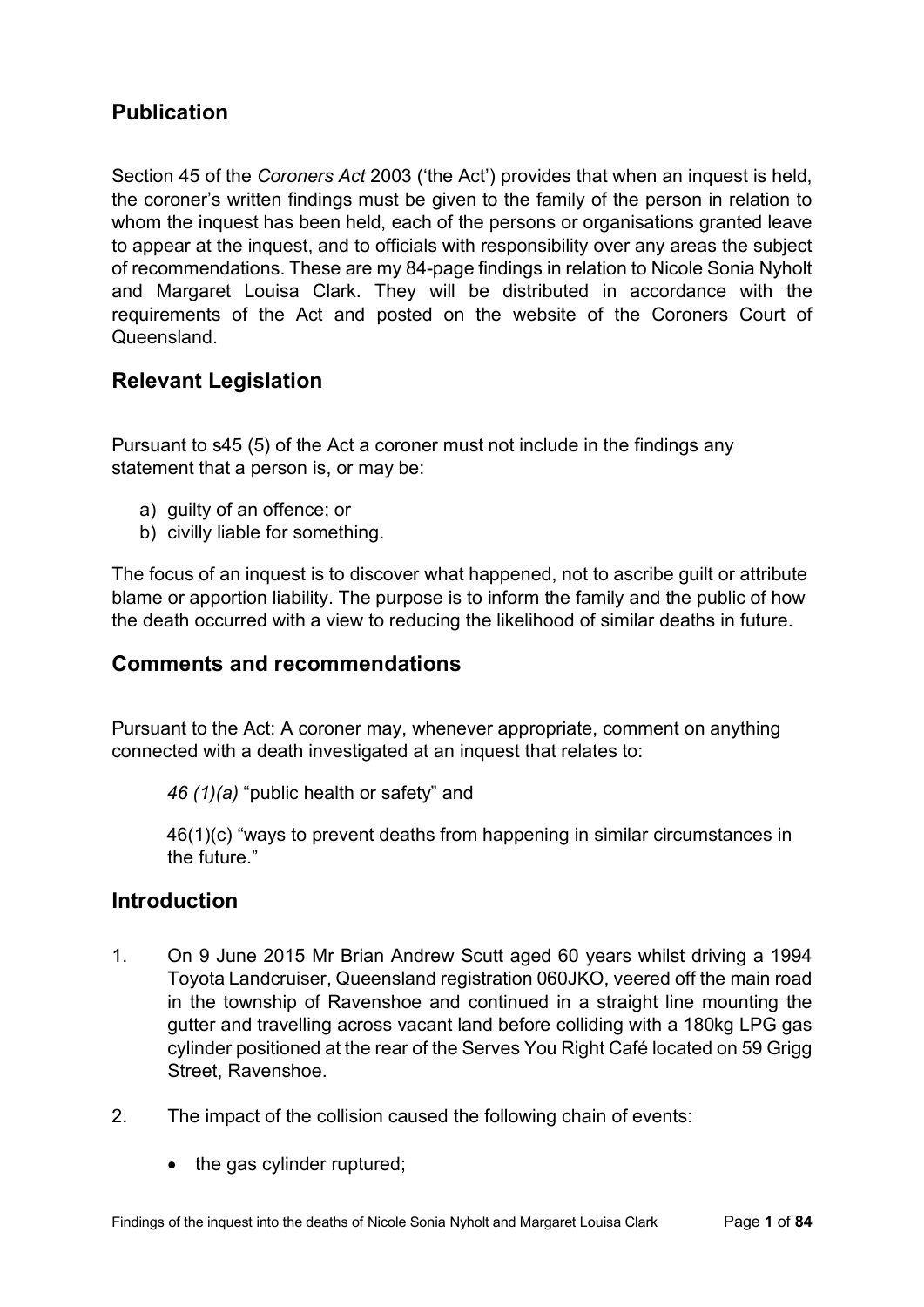## <span id="page-3-0"></span>**Publication**

Section 45 of the *Coroners Act* 2003 ('the Act') provides that when an inquest is held, the coroner's written findings must be given to the family of the person in relation to whom the inquest has been held, each of the persons or organisations granted leave to appear at the inquest, and to officials with responsibility over any areas the subject of recommendations. These are my 84-page findings in relation to Nicole Sonia Nyholt and Margaret Louisa Clark. They will be distributed in accordance with the requirements of the Act and posted on the website of the Coroners Court of **Queensland** 

## <span id="page-3-1"></span>**Relevant Legislation**

Pursuant to s45 (5) of the Act a coroner must not include in the findings any statement that a person is, or may be:

- a) guilty of an offence; or
- b) civilly liable for something.

The focus of an inquest is to discover what happened, not to ascribe guilt or attribute blame or apportion liability. The purpose is to inform the family and the public of how the death occurred with a view to reducing the likelihood of similar deaths in future.

### <span id="page-3-2"></span>**Comments and recommendations**

Pursuant to the Act: A coroner may, whenever appropriate, comment on anything connected with a death investigated at an inquest that relates to:

*46 (1)(a)* "public health or safety" and

46(1)(c) "ways to prevent deaths from happening in similar circumstances in the future."

## <span id="page-3-3"></span>**Introduction**

- 1. On 9 June 2015 Mr Brian Andrew Scutt aged 60 years whilst driving a 1994 Toyota Landcruiser, Queensland registration 060JKO, veered off the main road in the township of Ravenshoe and continued in a straight line mounting the gutter and travelling across vacant land before colliding with a 180kg LPG gas cylinder positioned at the rear of the Serves You Right Café located on 59 Grigg Street, Ravenshoe.
- 2. The impact of the collision caused the following chain of events:
	- the gas cylinder ruptured;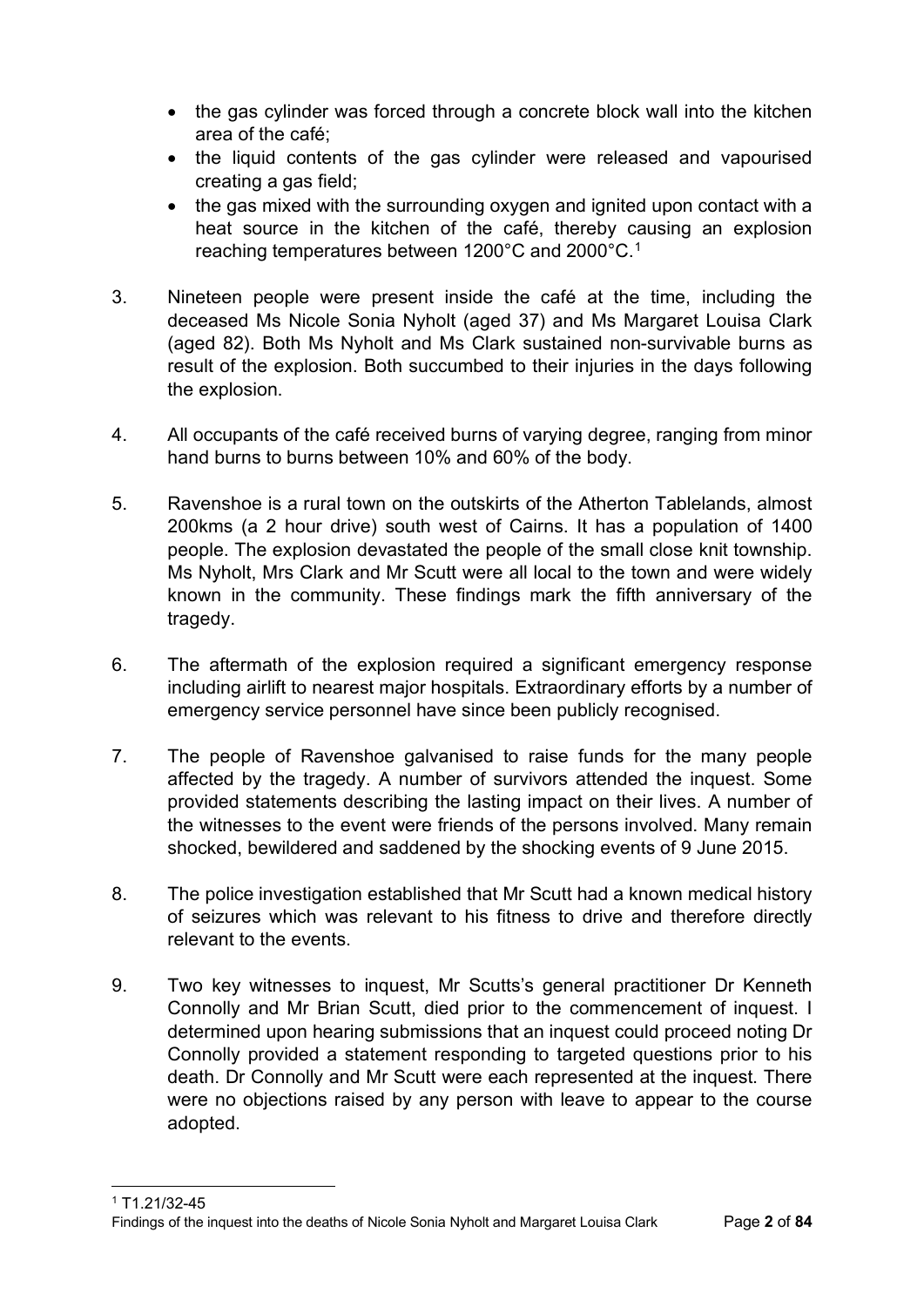- the gas cylinder was forced through a concrete block wall into the kitchen area of the café;
- the liquid contents of the gas cylinder were released and vapourised creating a gas field;
- the gas mixed with the surrounding oxygen and ignited upon contact with a heat source in the kitchen of the café, thereby causing an explosion reaching temperatures between 1200°C and 2000°C.[1](#page-4-0)
- 3. Nineteen people were present inside the café at the time, including the deceased Ms Nicole Sonia Nyholt (aged 37) and Ms Margaret Louisa Clark (aged 82). Both Ms Nyholt and Ms Clark sustained non-survivable burns as result of the explosion. Both succumbed to their injuries in the days following the explosion.
- 4. All occupants of the café received burns of varying degree, ranging from minor hand burns to burns between 10% and 60% of the body.
- 5. Ravenshoe is a rural town on the outskirts of the Atherton Tablelands, almost 200kms (a 2 hour drive) south west of Cairns. It has a population of 1400 people. The explosion devastated the people of the small close knit township. Ms Nyholt, Mrs Clark and Mr Scutt were all local to the town and were widely known in the community. These findings mark the fifth anniversary of the tragedy.
- 6. The aftermath of the explosion required a significant emergency response including airlift to nearest major hospitals. Extraordinary efforts by a number of emergency service personnel have since been publicly recognised.
- 7. The people of Ravenshoe galvanised to raise funds for the many people affected by the tragedy. A number of survivors attended the inquest. Some provided statements describing the lasting impact on their lives. A number of the witnesses to the event were friends of the persons involved. Many remain shocked, bewildered and saddened by the shocking events of 9 June 2015.
- 8. The police investigation established that Mr Scutt had a known medical history of seizures which was relevant to his fitness to drive and therefore directly relevant to the events.
- <span id="page-4-0"></span>9. Two key witnesses to inquest, Mr Scutts's general practitioner Dr Kenneth Connolly and Mr Brian Scutt, died prior to the commencement of inquest. I determined upon hearing submissions that an inquest could proceed noting Dr Connolly provided a statement responding to targeted questions prior to his death. Dr Connolly and Mr Scutt were each represented at the inquest. There were no objections raised by any person with leave to appear to the course adopted.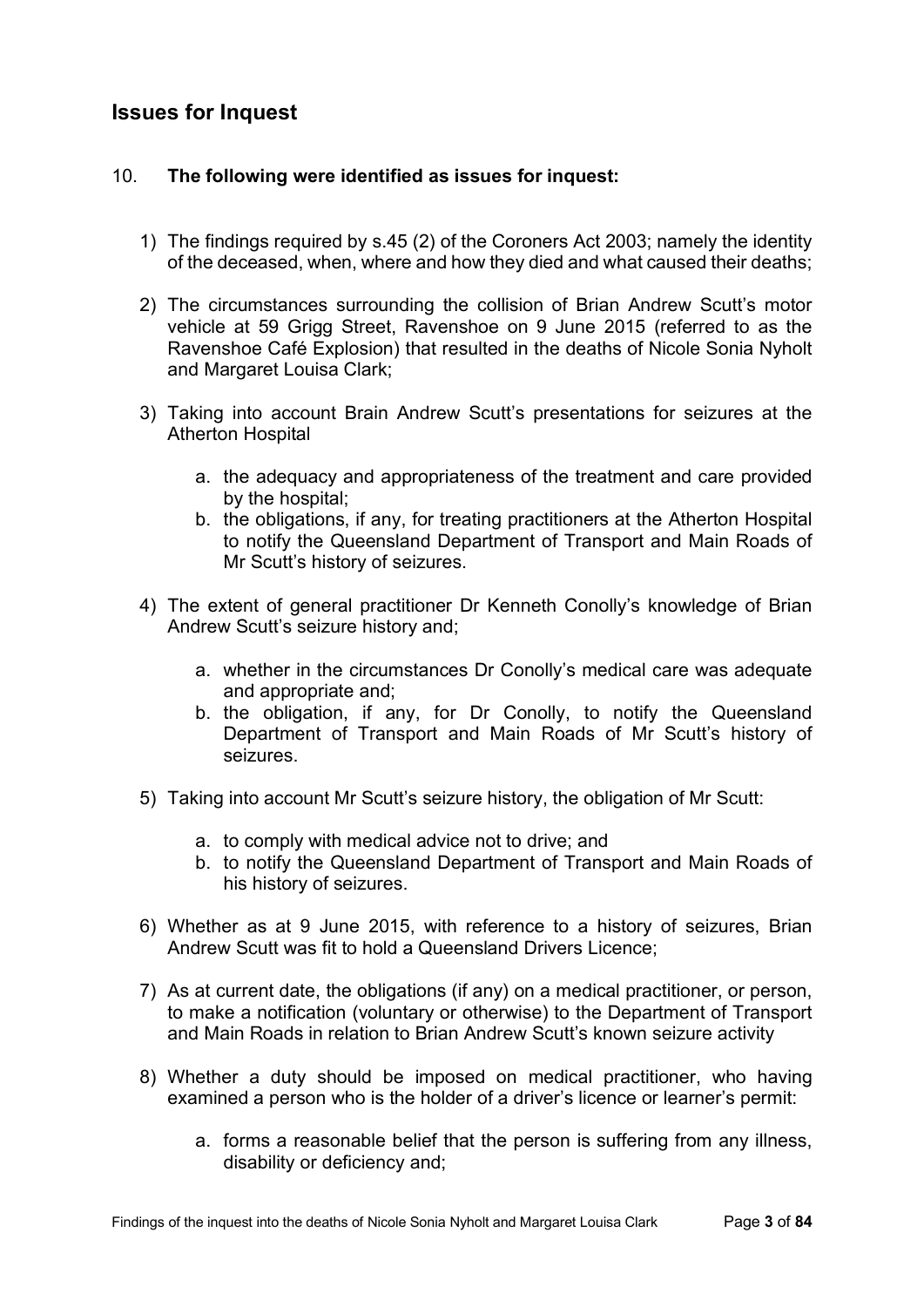## <span id="page-5-0"></span>**Issues for Inquest**

#### 10. **The following were identified as issues for inquest:**

- 1) The findings required by s.45 (2) of the Coroners Act 2003; namely the identity of the deceased, when, where and how they died and what caused their deaths;
- 2) The circumstances surrounding the collision of Brian Andrew Scutt's motor vehicle at 59 Grigg Street, Ravenshoe on 9 June 2015 (referred to as the Ravenshoe Café Explosion) that resulted in the deaths of Nicole Sonia Nyholt and Margaret Louisa Clark;
- 3) Taking into account Brain Andrew Scutt's presentations for seizures at the Atherton Hospital
	- a. the adequacy and appropriateness of the treatment and care provided by the hospital;
	- b. the obligations, if any, for treating practitioners at the Atherton Hospital to notify the Queensland Department of Transport and Main Roads of Mr Scutt's history of seizures.
- 4) The extent of general practitioner Dr Kenneth Conolly's knowledge of Brian Andrew Scutt's seizure history and;
	- a. whether in the circumstances Dr Conolly's medical care was adequate and appropriate and;
	- b. the obligation, if any, for Dr Conolly, to notify the Queensland Department of Transport and Main Roads of Mr Scutt's history of seizures.
- 5) Taking into account Mr Scutt's seizure history, the obligation of Mr Scutt:
	- a. to comply with medical advice not to drive; and
	- b. to notify the Queensland Department of Transport and Main Roads of his history of seizures.
- 6) Whether as at 9 June 2015, with reference to a history of seizures, Brian Andrew Scutt was fit to hold a Queensland Drivers Licence;
- 7) As at current date, the obligations (if any) on a medical practitioner, or person, to make a notification (voluntary or otherwise) to the Department of Transport and Main Roads in relation to Brian Andrew Scutt's known seizure activity
- 8) Whether a duty should be imposed on medical practitioner, who having examined a person who is the holder of a driver's licence or learner's permit:
	- a. forms a reasonable belief that the person is suffering from any illness, disability or deficiency and;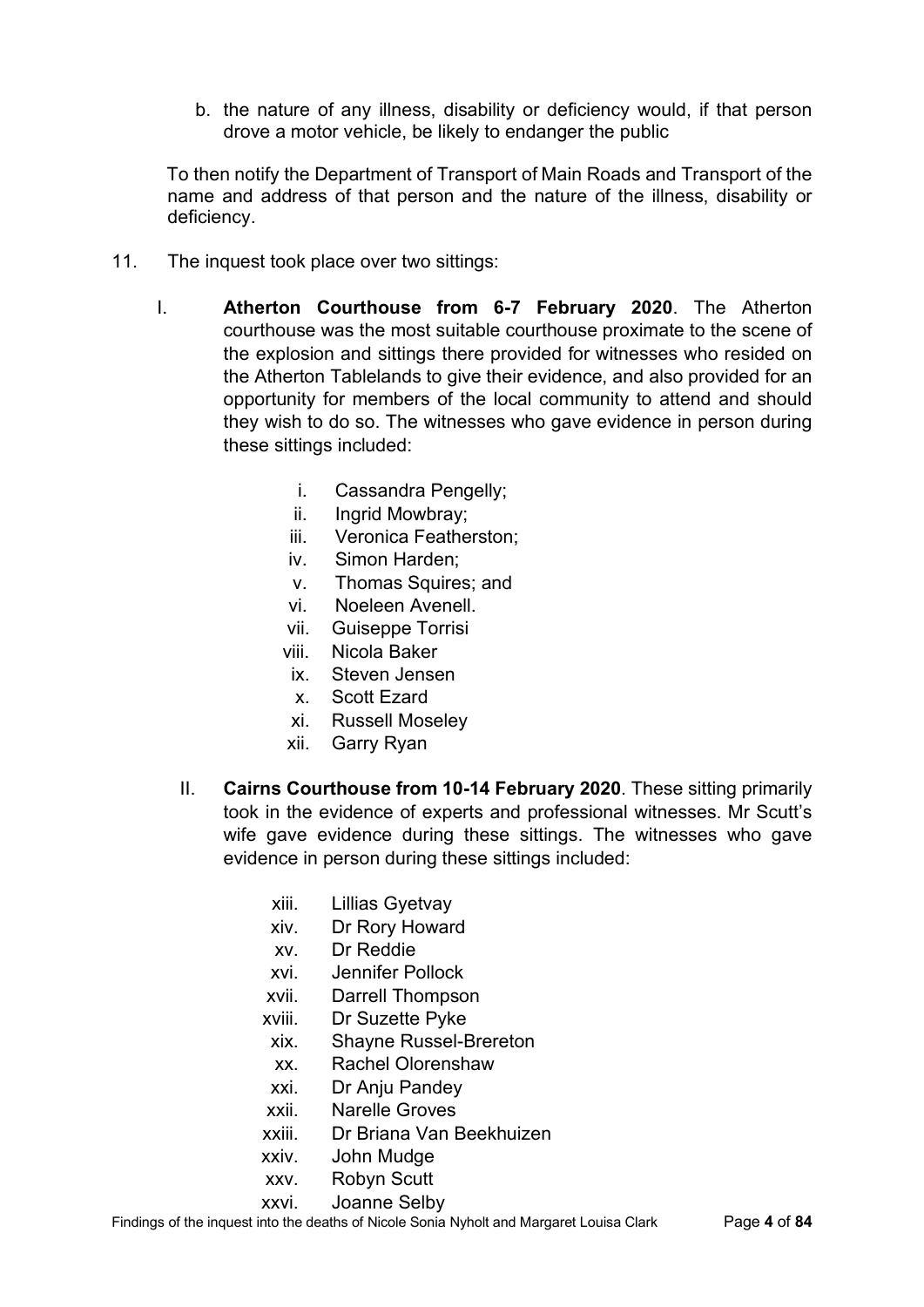b. the nature of any illness, disability or deficiency would, if that person drove a motor vehicle, be likely to endanger the public

To then notify the Department of Transport of Main Roads and Transport of the name and address of that person and the nature of the illness, disability or deficiency.

- 11. The inquest took place over two sittings:
	- I. **Atherton Courthouse from 6-7 February 2020**. The Atherton courthouse was the most suitable courthouse proximate to the scene of the explosion and sittings there provided for witnesses who resided on the Atherton Tablelands to give their evidence, and also provided for an opportunity for members of the local community to attend and should they wish to do so. The witnesses who gave evidence in person during these sittings included:
		- i. Cassandra Pengelly;
		- ii. Ingrid Mowbray;
		- iii. Veronica Featherston;
		- iv. Simon Harden;
		- v. Thomas Squires; and
		- vi. Noeleen Avenell.
		- vii. Guiseppe Torrisi
		- viii. Nicola Baker
		- ix. Steven Jensen
		- x. Scott Ezard
		- xi. Russell Moseley
		- xii. Garry Ryan
		- II. **Cairns Courthouse from 10-14 February 2020**. These sitting primarily took in the evidence of experts and professional witnesses. Mr Scutt's wife gave evidence during these sittings. The witnesses who gave evidence in person during these sittings included:
			- xiii. Lillias Gyetvay
			- xiv. Dr Rory Howard
			- xv. Dr Reddie
			- xvi. Jennifer Pollock
			- xvii. Darrell Thompson
			- xviii. Dr Suzette Pyke
			- xix. Shayne Russel-Brereton
			- xx. Rachel Olorenshaw
			- xxi. Dr Anju Pandey
			- xxii. Narelle Groves
			- xxiii. Dr Briana Van Beekhuizen
			- xxiv. John Mudge
			- xxv. Robyn Scutt
			- xxvi. Joanne Selby

Findings of the inquest into the deaths of Nicole Sonia Nyholt and Margaret Louisa Clark Page **4** of **84**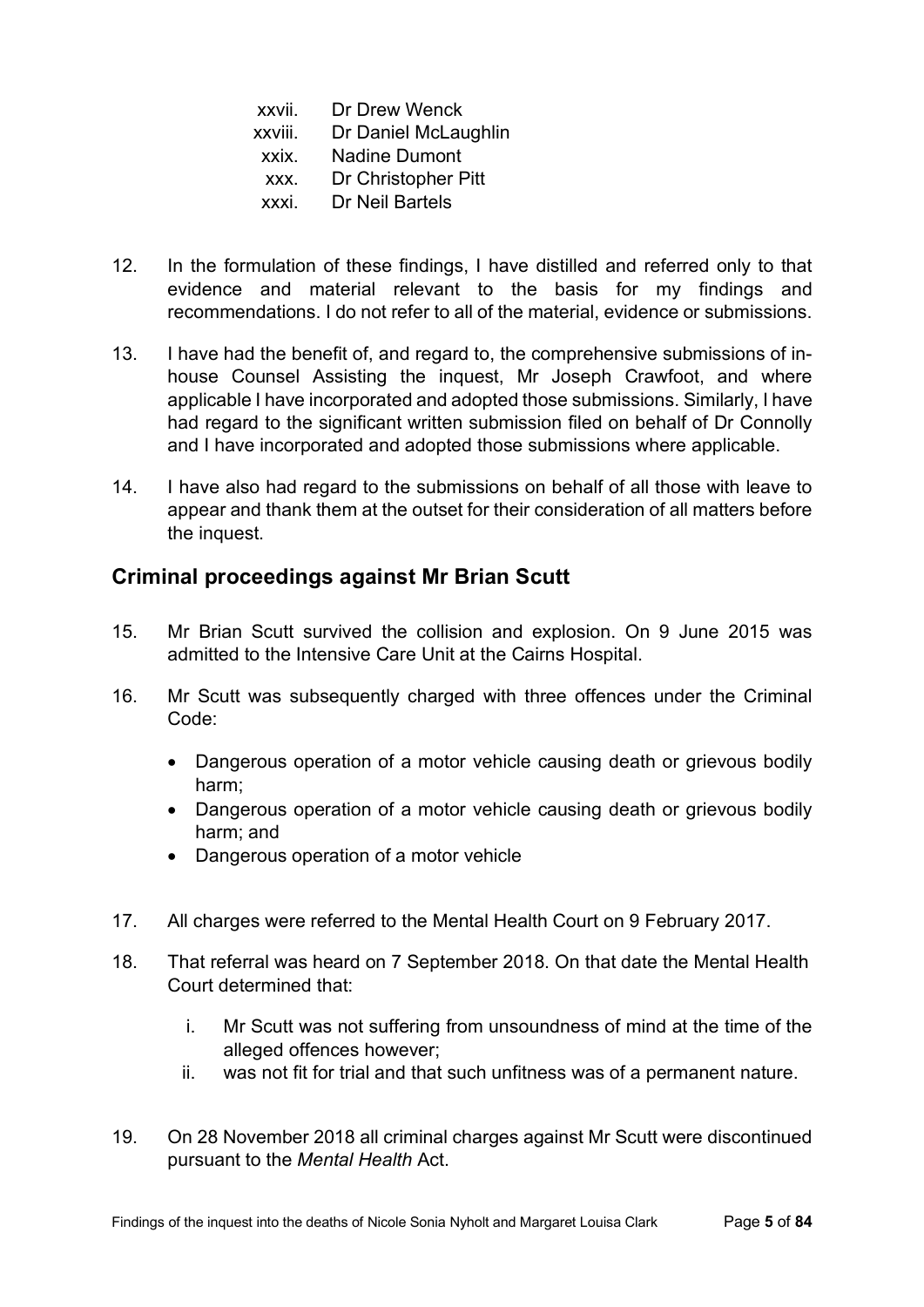xxvii. Dr Drew Wenck xxviii. Dr Daniel McLaughlin xxix. Nadine Dumont xxx. Dr Christopher Pitt xxxi. Dr Neil Bartels

- 12. In the formulation of these findings, I have distilled and referred only to that evidence and material relevant to the basis for my findings and recommendations. I do not refer to all of the material, evidence or submissions.
- 13. I have had the benefit of, and regard to, the comprehensive submissions of inhouse Counsel Assisting the inquest, Mr Joseph Crawfoot, and where applicable I have incorporated and adopted those submissions. Similarly, I have had regard to the significant written submission filed on behalf of Dr Connolly and I have incorporated and adopted those submissions where applicable.
- 14. I have also had regard to the submissions on behalf of all those with leave to appear and thank them at the outset for their consideration of all matters before the inquest.

## <span id="page-7-0"></span>**Criminal proceedings against Mr Brian Scutt**

- 15. Mr Brian Scutt survived the collision and explosion. On 9 June 2015 was admitted to the Intensive Care Unit at the Cairns Hospital.
- 16. Mr Scutt was subsequently charged with three offences under the Criminal Code:
	- Dangerous operation of a motor vehicle causing death or grievous bodily harm;
	- Dangerous operation of a motor vehicle causing death or grievous bodily harm; and
	- Dangerous operation of a motor vehicle
- 17. All charges were referred to the Mental Health Court on 9 February 2017.
- 18. That referral was heard on 7 September 2018. On that date the Mental Health Court determined that:
	- i. Mr Scutt was not suffering from unsoundness of mind at the time of the alleged offences however;
	- ii. was not fit for trial and that such unfitness was of a permanent nature.
- 19. On 28 November 2018 all criminal charges against Mr Scutt were discontinued pursuant to the *Mental Health* Act.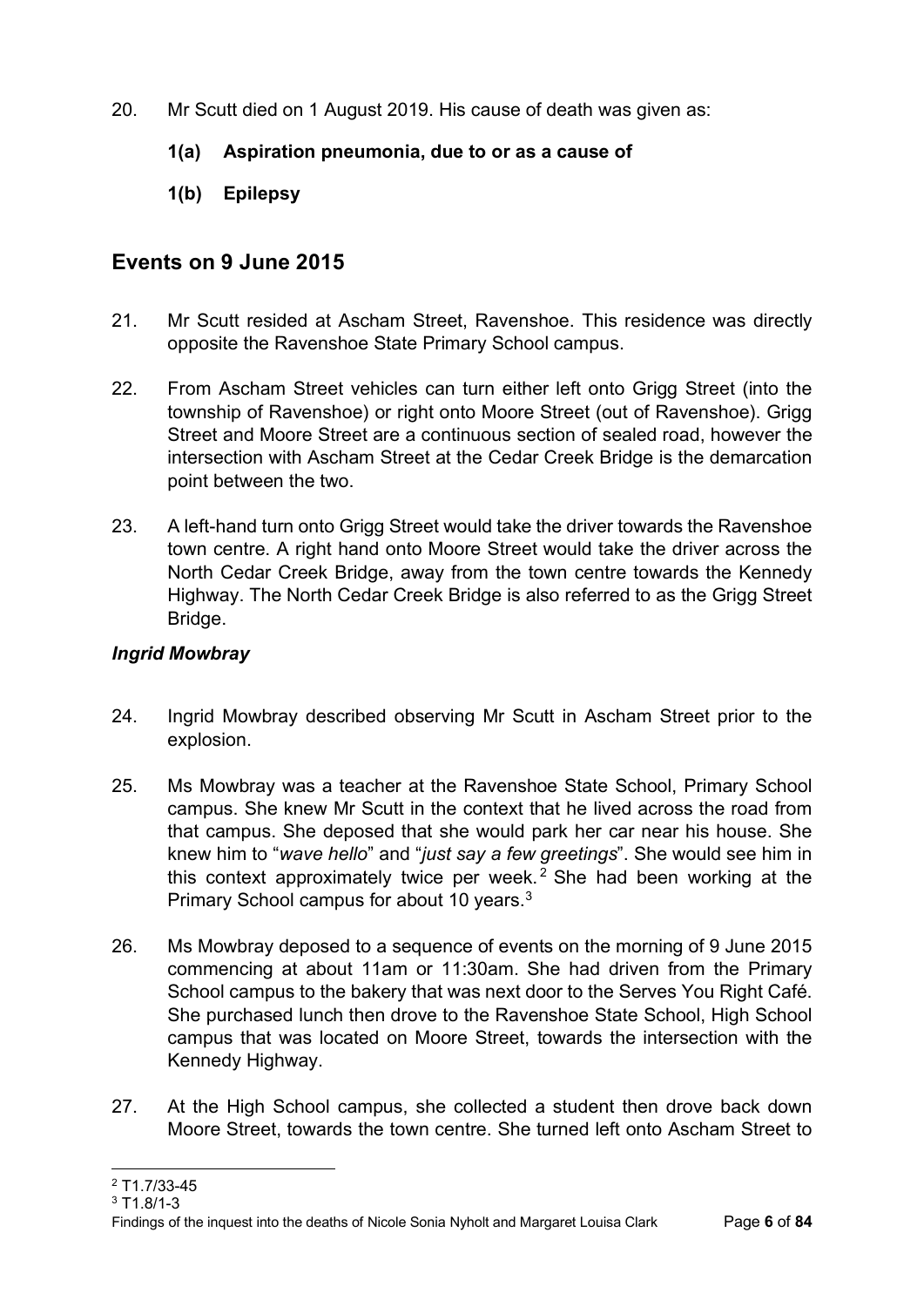- 20. Mr Scutt died on 1 August 2019. His cause of death was given as:
	- **1(a) Aspiration pneumonia, due to or as a cause of**
	- **1(b) Epilepsy**

## <span id="page-8-0"></span>**Events on 9 June 2015**

- 21. Mr Scutt resided at Ascham Street, Ravenshoe. This residence was directly opposite the Ravenshoe State Primary School campus.
- 22. From Ascham Street vehicles can turn either left onto Grigg Street (into the township of Ravenshoe) or right onto Moore Street (out of Ravenshoe). Grigg Street and Moore Street are a continuous section of sealed road, however the intersection with Ascham Street at the Cedar Creek Bridge is the demarcation point between the two.
- 23. A left-hand turn onto Grigg Street would take the driver towards the Ravenshoe town centre. A right hand onto Moore Street would take the driver across the North Cedar Creek Bridge, away from the town centre towards the Kennedy Highway. The North Cedar Creek Bridge is also referred to as the Grigg Street Bridge.

### *Ingrid Mowbray*

- 24. Ingrid Mowbray described observing Mr Scutt in Ascham Street prior to the explosion.
- 25. Ms Mowbray was a teacher at the Ravenshoe State School, Primary School campus. She knew Mr Scutt in the context that he lived across the road from that campus. She deposed that she would park her car near his house. She knew him to "*wave hello*" and "*just say a few greetings*". She would see him in this context approximately twice per week.<sup>[2](#page-8-1)</sup> She had been working at the Primary School campus for about 10 years.<sup>[3](#page-8-2)</sup>
- 26. Ms Mowbray deposed to a sequence of events on the morning of 9 June 2015 commencing at about 11am or 11:30am. She had driven from the Primary School campus to the bakery that was next door to the Serves You Right Café. She purchased lunch then drove to the Ravenshoe State School, High School campus that was located on Moore Street, towards the intersection with the Kennedy Highway.
- 27. At the High School campus, she collected a student then drove back down Moore Street, towards the town centre. She turned left onto Ascham Street to

<span id="page-8-2"></span><span id="page-8-1"></span> $2$  T<sub>1</sub>.7/33-45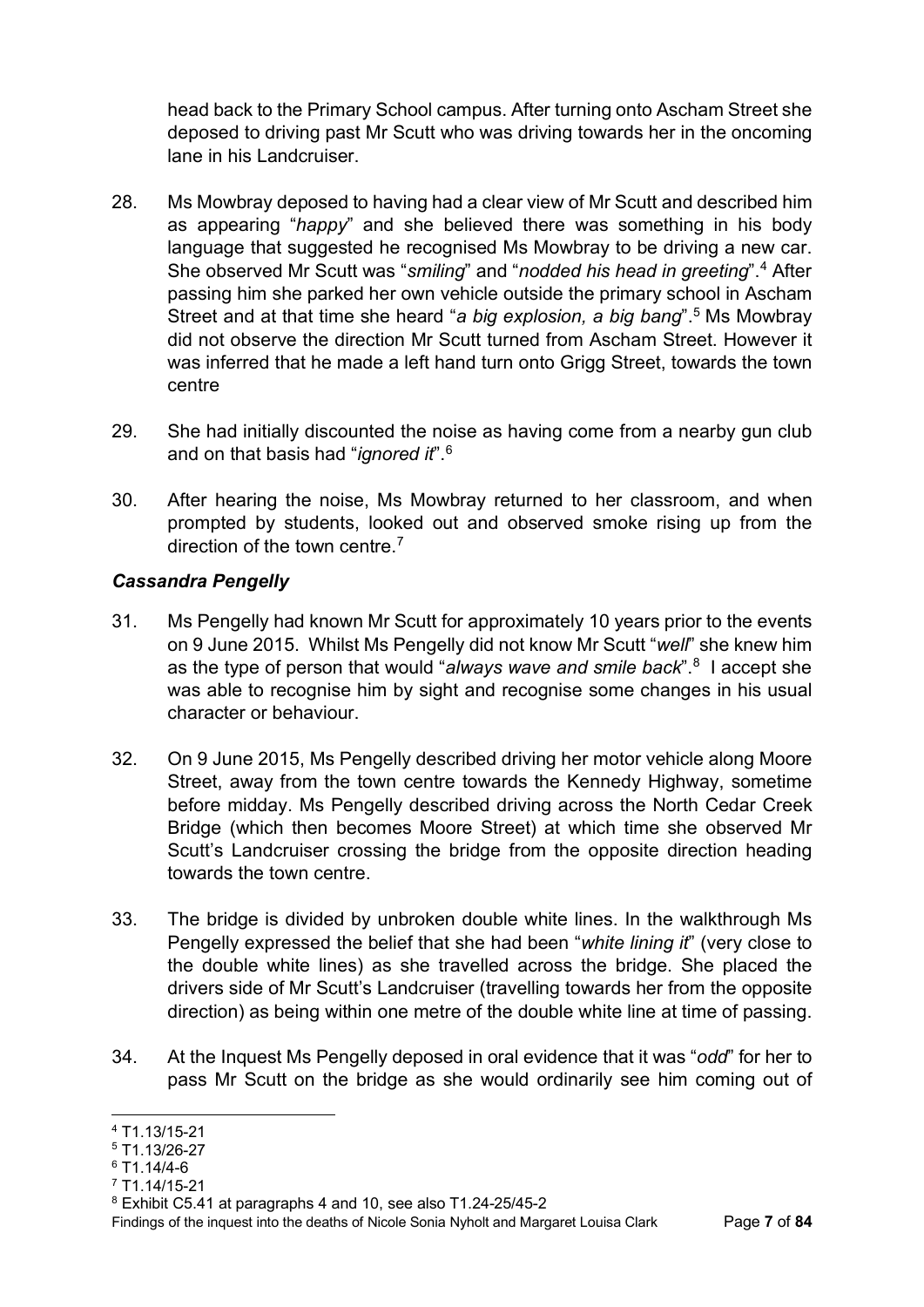head back to the Primary School campus. After turning onto Ascham Street she deposed to driving past Mr Scutt who was driving towards her in the oncoming lane in his Landcruiser.

- 28. Ms Mowbray deposed to having had a clear view of Mr Scutt and described him as appearing "*happy*" and she believed there was something in his body language that suggested he recognised Ms Mowbray to be driving a new car. She observed Mr Scutt was "*smiling*" and "*nodded his head in greeting*".[4](#page-9-0) After passing him she parked her own vehicle outside the primary school in Ascham Street and at that time she heard "*a big explosion, a big bang*".[5](#page-9-1) Ms Mowbray did not observe the direction Mr Scutt turned from Ascham Street. However it was inferred that he made a left hand turn onto Grigg Street, towards the town centre
- 29. She had initially discounted the noise as having come from a nearby gun club and on that basis had "*ignored it*"[.6](#page-9-2)
- 30. After hearing the noise, Ms Mowbray returned to her classroom, and when prompted by students, looked out and observed smoke rising up from the direction of the town centre.<sup>[7](#page-9-3)</sup>

#### *Cassandra Pengelly*

- 31. Ms Pengelly had known Mr Scutt for approximately 10 years prior to the events on 9 June 2015. Whilst Ms Pengelly did not know Mr Scutt "*well*" she knew him as the type of person that would "*always wave and smile back*".[8](#page-9-4) I accept she was able to recognise him by sight and recognise some changes in his usual character or behaviour.
- 32. On 9 June 2015, Ms Pengelly described driving her motor vehicle along Moore Street, away from the town centre towards the Kennedy Highway, sometime before midday. Ms Pengelly described driving across the North Cedar Creek Bridge (which then becomes Moore Street) at which time she observed Mr Scutt's Landcruiser crossing the bridge from the opposite direction heading towards the town centre.
- 33. The bridge is divided by unbroken double white lines. In the walkthrough Ms Pengelly expressed the belief that she had been "*white lining it*" (very close to the double white lines) as she travelled across the bridge. She placed the drivers side of Mr Scutt's Landcruiser (travelling towards her from the opposite direction) as being within one metre of the double white line at time of passing.
- 34. At the Inquest Ms Pengelly deposed in oral evidence that it was "*odd*" for her to pass Mr Scutt on the bridge as she would ordinarily see him coming out of

Findings of the inquest into the deaths of Nicole Sonia Nyholt and Margaret Louisa Clark Page **7** of **84**

<span id="page-9-0"></span><sup>4</sup> T1.13/15-21

<span id="page-9-1"></span><sup>5</sup> T1.13/26-27

<span id="page-9-2"></span> $6$  T<sub>1.14</sub>/4-6

<span id="page-9-3"></span> $7$  T1.14/15-21

<span id="page-9-4"></span><sup>8</sup> Exhibit C5.41 at paragraphs 4 and 10, see also T1.24-25/45-2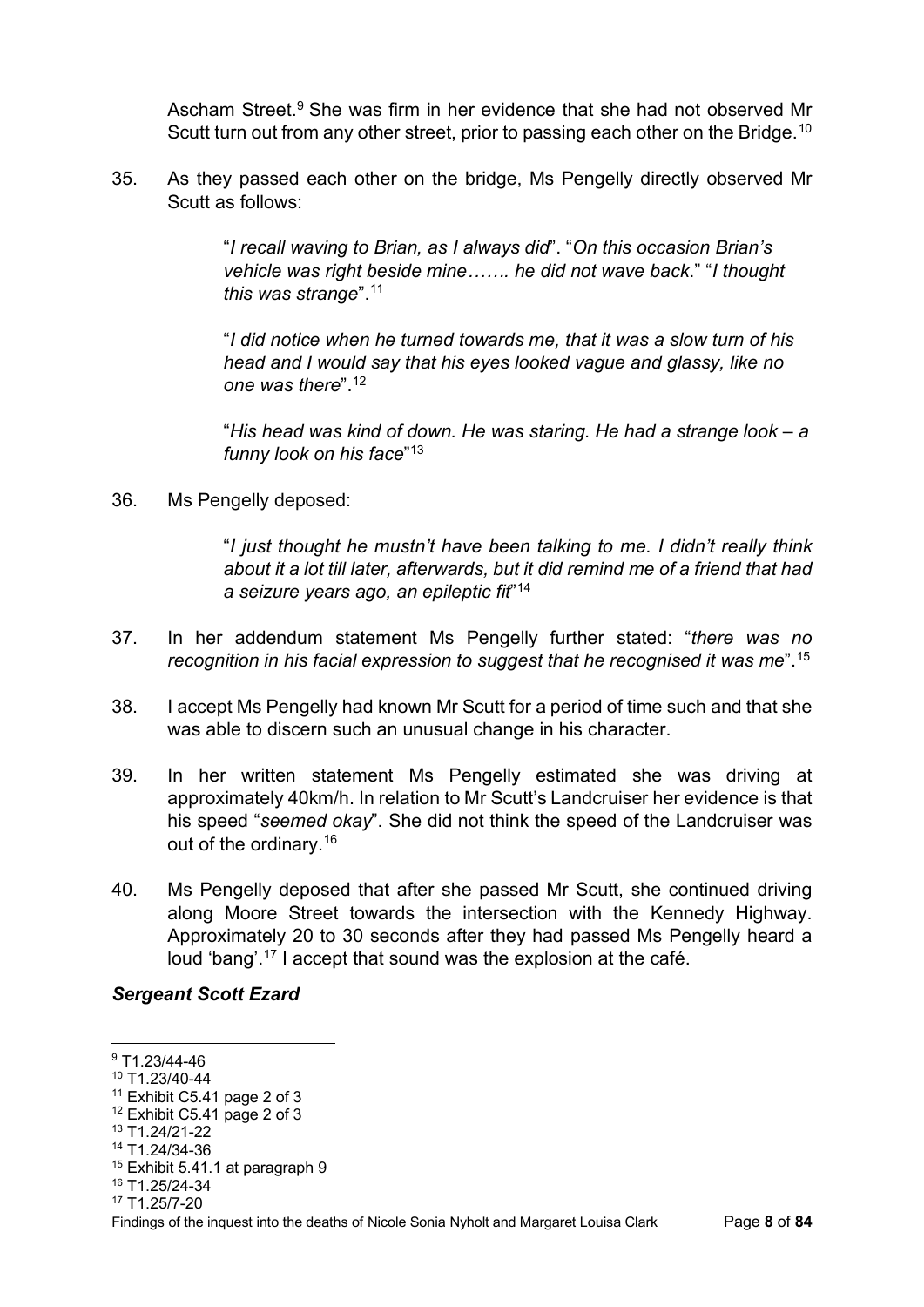Ascham Street.<sup>[9](#page-10-0)</sup> She was firm in her evidence that she had not observed Mr Scutt turn out from any other street, prior to passing each other on the Bridge.<sup>[10](#page-10-1)</sup>

35. As they passed each other on the bridge, Ms Pengelly directly observed Mr Scutt as follows:

> "*I recall waving to Brian, as I always did*". "*On this occasion Brian's vehicle was right beside mine……. he did not wave back*." "*I thought this was strange*".[11](#page-10-2)

"*I did notice when he turned towards me, that it was a slow turn of his head and I would say that his eyes looked vague and glassy, like no one was there*"[.12](#page-10-3)

"*His head was kind of down. He was staring. He had a strange look – a funny look on his face*["13](#page-10-4)

36. Ms Pengelly deposed:

"*I just thought he mustn't have been talking to me. I didn't really think about it a lot till later, afterwards, but it did remind me of a friend that had a seizure years ago, an epileptic fit*"[14](#page-10-5)

- 37. In her addendum statement Ms Pengelly further stated: "*there was no recognition in his facial expression to suggest that he recognised it was me*"[.15](#page-10-6)
- 38. I accept Ms Pengelly had known Mr Scutt for a period of time such and that she was able to discern such an unusual change in his character.
- 39. In her written statement Ms Pengelly estimated she was driving at approximately 40km/h. In relation to Mr Scutt's Landcruiser her evidence is that his speed "*seemed okay*". She did not think the speed of the Landcruiser was out of the ordinary.[16](#page-10-7)
- 40. Ms Pengelly deposed that after she passed Mr Scutt, she continued driving along Moore Street towards the intersection with the Kennedy Highway. Approximately 20 to 30 seconds after they had passed Ms Pengelly heard a loud 'bang'.<sup>[17](#page-10-8)</sup> I accept that sound was the explosion at the café.

#### *Sergeant Scott Ezard*

<span id="page-10-0"></span><sup>9</sup> T1.23/44-46

<span id="page-10-1"></span><sup>10</sup> T1.23/40-44

<sup>11</sup> Exhibit C5.41 page 2 of 3

<span id="page-10-3"></span><span id="page-10-2"></span><sup>12</sup> Exhibit C5.41 page 2 of 3

<span id="page-10-4"></span><sup>13</sup> T1.24/21-22

<span id="page-10-5"></span><sup>14</sup> T1.24/34-36

<span id="page-10-6"></span> $15$  Exhibit 5.41.1 at paragraph 9

<span id="page-10-7"></span><sup>16</sup> T1.25/24-34

<span id="page-10-8"></span>Findings of the inquest into the deaths of Nicole Sonia Nyholt and Margaret Louisa Clark Page **8** of **84**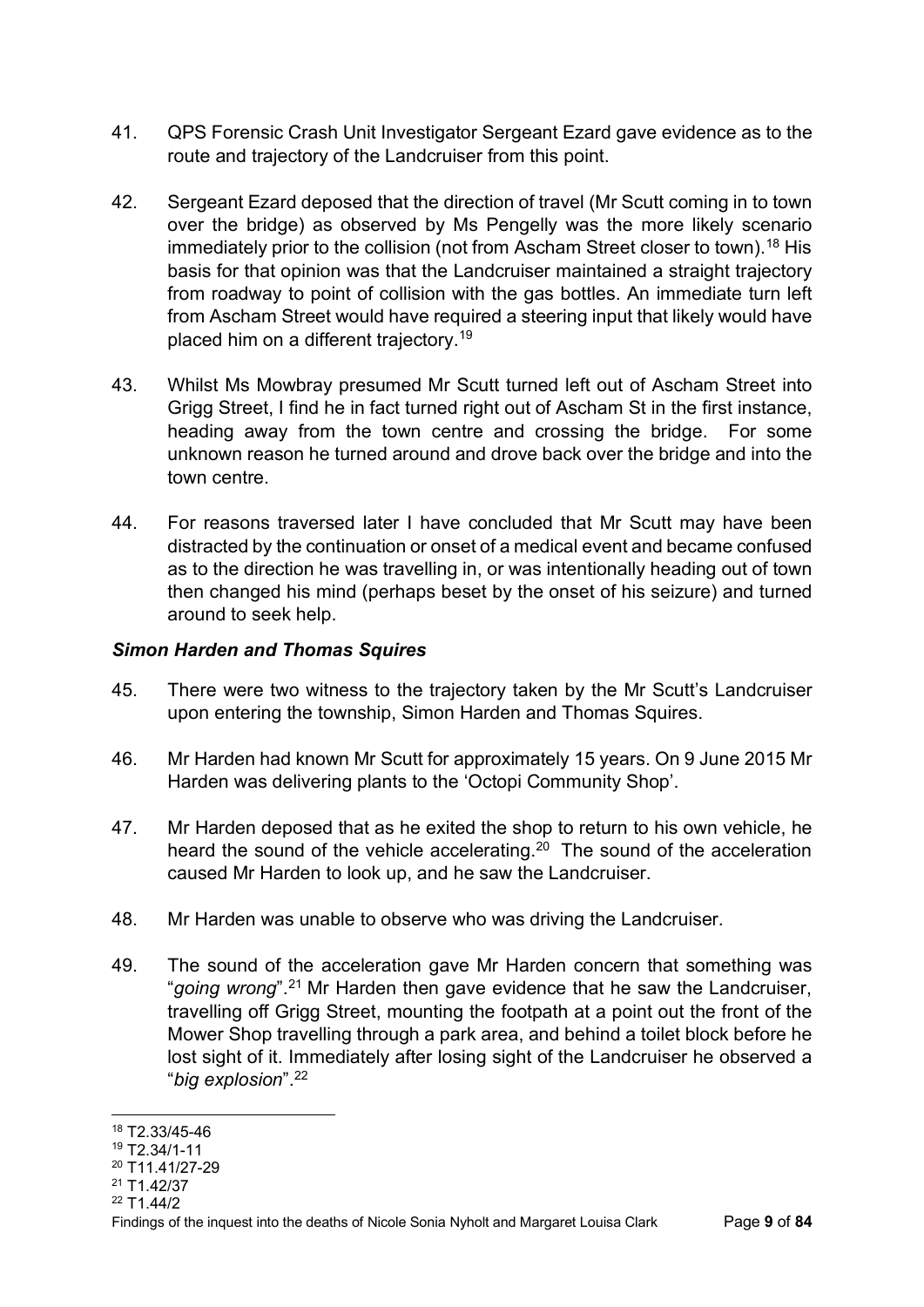- 41. QPS Forensic Crash Unit Investigator Sergeant Ezard gave evidence as to the route and trajectory of the Landcruiser from this point.
- 42. Sergeant Ezard deposed that the direction of travel (Mr Scutt coming in to town over the bridge) as observed by Ms Pengelly was the more likely scenario immediately prior to the collision (not from Ascham Street closer to town). [18](#page-11-0) His basis for that opinion was that the Landcruiser maintained a straight trajectory from roadway to point of collision with the gas bottles. An immediate turn left from Ascham Street would have required a steering input that likely would have placed him on a different trajectory. [19](#page-11-1)
- 43. Whilst Ms Mowbray presumed Mr Scutt turned left out of Ascham Street into Grigg Street, I find he in fact turned right out of Ascham St in the first instance, heading away from the town centre and crossing the bridge. For some unknown reason he turned around and drove back over the bridge and into the town centre.
- 44. For reasons traversed later I have concluded that Mr Scutt may have been distracted by the continuation or onset of a medical event and became confused as to the direction he was travelling in, or was intentionally heading out of town then changed his mind (perhaps beset by the onset of his seizure) and turned around to seek help.

#### *Simon Harden and Thomas Squires*

- 45. There were two witness to the trajectory taken by the Mr Scutt's Landcruiser upon entering the township, Simon Harden and Thomas Squires.
- 46. Mr Harden had known Mr Scutt for approximately 15 years. On 9 June 2015 Mr Harden was delivering plants to the 'Octopi Community Shop'.
- 47. Mr Harden deposed that as he exited the shop to return to his own vehicle, he heard the sound of the vehicle accelerating.<sup>[20](#page-11-2)</sup> The sound of the acceleration caused Mr Harden to look up, and he saw the Landcruiser.
- 48. Mr Harden was unable to observe who was driving the Landcruiser.
- 49. The sound of the acceleration gave Mr Harden concern that something was "*going wrong*".<sup>[21](#page-11-3)</sup> Mr Harden then gave evidence that he saw the Landcruiser, travelling off Grigg Street, mounting the footpath at a point out the front of the Mower Shop travelling through a park area, and behind a toilet block before he lost sight of it. Immediately after losing sight of the Landcruiser he observed a "*big explosion*".[22](#page-11-4)

<span id="page-11-4"></span><sup>22</sup> T1.44/2

<span id="page-11-0"></span><sup>18</sup> T2.33/45-46

<span id="page-11-1"></span><sup>19</sup> T2.34/1-11

<span id="page-11-2"></span><sup>20</sup> T11.41/27-29

<span id="page-11-3"></span><sup>21</sup> T1.42/37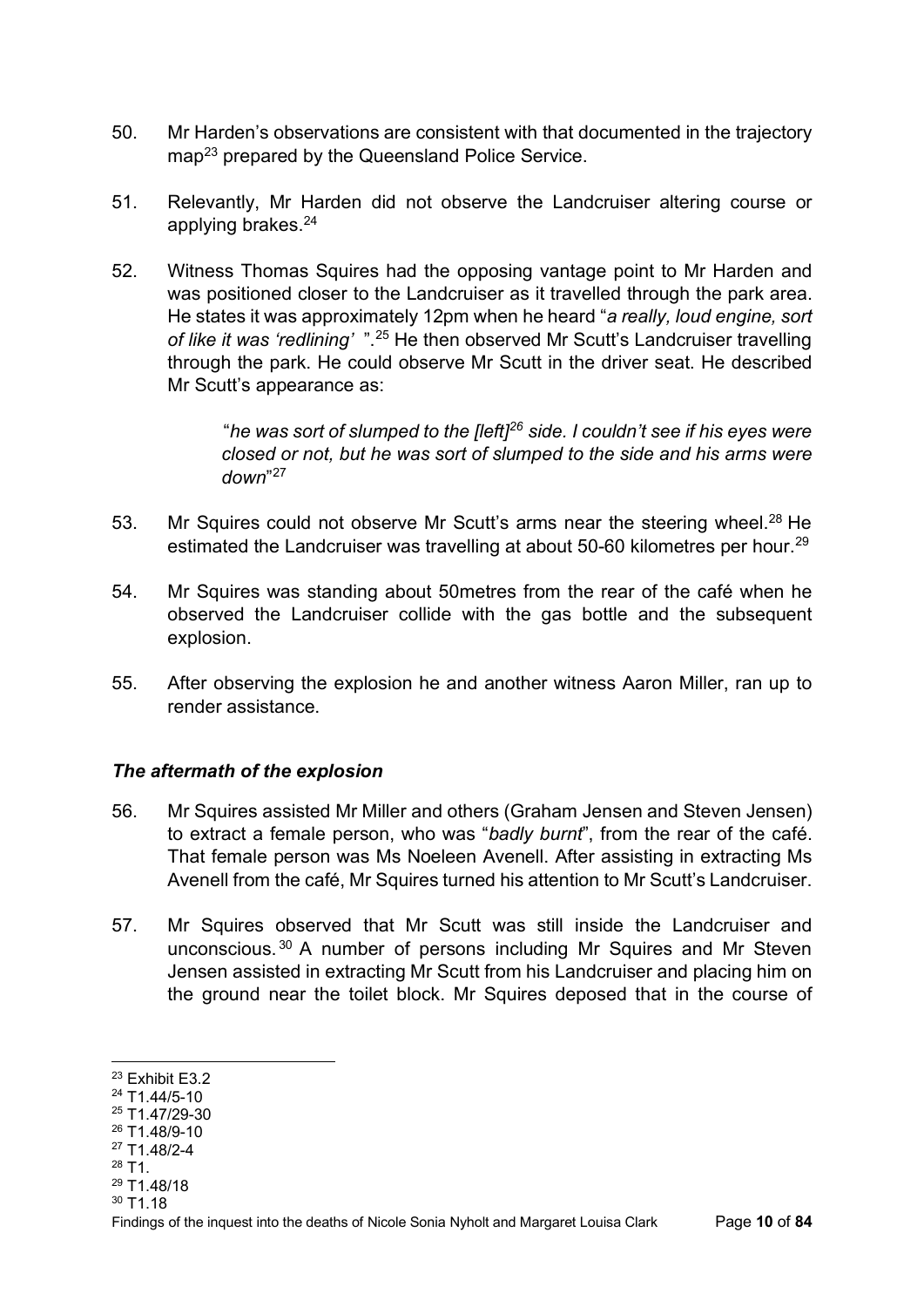- 50. Mr Harden's observations are consistent with that documented in the trajectory map<sup>[23](#page-12-0)</sup> prepared by the Queensland Police Service.
- 51. Relevantly, Mr Harden did not observe the Landcruiser altering course or applying brakes. [24](#page-12-1)
- 52. Witness Thomas Squires had the opposing vantage point to Mr Harden and was positioned closer to the Landcruiser as it travelled through the park area. He states it was approximately 12pm when he heard "*a really, loud engine, sort of like it was 'redlining'* ".[25](#page-12-2) He then observed Mr Scutt's Landcruiser travelling through the park. He could observe Mr Scutt in the driver seat. He described Mr Scutt's appearance as:

"*he was sort of slumped to the [left][26](#page-12-3) side. I couldn't see if his eyes were closed or not, but he was sort of slumped to the side and his arms were down*"[27](#page-12-4)

- 53. Mr Squires could not observe Mr Scutt's arms near the steering wheel.<sup>[28](#page-12-5)</sup> He estimated the Landcruiser was travelling at about 50-60 kilometres per hour.<sup>[29](#page-12-6)</sup>
- 54. Mr Squires was standing about 50metres from the rear of the café when he observed the Landcruiser collide with the gas bottle and the subsequent explosion.
- 55. After observing the explosion he and another witness Aaron Miller, ran up to render assistance.

#### *The aftermath of the explosion*

- 56. Mr Squires assisted Mr Miller and others (Graham Jensen and Steven Jensen) to extract a female person, who was "*badly burnt*", from the rear of the café. That female person was Ms Noeleen Avenell. After assisting in extracting Ms Avenell from the café, Mr Squires turned his attention to Mr Scutt's Landcruiser.
- 57. Mr Squires observed that Mr Scutt was still inside the Landcruiser and unconscious.<sup>[30](#page-12-7)</sup> A number of persons including Mr Squires and Mr Steven Jensen assisted in extracting Mr Scutt from his Landcruiser and placing him on the ground near the toilet block. Mr Squires deposed that in the course of

- <span id="page-12-4"></span><sup>27</sup> T1.48/2-4
- <span id="page-12-5"></span> $28$  T<sub>1</sub>.
- <span id="page-12-6"></span><sup>29</sup> T1.48/18

<span id="page-12-0"></span><sup>23</sup> Exhibit E3.2

<span id="page-12-1"></span><sup>24</sup> T1.44/5-10

<span id="page-12-2"></span><sup>25</sup> T1.47/29-30

<span id="page-12-3"></span><sup>26</sup> T1.48/9-10

<span id="page-12-7"></span><sup>30</sup> T1.18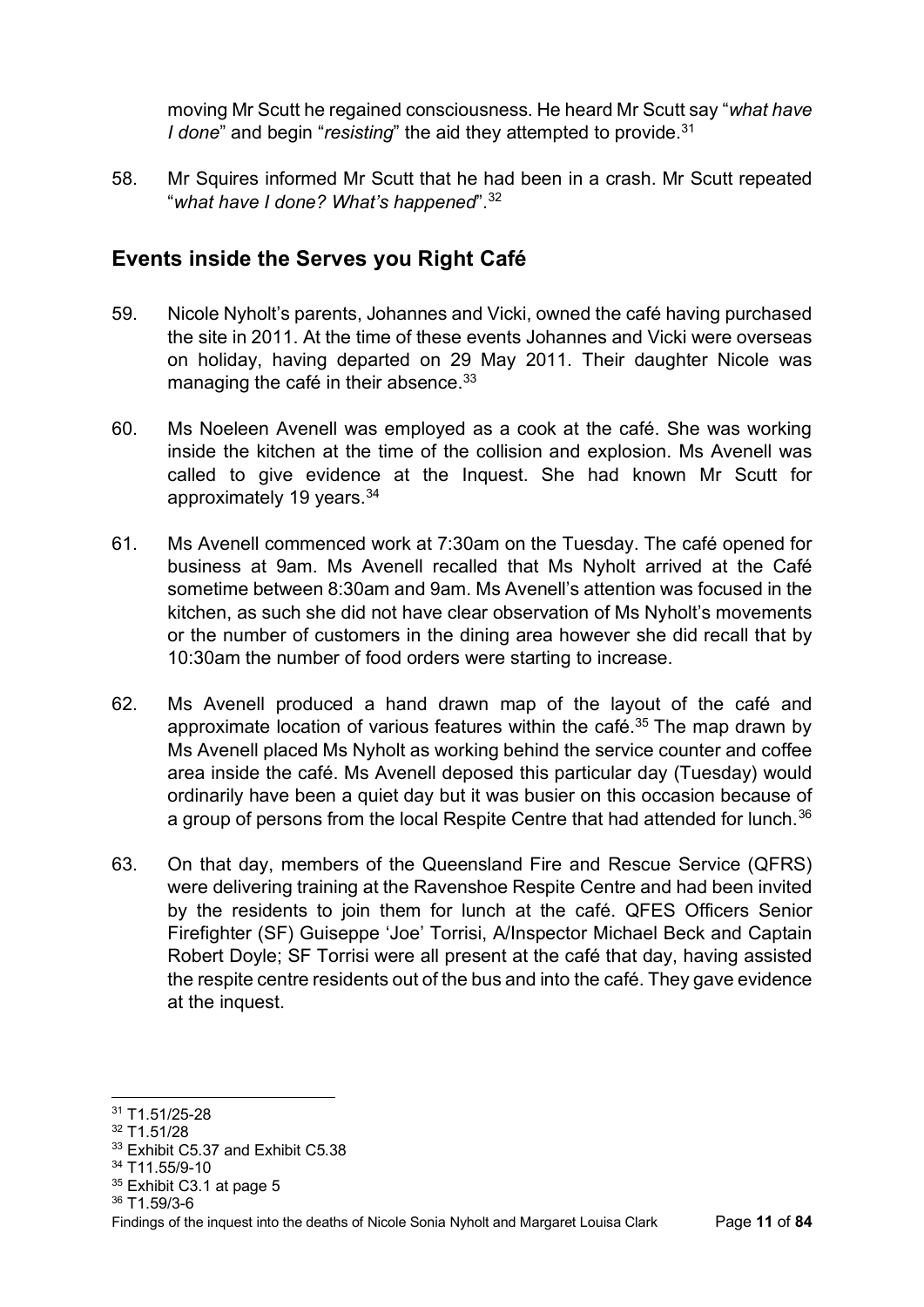moving Mr Scutt he regained consciousness. He heard Mr Scutt say "*what have I* done" and begin "*resisting*" the aid they attempted to provide.<sup>[31](#page-13-1)</sup>

58. Mr Squires informed Mr Scutt that he had been in a crash. Mr Scutt repeated "*what have I done? What's happened*".[32](#page-13-2)

## <span id="page-13-0"></span>**Events inside the Serves you Right Café**

- 59. Nicole Nyholt's parents, Johannes and Vicki, owned the café having purchased the site in 2011. At the time of these events Johannes and Vicki were overseas on holiday, having departed on 29 May 2011. Their daughter Nicole was managing the café in their absence.<sup>[33](#page-13-3)</sup>
- 60. Ms Noeleen Avenell was employed as a cook at the café. She was working inside the kitchen at the time of the collision and explosion. Ms Avenell was called to give evidence at the Inquest. She had known Mr Scutt for approximately 19 years.<sup>[34](#page-13-4)</sup>
- 61. Ms Avenell commenced work at 7:30am on the Tuesday. The café opened for business at 9am. Ms Avenell recalled that Ms Nyholt arrived at the Café sometime between 8:30am and 9am. Ms Avenell's attention was focused in the kitchen, as such she did not have clear observation of Ms Nyholt's movements or the number of customers in the dining area however she did recall that by 10:30am the number of food orders were starting to increase.
- 62. Ms Avenell produced a hand drawn map of the layout of the café and approximate location of various features within the café.<sup>35</sup> The map drawn by Ms Avenell placed Ms Nyholt as working behind the service counter and coffee area inside the café. Ms Avenell deposed this particular day (Tuesday) would ordinarily have been a quiet day but it was busier on this occasion because of a group of persons from the local Respite Centre that had attended for lunch.<sup>[36](#page-13-6)</sup>
- 63. On that day, members of the Queensland Fire and Rescue Service (QFRS) were delivering training at the Ravenshoe Respite Centre and had been invited by the residents to join them for lunch at the café. QFES Officers Senior Firefighter (SF) Guiseppe 'Joe' Torrisi, A/Inspector Michael Beck and Captain Robert Doyle; SF Torrisi were all present at the café that day, having assisted the respite centre residents out of the bus and into the café. They gave evidence at the inquest.

<span id="page-13-6"></span><sup>36</sup> T1.59/3-6

<span id="page-13-1"></span><sup>31</sup> T1.51/25-28

<span id="page-13-2"></span><sup>32</sup> T1.51/28

<span id="page-13-3"></span><sup>&</sup>lt;sup>33</sup> Exhibit C5.37 and Exhibit C5.38

<sup>34</sup> T11.55/9-10

<span id="page-13-5"></span><span id="page-13-4"></span><sup>&</sup>lt;sup>35</sup> Exhibit C3.1 at page 5

Findings of the inquest into the deaths of Nicole Sonia Nyholt and Margaret Louisa Clark Page **11** of **84**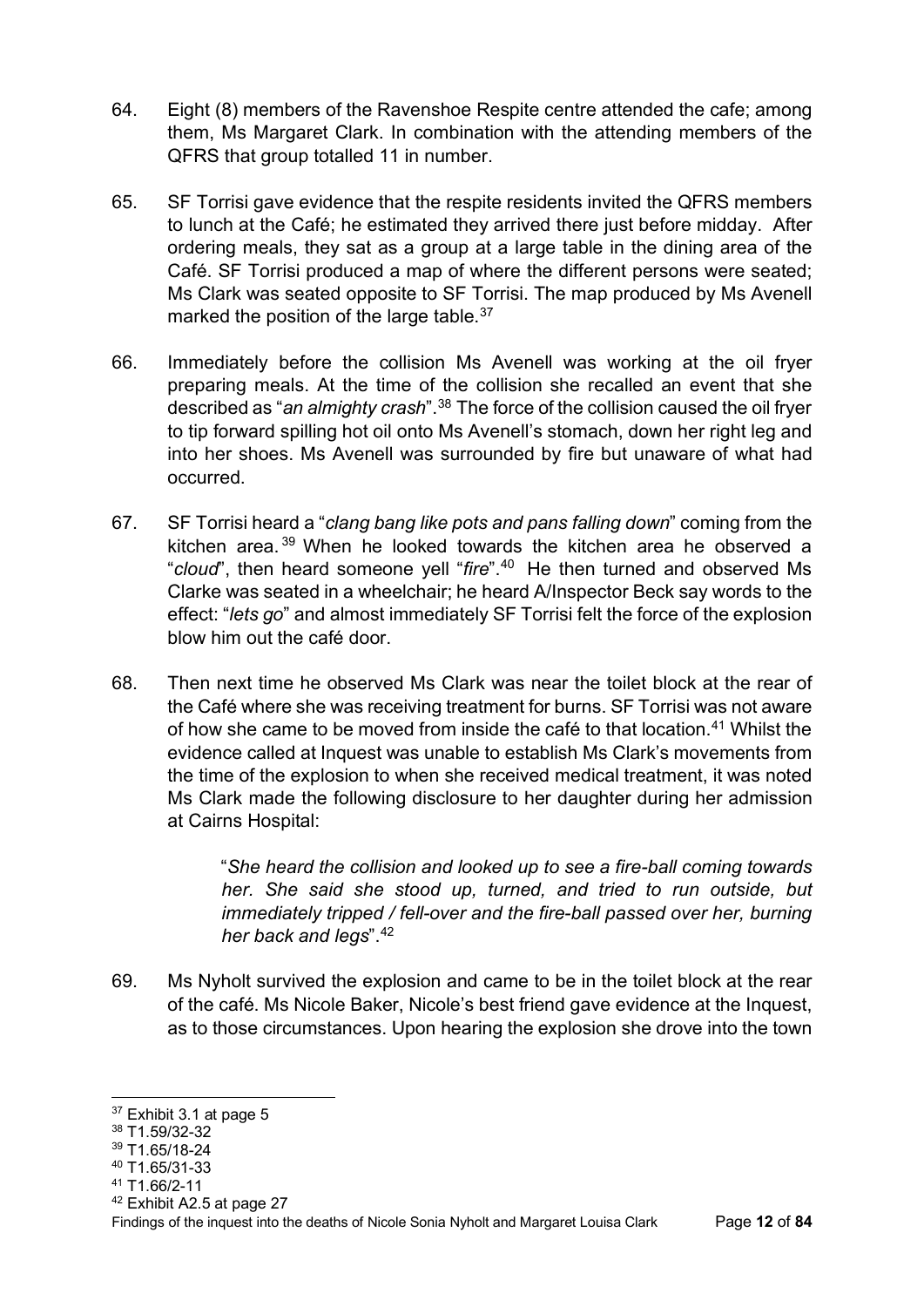- 64. Eight (8) members of the Ravenshoe Respite centre attended the cafe; among them, Ms Margaret Clark. In combination with the attending members of the QFRS that group totalled 11 in number.
- 65. SF Torrisi gave evidence that the respite residents invited the QFRS members to lunch at the Café; he estimated they arrived there just before midday. After ordering meals, they sat as a group at a large table in the dining area of the Café. SF Torrisi produced a map of where the different persons were seated; Ms Clark was seated opposite to SF Torrisi. The map produced by Ms Avenell marked the position of the large table.<sup>[37](#page-14-0)</sup>
- 66. Immediately before the collision Ms Avenell was working at the oil fryer preparing meals. At the time of the collision she recalled an event that she described as "*an almighty crash*".[38](#page-14-1) The force of the collision caused the oil fryer to tip forward spilling hot oil onto Ms Avenell's stomach, down her right leg and into her shoes. Ms Avenell was surrounded by fire but unaware of what had occurred.
- 67. SF Torrisi heard a "*clang bang like pots and pans falling down*" coming from the kitchen area. [39](#page-14-2) When he looked towards the kitchen area he observed a "*cloud*", then heard someone yell "*fire*".[40](#page-14-3) He then turned and observed Ms Clarke was seated in a wheelchair; he heard A/Inspector Beck say words to the effect: "*lets go*" and almost immediately SF Torrisi felt the force of the explosion blow him out the café door.
- 68. Then next time he observed Ms Clark was near the toilet block at the rear of the Café where she was receiving treatment for burns. SF Torrisi was not aware of how she came to be moved from inside the café to that location.[41](#page-14-4) Whilst the evidence called at Inquest was unable to establish Ms Clark's movements from the time of the explosion to when she received medical treatment, it was noted Ms Clark made the following disclosure to her daughter during her admission at Cairns Hospital:

"*She heard the collision and looked up to see a fire-ball coming towards her. She said she stood up, turned, and tried to run outside, but immediately tripped / fell-over and the fire-ball passed over her, burning her back and legs*"[.42](#page-14-5)

69. Ms Nyholt survived the explosion and came to be in the toilet block at the rear of the café. Ms Nicole Baker, Nicole's best friend gave evidence at the Inquest, as to those circumstances. Upon hearing the explosion she drove into the town

<span id="page-14-3"></span><sup>40</sup> T1.65/31-33

<span id="page-14-5"></span><sup>42</sup> Exhibit A2.5 at page 27

<span id="page-14-0"></span><sup>&</sup>lt;sup>37</sup> Exhibit 3.1 at page 5

<span id="page-14-1"></span><sup>38</sup> T1.59/32-32

<span id="page-14-2"></span><sup>39</sup> T1.65/18-24

<span id="page-14-4"></span> $41$  T<sub>1</sub>.66/2-11

Findings of the inquest into the deaths of Nicole Sonia Nyholt and Margaret Louisa Clark Page **12** of **84**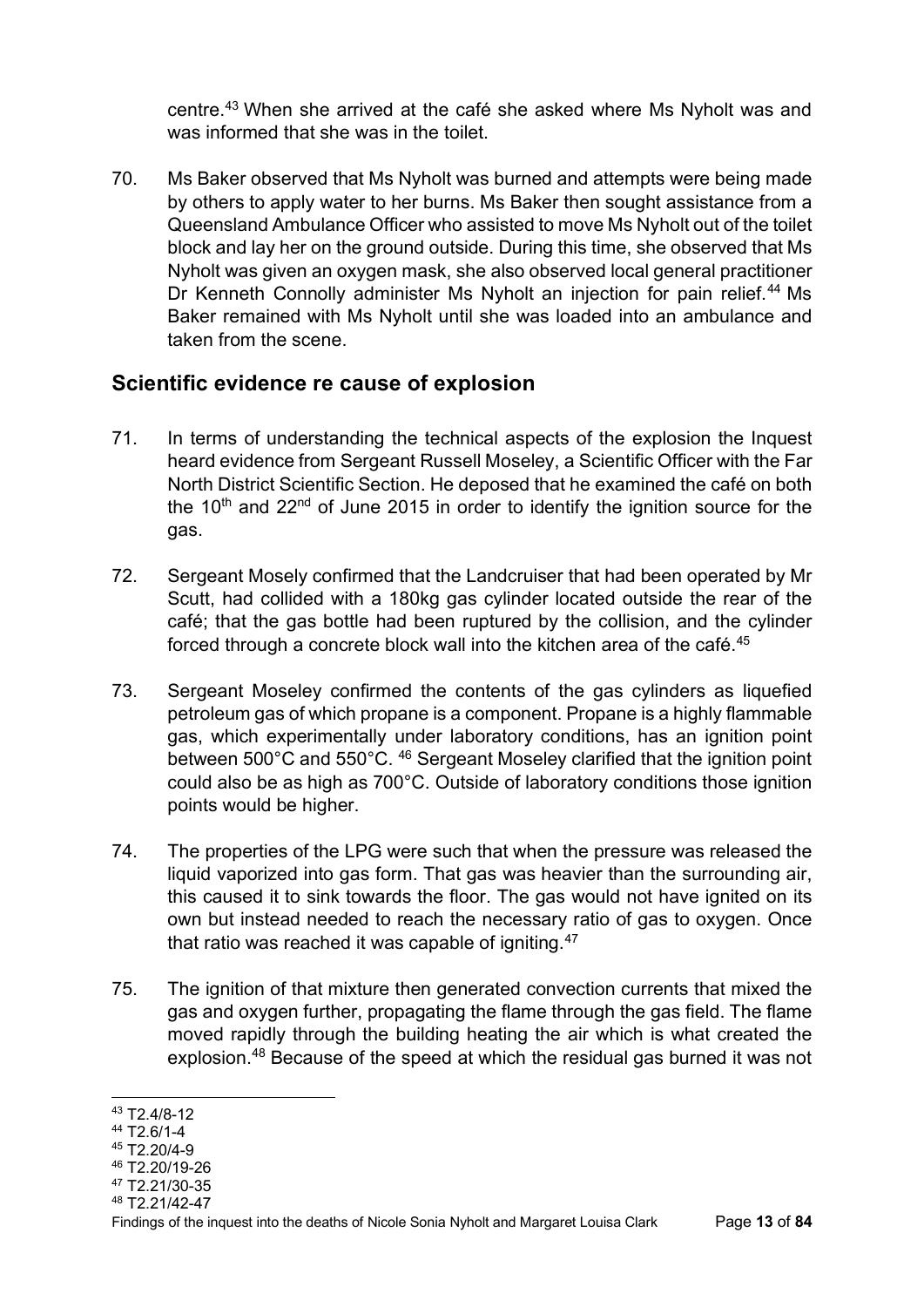centre.[43](#page-15-1) When she arrived at the café she asked where Ms Nyholt was and was informed that she was in the toilet.

70. Ms Baker observed that Ms Nyholt was burned and attempts were being made by others to apply water to her burns. Ms Baker then sought assistance from a Queensland Ambulance Officer who assisted to move Ms Nyholt out of the toilet block and lay her on the ground outside. During this time, she observed that Ms Nyholt was given an oxygen mask, she also observed local general practitioner Dr Kenneth Connolly administer Ms Nyholt an injection for pain relief.<sup>[44](#page-15-2)</sup> Ms Baker remained with Ms Nyholt until she was loaded into an ambulance and taken from the scene.

## <span id="page-15-0"></span>**Scientific evidence re cause of explosion**

- 71. In terms of understanding the technical aspects of the explosion the Inquest heard evidence from Sergeant Russell Moseley, a Scientific Officer with the Far North District Scientific Section. He deposed that he examined the café on both the 10<sup>th</sup> and 22<sup>nd</sup> of June 2015 in order to identify the ignition source for the gas.
- 72. Sergeant Mosely confirmed that the Landcruiser that had been operated by Mr Scutt, had collided with a 180kg gas cylinder located outside the rear of the café; that the gas bottle had been ruptured by the collision, and the cylinder forced through a concrete block wall into the kitchen area of the café.<sup>[45](#page-15-3)</sup>
- 73. Sergeant Moseley confirmed the contents of the gas cylinders as liquefied petroleum gas of which propane is a component. Propane is a highly flammable gas, which experimentally under laboratory conditions, has an ignition point between 500°C and 550°C. [46](#page-15-4) Sergeant Moseley clarified that the ignition point could also be as high as 700°C. Outside of laboratory conditions those ignition points would be higher.
- 74. The properties of the LPG were such that when the pressure was released the liquid vaporized into gas form. That gas was heavier than the surrounding air, this caused it to sink towards the floor. The gas would not have ignited on its own but instead needed to reach the necessary ratio of gas to oxygen. Once that ratio was reached it was capable of igniting.<sup>[47](#page-15-5)</sup>
- 75. The ignition of that mixture then generated convection currents that mixed the gas and oxygen further, propagating the flame through the gas field. The flame moved rapidly through the building heating the air which is what created the explosion[.48](#page-15-6) Because of the speed at which the residual gas burned it was not

<span id="page-15-1"></span><sup>43</sup> T2.4/8-12

<span id="page-15-2"></span><sup>44</sup> T2.6/1-4

<span id="page-15-3"></span><sup>45</sup> T2.20/4-9

<span id="page-15-4"></span><sup>46</sup> T2.20/19-26

<span id="page-15-5"></span><sup>47</sup> T2.21/30-35

<span id="page-15-6"></span><sup>48</sup> T2.21/42-47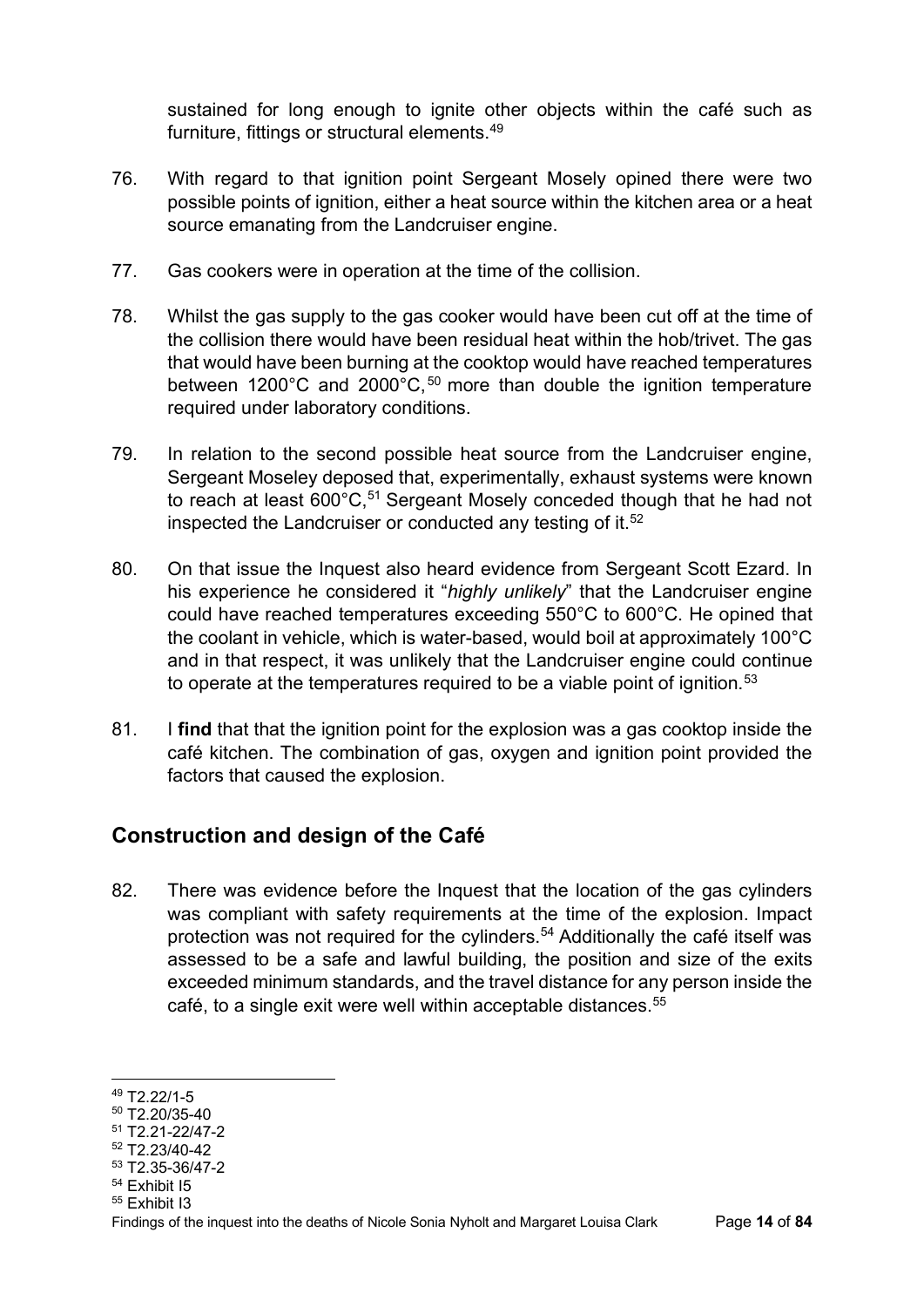sustained for long enough to ignite other objects within the café such as furniture, fittings or structural elements.[49](#page-16-1)

- 76. With regard to that ignition point Sergeant Mosely opined there were two possible points of ignition, either a heat source within the kitchen area or a heat source emanating from the Landcruiser engine.
- 77. Gas cookers were in operation at the time of the collision.
- 78. Whilst the gas supply to the gas cooker would have been cut off at the time of the collision there would have been residual heat within the hob/trivet. The gas that would have been burning at the cooktop would have reached temperatures between 1200°C and 2000°C, [50](#page-16-2) more than double the ignition temperature required under laboratory conditions.
- 79. In relation to the second possible heat source from the Landcruiser engine, Sergeant Moseley deposed that, experimentally, exhaust systems were known to reach at least 600°C,<sup>[51](#page-16-3)</sup> Sergeant Mosely conceded though that he had not inspected the Landcruiser or conducted any testing of it.<sup>[52](#page-16-4)</sup>
- 80. On that issue the Inquest also heard evidence from Sergeant Scott Ezard. In his experience he considered it "*highly unlikely*" that the Landcruiser engine could have reached temperatures exceeding 550°C to 600°C. He opined that the coolant in vehicle, which is water-based, would boil at approximately 100°C and in that respect, it was unlikely that the Landcruiser engine could continue to operate at the temperatures required to be a viable point of ignition.<sup>[53](#page-16-5)</sup>
- 81. I **find** that that the ignition point for the explosion was a gas cooktop inside the café kitchen. The combination of gas, oxygen and ignition point provided the factors that caused the explosion.

## <span id="page-16-0"></span>**Construction and design of the Café**

82. There was evidence before the Inquest that the location of the gas cylinders was compliant with safety requirements at the time of the explosion. Impact protection was not required for the cylinders. [54](#page-16-6) Additionally the café itself was assessed to be a safe and lawful building, the position and size of the exits exceeded minimum standards, and the travel distance for any person inside the café, to a single exit were well within acceptable distances.<sup>[55](#page-16-7)</sup>

<span id="page-16-7"></span><sup>55</sup> Exhibit I3

Findings of the inquest into the deaths of Nicole Sonia Nyholt and Margaret Louisa Clark Page **14** of **84**

<span id="page-16-1"></span><sup>49</sup> T2.22/1-5

<span id="page-16-2"></span><sup>50</sup> T2.20/35-40

<span id="page-16-3"></span><sup>51</sup> T2.21-22/47-2

<span id="page-16-4"></span><sup>52</sup> T2.23/40-42

<span id="page-16-5"></span><sup>53</sup> T2.35-36/47-2

<span id="page-16-6"></span><sup>54</sup> Exhibit I5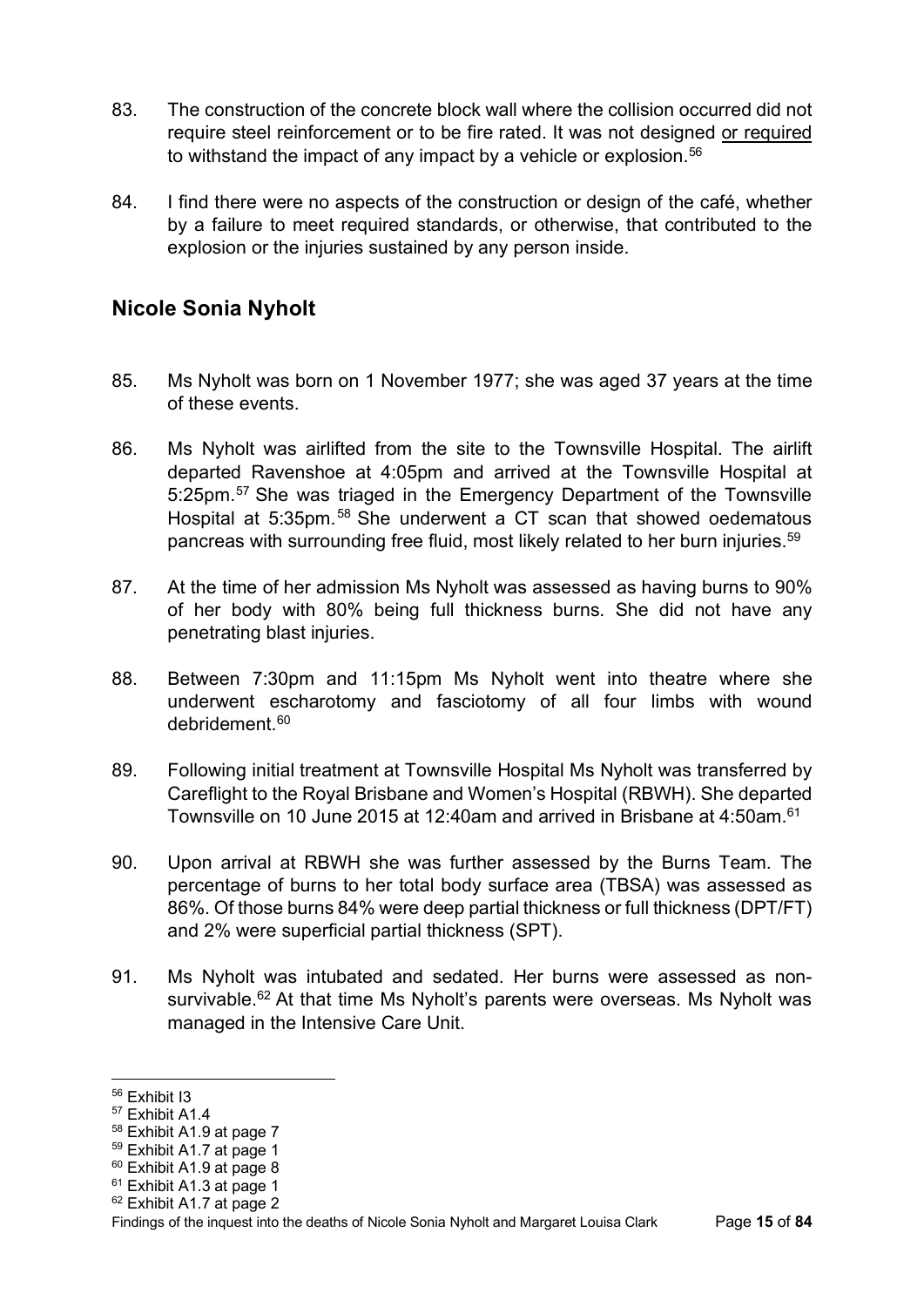- 83. The construction of the concrete block wall where the collision occurred did not require steel reinforcement or to be fire rated. It was not designed or required to withstand the impact of any impact by a vehicle or explosion.<sup>[56](#page-17-1)</sup>
- 84. I find there were no aspects of the construction or design of the café, whether by a failure to meet required standards, or otherwise, that contributed to the explosion or the injuries sustained by any person inside.

## <span id="page-17-0"></span>**Nicole Sonia Nyholt**

- 85. Ms Nyholt was born on 1 November 1977; she was aged 37 years at the time of these events.
- 86. Ms Nyholt was airlifted from the site to the Townsville Hospital. The airlift departed Ravenshoe at 4:05pm and arrived at the Townsville Hospital at 5:25pm.[57](#page-17-2) She was triaged in the Emergency Department of the Townsville Hospital at 5:35pm.<sup>[58](#page-17-3)</sup> She underwent a CT scan that showed oedematous pancreas with surrounding free fluid, most likely related to her burn injuries[.59](#page-17-4)
- 87. At the time of her admission Ms Nyholt was assessed as having burns to 90% of her body with 80% being full thickness burns. She did not have any penetrating blast injuries.
- 88. Between 7:30pm and 11:15pm Ms Nyholt went into theatre where she underwent escharotomy and fasciotomy of all four limbs with wound debridement<sup>[60](#page-17-5)</sup>
- 89. Following initial treatment at Townsville Hospital Ms Nyholt was transferred by Careflight to the Royal Brisbane and Women's Hospital (RBWH). She departed Townsville on 10 June 2015 at 12:40am and arrived in Brisbane at 4:50am.<sup>61</sup>
- 90. Upon arrival at RBWH she was further assessed by the Burns Team. The percentage of burns to her total body surface area (TBSA) was assessed as 86%. Of those burns 84% were deep partial thickness or full thickness (DPT/FT) and 2% were superficial partial thickness (SPT).
- 91. Ms Nyholt was intubated and sedated. Her burns were assessed as non-survivable.<sup>[62](#page-17-7)</sup> At that time Ms Nyholt's parents were overseas. Ms Nyholt was managed in the Intensive Care Unit.

<span id="page-17-1"></span><sup>56</sup> Exhibit I3

<span id="page-17-2"></span><sup>57</sup> Exhibit A1.4

<span id="page-17-3"></span><sup>58</sup> Exhibit A1.9 at page 7

<span id="page-17-4"></span><sup>59</sup> Exhibit A1.7 at page 1

<span id="page-17-5"></span><sup>&</sup>lt;sup>60</sup> Exhibit A1.9 at page 8

<span id="page-17-6"></span><sup>&</sup>lt;sup>61</sup> Exhibit A1.3 at page 1

<span id="page-17-7"></span><sup>62</sup> Exhibit A1.7 at page 2

Findings of the inquest into the deaths of Nicole Sonia Nyholt and Margaret Louisa Clark Page **15** of **84**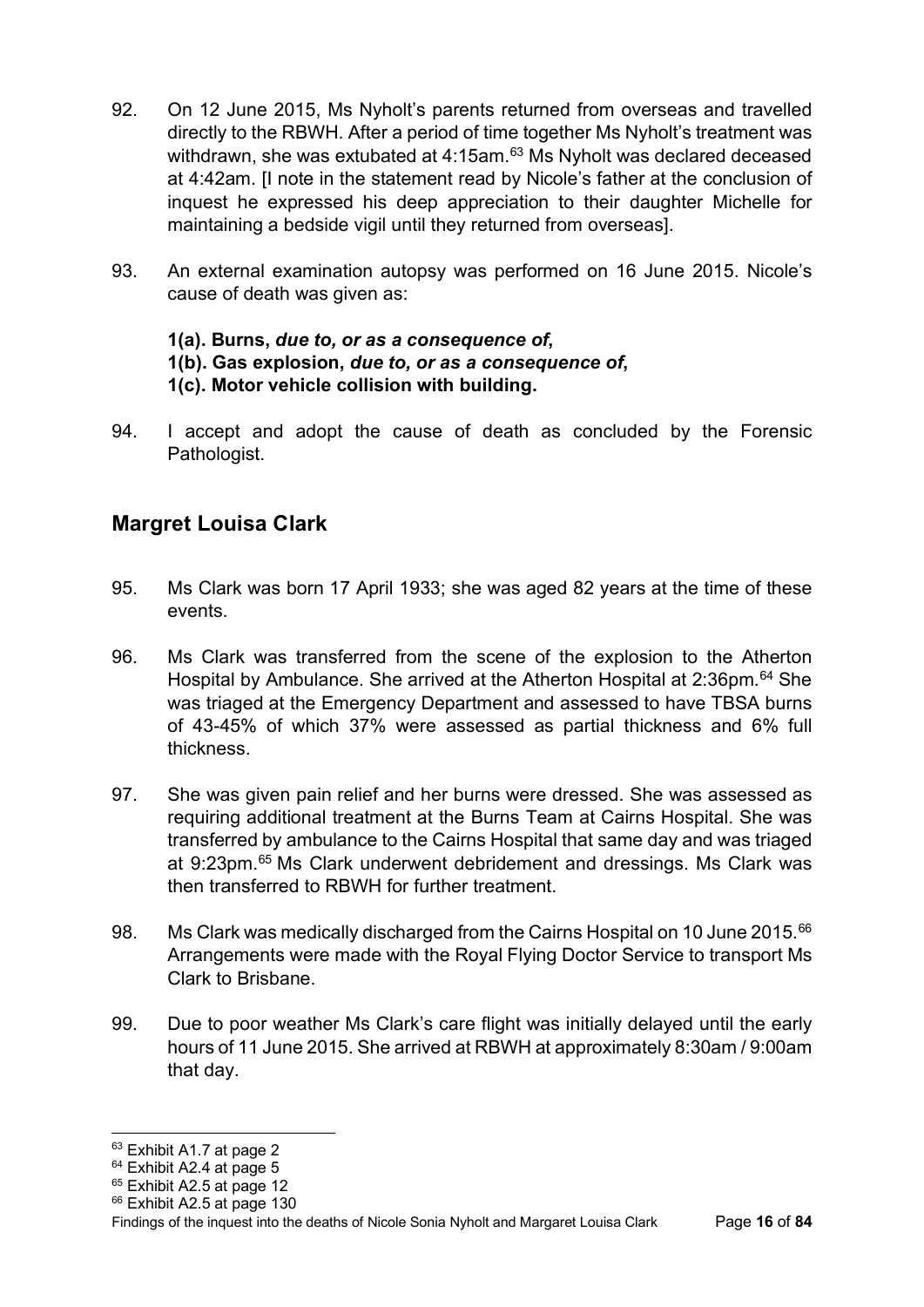- 92. On 12 June 2015, Ms Nyholt's parents returned from overseas and travelled directly to the RBWH. After a period of time together Ms Nyholt's treatment was withdrawn, she was extubated at 4:15am.<sup>[63](#page-18-1)</sup> Ms Nyholt was declared deceased at 4:42am. [I note in the statement read by Nicole's father at the conclusion of inquest he expressed his deep appreciation to their daughter Michelle for maintaining a bedside vigil until they returned from overseas].
- 93. An external examination autopsy was performed on 16 June 2015. Nicole's cause of death was given as:

## **1(a). Burns,** *due to, or as a consequence of***, 1(b). Gas explosion,** *due to, or as a consequence of***, 1(c). Motor vehicle collision with building.**

94. I accept and adopt the cause of death as concluded by the Forensic Pathologist.

## <span id="page-18-0"></span>**Margret Louisa Clark**

- 95. Ms Clark was born 17 April 1933; she was aged 82 years at the time of these events.
- 96. Ms Clark was transferred from the scene of the explosion to the Atherton Hospital by Ambulance. She arrived at the Atherton Hospital at 2:36pm.<sup>[64](#page-18-2)</sup> She was triaged at the Emergency Department and assessed to have TBSA burns of 43-45% of which 37% were assessed as partial thickness and 6% full thickness.
- 97. She was given pain relief and her burns were dressed. She was assessed as requiring additional treatment at the Burns Team at Cairns Hospital. She was transferred by ambulance to the Cairns Hospital that same day and was triaged at 9:23pm.[65](#page-18-3) Ms Clark underwent debridement and dressings. Ms Clark was then transferred to RBWH for further treatment.
- 98. Ms Clark was medically discharged from the Cairns Hospital on 10 June 2015.<sup>[66](#page-18-4)</sup> Arrangements were made with the Royal Flying Doctor Service to transport Ms Clark to Brisbane.
- 99. Due to poor weather Ms Clark's care flight was initially delayed until the early hours of 11 June 2015. She arrived at RBWH at approximately 8:30am / 9:00am that day.

<span id="page-18-1"></span><sup>&</sup>lt;sup>63</sup> Exhibit A1.7 at page 2

<span id="page-18-2"></span><sup>&</sup>lt;sup>64</sup> Exhibit A2.4 at page 5

<span id="page-18-3"></span><sup>&</sup>lt;sup>65</sup> Exhibit A2.5 at page 12

<span id="page-18-4"></span><sup>&</sup>lt;sup>66</sup> Exhibit A2.5 at page 130

Findings of the inquest into the deaths of Nicole Sonia Nyholt and Margaret Louisa Clark Page **16** of **84**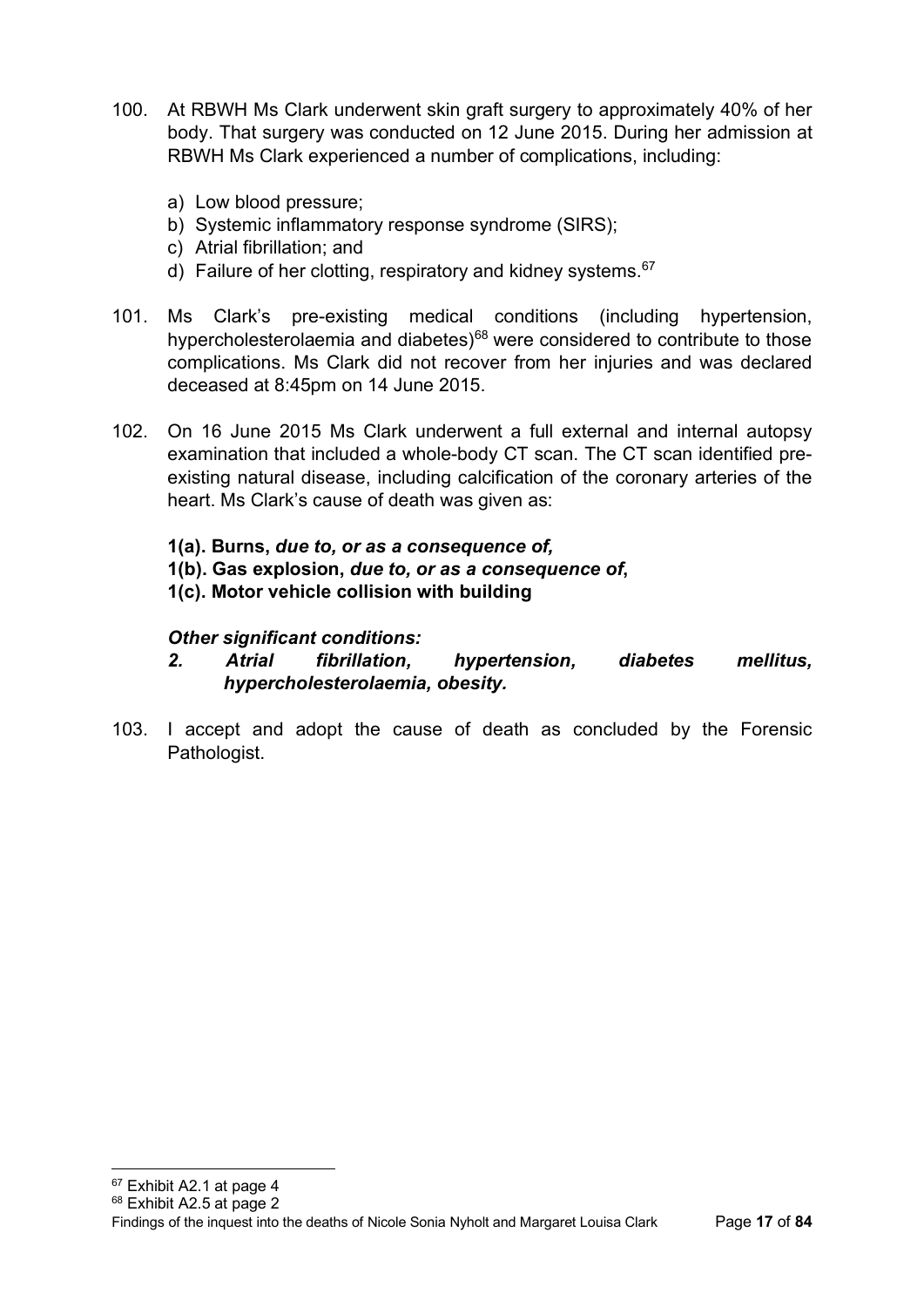- 100. At RBWH Ms Clark underwent skin graft surgery to approximately 40% of her body. That surgery was conducted on 12 June 2015. During her admission at RBWH Ms Clark experienced a number of complications, including:
	- a) Low blood pressure;
	- b) Systemic inflammatory response syndrome (SIRS);
	- c) Atrial fibrillation; and
	- d) Failure of her clotting, respiratory and kidney systems.  $67$
- 101. Ms Clark's pre-existing medical conditions (including hypertension, hypercholesterolaemia and diabetes)<sup>[68](#page-19-1)</sup> were considered to contribute to those complications. Ms Clark did not recover from her injuries and was declared deceased at 8:45pm on 14 June 2015.
- 102. On 16 June 2015 Ms Clark underwent a full external and internal autopsy examination that included a whole-body CT scan. The CT scan identified preexisting natural disease, including calcification of the coronary arteries of the heart. Ms Clark's cause of death was given as:
	- **1(a). Burns,** *due to, or as a consequence of,*
	- **1(b). Gas explosion,** *due to, or as a consequence of***,**
	- **1(c). Motor vehicle collision with building**

#### *Other significant conditions:*

- *2. Atrial fibrillation, hypertension, diabetes mellitus, hypercholesterolaemia, obesity.*
- <span id="page-19-1"></span><span id="page-19-0"></span>103. I accept and adopt the cause of death as concluded by the Forensic Pathologist.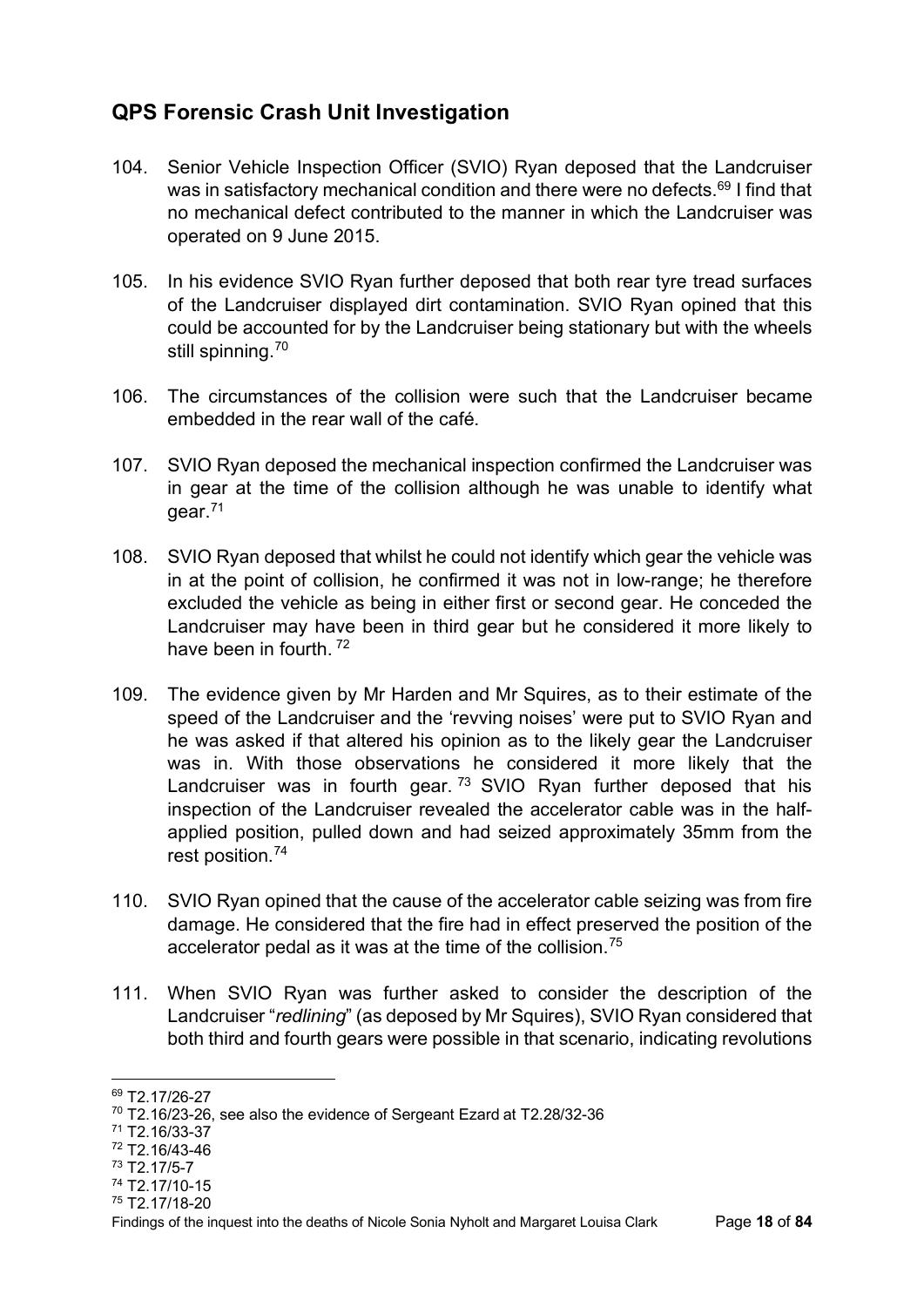# <span id="page-20-0"></span>**QPS Forensic Crash Unit Investigation**

- 104. Senior Vehicle Inspection Officer (SVIO) Ryan deposed that the Landcruiser was in satisfactory mechanical condition and there were no defects.<sup>[69](#page-20-1)</sup> I find that no mechanical defect contributed to the manner in which the Landcruiser was operated on 9 June 2015.
- 105. In his evidence SVIO Ryan further deposed that both rear tyre tread surfaces of the Landcruiser displayed dirt contamination. SVIO Ryan opined that this could be accounted for by the Landcruiser being stationary but with the wheels still spinning.<sup>[70](#page-20-2)</sup>
- 106. The circumstances of the collision were such that the Landcruiser became embedded in the rear wall of the café.
- 107. SVIO Ryan deposed the mechanical inspection confirmed the Landcruiser was in gear at the time of the collision although he was unable to identify what gear.[71](#page-20-3)
- 108. SVIO Ryan deposed that whilst he could not identify which gear the vehicle was in at the point of collision, he confirmed it was not in low-range; he therefore excluded the vehicle as being in either first or second gear. He conceded the Landcruiser may have been in third gear but he considered it more likely to have been in fourth. [72](#page-20-4)
- 109. The evidence given by Mr Harden and Mr Squires, as to their estimate of the speed of the Landcruiser and the 'revving noises' were put to SVIO Ryan and he was asked if that altered his opinion as to the likely gear the Landcruiser was in. With those observations he considered it more likely that the Landcruiser was in fourth gear.<sup>[73](#page-20-5)</sup> SVIO Ryan further deposed that his inspection of the Landcruiser revealed the accelerator cable was in the halfapplied position, pulled down and had seized approximately 35mm from the rest position.<sup>[74](#page-20-6)</sup>
- 110. SVIO Ryan opined that the cause of the accelerator cable seizing was from fire damage. He considered that the fire had in effect preserved the position of the accelerator pedal as it was at the time of the collision.[75](#page-20-7)
- 111. When SVIO Ryan was further asked to consider the description of the Landcruiser "*redlining*" (as deposed by Mr Squires), SVIO Ryan considered that both third and fourth gears were possible in that scenario, indicating revolutions

- <span id="page-20-3"></span><sup>71</sup> T2.16/33-37
- <span id="page-20-4"></span><sup>72</sup> T2.16/43-46

<span id="page-20-1"></span><sup>69</sup> T2.17/26-27

<span id="page-20-2"></span><sup>70</sup> T2.16/23-26, see also the evidence of Sergeant Ezard at T2.28/32-36

<span id="page-20-5"></span><sup>73</sup> T2.17/5-7

<sup>74</sup> T2.17/10-15

<span id="page-20-7"></span><span id="page-20-6"></span><sup>75</sup> T2.17/18-20

Findings of the inquest into the deaths of Nicole Sonia Nyholt and Margaret Louisa Clark Page **18** of **84**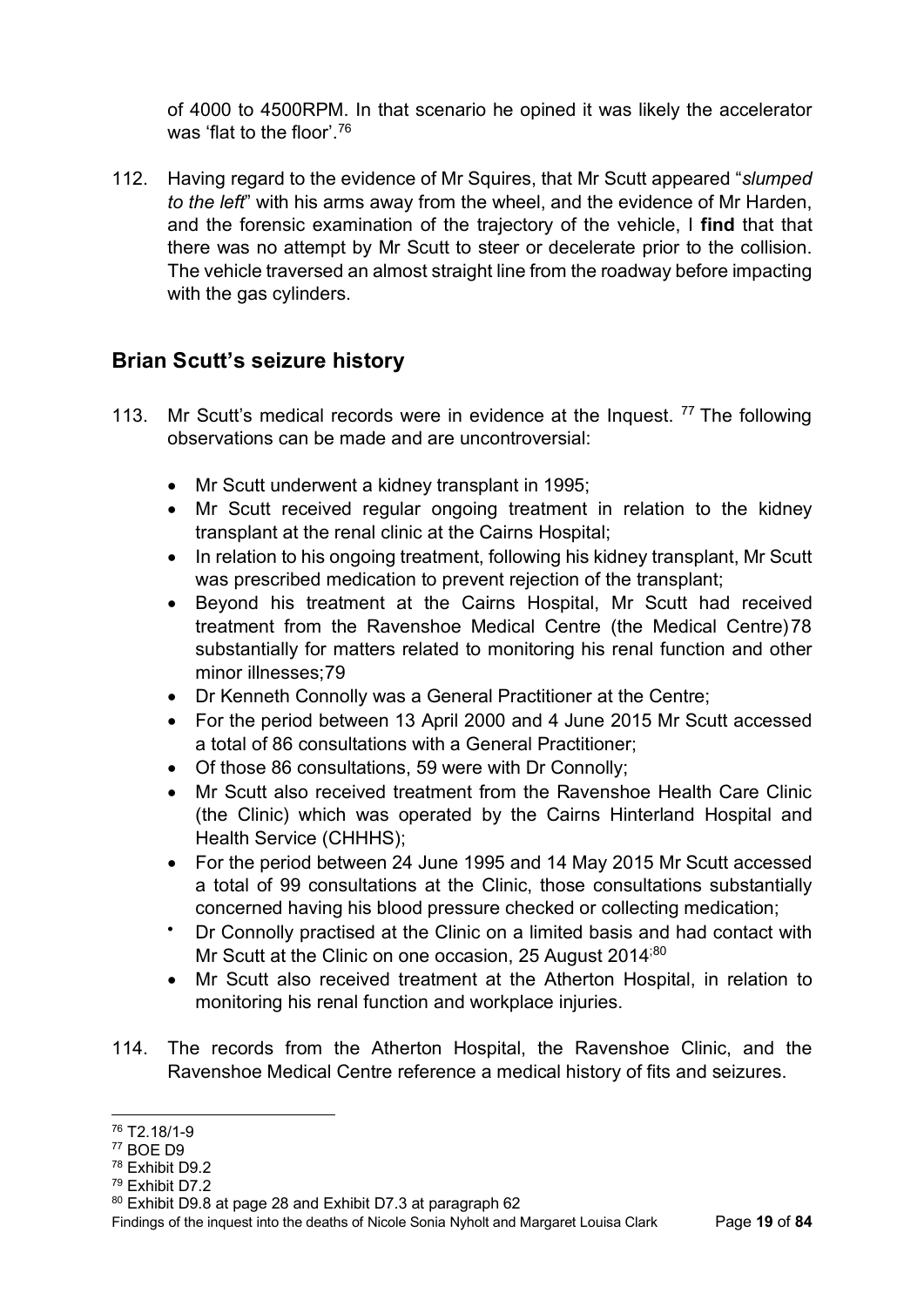of 4000 to 4500RPM. In that scenario he opined it was likely the accelerator was 'flat to the floor'.[76](#page-21-1)

112. Having regard to the evidence of Mr Squires, that Mr Scutt appeared "*slumped to the left*" with his arms away from the wheel, and the evidence of Mr Harden, and the forensic examination of the trajectory of the vehicle, I **find** that that there was no attempt by Mr Scutt to steer or decelerate prior to the collision. The vehicle traversed an almost straight line from the roadway before impacting with the gas cylinders.

## <span id="page-21-0"></span>**Brian Scutt's seizure history**

- 113. Mr Scutt's medical records were in evidence at the Inquest.  $77$  The following observations can be made and are uncontroversial:
	- Mr Scutt underwent a kidney transplant in 1995;
	- Mr Scutt received regular ongoing treatment in relation to the kidney transplant at the renal clinic at the Cairns Hospital;
	- In relation to his ongoing treatment, following his kidney transplant, Mr Scutt was prescribed medication to prevent rejection of the transplant;
	- Beyond his treatment at the Cairns Hospital, Mr Scutt had received treatment from the Ravenshoe Medical Centre (the Medical Centre)[78](#page-21-3) substantially for matters related to monitoring his renal function and other minor illnesses[;79](#page-21-4)
	- Dr Kenneth Connolly was a General Practitioner at the Centre;
	- For the period between 13 April 2000 and 4 June 2015 Mr Scutt accessed a total of 86 consultations with a General Practitioner;
	- Of those 86 consultations, 59 were with Dr Connolly;
	- Mr Scutt also received treatment from the Ravenshoe Health Care Clinic (the Clinic) which was operated by the Cairns Hinterland Hospital and Health Service (CHHHS);
	- For the period between 24 June 1995 and 14 May 2015 Mr Scutt accessed a total of 99 consultations at the Clinic, those consultations substantially concerned having his blood pressure checked or collecting medication;
	- Dr Connolly practised at the Clinic on a limited basis and had contact with Mr Scutt at the Clinic on one occasion, 25 August 2014<sup>,[80](#page-21-5)</sup>
	- Mr Scutt also received treatment at the Atherton Hospital, in relation to monitoring his renal function and workplace injuries.
- 114. The records from the Atherton Hospital, the Ravenshoe Clinic, and the Ravenshoe Medical Centre reference a medical history of fits and seizures.

Findings of the inquest into the deaths of Nicole Sonia Nyholt and Margaret Louisa Clark Page **19** of **84**

<span id="page-21-1"></span><sup>76</sup> T2.18/1-9

<span id="page-21-2"></span><sup>77</sup> BOE D9

<span id="page-21-3"></span><sup>78</sup> Exhibit D9.2

<span id="page-21-4"></span><sup>79</sup> Exhibit D7.2

<span id="page-21-5"></span><sup>80</sup> Exhibit D9.8 at page 28 and Exhibit D7.3 at paragraph 62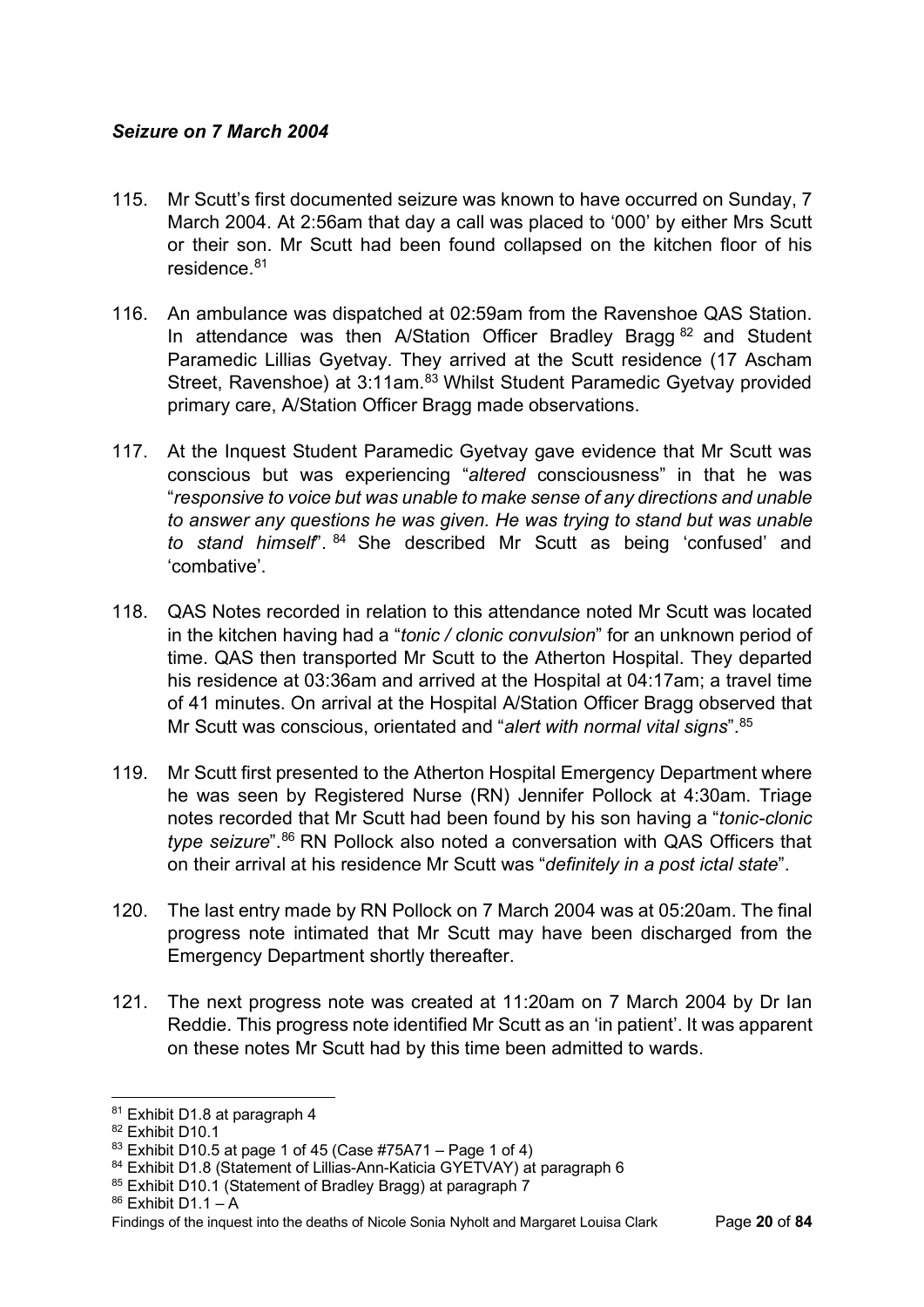### *Seizure on 7 March 2004*

- 115. Mr Scutt's first documented seizure was known to have occurred on Sunday, 7 March 2004. At 2:56am that day a call was placed to '000' by either Mrs Scutt or their son. Mr Scutt had been found collapsed on the kitchen floor of his residence  $81$
- 116. An ambulance was dispatched at 02:59am from the Ravenshoe QAS Station. In attendance was then A/Station Officer Bradley Bragg<sup>[82](#page-22-1)</sup> and Student Paramedic Lillias Gyetvay. They arrived at the Scutt residence (17 Ascham Street, Ravenshoe) at 3:11am.<sup>[83](#page-22-2)</sup> Whilst Student Paramedic Gyetvay provided primary care, A/Station Officer Bragg made observations.
- 117. At the Inquest Student Paramedic Gyetvay gave evidence that Mr Scutt was conscious but was experiencing "*altered* consciousness" in that he was "*responsive to voice but was unable to make sense of any directions and unable to answer any questions he was given. He was trying to stand but was unable to stand himself*". [84](#page-22-3) She described Mr Scutt as being 'confused' and 'combative'.
- 118. QAS Notes recorded in relation to this attendance noted Mr Scutt was located in the kitchen having had a "*tonic / clonic convulsion*" for an unknown period of time. QAS then transported Mr Scutt to the Atherton Hospital. They departed his residence at 03:36am and arrived at the Hospital at 04:17am; a travel time of 41 minutes. On arrival at the Hospital A/Station Officer Bragg observed that Mr Scutt was conscious, orientated and "*alert with normal vital signs*".[85](#page-22-4)
- 119. Mr Scutt first presented to the Atherton Hospital Emergency Department where he was seen by Registered Nurse (RN) Jennifer Pollock at 4:30am. Triage notes recorded that Mr Scutt had been found by his son having a "*tonic-clonic type seizure*".<sup>86</sup> RN Pollock also noted a conversation with QAS Officers that on their arrival at his residence Mr Scutt was "*definitely in a post ictal state*".
- 120. The last entry made by RN Pollock on 7 March 2004 was at 05:20am. The final progress note intimated that Mr Scutt may have been discharged from the Emergency Department shortly thereafter.
- 121. The next progress note was created at 11:20am on 7 March 2004 by Dr Ian Reddie. This progress note identified Mr Scutt as an 'in patient'. It was apparent on these notes Mr Scutt had by this time been admitted to wards.

<span id="page-22-0"></span><sup>81</sup> Exhibit D1.8 at paragraph 4

<span id="page-22-1"></span><sup>82</sup> Exhibit D10.1

<span id="page-22-2"></span> $83$  Exhibit D10.5 at page 1 of 45 (Case #75A71 – Page 1 of 4)

<span id="page-22-3"></span><sup>84</sup> Exhibit D1.8 (Statement of Lillias-Ann-Katicia GYETVAY) at paragraph 6

<span id="page-22-4"></span><sup>85</sup> Exhibit D10.1 (Statement of Bradley Bragg) at paragraph 7

<span id="page-22-5"></span> $86$  Exhibit D1.1 – A

Findings of the inquest into the deaths of Nicole Sonia Nyholt and Margaret Louisa Clark Page **20** of **84**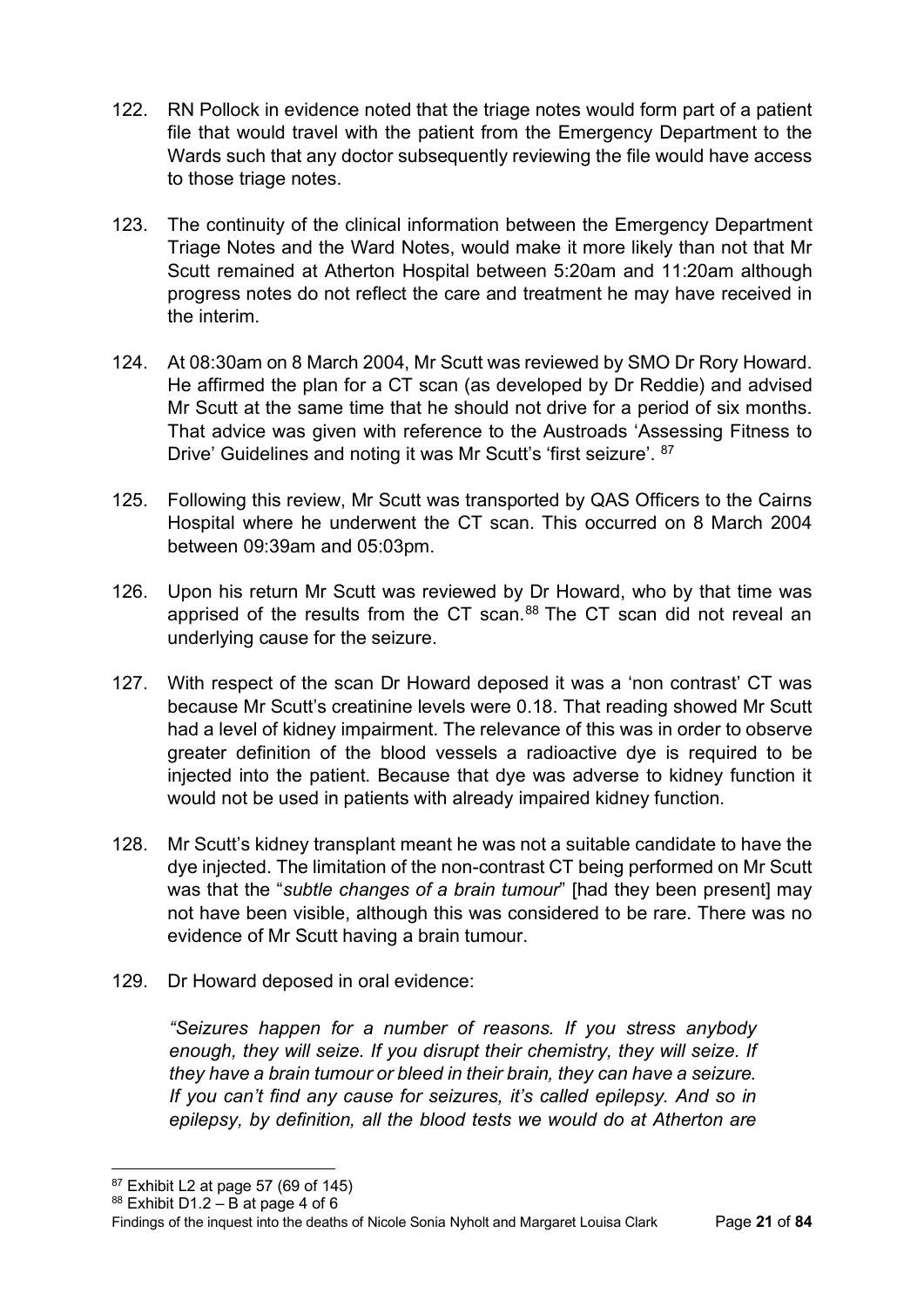- 122. RN Pollock in evidence noted that the triage notes would form part of a patient file that would travel with the patient from the Emergency Department to the Wards such that any doctor subsequently reviewing the file would have access to those triage notes.
- 123. The continuity of the clinical information between the Emergency Department Triage Notes and the Ward Notes, would make it more likely than not that Mr Scutt remained at Atherton Hospital between 5:20am and 11:20am although progress notes do not reflect the care and treatment he may have received in the interim.
- 124. At 08:30am on 8 March 2004, Mr Scutt was reviewed by SMO Dr Rory Howard. He affirmed the plan for a CT scan (as developed by Dr Reddie) and advised Mr Scutt at the same time that he should not drive for a period of six months. That advice was given with reference to the Austroads 'Assessing Fitness to Drive' Guidelines and noting it was Mr Scutt's 'first seizure'. [87](#page-23-0)
- 125. Following this review, Mr Scutt was transported by QAS Officers to the Cairns Hospital where he underwent the CT scan. This occurred on 8 March 2004 between 09:39am and 05:03pm.
- 126. Upon his return Mr Scutt was reviewed by Dr Howard, who by that time was apprised of the results from the CT scan.<sup>[88](#page-23-1)</sup> The CT scan did not reveal an underlying cause for the seizure.
- 127. With respect of the scan Dr Howard deposed it was a 'non contrast' CT was because Mr Scutt's creatinine levels were 0.18. That reading showed Mr Scutt had a level of kidney impairment. The relevance of this was in order to observe greater definition of the blood vessels a radioactive dye is required to be injected into the patient. Because that dye was adverse to kidney function it would not be used in patients with already impaired kidney function.
- 128. Mr Scutt's kidney transplant meant he was not a suitable candidate to have the dye injected. The limitation of the non-contrast CT being performed on Mr Scutt was that the "*subtle changes of a brain tumour*" [had they been present] may not have been visible, although this was considered to be rare. There was no evidence of Mr Scutt having a brain tumour.
- 129. Dr Howard deposed in oral evidence:

*"Seizures happen for a number of reasons. If you stress anybody enough, they will seize. If you disrupt their chemistry, they will seize. If they have a brain tumour or bleed in their brain, they can have a seizure. If you can't find any cause for seizures, it's called epilepsy. And so in epilepsy, by definition, all the blood tests we would do at Atherton are* 

<span id="page-23-0"></span> $87$  Exhibit L2 at page 57 (69 of 145)

<span id="page-23-1"></span> $88$  Exhibit D1.2 – B at page 4 of 6

Findings of the inquest into the deaths of Nicole Sonia Nyholt and Margaret Louisa Clark Page **21** of **84**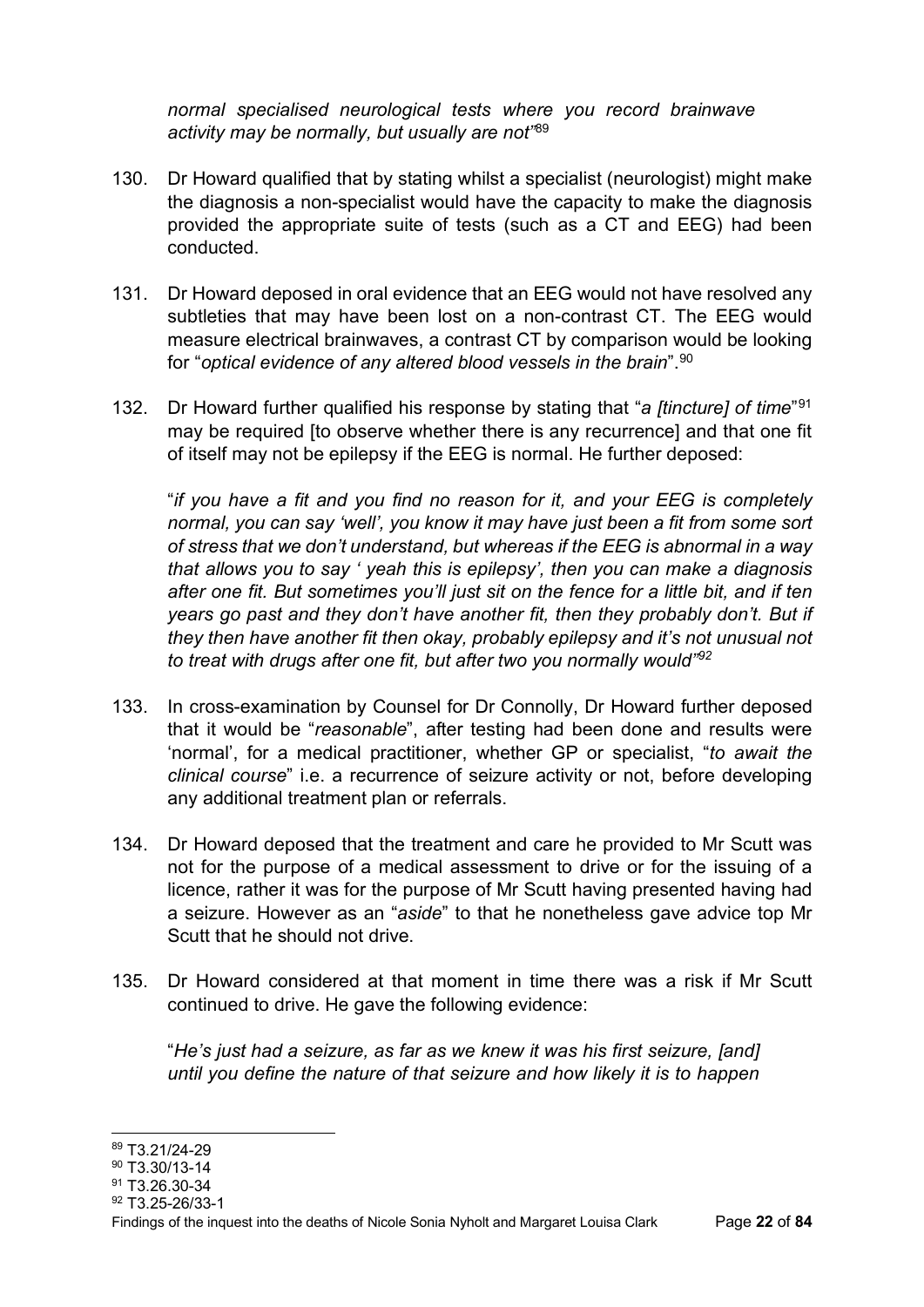*normal specialised neurological tests where you record brainwave activity may be normally, but usually are not"*[89](#page-24-0)

- 130. Dr Howard qualified that by stating whilst a specialist (neurologist) might make the diagnosis a non-specialist would have the capacity to make the diagnosis provided the appropriate suite of tests (such as a CT and EEG) had been conducted.
- 131. Dr Howard deposed in oral evidence that an EEG would not have resolved any subtleties that may have been lost on a non-contrast CT. The EEG would measure electrical brainwaves, a contrast CT by comparison would be looking for "*optical evidence of any altered blood vessels in the brain*".[90](#page-24-1)
- 132. Dr Howard further qualified his response by stating that "*a [tincture] of time*"[91](#page-24-2) may be required [to observe whether there is any recurrence] and that one fit of itself may not be epilepsy if the EEG is normal. He further deposed:

"*if you have a fit and you find no reason for it, and your EEG is completely normal, you can say 'well', you know it may have just been a fit from some sort of stress that we don't understand, but whereas if the EEG is abnormal in a way that allows you to say ' yeah this is epilepsy', then you can make a diagnosis after one fit. But sometimes you'll just sit on the fence for a little bit, and if ten years go past and they don't have another fit, then they probably don't. But if they then have another fit then okay, probably epilepsy and it's not unusual not to treat with drugs after one fit, but after two you normally would"[92](#page-24-3)*

- 133. In cross-examination by Counsel for Dr Connolly, Dr Howard further deposed that it would be "*reasonable*", after testing had been done and results were 'normal', for a medical practitioner, whether GP or specialist, "*to await the clinical course*" i.e. a recurrence of seizure activity or not, before developing any additional treatment plan or referrals.
- 134. Dr Howard deposed that the treatment and care he provided to Mr Scutt was not for the purpose of a medical assessment to drive or for the issuing of a licence, rather it was for the purpose of Mr Scutt having presented having had a seizure. However as an "*aside*" to that he nonetheless gave advice top Mr Scutt that he should not drive.
- 135. Dr Howard considered at that moment in time there was a risk if Mr Scutt continued to drive. He gave the following evidence:

"*He's just had a seizure, as far as we knew it was his first seizure, [and] until you define the nature of that seizure and how likely it is to happen* 

<span id="page-24-0"></span><sup>89</sup> T3.21/24-29

<span id="page-24-1"></span> $90$  T3.30/13-14

<span id="page-24-2"></span><sup>91</sup> T3.26.30-34

<span id="page-24-3"></span><sup>92</sup> T3.25-26/33-1

Findings of the inquest into the deaths of Nicole Sonia Nyholt and Margaret Louisa Clark Page **22** of **84**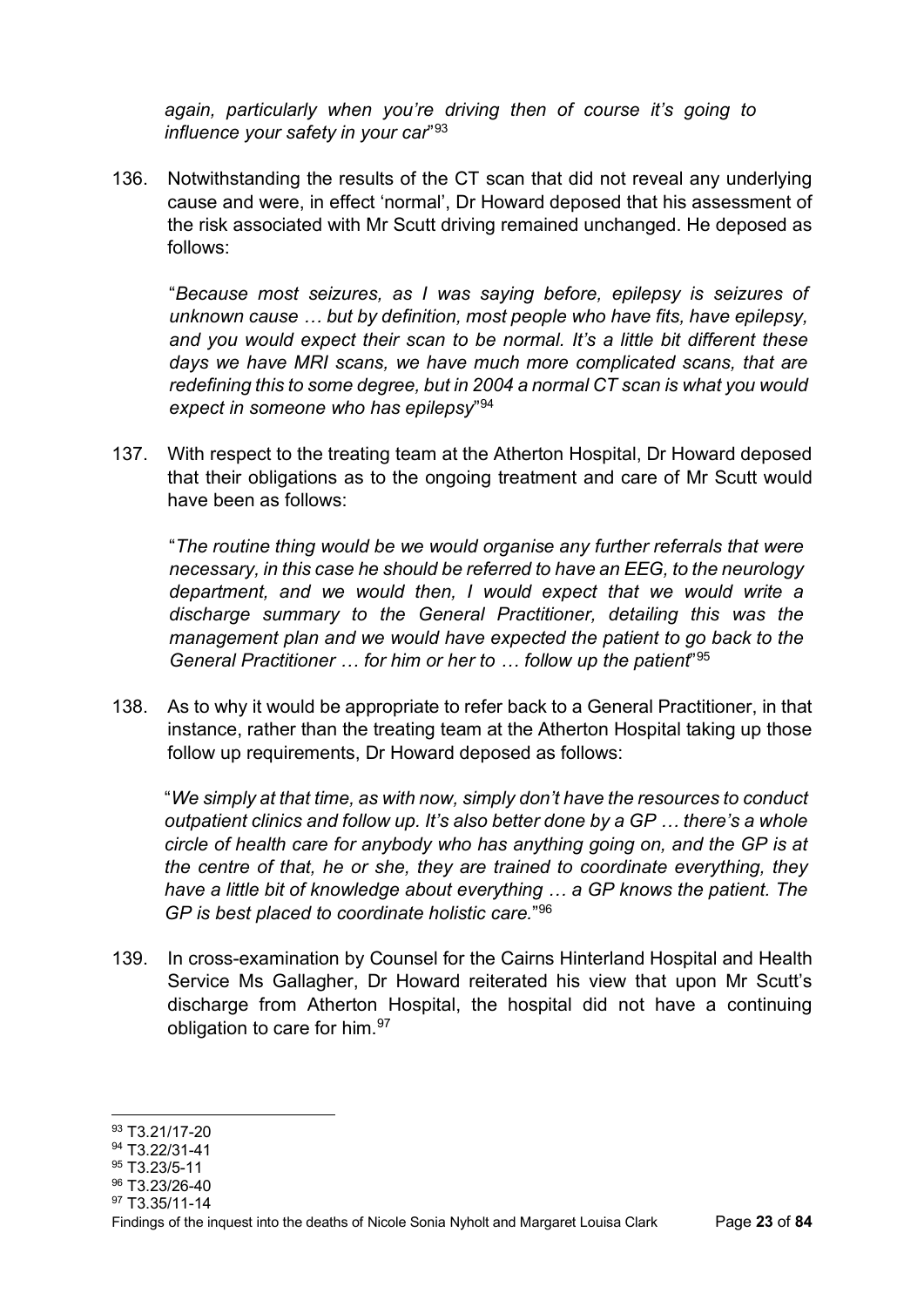*again, particularly when you're driving then of course it's going to influence your safety in your car*"[93](#page-25-0)

136. Notwithstanding the results of the CT scan that did not reveal any underlying cause and were, in effect 'normal', Dr Howard deposed that his assessment of the risk associated with Mr Scutt driving remained unchanged. He deposed as follows:

"*Because most seizures, as I was saying before, epilepsy is seizures of unknown cause … but by definition, most people who have fits, have epilepsy, and you would expect their scan to be normal. It's a little bit different these days we have MRI scans, we have much more complicated scans, that are redefining this to some degree, but in 2004 a normal CT scan is what you would expect in someone who has epilepsy*"[94](#page-25-1)

137. With respect to the treating team at the Atherton Hospital, Dr Howard deposed that their obligations as to the ongoing treatment and care of Mr Scutt would have been as follows:

"*The routine thing would be we would organise any further referrals that were necessary, in this case he should be referred to have an EEG, to the neurology department, and we would then, I would expect that we would write a discharge summary to the General Practitioner, detailing this was the management plan and we would have expected the patient to go back to the General Practitioner … for him or her to … follow up the patient*"[95](#page-25-2)

138. As to why it would be appropriate to refer back to a General Practitioner, in that instance, rather than the treating team at the Atherton Hospital taking up those follow up requirements, Dr Howard deposed as follows:

"*We simply at that time, as with now, simply don't have the resources to conduct outpatient clinics and follow up. It's also better done by a GP … there's a whole circle of health care for anybody who has anything going on, and the GP is at the centre of that, he or she, they are trained to coordinate everything, they have a little bit of knowledge about everything … a GP knows the patient. The GP is best placed to coordinate holistic care.*"[96](#page-25-3)

139. In cross-examination by Counsel for the Cairns Hinterland Hospital and Health Service Ms Gallagher, Dr Howard reiterated his view that upon Mr Scutt's discharge from Atherton Hospital, the hospital did not have a continuing obligation to care for him.[97](#page-25-4)

<span id="page-25-0"></span><sup>93</sup> T3.21/17-20

<span id="page-25-1"></span><sup>94</sup> T3.22/31-41

<span id="page-25-2"></span> $95$  T3.23/5-11

<span id="page-25-3"></span><sup>96</sup> T3 23/26-40

<span id="page-25-4"></span><sup>97</sup> T3.35/11-14

Findings of the inquest into the deaths of Nicole Sonia Nyholt and Margaret Louisa Clark Page **23** of **84**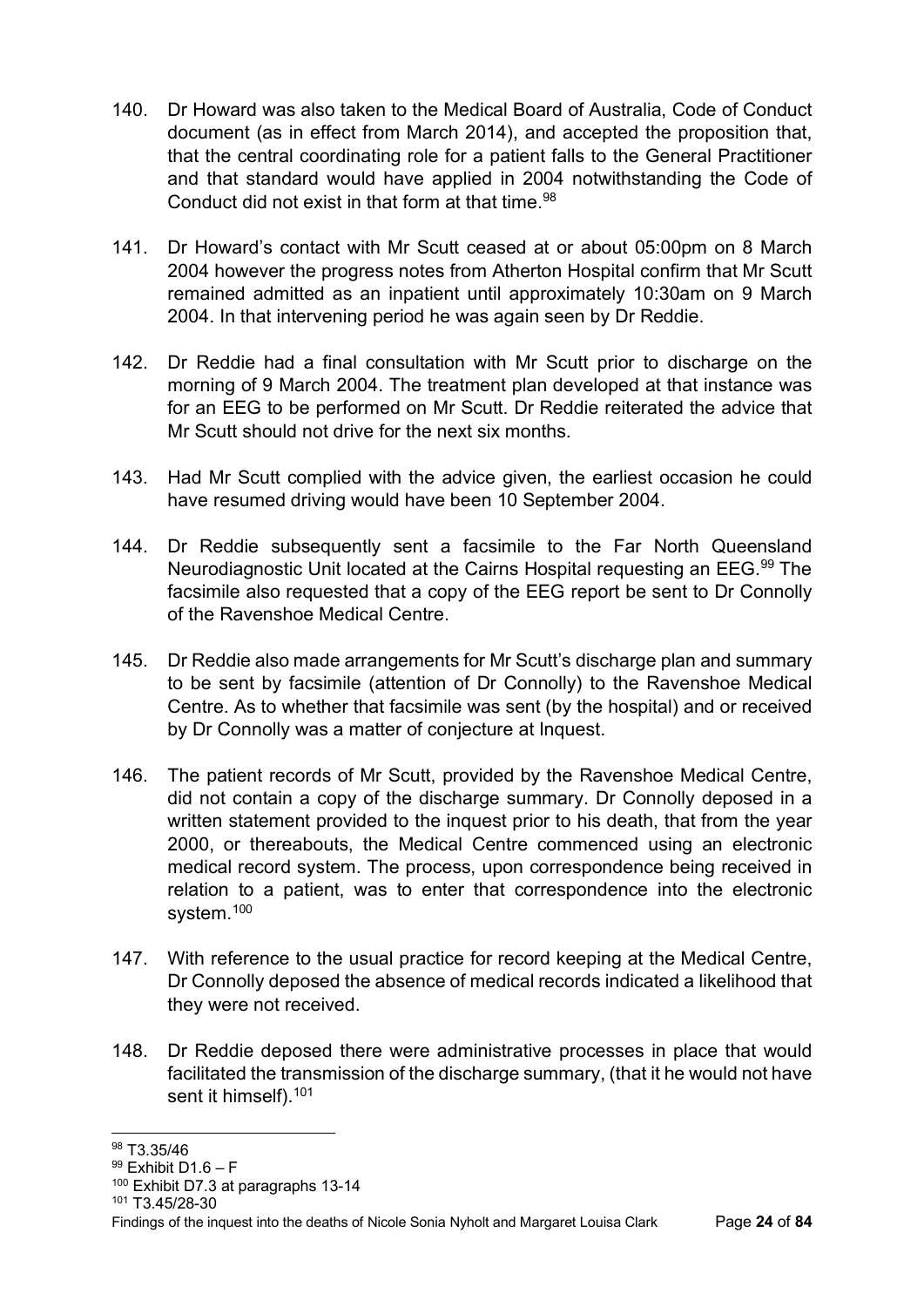- 140. Dr Howard was also taken to the Medical Board of Australia, Code of Conduct document (as in effect from March 2014), and accepted the proposition that, that the central coordinating role for a patient falls to the General Practitioner and that standard would have applied in 2004 notwithstanding the Code of Conduct did not exist in that form at that time. [98](#page-26-0)
- 141. Dr Howard's contact with Mr Scutt ceased at or about 05:00pm on 8 March 2004 however the progress notes from Atherton Hospital confirm that Mr Scutt remained admitted as an inpatient until approximately 10:30am on 9 March 2004. In that intervening period he was again seen by Dr Reddie.
- 142. Dr Reddie had a final consultation with Mr Scutt prior to discharge on the morning of 9 March 2004. The treatment plan developed at that instance was for an EEG to be performed on Mr Scutt. Dr Reddie reiterated the advice that Mr Scutt should not drive for the next six months.
- 143. Had Mr Scutt complied with the advice given, the earliest occasion he could have resumed driving would have been 10 September 2004.
- 144. Dr Reddie subsequently sent a facsimile to the Far North Queensland Neurodiagnostic Unit located at the Cairns Hospital requesting an EEG.<sup>99</sup> The facsimile also requested that a copy of the EEG report be sent to Dr Connolly of the Ravenshoe Medical Centre.
- 145. Dr Reddie also made arrangements for Mr Scutt's discharge plan and summary to be sent by facsimile (attention of Dr Connolly) to the Ravenshoe Medical Centre. As to whether that facsimile was sent (by the hospital) and or received by Dr Connolly was a matter of conjecture at Inquest.
- 146. The patient records of Mr Scutt, provided by the Ravenshoe Medical Centre, did not contain a copy of the discharge summary. Dr Connolly deposed in a written statement provided to the inquest prior to his death, that from the year 2000, or thereabouts, the Medical Centre commenced using an electronic medical record system. The process, upon correspondence being received in relation to a patient, was to enter that correspondence into the electronic system.<sup>[100](#page-26-2)</sup>
- 147. With reference to the usual practice for record keeping at the Medical Centre, Dr Connolly deposed the absence of medical records indicated a likelihood that they were not received.
- 148. Dr Reddie deposed there were administrative processes in place that would facilitated the transmission of the discharge summary, (that it he would not have sent it himself). [101](#page-26-3)

<span id="page-26-0"></span><sup>98</sup> T3.35/46

<span id="page-26-1"></span> $99$  Exhibit D1.6 – F

<span id="page-26-2"></span><sup>&</sup>lt;sup>100</sup> Exhibit D7.3 at paragraphs 13-14

<sup>101</sup> T3.45/28-30

<span id="page-26-3"></span>Findings of the inquest into the deaths of Nicole Sonia Nyholt and Margaret Louisa Clark Page **24** of **84**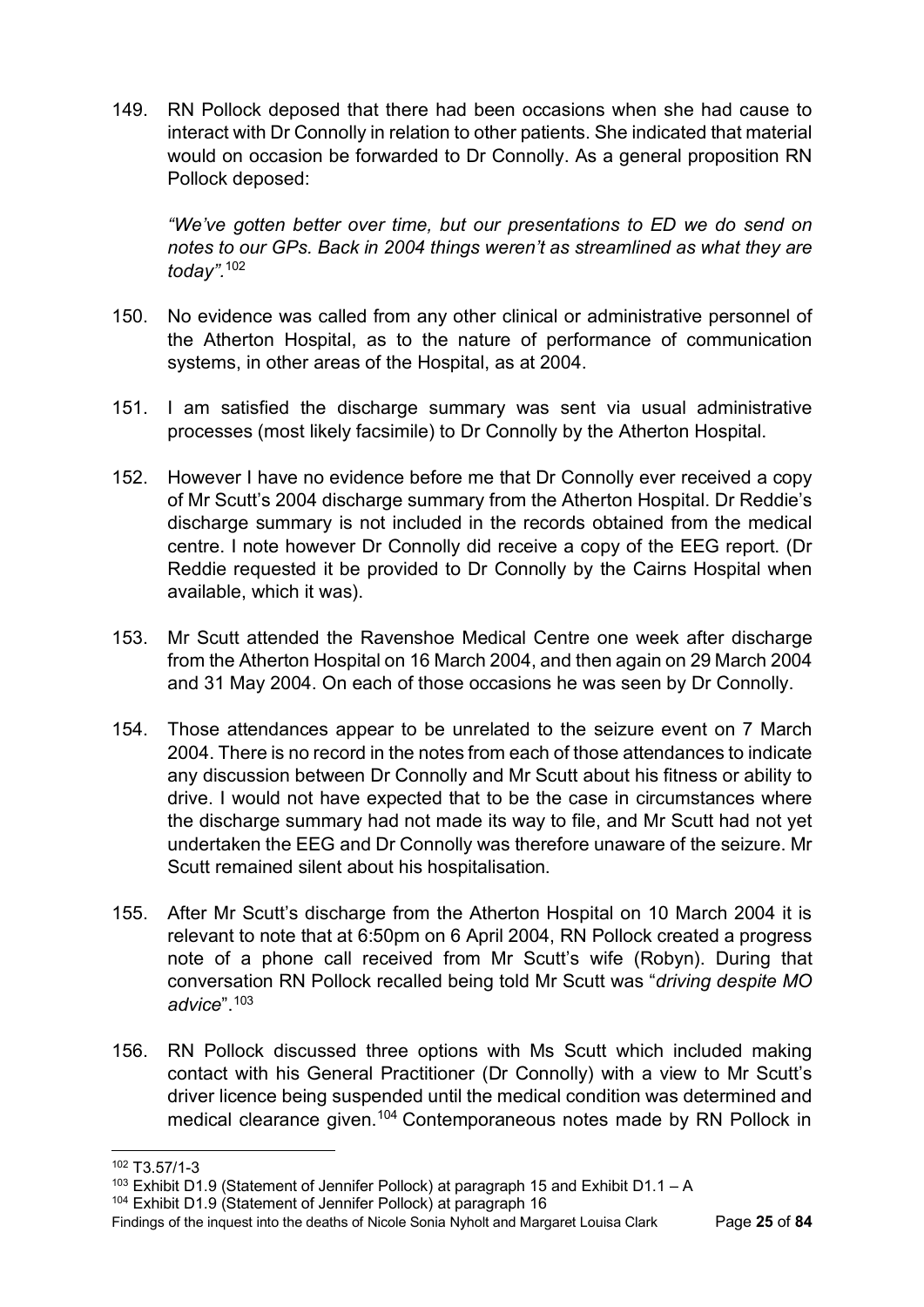149. RN Pollock deposed that there had been occasions when she had cause to interact with Dr Connolly in relation to other patients. She indicated that material would on occasion be forwarded to Dr Connolly. As a general proposition RN Pollock deposed:

*"We've gotten better over time, but our presentations to ED we do send on notes to our GPs. Back in 2004 things weren't as streamlined as what they are today".*[102](#page-27-0)

- 150. No evidence was called from any other clinical or administrative personnel of the Atherton Hospital, as to the nature of performance of communication systems, in other areas of the Hospital, as at 2004.
- 151. I am satisfied the discharge summary was sent via usual administrative processes (most likely facsimile) to Dr Connolly by the Atherton Hospital.
- 152. However I have no evidence before me that Dr Connolly ever received a copy of Mr Scutt's 2004 discharge summary from the Atherton Hospital. Dr Reddie's discharge summary is not included in the records obtained from the medical centre. I note however Dr Connolly did receive a copy of the EEG report. (Dr Reddie requested it be provided to Dr Connolly by the Cairns Hospital when available, which it was).
- 153. Mr Scutt attended the Ravenshoe Medical Centre one week after discharge from the Atherton Hospital on 16 March 2004, and then again on 29 March 2004 and 31 May 2004. On each of those occasions he was seen by Dr Connolly.
- 154. Those attendances appear to be unrelated to the seizure event on 7 March 2004. There is no record in the notes from each of those attendances to indicate any discussion between Dr Connolly and Mr Scutt about his fitness or ability to drive. I would not have expected that to be the case in circumstances where the discharge summary had not made its way to file, and Mr Scutt had not yet undertaken the EEG and Dr Connolly was therefore unaware of the seizure. Mr Scutt remained silent about his hospitalisation.
- 155. After Mr Scutt's discharge from the Atherton Hospital on 10 March 2004 it is relevant to note that at 6:50pm on 6 April 2004, RN Pollock created a progress note of a phone call received from Mr Scutt's wife (Robyn). During that conversation RN Pollock recalled being told Mr Scutt was "*driving despite MO advice*"[.103](#page-27-1)
- 156. RN Pollock discussed three options with Ms Scutt which included making contact with his General Practitioner (Dr Connolly) with a view to Mr Scutt's driver licence being suspended until the medical condition was determined and medical clearance given.<sup>[104](#page-27-2)</sup> Contemporaneous notes made by RN Pollock in

Findings of the inquest into the deaths of Nicole Sonia Nyholt and Margaret Louisa Clark Page **25** of **84**

<span id="page-27-0"></span><sup>102</sup> T3.57/1-3

<span id="page-27-1"></span><sup>&</sup>lt;sup>103</sup> Exhibit D1.9 (Statement of Jennifer Pollock) at paragraph 15 and Exhibit D1.1 – A

<span id="page-27-2"></span><sup>104</sup> Exhibit D1.9 (Statement of Jennifer Pollock) at paragraph 16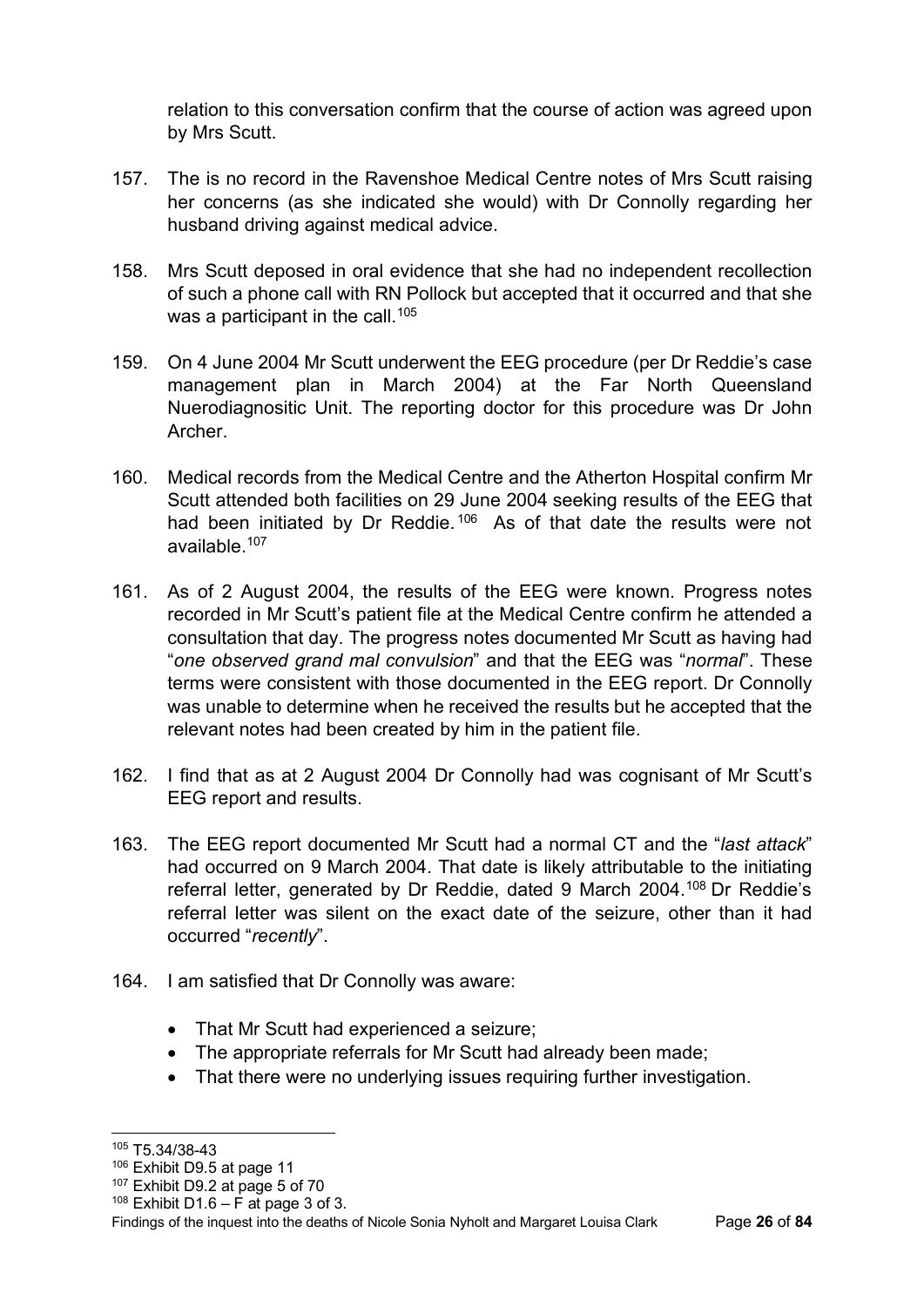relation to this conversation confirm that the course of action was agreed upon by Mrs Scutt.

- 157. The is no record in the Ravenshoe Medical Centre notes of Mrs Scutt raising her concerns (as she indicated she would) with Dr Connolly regarding her husband driving against medical advice.
- 158. Mrs Scutt deposed in oral evidence that she had no independent recollection of such a phone call with RN Pollock but accepted that it occurred and that she was a participant in the call.<sup>[105](#page-28-0)</sup>
- 159. On 4 June 2004 Mr Scutt underwent the EEG procedure (per Dr Reddie's case management plan in March 2004) at the Far North Queensland Nuerodiagnositic Unit. The reporting doctor for this procedure was Dr John Archer.
- 160. Medical records from the Medical Centre and the Atherton Hospital confirm Mr Scutt attended both facilities on 29 June 2004 seeking results of the EEG that had been initiated by Dr Reddie.<sup>[106](#page-28-1)</sup> As of that date the results were not available.[107](#page-28-2)
- 161. As of 2 August 2004, the results of the EEG were known. Progress notes recorded in Mr Scutt's patient file at the Medical Centre confirm he attended a consultation that day. The progress notes documented Mr Scutt as having had "*one observed grand mal convulsion*" and that the EEG was "*normal*". These terms were consistent with those documented in the EEG report. Dr Connolly was unable to determine when he received the results but he accepted that the relevant notes had been created by him in the patient file.
- 162. I find that as at 2 August 2004 Dr Connolly had was cognisant of Mr Scutt's EEG report and results.
- 163. The EEG report documented Mr Scutt had a normal CT and the "*last attack*" had occurred on 9 March 2004. That date is likely attributable to the initiating referral letter, generated by Dr Reddie, dated 9 March 2004.[108](#page-28-3) Dr Reddie's referral letter was silent on the exact date of the seizure, other than it had occurred "*recently*".
- 164. I am satisfied that Dr Connolly was aware:
	- That Mr Scutt had experienced a seizure;
	- The appropriate referrals for Mr Scutt had already been made;
	- That there were no underlying issues requiring further investigation.

<span id="page-28-0"></span><sup>105</sup> T5.34/38-43

<span id="page-28-1"></span><sup>106</sup> Exhibit D9.5 at page 11

<span id="page-28-2"></span><sup>107</sup> Exhibit D9.2 at page 5 of 70

<span id="page-28-3"></span> $108$  Exhibit D1.6 – F at page 3 of 3.

Findings of the inquest into the deaths of Nicole Sonia Nyholt and Margaret Louisa Clark Page **26** of **84**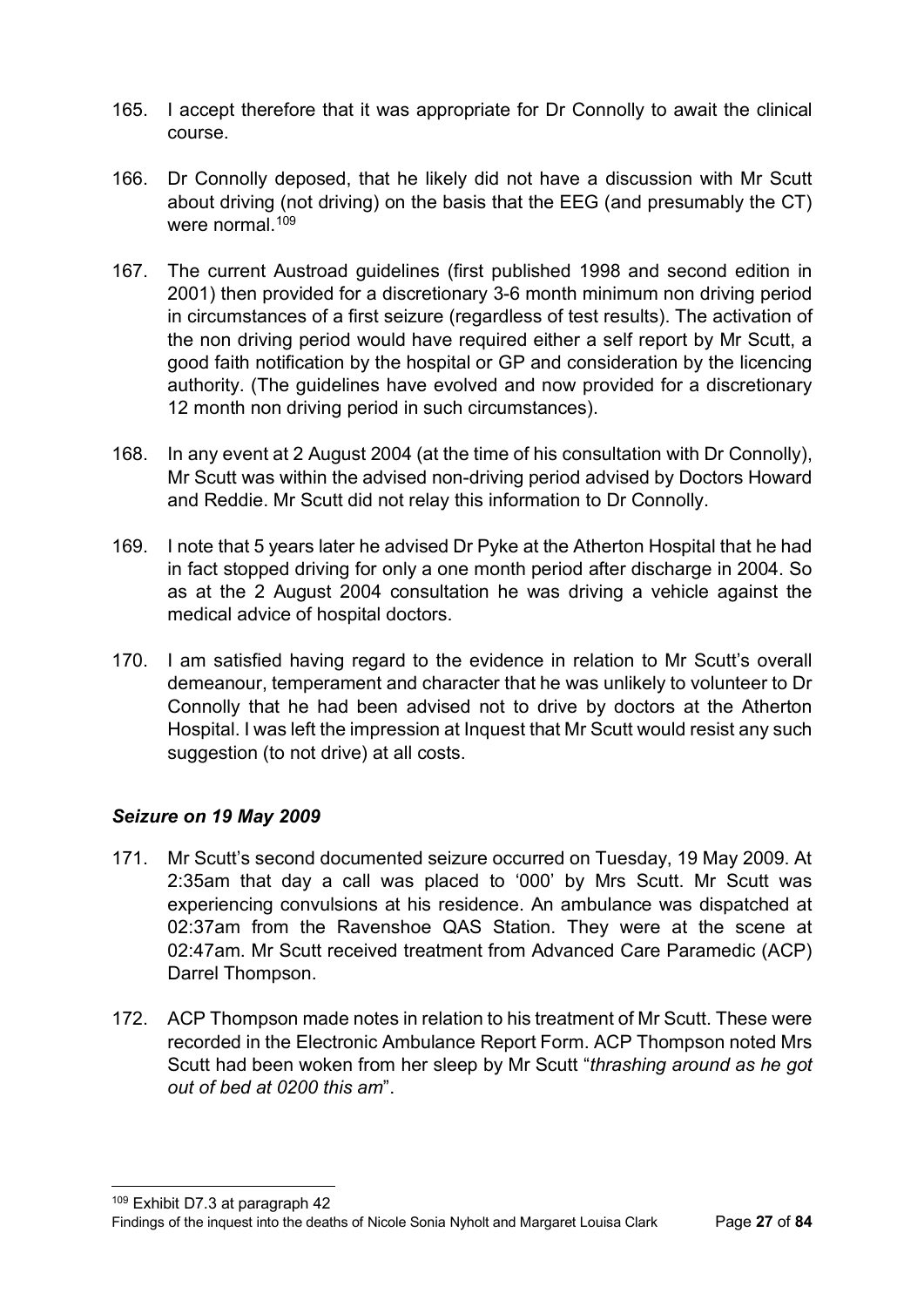- 165. I accept therefore that it was appropriate for Dr Connolly to await the clinical course.
- 166. Dr Connolly deposed, that he likely did not have a discussion with Mr Scutt about driving (not driving) on the basis that the EEG (and presumably the CT) were normal  $109$
- 167. The current Austroad guidelines (first published 1998 and second edition in 2001) then provided for a discretionary 3-6 month minimum non driving period in circumstances of a first seizure (regardless of test results). The activation of the non driving period would have required either a self report by Mr Scutt, a good faith notification by the hospital or GP and consideration by the licencing authority. (The guidelines have evolved and now provided for a discretionary 12 month non driving period in such circumstances).
- 168. In any event at 2 August 2004 (at the time of his consultation with Dr Connolly), Mr Scutt was within the advised non-driving period advised by Doctors Howard and Reddie. Mr Scutt did not relay this information to Dr Connolly.
- 169. I note that 5 years later he advised Dr Pyke at the Atherton Hospital that he had in fact stopped driving for only a one month period after discharge in 2004. So as at the 2 August 2004 consultation he was driving a vehicle against the medical advice of hospital doctors.
- 170. I am satisfied having regard to the evidence in relation to Mr Scutt's overall demeanour, temperament and character that he was unlikely to volunteer to Dr Connolly that he had been advised not to drive by doctors at the Atherton Hospital. I was left the impression at Inquest that Mr Scutt would resist any such suggestion (to not drive) at all costs.

### *Seizure on 19 May 2009*

- 171. Mr Scutt's second documented seizure occurred on Tuesday, 19 May 2009. At 2:35am that day a call was placed to '000' by Mrs Scutt. Mr Scutt was experiencing convulsions at his residence. An ambulance was dispatched at 02:37am from the Ravenshoe QAS Station. They were at the scene at 02:47am. Mr Scutt received treatment from Advanced Care Paramedic (ACP) Darrel Thompson.
- <span id="page-29-0"></span>172. ACP Thompson made notes in relation to his treatment of Mr Scutt. These were recorded in the Electronic Ambulance Report Form. ACP Thompson noted Mrs Scutt had been woken from her sleep by Mr Scutt "*thrashing around as he got out of bed at 0200 this am*".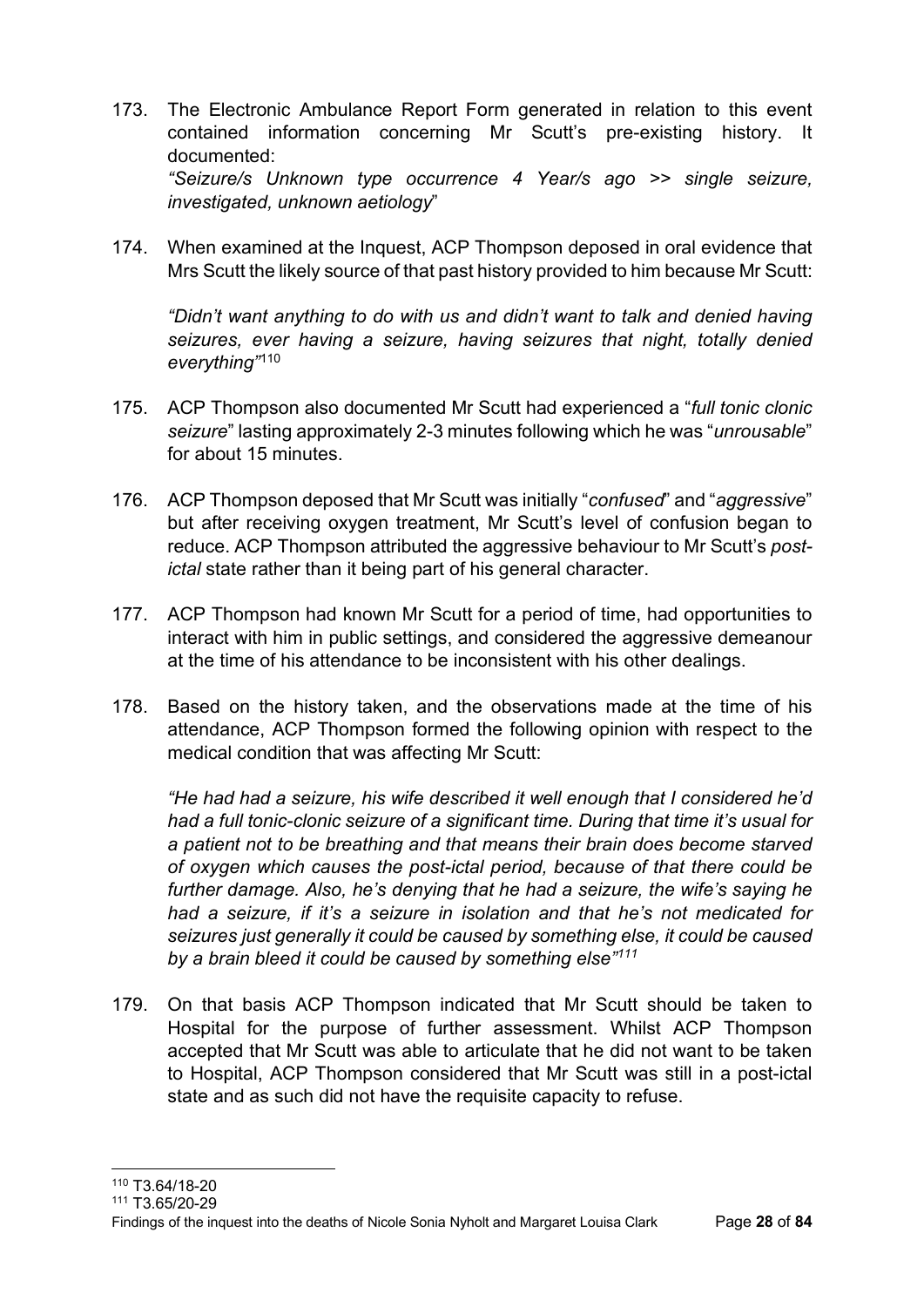- 173. The Electronic Ambulance Report Form generated in relation to this event contained information concerning Mr Scutt's pre-existing history. It documented: *"Seizure/s Unknown type occurrence 4 Year/s ago >> single seizure, investigated, unknown aetiology*"
- 174. When examined at the Inquest, ACP Thompson deposed in oral evidence that Mrs Scutt the likely source of that past history provided to him because Mr Scutt:

*"Didn't want anything to do with us and didn't want to talk and denied having seizures, ever having a seizure, having seizures that night, totally denied everything"*[110](#page-30-0)

- 175. ACP Thompson also documented Mr Scutt had experienced a "*full tonic clonic seizure*" lasting approximately 2-3 minutes following which he was "*unrousable*" for about 15 minutes.
- 176. ACP Thompson deposed that Mr Scutt was initially "*confused*" and "*aggressive*" but after receiving oxygen treatment, Mr Scutt's level of confusion began to reduce. ACP Thompson attributed the aggressive behaviour to Mr Scutt's *postictal* state rather than it being part of his general character.
- 177. ACP Thompson had known Mr Scutt for a period of time, had opportunities to interact with him in public settings, and considered the aggressive demeanour at the time of his attendance to be inconsistent with his other dealings.
- 178. Based on the history taken, and the observations made at the time of his attendance, ACP Thompson formed the following opinion with respect to the medical condition that was affecting Mr Scutt:

*"He had had a seizure, his wife described it well enough that I considered he'd had a full tonic-clonic seizure of a significant time. During that time it's usual for a patient not to be breathing and that means their brain does become starved of oxygen which causes the post-ictal period, because of that there could be further damage. Also, he's denying that he had a seizure, the wife's saying he had a seizure, if it's a seizure in isolation and that he's not medicated for seizures just generally it could be caused by something else, it could be caused by a brain bleed it could be caused by something else"[111](#page-30-1)*

<span id="page-30-1"></span><span id="page-30-0"></span>179. On that basis ACP Thompson indicated that Mr Scutt should be taken to Hospital for the purpose of further assessment. Whilst ACP Thompson accepted that Mr Scutt was able to articulate that he did not want to be taken to Hospital, ACP Thompson considered that Mr Scutt was still in a post-ictal state and as such did not have the requisite capacity to refuse.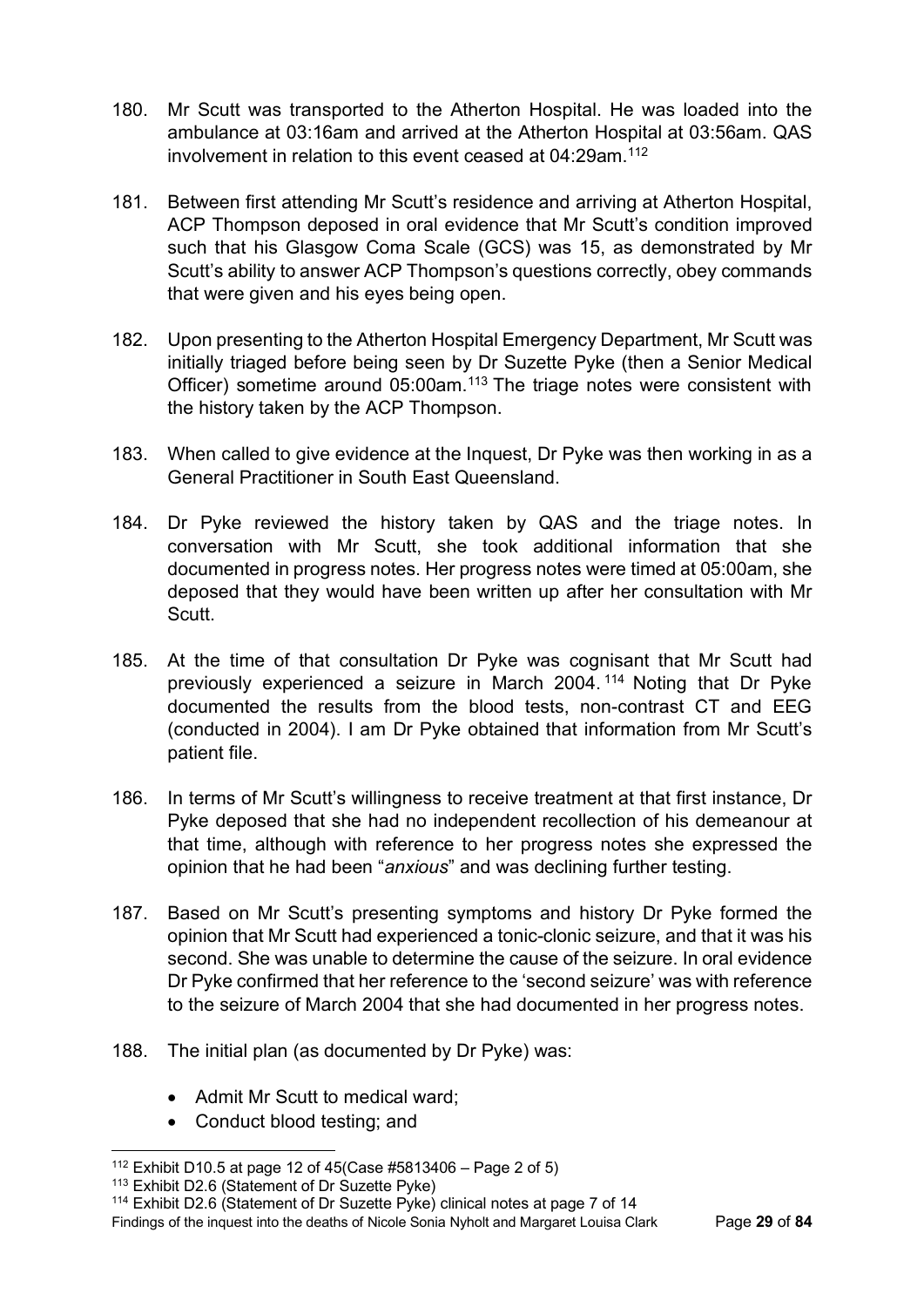- 180. Mr Scutt was transported to the Atherton Hospital. He was loaded into the ambulance at 03:16am and arrived at the Atherton Hospital at 03:56am. QAS involvement in relation to this event ceased at 04:29am.[112](#page-31-0)
- 181. Between first attending Mr Scutt's residence and arriving at Atherton Hospital, ACP Thompson deposed in oral evidence that Mr Scutt's condition improved such that his Glasgow Coma Scale (GCS) was 15, as demonstrated by Mr Scutt's ability to answer ACP Thompson's questions correctly, obey commands that were given and his eyes being open.
- 182. Upon presenting to the Atherton Hospital Emergency Department, Mr Scutt was initially triaged before being seen by Dr Suzette Pyke (then a Senior Medical Officer) sometime around 05:00am.<sup>113</sup> The triage notes were consistent with the history taken by the ACP Thompson.
- 183. When called to give evidence at the Inquest, Dr Pyke was then working in as a General Practitioner in South East Queensland.
- 184. Dr Pyke reviewed the history taken by QAS and the triage notes. In conversation with Mr Scutt, she took additional information that she documented in progress notes. Her progress notes were timed at 05:00am, she deposed that they would have been written up after her consultation with Mr Scutt.
- 185. At the time of that consultation Dr Pyke was cognisant that Mr Scutt had previously experienced a seizure in March 2004. [114](#page-31-2) Noting that Dr Pyke documented the results from the blood tests, non-contrast CT and EEG (conducted in 2004). I am Dr Pyke obtained that information from Mr Scutt's patient file.
- 186. In terms of Mr Scutt's willingness to receive treatment at that first instance, Dr Pyke deposed that she had no independent recollection of his demeanour at that time, although with reference to her progress notes she expressed the opinion that he had been "*anxious*" and was declining further testing.
- 187. Based on Mr Scutt's presenting symptoms and history Dr Pyke formed the opinion that Mr Scutt had experienced a tonic-clonic seizure, and that it was his second. She was unable to determine the cause of the seizure. In oral evidence Dr Pyke confirmed that her reference to the 'second seizure' was with reference to the seizure of March 2004 that she had documented in her progress notes.
- 188. The initial plan (as documented by Dr Pyke) was:
	- Admit Mr Scutt to medical ward;
	- Conduct blood testing; and

<span id="page-31-0"></span><sup>&</sup>lt;sup>112</sup> Exhibit D10.5 at page 12 of 45(Case #5813406 – Page 2 of 5)

<sup>113</sup> Exhibit D2.6 (Statement of Dr Suzette Pyke)

<span id="page-31-2"></span><span id="page-31-1"></span>Findings of the inquest into the deaths of Nicole Sonia Nyholt and Margaret Louisa Clark Page **29** of **84** <sup>114</sup> Exhibit D2.6 (Statement of Dr Suzette Pyke) clinical notes at page 7 of 14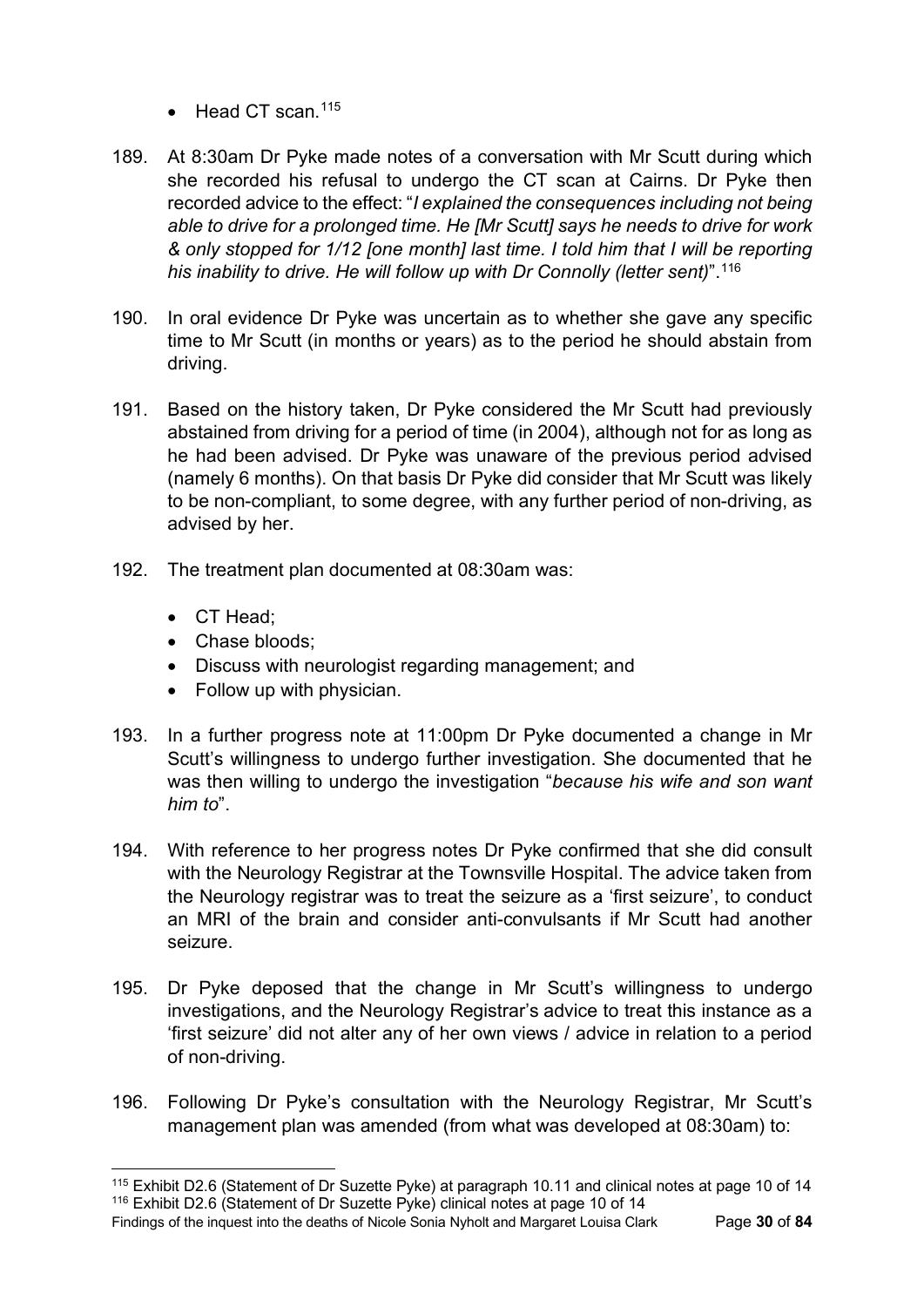- $\bullet$  Head CT scan.<sup>[115](#page-32-0)</sup>
- 189. At 8:30am Dr Pyke made notes of a conversation with Mr Scutt during which she recorded his refusal to undergo the CT scan at Cairns. Dr Pyke then recorded advice to the effect: "*I explained the consequences including not being able to drive for a prolonged time. He [Mr Scutt] says he needs to drive for work & only stopped for 1/12 [one month] last time. I told him that I will be reporting his inability to drive. He will follow up with Dr Connolly (letter sent)*".[116](#page-32-1)
- 190. In oral evidence Dr Pyke was uncertain as to whether she gave any specific time to Mr Scutt (in months or years) as to the period he should abstain from driving.
- 191. Based on the history taken, Dr Pyke considered the Mr Scutt had previously abstained from driving for a period of time (in 2004), although not for as long as he had been advised. Dr Pyke was unaware of the previous period advised (namely 6 months). On that basis Dr Pyke did consider that Mr Scutt was likely to be non-compliant, to some degree, with any further period of non-driving, as advised by her.
- 192. The treatment plan documented at 08:30am was:
	- CT Head;
	- Chase bloods;
	- Discuss with neurologist regarding management; and
	- Follow up with physician.
- 193. In a further progress note at 11:00pm Dr Pyke documented a change in Mr Scutt's willingness to undergo further investigation. She documented that he was then willing to undergo the investigation "*because his wife and son want him to*".
- 194. With reference to her progress notes Dr Pyke confirmed that she did consult with the Neurology Registrar at the Townsville Hospital. The advice taken from the Neurology registrar was to treat the seizure as a 'first seizure', to conduct an MRI of the brain and consider anti-convulsants if Mr Scutt had another seizure.
- 195. Dr Pyke deposed that the change in Mr Scutt's willingness to undergo investigations, and the Neurology Registrar's advice to treat this instance as a 'first seizure' did not alter any of her own views / advice in relation to a period of non-driving.
- 196. Following Dr Pyke's consultation with the Neurology Registrar, Mr Scutt's management plan was amended (from what was developed at 08:30am) to:

<span id="page-32-1"></span>Findings of the inquest into the deaths of Nicole Sonia Nyholt and Margaret Louisa Clark Page **30** of **84**

<span id="page-32-0"></span><sup>&</sup>lt;sup>115</sup> Exhibit D2.6 (Statement of Dr Suzette Pyke) at paragraph 10.11 and clinical notes at page 10 of 14 <sup>116</sup> Exhibit D2.6 (Statement of Dr Suzette Pyke) clinical notes at page 10 of 14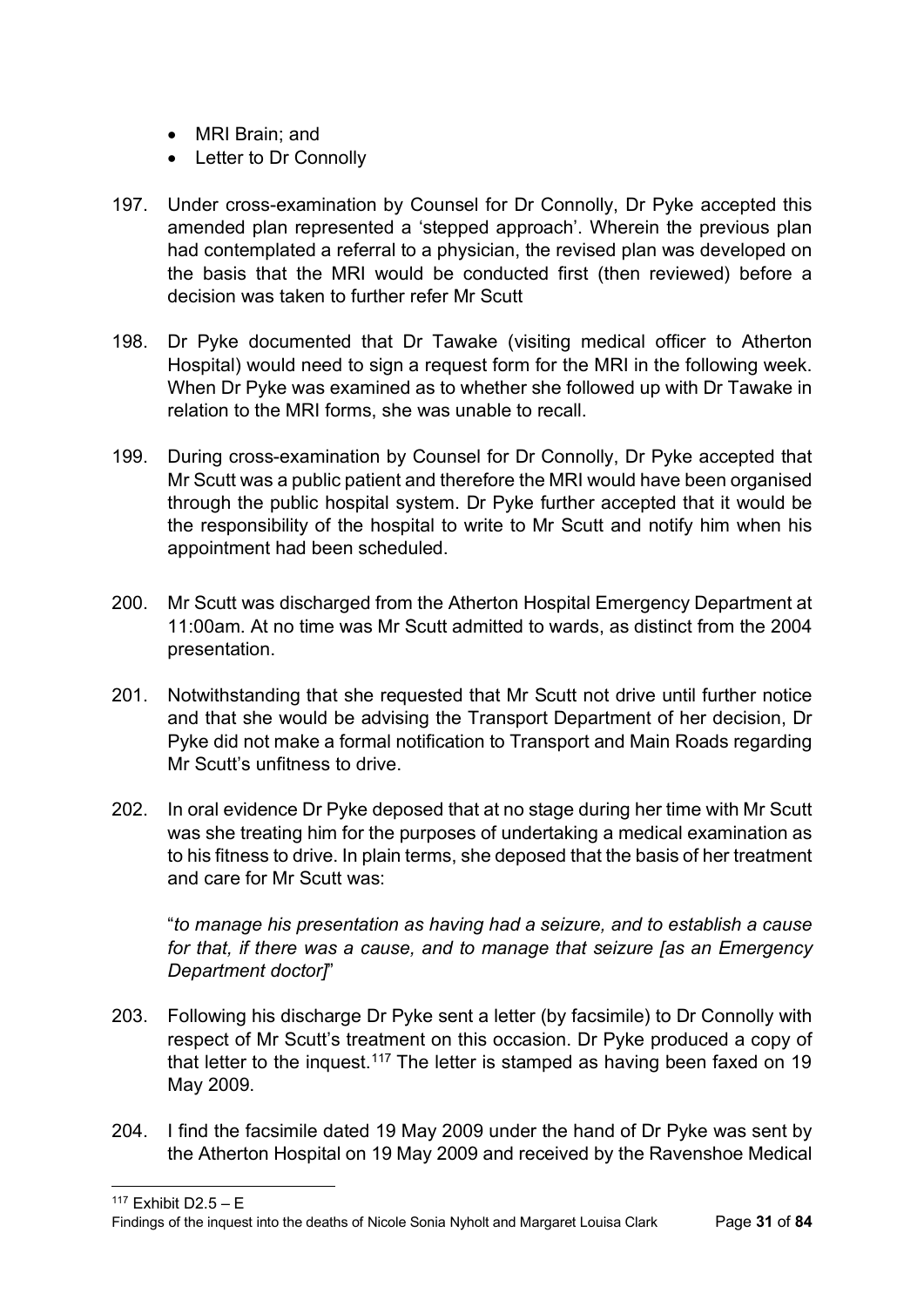- MRI Brain: and
- Letter to Dr Connolly
- 197. Under cross-examination by Counsel for Dr Connolly, Dr Pyke accepted this amended plan represented a 'stepped approach'. Wherein the previous plan had contemplated a referral to a physician, the revised plan was developed on the basis that the MRI would be conducted first (then reviewed) before a decision was taken to further refer Mr Scutt
- 198. Dr Pyke documented that Dr Tawake (visiting medical officer to Atherton Hospital) would need to sign a request form for the MRI in the following week. When Dr Pyke was examined as to whether she followed up with Dr Tawake in relation to the MRI forms, she was unable to recall.
- 199. During cross-examination by Counsel for Dr Connolly, Dr Pyke accepted that Mr Scutt was a public patient and therefore the MRI would have been organised through the public hospital system. Dr Pyke further accepted that it would be the responsibility of the hospital to write to Mr Scutt and notify him when his appointment had been scheduled.
- 200. Mr Scutt was discharged from the Atherton Hospital Emergency Department at 11:00am. At no time was Mr Scutt admitted to wards, as distinct from the 2004 presentation.
- 201. Notwithstanding that she requested that Mr Scutt not drive until further notice and that she would be advising the Transport Department of her decision, Dr Pyke did not make a formal notification to Transport and Main Roads regarding Mr Scutt's unfitness to drive.
- 202. In oral evidence Dr Pyke deposed that at no stage during her time with Mr Scutt was she treating him for the purposes of undertaking a medical examination as to his fitness to drive. In plain terms, she deposed that the basis of her treatment and care for Mr Scutt was:

"*to manage his presentation as having had a seizure, and to establish a cause for that, if there was a cause, and to manage that seizure [as an Emergency Department doctor]*"

- 203. Following his discharge Dr Pyke sent a letter (by facsimile) to Dr Connolly with respect of Mr Scutt's treatment on this occasion. Dr Pyke produced a copy of that letter to the inquest.<sup>117</sup> The letter is stamped as having been faxed on 19 May 2009.
- 204. I find the facsimile dated 19 May 2009 under the hand of Dr Pyke was sent by the Atherton Hospital on 19 May 2009 and received by the Ravenshoe Medical

<span id="page-33-0"></span> $117$  Exhibit D2.5 – E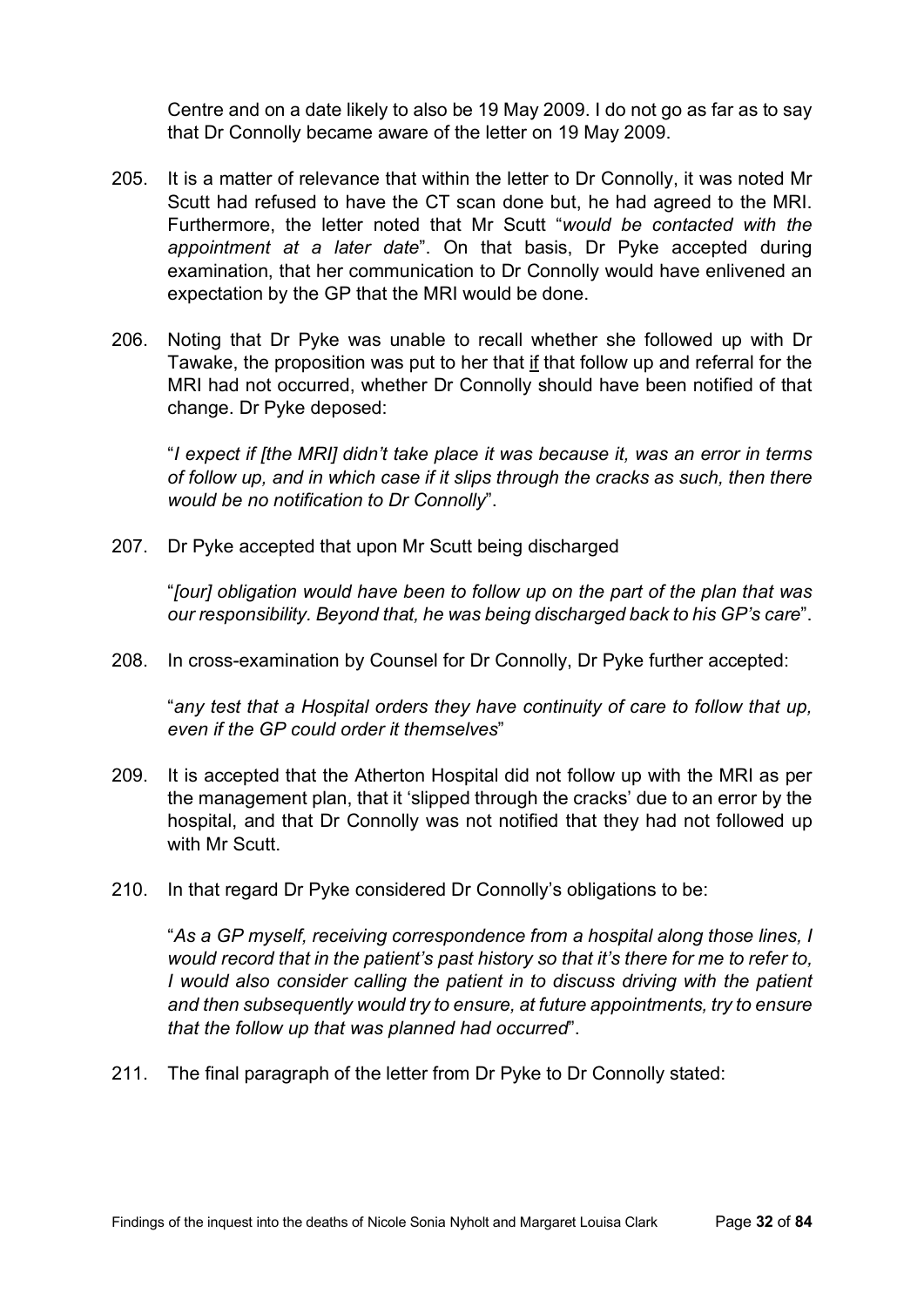Centre and on a date likely to also be 19 May 2009. I do not go as far as to say that Dr Connolly became aware of the letter on 19 May 2009.

- 205. It is a matter of relevance that within the letter to Dr Connolly, it was noted Mr Scutt had refused to have the CT scan done but, he had agreed to the MRI. Furthermore, the letter noted that Mr Scutt "*would be contacted with the appointment at a later date*". On that basis, Dr Pyke accepted during examination, that her communication to Dr Connolly would have enlivened an expectation by the GP that the MRI would be done.
- 206. Noting that Dr Pyke was unable to recall whether she followed up with Dr Tawake, the proposition was put to her that if that follow up and referral for the MRI had not occurred, whether Dr Connolly should have been notified of that change. Dr Pyke deposed:

"*I expect if [the MRI] didn't take place it was because it, was an error in terms of follow up, and in which case if it slips through the cracks as such, then there would be no notification to Dr Connolly*".

207. Dr Pyke accepted that upon Mr Scutt being discharged

"*[our] obligation would have been to follow up on the part of the plan that was our responsibility. Beyond that, he was being discharged back to his GP's care*".

208. In cross-examination by Counsel for Dr Connolly, Dr Pyke further accepted:

"*any test that a Hospital orders they have continuity of care to follow that up, even if the GP could order it themselves*"

- 209. It is accepted that the Atherton Hospital did not follow up with the MRI as per the management plan, that it 'slipped through the cracks' due to an error by the hospital, and that Dr Connolly was not notified that they had not followed up with Mr Scutt.
- 210. In that regard Dr Pyke considered Dr Connolly's obligations to be:

"*As a GP myself, receiving correspondence from a hospital along those lines, I would record that in the patient's past history so that it's there for me to refer to, I would also consider calling the patient in to discuss driving with the patient and then subsequently would try to ensure, at future appointments, try to ensure that the follow up that was planned had occurred*".

211. The final paragraph of the letter from Dr Pyke to Dr Connolly stated: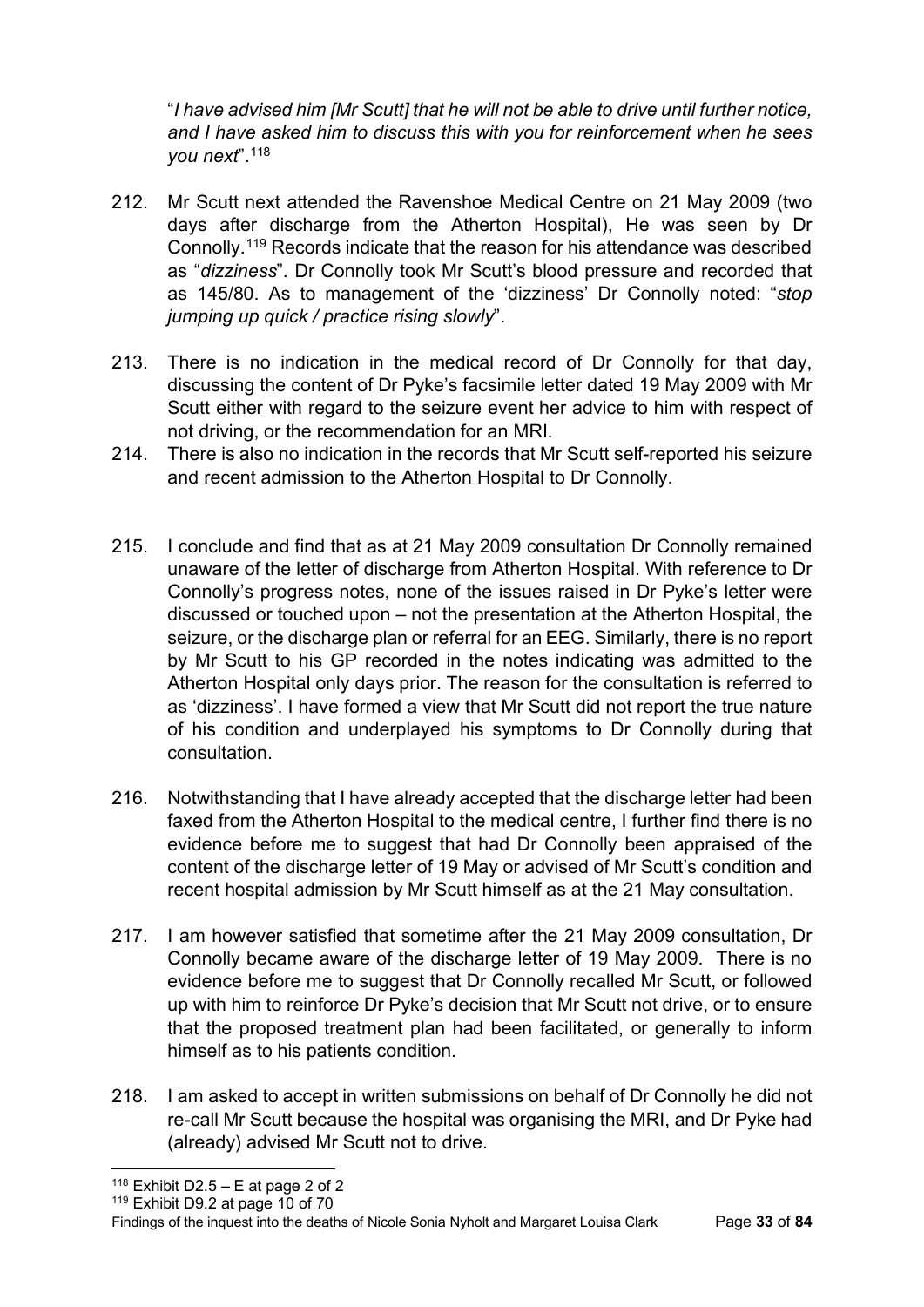"*I have advised him [Mr Scutt] that he will not be able to drive until further notice, and I have asked him to discuss this with you for reinforcement when he sees you next*"[.118](#page-35-0)

- 212. Mr Scutt next attended the Ravenshoe Medical Centre on 21 May 2009 (two days after discharge from the Atherton Hospital), He was seen by Dr Connolly.[119](#page-35-1) Records indicate that the reason for his attendance was described as "*dizziness*". Dr Connolly took Mr Scutt's blood pressure and recorded that as 145/80. As to management of the 'dizziness' Dr Connolly noted: "*stop jumping up quick / practice rising slowly*".
- 213. There is no indication in the medical record of Dr Connolly for that day, discussing the content of Dr Pyke's facsimile letter dated 19 May 2009 with Mr Scutt either with regard to the seizure event her advice to him with respect of not driving, or the recommendation for an MRI.
- 214. There is also no indication in the records that Mr Scutt self-reported his seizure and recent admission to the Atherton Hospital to Dr Connolly.
- 215. I conclude and find that as at 21 May 2009 consultation Dr Connolly remained unaware of the letter of discharge from Atherton Hospital. With reference to Dr Connolly's progress notes, none of the issues raised in Dr Pyke's letter were discussed or touched upon – not the presentation at the Atherton Hospital, the seizure, or the discharge plan or referral for an EEG. Similarly, there is no report by Mr Scutt to his GP recorded in the notes indicating was admitted to the Atherton Hospital only days prior. The reason for the consultation is referred to as 'dizziness'. I have formed a view that Mr Scutt did not report the true nature of his condition and underplayed his symptoms to Dr Connolly during that consultation.
- 216. Notwithstanding that I have already accepted that the discharge letter had been faxed from the Atherton Hospital to the medical centre, I further find there is no evidence before me to suggest that had Dr Connolly been appraised of the content of the discharge letter of 19 May or advised of Mr Scutt's condition and recent hospital admission by Mr Scutt himself as at the 21 May consultation.
- 217. I am however satisfied that sometime after the 21 May 2009 consultation, Dr Connolly became aware of the discharge letter of 19 May 2009. There is no evidence before me to suggest that Dr Connolly recalled Mr Scutt, or followed up with him to reinforce Dr Pyke's decision that Mr Scutt not drive, or to ensure that the proposed treatment plan had been facilitated, or generally to inform himself as to his patients condition.
- 218. I am asked to accept in written submissions on behalf of Dr Connolly he did not re-call Mr Scutt because the hospital was organising the MRI, and Dr Pyke had (already) advised Mr Scutt not to drive.

<span id="page-35-1"></span>Findings of the inquest into the deaths of Nicole Sonia Nyholt and Margaret Louisa Clark Page **33** of **84**

<span id="page-35-0"></span> $118$  Exhibit D2.5 – E at page 2 of 2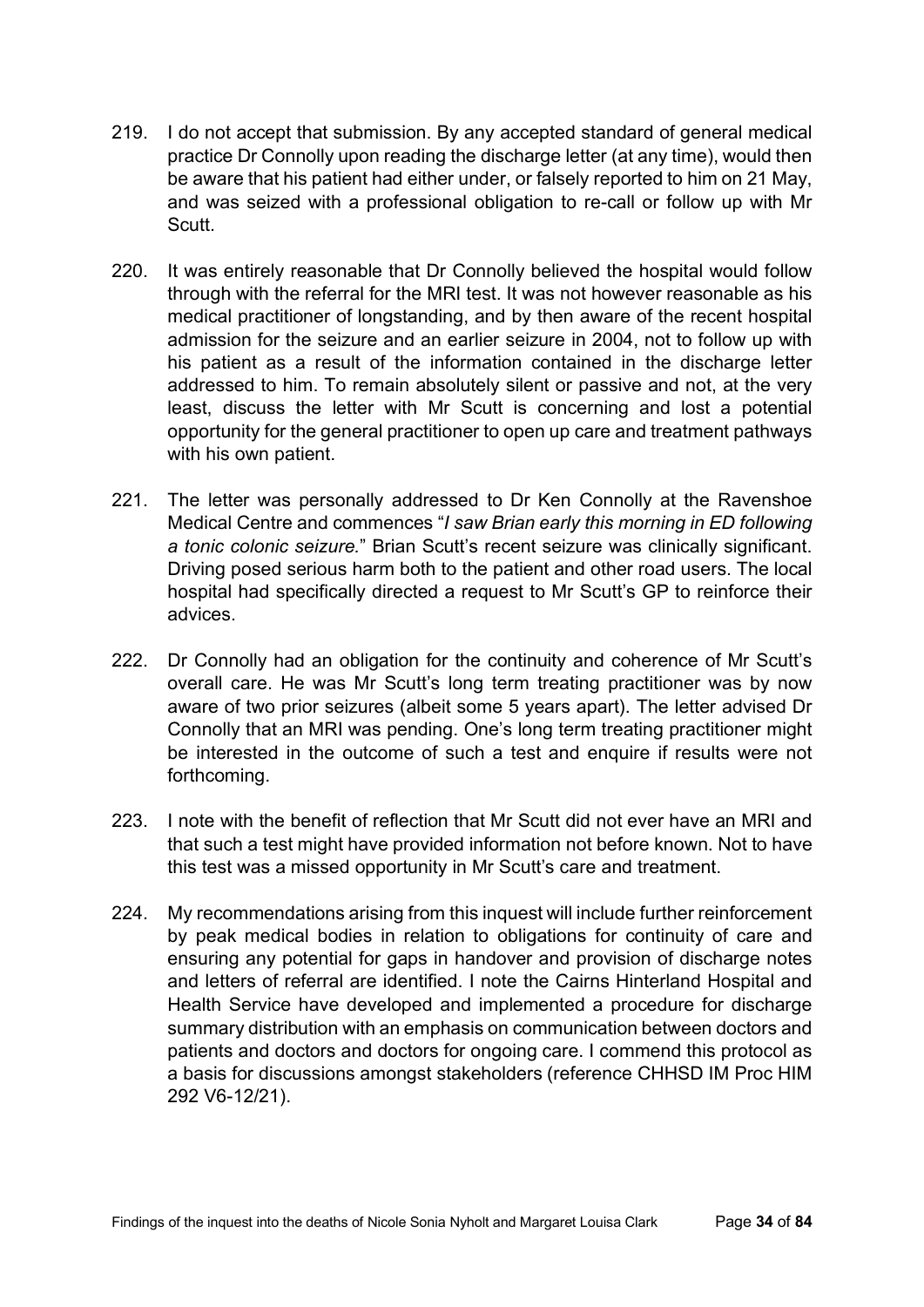- 219. I do not accept that submission. By any accepted standard of general medical practice Dr Connolly upon reading the discharge letter (at any time), would then be aware that his patient had either under, or falsely reported to him on 21 May, and was seized with a professional obligation to re-call or follow up with Mr Scutt.
- 220. It was entirely reasonable that Dr Connolly believed the hospital would follow through with the referral for the MRI test. It was not however reasonable as his medical practitioner of longstanding, and by then aware of the recent hospital admission for the seizure and an earlier seizure in 2004, not to follow up with his patient as a result of the information contained in the discharge letter addressed to him. To remain absolutely silent or passive and not, at the very least, discuss the letter with Mr Scutt is concerning and lost a potential opportunity for the general practitioner to open up care and treatment pathways with his own patient.
- 221. The letter was personally addressed to Dr Ken Connolly at the Ravenshoe Medical Centre and commences "*I saw Brian early this morning in ED following a tonic colonic seizure.*" Brian Scutt's recent seizure was clinically significant. Driving posed serious harm both to the patient and other road users. The local hospital had specifically directed a request to Mr Scutt's GP to reinforce their advices.
- 222. Dr Connolly had an obligation for the continuity and coherence of Mr Scutt's overall care. He was Mr Scutt's long term treating practitioner was by now aware of two prior seizures (albeit some 5 years apart). The letter advised Dr Connolly that an MRI was pending. One's long term treating practitioner might be interested in the outcome of such a test and enquire if results were not forthcoming.
- 223. I note with the benefit of reflection that Mr Scutt did not ever have an MRI and that such a test might have provided information not before known. Not to have this test was a missed opportunity in Mr Scutt's care and treatment.
- 224. My recommendations arising from this inquest will include further reinforcement by peak medical bodies in relation to obligations for continuity of care and ensuring any potential for gaps in handover and provision of discharge notes and letters of referral are identified. I note the Cairns Hinterland Hospital and Health Service have developed and implemented a procedure for discharge summary distribution with an emphasis on communication between doctors and patients and doctors and doctors for ongoing care. I commend this protocol as a basis for discussions amongst stakeholders (reference CHHSD IM Proc HIM 292 V6-12/21).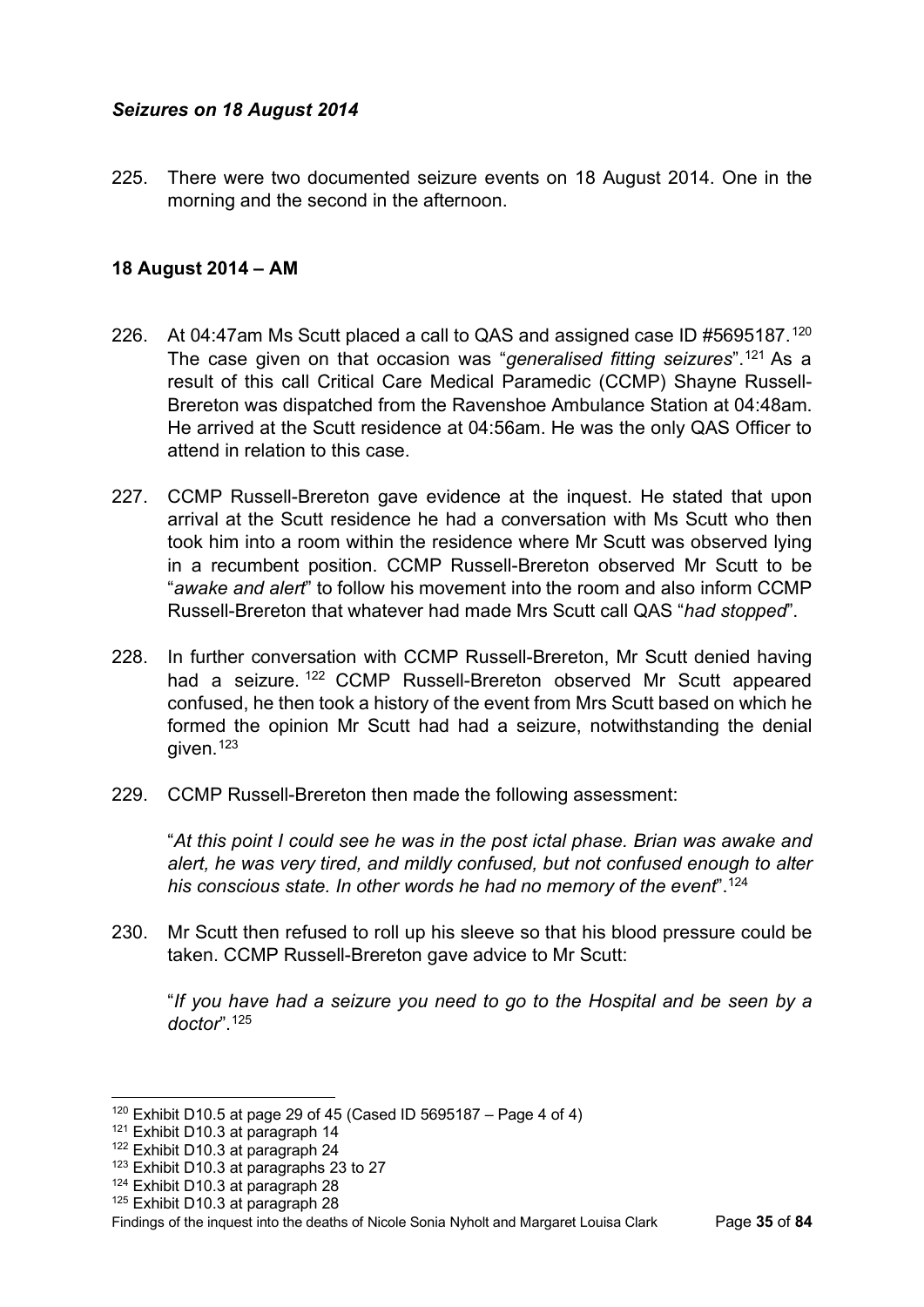### *Seizures on 18 August 2014*

225. There were two documented seizure events on 18 August 2014. One in the morning and the second in the afternoon.

### **18 August 2014 – AM**

- 226. At 04:47am Ms Scutt placed a call to QAS and assigned case ID #5695187.<sup>[120](#page-37-0)</sup> The case given on that occasion was "*generalised fitting seizures*".[121](#page-37-1) As a result of this call Critical Care Medical Paramedic (CCMP) Shayne Russell-Brereton was dispatched from the Ravenshoe Ambulance Station at 04:48am. He arrived at the Scutt residence at 04:56am. He was the only QAS Officer to attend in relation to this case.
- 227. CCMP Russell-Brereton gave evidence at the inquest. He stated that upon arrival at the Scutt residence he had a conversation with Ms Scutt who then took him into a room within the residence where Mr Scutt was observed lying in a recumbent position. CCMP Russell-Brereton observed Mr Scutt to be "*awake and alert*" to follow his movement into the room and also inform CCMP Russell-Brereton that whatever had made Mrs Scutt call QAS "*had stopped*".
- 228. In further conversation with CCMP Russell-Brereton, Mr Scutt denied having had a seizure. <sup>[122](#page-37-2)</sup> CCMP Russell-Brereton observed Mr Scutt appeared confused, he then took a history of the event from Mrs Scutt based on which he formed the opinion Mr Scutt had had a seizure, notwithstanding the denial given.<sup>[123](#page-37-3)</sup>
- 229. CCMP Russell-Brereton then made the following assessment:

"*At this point I could see he was in the post ictal phase. Brian was awake and alert, he was very tired, and mildly confused, but not confused enough to alter his conscious state. In other words he had no memory of the event*".[124](#page-37-4)

230. Mr Scutt then refused to roll up his sleeve so that his blood pressure could be taken. CCMP Russell-Brereton gave advice to Mr Scutt:

"*If you have had a seizure you need to go to the Hospital and be seen by a doctor*".[125](#page-37-5)

<span id="page-37-0"></span> $120$  Exhibit D10.5 at page 29 of 45 (Cased ID 5695187 – Page 4 of 4)

<span id="page-37-1"></span><sup>&</sup>lt;sup>121</sup> Exhibit D10.3 at paragraph 14

<span id="page-37-2"></span><sup>122</sup> Exhibit D10.3 at paragraph 24

<span id="page-37-3"></span><sup>&</sup>lt;sup>123</sup> Exhibit D10.3 at paragraphs 23 to 27

<span id="page-37-4"></span><sup>124</sup> Exhibit D10.3 at paragraph 28

<span id="page-37-5"></span><sup>&</sup>lt;sup>125</sup> Exhibit D10.3 at paragraph 28

Findings of the inquest into the deaths of Nicole Sonia Nyholt and Margaret Louisa Clark Page **35** of **84**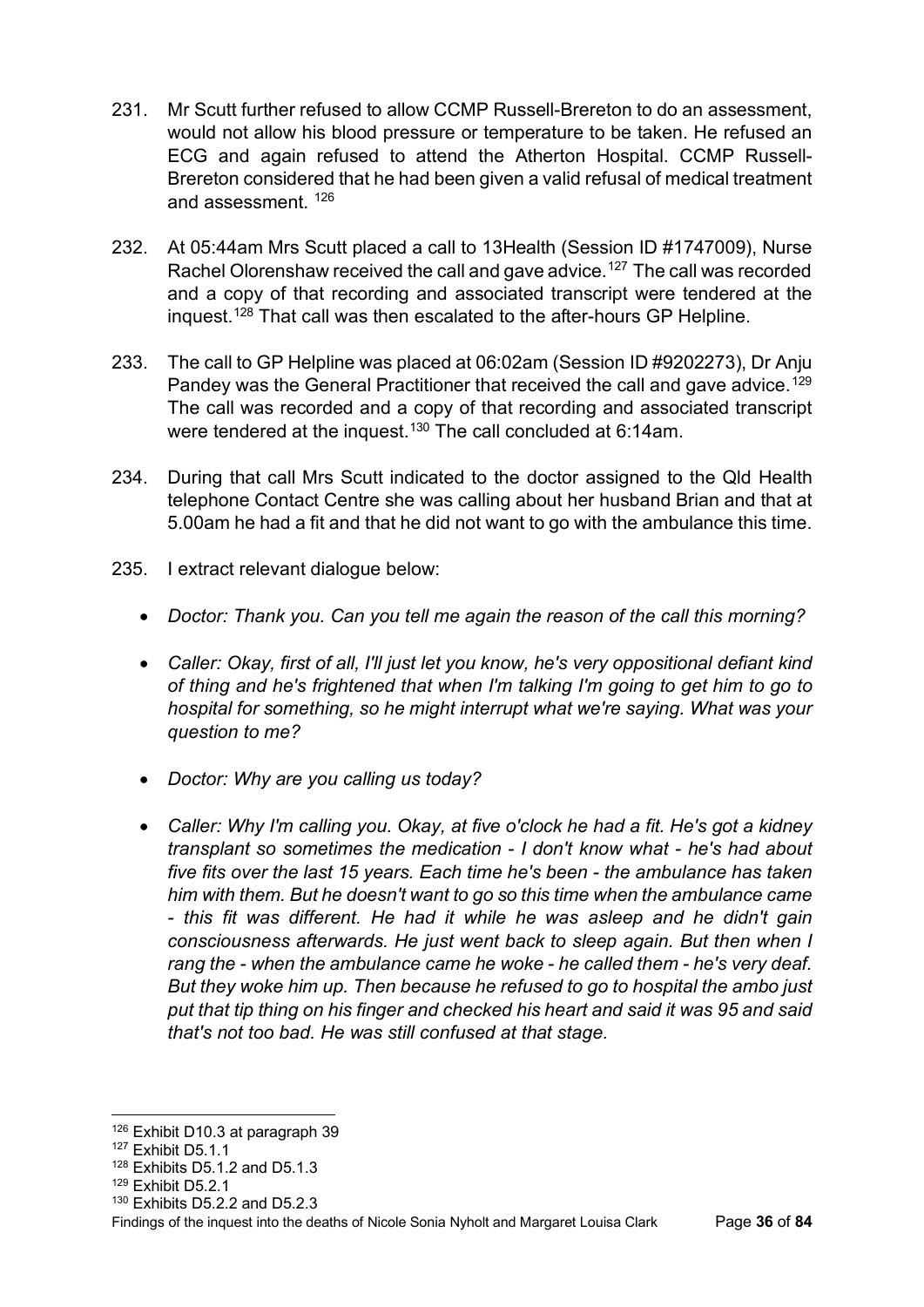- 231. Mr Scutt further refused to allow CCMP Russell-Brereton to do an assessment, would not allow his blood pressure or temperature to be taken. He refused an ECG and again refused to attend the Atherton Hospital. CCMP Russell-Brereton considered that he had been given a valid refusal of medical treatment and assessment. [126](#page-38-0)
- 232. At 05:44am Mrs Scutt placed a call to 13Health (Session ID #1747009), Nurse Rachel Olorenshaw received the call and gave advice.<sup>[127](#page-38-1)</sup> The call was recorded and a copy of that recording and associated transcript were tendered at the inquest[.128](#page-38-2) That call was then escalated to the after-hours GP Helpline.
- 233. The call to GP Helpline was placed at 06:02am (Session ID #9202273), Dr Anju Pandey was the General Practitioner that received the call and gave advice.<sup>[129](#page-38-3)</sup> The call was recorded and a copy of that recording and associated transcript were tendered at the inquest.<sup>[130](#page-38-4)</sup> The call concluded at 6:14am.
- 234. During that call Mrs Scutt indicated to the doctor assigned to the Qld Health telephone Contact Centre she was calling about her husband Brian and that at 5.00am he had a fit and that he did not want to go with the ambulance this time.
- 235. I extract relevant dialogue below:
	- *Doctor: Thank you. Can you tell me again the reason of the call this morning?*
	- *Caller: Okay, first of all, I'll just let you know, he's very oppositional defiant kind of thing and he's frightened that when I'm talking I'm going to get him to go to hospital for something, so he might interrupt what we're saying. What was your question to me?*
	- *Doctor: Why are you calling us today?*
	- *Caller: Why I'm calling you. Okay, at five o'clock he had a fit. He's got a kidney transplant so sometimes the medication - I don't know what - he's had about five fits over the last 15 years. Each time he's been - the ambulance has taken him with them. But he doesn't want to go so this time when the ambulance came - this fit was different. He had it while he was asleep and he didn't gain consciousness afterwards. He just went back to sleep again. But then when I rang the - when the ambulance came he woke - he called them - he's very deaf. But they woke him up. Then because he refused to go to hospital the ambo just put that tip thing on his finger and checked his heart and said it was 95 and said that's not too bad. He was still confused at that stage.*

<span id="page-38-2"></span><sup>128</sup> Exhibits D5.1.2 and D5.1.3

<span id="page-38-4"></span><sup>130</sup> Exhibits D5.2.2 and D5.2.3

<span id="page-38-0"></span><sup>&</sup>lt;sup>126</sup> Exhibit D10.3 at paragraph 39

<span id="page-38-1"></span><sup>127</sup> Exhibit D5.1.1

<span id="page-38-3"></span><sup>129</sup> Exhibit D5.2.1

Findings of the inquest into the deaths of Nicole Sonia Nyholt and Margaret Louisa Clark Page **36** of **84**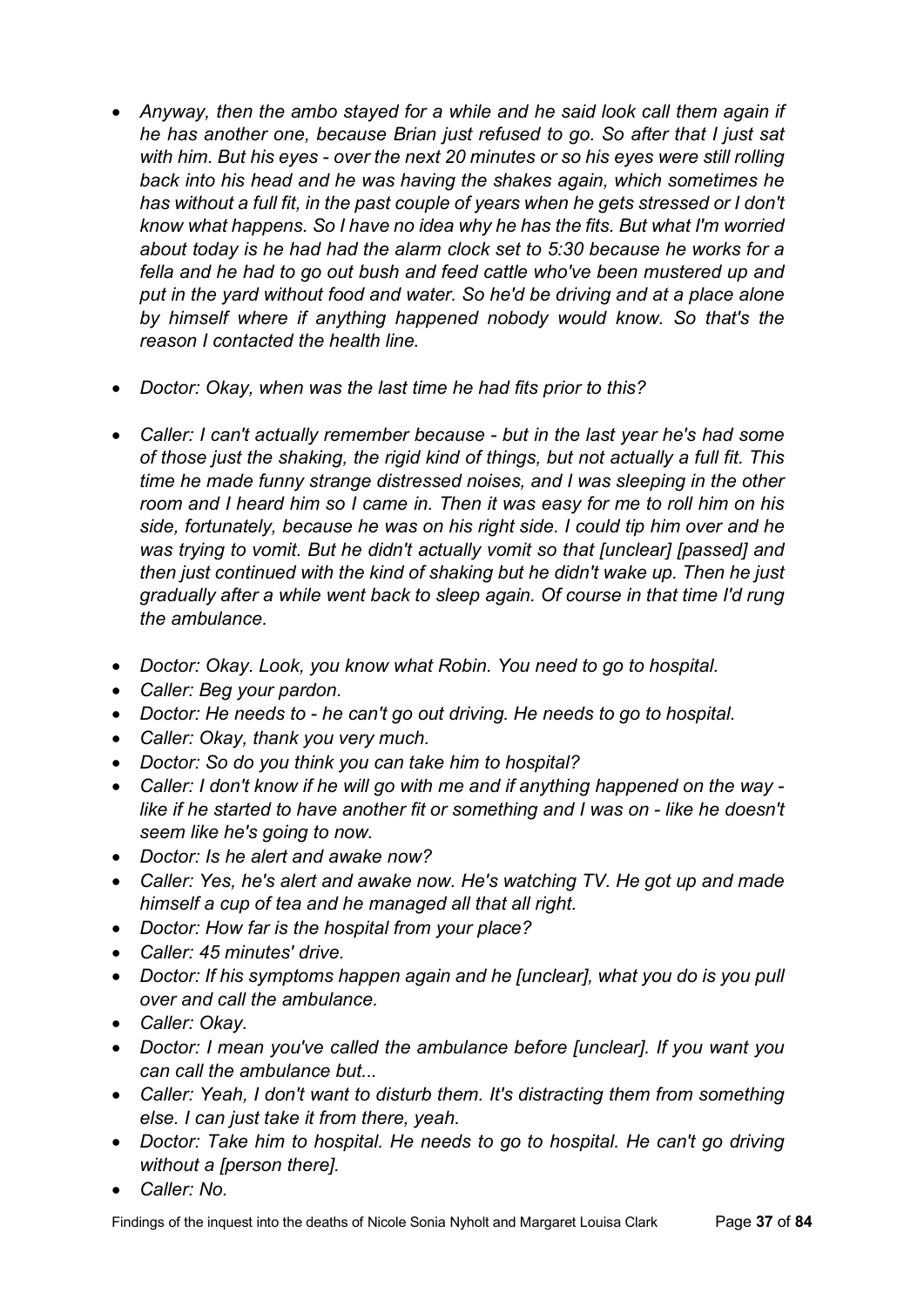- *Anyway, then the ambo stayed for a while and he said look call them again if he has another one, because Brian just refused to go. So after that I just sat with him. But his eyes - over the next 20 minutes or so his eyes were still rolling back into his head and he was having the shakes again, which sometimes he has without a full fit, in the past couple of years when he gets stressed or I don't know what happens. So I have no idea why he has the fits. But what I'm worried about today is he had had the alarm clock set to 5:30 because he works for a fella and he had to go out bush and feed cattle who've been mustered up and put in the yard without food and water. So he'd be driving and at a place alone by himself where if anything happened nobody would know. So that's the reason I contacted the health line.*
- *Doctor: Okay, when was the last time he had fits prior to this?*
- *Caller: I can't actually remember because - but in the last year he's had some of those just the shaking, the rigid kind of things, but not actually a full fit. This time he made funny strange distressed noises, and I was sleeping in the other room and I heard him so I came in. Then it was easy for me to roll him on his side, fortunately, because he was on his right side. I could tip him over and he was trying to vomit. But he didn't actually vomit so that [unclear] [passed] and then just continued with the kind of shaking but he didn't wake up. Then he just gradually after a while went back to sleep again. Of course in that time I'd rung the ambulance.*
- *Doctor: Okay. Look, you know what Robin. You need to go to hospital.*
- *Caller: Beg your pardon.*
- *Doctor: He needs to - he can't go out driving. He needs to go to hospital.*
- *Caller: Okay, thank you very much.*
- *Doctor: So do you think you can take him to hospital?*
- *Caller: I don't know if he will go with me and if anything happened on the way like if he started to have another fit or something and I was on - like he doesn't seem like he's going to now.*
- *Doctor: Is he alert and awake now?*
- *Caller: Yes, he's alert and awake now. He's watching TV. He got up and made himself a cup of tea and he managed all that all right.*
- *Doctor: How far is the hospital from your place?*
- *Caller: 45 minutes' drive.*
- *Doctor: If his symptoms happen again and he [unclear], what you do is you pull over and call the ambulance.*
- *Caller: Okay.*
- *Doctor: I mean you've called the ambulance before [unclear]. If you want you can call the ambulance but...*
- *Caller: Yeah, I don't want to disturb them. It's distracting them from something else. I can just take it from there, yeah.*
- *Doctor: Take him to hospital. He needs to go to hospital. He can't go driving without a [person there].*
- *Caller: No.*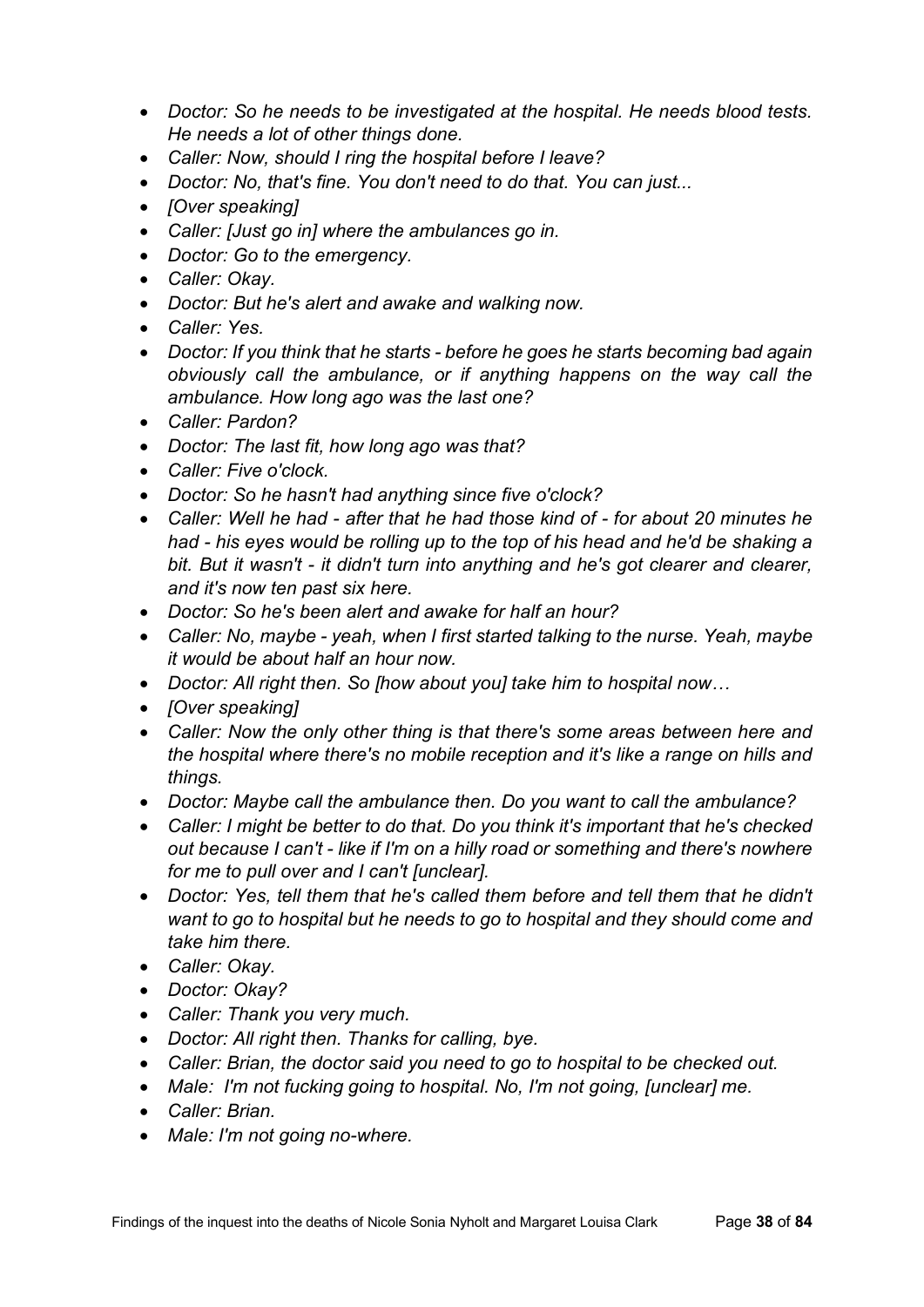- *Doctor: So he needs to be investigated at the hospital. He needs blood tests. He needs a lot of other things done.*
- *Caller: Now, should I ring the hospital before I leave?*
- *Doctor: No, that's fine. You don't need to do that. You can just...*
- *[Over speaking]*
- *Caller: [Just go in] where the ambulances go in.*
- *Doctor: Go to the emergency.*
- *Caller: Okay.*
- *Doctor: But he's alert and awake and walking now.*
- *Caller: Yes.*
- *Doctor: If you think that he starts - before he goes he starts becoming bad again obviously call the ambulance, or if anything happens on the way call the ambulance. How long ago was the last one?*
- *Caller: Pardon?*
- *Doctor: The last fit, how long ago was that?*
- *Caller: Five o'clock.*
- *Doctor: So he hasn't had anything since five o'clock?*
- *Caller: Well he had - after that he had those kind of - for about 20 minutes he had - his eyes would be rolling up to the top of his head and he'd be shaking a bit. But it wasn't - it didn't turn into anything and he's got clearer and clearer, and it's now ten past six here.*
- *Doctor: So he's been alert and awake for half an hour?*
- *Caller: No, maybe - yeah, when I first started talking to the nurse. Yeah, maybe it would be about half an hour now.*
- *Doctor: All right then. So [how about you] take him to hospital now…*
- *[Over speaking]*
- *Caller: Now the only other thing is that there's some areas between here and the hospital where there's no mobile reception and it's like a range on hills and things.*
- *Doctor: Maybe call the ambulance then. Do you want to call the ambulance?*
- *Caller: I might be better to do that. Do you think it's important that he's checked out because I can't - like if I'm on a hilly road or something and there's nowhere for me to pull over and I can't [unclear].*
- *Doctor: Yes, tell them that he's called them before and tell them that he didn't want to go to hospital but he needs to go to hospital and they should come and take him there.*
- *Caller: Okay.*
- *Doctor: Okay?*
- *Caller: Thank you very much.*
- *Doctor: All right then. Thanks for calling, bye.*
- *Caller: Brian, the doctor said you need to go to hospital to be checked out.*
- *Male: I'm not fucking going to hospital. No, I'm not going, [unclear] me.*
- *Caller: Brian.*
- *Male: I'm not going no-where.*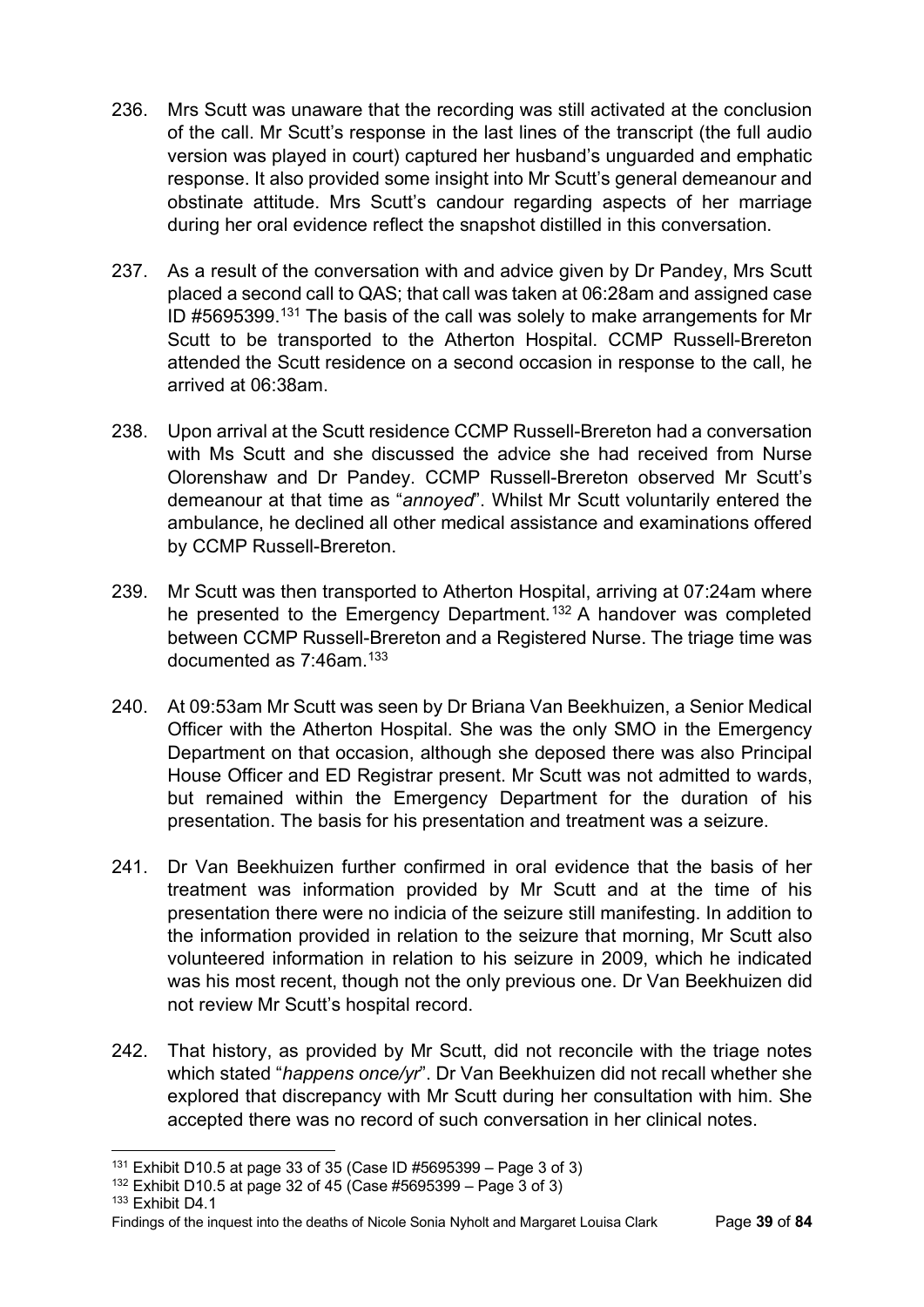- 236. Mrs Scutt was unaware that the recording was still activated at the conclusion of the call. Mr Scutt's response in the last lines of the transcript (the full audio version was played in court) captured her husband's unguarded and emphatic response. It also provided some insight into Mr Scutt's general demeanour and obstinate attitude. Mrs Scutt's candour regarding aspects of her marriage during her oral evidence reflect the snapshot distilled in this conversation.
- 237. As a result of the conversation with and advice given by Dr Pandey, Mrs Scutt placed a second call to QAS; that call was taken at 06:28am and assigned case ID #5695399.[131](#page-41-0) The basis of the call was solely to make arrangements for Mr Scutt to be transported to the Atherton Hospital. CCMP Russell-Brereton attended the Scutt residence on a second occasion in response to the call, he arrived at 06:38am.
- 238. Upon arrival at the Scutt residence CCMP Russell-Brereton had a conversation with Ms Scutt and she discussed the advice she had received from Nurse Olorenshaw and Dr Pandey. CCMP Russell-Brereton observed Mr Scutt's demeanour at that time as "*annoyed*". Whilst Mr Scutt voluntarily entered the ambulance, he declined all other medical assistance and examinations offered by CCMP Russell-Brereton.
- 239. Mr Scutt was then transported to Atherton Hospital, arriving at 07:24am where he presented to the Emergency Department. [132](#page-41-1) A handover was completed between CCMP Russell-Brereton and a Registered Nurse. The triage time was documented as 7:46am.[133](#page-41-2)
- 240. At 09:53am Mr Scutt was seen by Dr Briana Van Beekhuizen, a Senior Medical Officer with the Atherton Hospital. She was the only SMO in the Emergency Department on that occasion, although she deposed there was also Principal House Officer and ED Registrar present. Mr Scutt was not admitted to wards, but remained within the Emergency Department for the duration of his presentation. The basis for his presentation and treatment was a seizure.
- 241. Dr Van Beekhuizen further confirmed in oral evidence that the basis of her treatment was information provided by Mr Scutt and at the time of his presentation there were no indicia of the seizure still manifesting. In addition to the information provided in relation to the seizure that morning, Mr Scutt also volunteered information in relation to his seizure in 2009, which he indicated was his most recent, though not the only previous one. Dr Van Beekhuizen did not review Mr Scutt's hospital record.
- 242. That history, as provided by Mr Scutt, did not reconcile with the triage notes which stated "*happens once/yr*". Dr Van Beekhuizen did not recall whether she explored that discrepancy with Mr Scutt during her consultation with him. She accepted there was no record of such conversation in her clinical notes.

<span id="page-41-0"></span><sup>&</sup>lt;sup>131</sup> Exhibit D10.5 at page 33 of 35 (Case ID #5695399 – Page 3 of 3)

<span id="page-41-1"></span> $132$  Exhibit D10.5 at page 32 of 45 (Case #5695399 – Page 3 of 3)

<sup>133</sup> Exhibit D4.1

<span id="page-41-2"></span>Findings of the inquest into the deaths of Nicole Sonia Nyholt and Margaret Louisa Clark Page **39** of **84**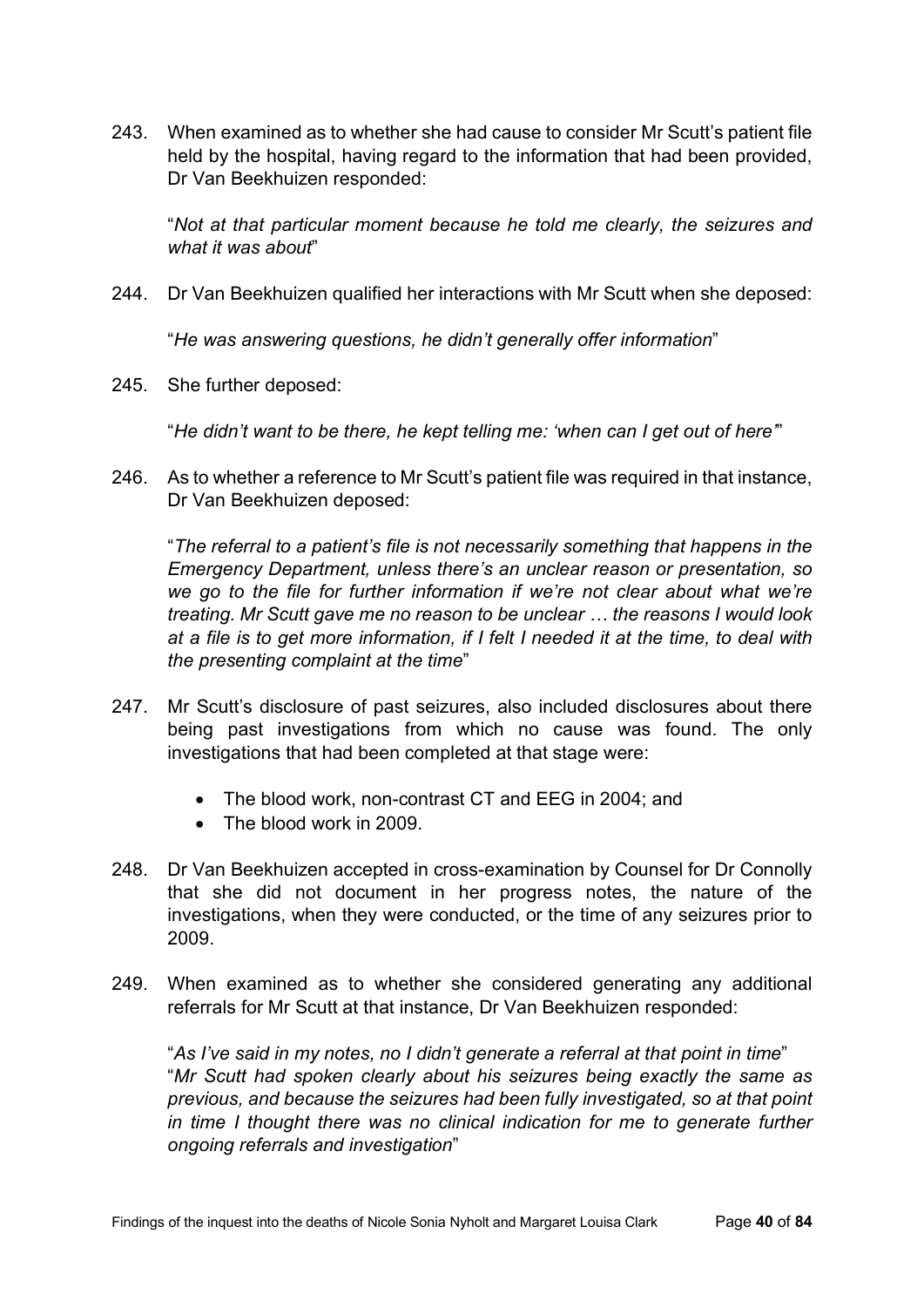243. When examined as to whether she had cause to consider Mr Scutt's patient file held by the hospital, having regard to the information that had been provided, Dr Van Beekhuizen responded:

"*Not at that particular moment because he told me clearly, the seizures and what it was about*"

244. Dr Van Beekhuizen qualified her interactions with Mr Scutt when she deposed:

"*He was answering questions, he didn't generally offer information*"

245. She further deposed:

"*He didn't want to be there, he kept telling me: 'when can I get out of here'*"

246. As to whether a reference to Mr Scutt's patient file was required in that instance, Dr Van Beekhuizen deposed:

"*The referral to a patient's file is not necessarily something that happens in the Emergency Department, unless there's an unclear reason or presentation, so we go to the file for further information if we're not clear about what we're treating. Mr Scutt gave me no reason to be unclear … the reasons I would look at a file is to get more information, if I felt I needed it at the time, to deal with the presenting complaint at the time*"

- 247. Mr Scutt's disclosure of past seizures, also included disclosures about there being past investigations from which no cause was found. The only investigations that had been completed at that stage were:
	- The blood work, non-contrast CT and EEG in 2004; and
	- The blood work in 2009.
- 248. Dr Van Beekhuizen accepted in cross-examination by Counsel for Dr Connolly that she did not document in her progress notes, the nature of the investigations, when they were conducted, or the time of any seizures prior to 2009.
- 249. When examined as to whether she considered generating any additional referrals for Mr Scutt at that instance, Dr Van Beekhuizen responded:

"*As I've said in my notes, no I didn't generate a referral at that point in time*" "*Mr Scutt had spoken clearly about his seizures being exactly the same as previous, and because the seizures had been fully investigated, so at that point in time I thought there was no clinical indication for me to generate further ongoing referrals and investigation*"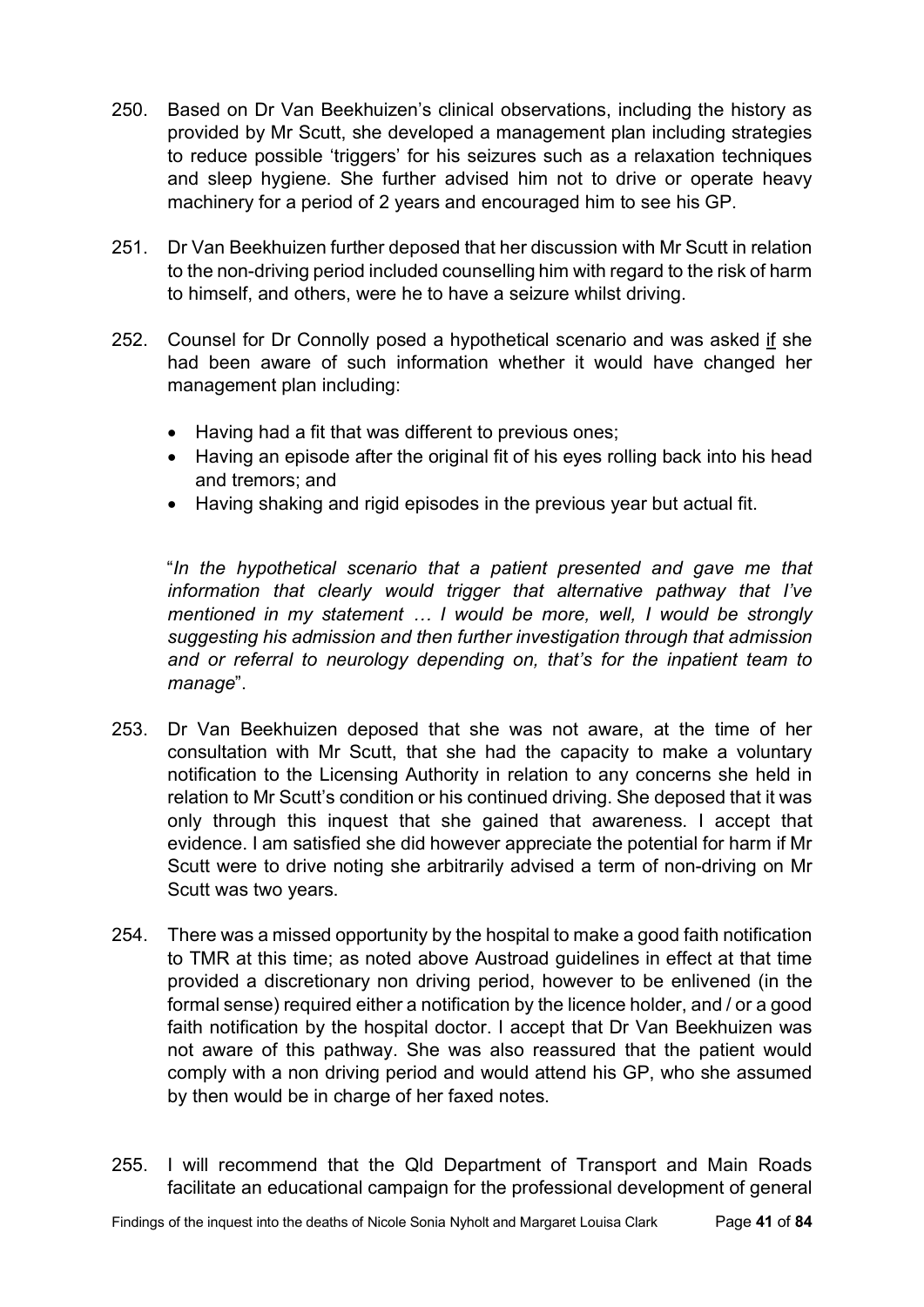- 250. Based on Dr Van Beekhuizen's clinical observations, including the history as provided by Mr Scutt, she developed a management plan including strategies to reduce possible 'triggers' for his seizures such as a relaxation techniques and sleep hygiene. She further advised him not to drive or operate heavy machinery for a period of 2 years and encouraged him to see his GP.
- 251. Dr Van Beekhuizen further deposed that her discussion with Mr Scutt in relation to the non-driving period included counselling him with regard to the risk of harm to himself, and others, were he to have a seizure whilst driving.
- 252. Counsel for Dr Connolly posed a hypothetical scenario and was asked if she had been aware of such information whether it would have changed her management plan including:
	- Having had a fit that was different to previous ones;
	- Having an episode after the original fit of his eyes rolling back into his head and tremors; and
	- Having shaking and rigid episodes in the previous year but actual fit.

"*In the hypothetical scenario that a patient presented and gave me that information that clearly would trigger that alternative pathway that I've mentioned in my statement … I would be more, well, I would be strongly suggesting his admission and then further investigation through that admission and or referral to neurology depending on, that's for the inpatient team to manage*".

- 253. Dr Van Beekhuizen deposed that she was not aware, at the time of her consultation with Mr Scutt, that she had the capacity to make a voluntary notification to the Licensing Authority in relation to any concerns she held in relation to Mr Scutt's condition or his continued driving. She deposed that it was only through this inquest that she gained that awareness. I accept that evidence. I am satisfied she did however appreciate the potential for harm if Mr Scutt were to drive noting she arbitrarily advised a term of non-driving on Mr Scutt was two years.
- 254. There was a missed opportunity by the hospital to make a good faith notification to TMR at this time; as noted above Austroad guidelines in effect at that time provided a discretionary non driving period, however to be enlivened (in the formal sense) required either a notification by the licence holder, and / or a good faith notification by the hospital doctor. I accept that Dr Van Beekhuizen was not aware of this pathway. She was also reassured that the patient would comply with a non driving period and would attend his GP, who she assumed by then would be in charge of her faxed notes.
- 255. I will recommend that the Qld Department of Transport and Main Roads facilitate an educational campaign for the professional development of general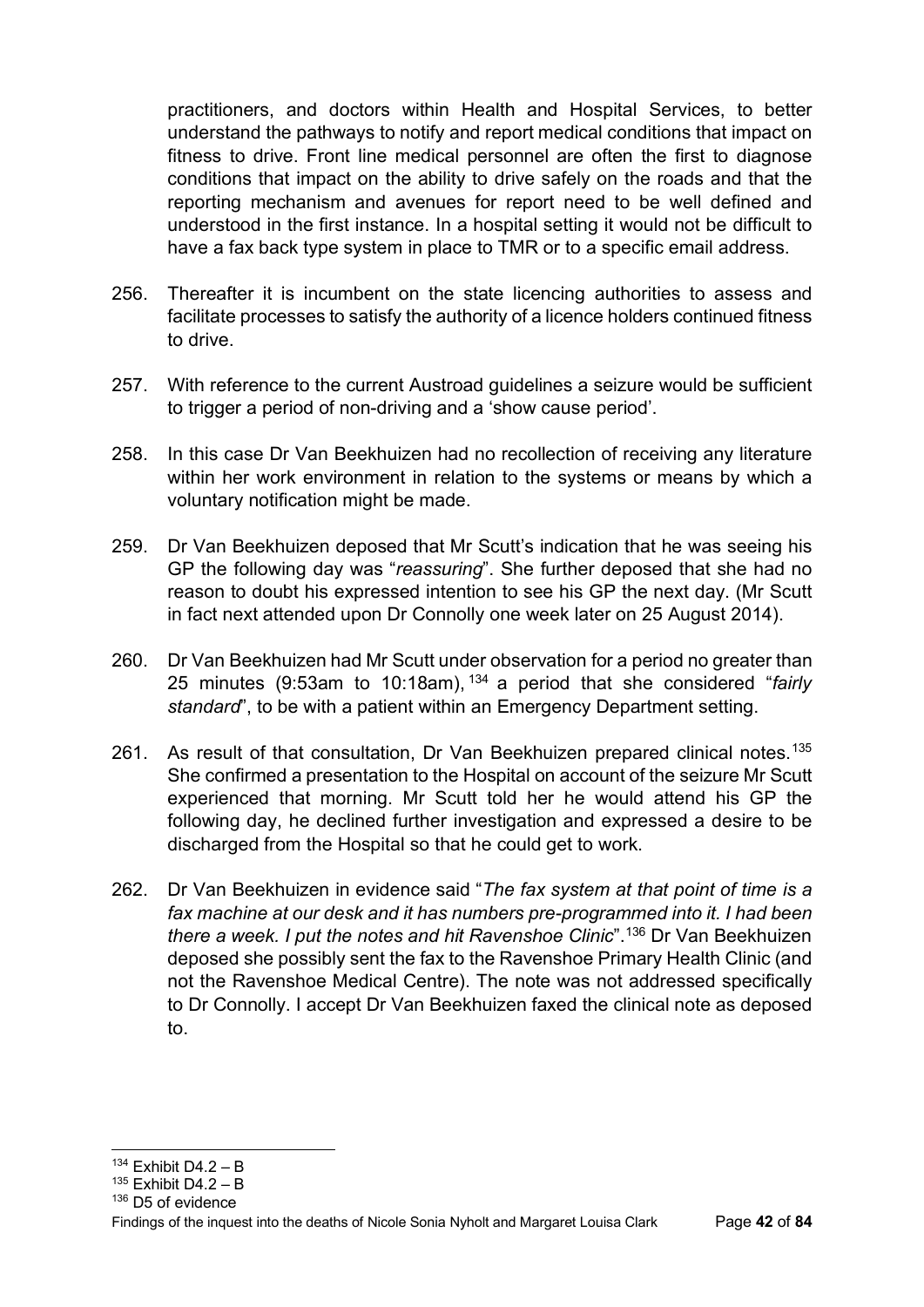practitioners, and doctors within Health and Hospital Services, to better understand the pathways to notify and report medical conditions that impact on fitness to drive. Front line medical personnel are often the first to diagnose conditions that impact on the ability to drive safely on the roads and that the reporting mechanism and avenues for report need to be well defined and understood in the first instance. In a hospital setting it would not be difficult to have a fax back type system in place to TMR or to a specific email address.

- 256. Thereafter it is incumbent on the state licencing authorities to assess and facilitate processes to satisfy the authority of a licence holders continued fitness to drive.
- 257. With reference to the current Austroad guidelines a seizure would be sufficient to trigger a period of non-driving and a 'show cause period'.
- 258. In this case Dr Van Beekhuizen had no recollection of receiving any literature within her work environment in relation to the systems or means by which a voluntary notification might be made.
- 259. Dr Van Beekhuizen deposed that Mr Scutt's indication that he was seeing his GP the following day was "*reassuring*". She further deposed that she had no reason to doubt his expressed intention to see his GP the next day. (Mr Scutt in fact next attended upon Dr Connolly one week later on 25 August 2014).
- 260. Dr Van Beekhuizen had Mr Scutt under observation for a period no greater than 25 minutes (9:53am to 10:18am), [134](#page-44-0) a period that she considered "*fairly standard*", to be with a patient within an Emergency Department setting.
- 261. As result of that consultation, Dr Van Beekhuizen prepared clinical notes.<sup>[135](#page-44-1)</sup> She confirmed a presentation to the Hospital on account of the seizure Mr Scutt experienced that morning. Mr Scutt told her he would attend his GP the following day, he declined further investigation and expressed a desire to be discharged from the Hospital so that he could get to work.
- 262. Dr Van Beekhuizen in evidence said "*The fax system at that point of time is a fax machine at our desk and it has numbers pre-programmed into it. I had been there a week. I put the notes and hit Ravenshoe Clinic*".[136](#page-44-2) Dr Van Beekhuizen deposed she possibly sent the fax to the Ravenshoe Primary Health Clinic (and not the Ravenshoe Medical Centre). The note was not addressed specifically to Dr Connolly. I accept Dr Van Beekhuizen faxed the clinical note as deposed to.

<span id="page-44-0"></span> $134$  Exhibit D4.2 - B

<span id="page-44-1"></span> $135$  Exhibit D4.2 – B

<span id="page-44-2"></span> $136$  D5 of evidence

Findings of the inquest into the deaths of Nicole Sonia Nyholt and Margaret Louisa Clark Page **42** of **84**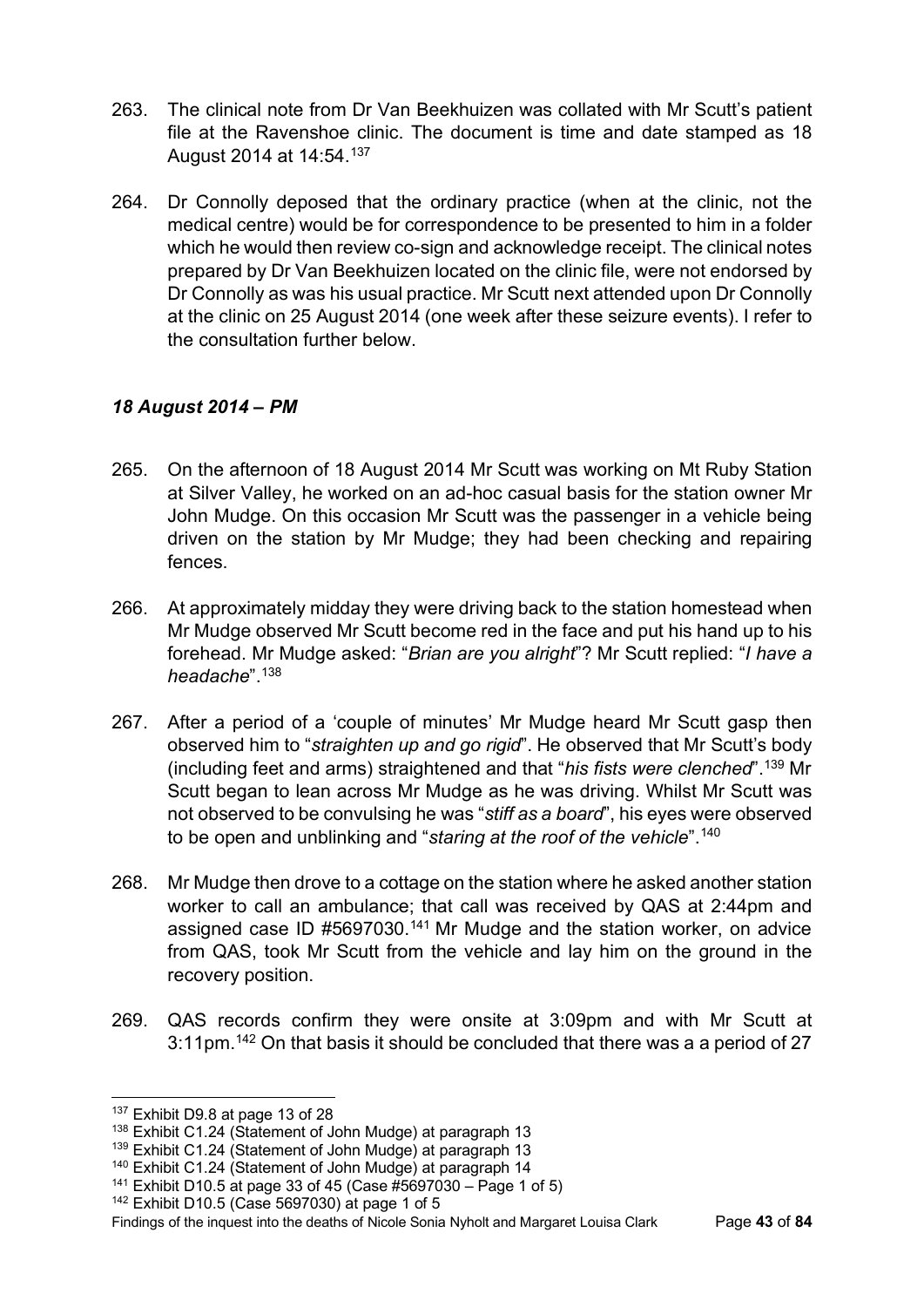- 263. The clinical note from Dr Van Beekhuizen was collated with Mr Scutt's patient file at the Ravenshoe clinic. The document is time and date stamped as 18 August 2014 at 14:54.[137](#page-45-0)
- 264. Dr Connolly deposed that the ordinary practice (when at the clinic, not the medical centre) would be for correspondence to be presented to him in a folder which he would then review co-sign and acknowledge receipt. The clinical notes prepared by Dr Van Beekhuizen located on the clinic file, were not endorsed by Dr Connolly as was his usual practice. Mr Scutt next attended upon Dr Connolly at the clinic on 25 August 2014 (one week after these seizure events). I refer to the consultation further below.

# *18 August 2014 – PM*

- 265. On the afternoon of 18 August 2014 Mr Scutt was working on Mt Ruby Station at Silver Valley, he worked on an ad-hoc casual basis for the station owner Mr John Mudge. On this occasion Mr Scutt was the passenger in a vehicle being driven on the station by Mr Mudge; they had been checking and repairing fences.
- 266. At approximately midday they were driving back to the station homestead when Mr Mudge observed Mr Scutt become red in the face and put his hand up to his forehead. Mr Mudge asked: "*Brian are you alright*"? Mr Scutt replied: "*I have a headache*"[.138](#page-45-1)
- 267. After a period of a 'couple of minutes' Mr Mudge heard Mr Scutt gasp then observed him to "*straighten up and go rigid*". He observed that Mr Scutt's body (including feet and arms) straightened and that "*his fists were clenched*"[.139](#page-45-2) Mr Scutt began to lean across Mr Mudge as he was driving. Whilst Mr Scutt was not observed to be convulsing he was "*stiff as a board*", his eyes were observed to be open and unblinking and "*staring at the roof of the vehicle*". [140](#page-45-3)
- 268. Mr Mudge then drove to a cottage on the station where he asked another station worker to call an ambulance; that call was received by QAS at 2:44pm and assigned case ID #5697030.[141](#page-45-4) Mr Mudge and the station worker, on advice from QAS, took Mr Scutt from the vehicle and lay him on the ground in the recovery position.
- 269. QAS records confirm they were onsite at 3:09pm and with Mr Scutt at 3:11pm.[142](#page-45-5) On that basis it should be concluded that there was a a period of 27

<span id="page-45-0"></span><sup>&</sup>lt;sup>137</sup> Exhibit D9.8 at page 13 of 28

<span id="page-45-1"></span><sup>&</sup>lt;sup>138</sup> Exhibit C1.24 (Statement of John Mudge) at paragraph 13

<span id="page-45-2"></span><sup>139</sup> Exhibit C1.24 (Statement of John Mudge) at paragraph 13

<span id="page-45-3"></span><sup>140</sup> Exhibit C1.24 (Statement of John Mudge) at paragraph 14

<span id="page-45-4"></span><sup>&</sup>lt;sup>141</sup> Exhibit D10.5 at page 33 of 45 (Case  $#5697030 -$  Page 1 of 5)

<span id="page-45-5"></span><sup>142</sup> Exhibit D10.5 (Case 5697030) at page 1 of 5

Findings of the inquest into the deaths of Nicole Sonia Nyholt and Margaret Louisa Clark Page **43** of **84**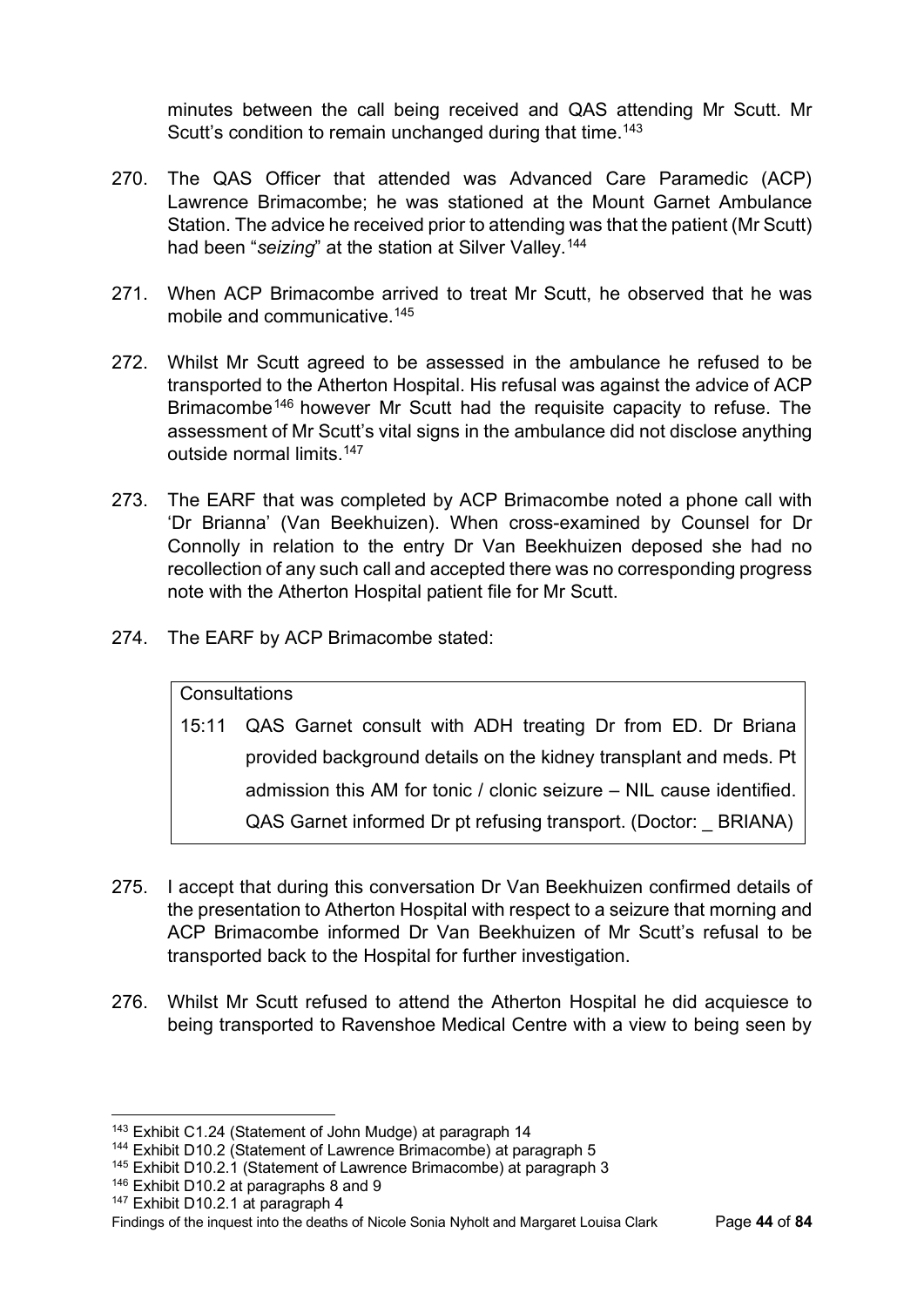minutes between the call being received and QAS attending Mr Scutt. Mr Scutt's condition to remain unchanged during that time.<sup>143</sup>

- 270. The QAS Officer that attended was Advanced Care Paramedic (ACP) Lawrence Brimacombe; he was stationed at the Mount Garnet Ambulance Station. The advice he received prior to attending was that the patient (Mr Scutt) had been "*seizing*" at the station at Silver Valley.<sup>[144](#page-46-1)</sup>
- 271. When ACP Brimacombe arrived to treat Mr Scutt, he observed that he was mobile and communicative.<sup>[145](#page-46-2)</sup>
- 272. Whilst Mr Scutt agreed to be assessed in the ambulance he refused to be transported to the Atherton Hospital. His refusal was against the advice of ACP Brimacombe<sup>[146](#page-46-3)</sup> however Mr Scutt had the requisite capacity to refuse. The assessment of Mr Scutt's vital signs in the ambulance did not disclose anything outside normal limits.<sup>147</sup>
- 273. The EARF that was completed by ACP Brimacombe noted a phone call with 'Dr Brianna' (Van Beekhuizen). When cross-examined by Counsel for Dr Connolly in relation to the entry Dr Van Beekhuizen deposed she had no recollection of any such call and accepted there was no corresponding progress note with the Atherton Hospital patient file for Mr Scutt.
- 274. The EARF by ACP Brimacombe stated:

#### **Consultations**

15:11 QAS Garnet consult with ADH treating Dr from ED. Dr Briana provided background details on the kidney transplant and meds. Pt admission this AM for tonic / clonic seizure – NIL cause identified. QAS Garnet informed Dr pt refusing transport. (Doctor: \_ BRIANA)

- 275. I accept that during this conversation Dr Van Beekhuizen confirmed details of the presentation to Atherton Hospital with respect to a seizure that morning and ACP Brimacombe informed Dr Van Beekhuizen of Mr Scutt's refusal to be transported back to the Hospital for further investigation.
- 276. Whilst Mr Scutt refused to attend the Atherton Hospital he did acquiesce to being transported to Ravenshoe Medical Centre with a view to being seen by

<span id="page-46-0"></span><sup>143</sup> Exhibit C1.24 (Statement of John Mudge) at paragraph 14

<span id="page-46-1"></span><sup>144</sup> Exhibit D10.2 (Statement of Lawrence Brimacombe) at paragraph 5

<span id="page-46-2"></span><sup>&</sup>lt;sup>145</sup> Exhibit D10.2.1 (Statement of Lawrence Brimacombe) at paragraph 3

<span id="page-46-3"></span><sup>&</sup>lt;sup>146</sup> Exhibit D10.2 at paragraphs 8 and 9

<span id="page-46-4"></span><sup>147</sup> Exhibit D10.2.1 at paragraph 4

Findings of the inquest into the deaths of Nicole Sonia Nyholt and Margaret Louisa Clark Page **44** of **84**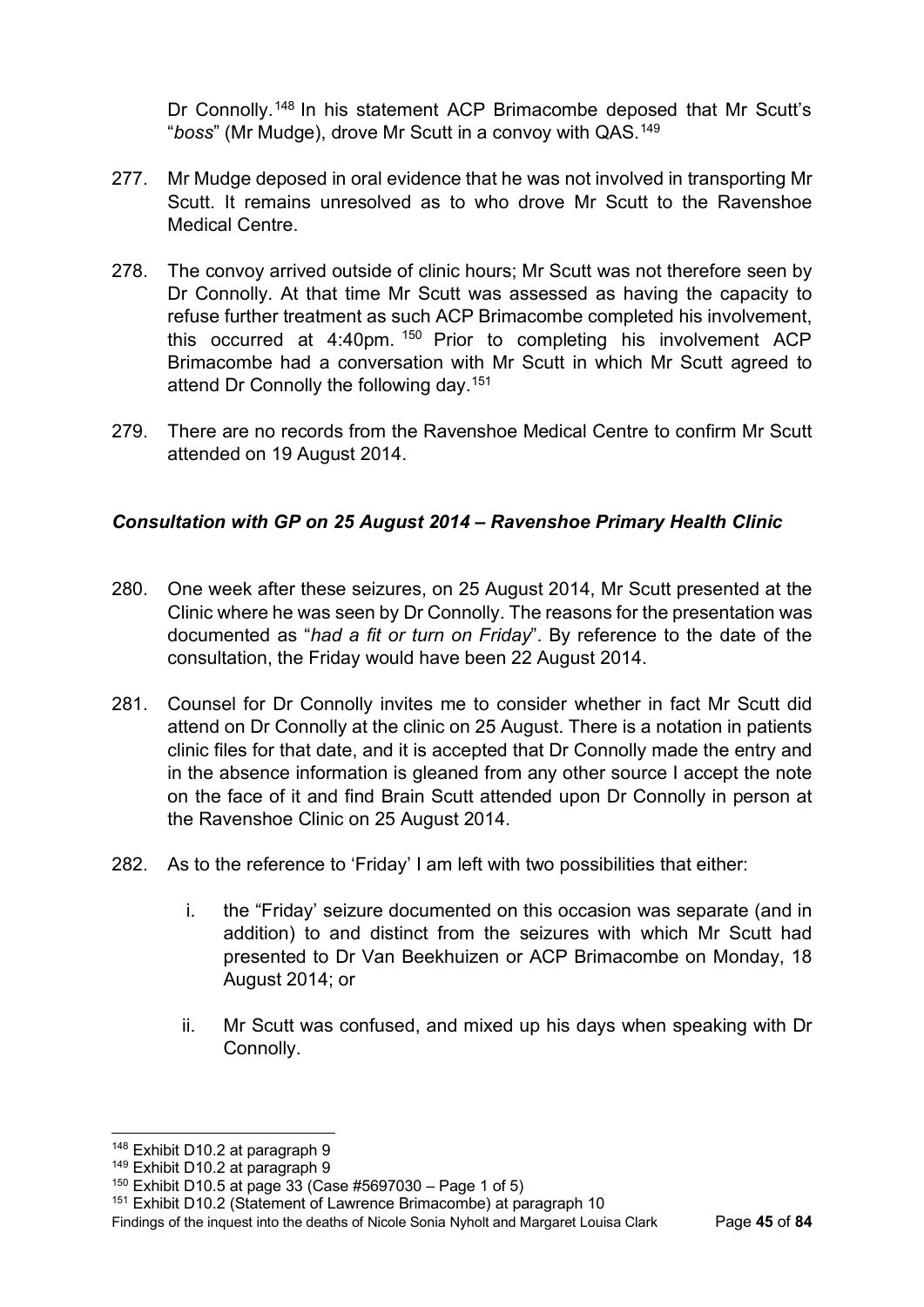Dr Connolly.[148](#page-47-0) In his statement ACP Brimacombe deposed that Mr Scutt's "*boss*" (Mr Mudge), drove Mr Scutt in a convoy with QAS.[149](#page-47-1)

- 277. Mr Mudge deposed in oral evidence that he was not involved in transporting Mr Scutt. It remains unresolved as to who drove Mr Scutt to the Ravenshoe Medical Centre.
- 278. The convoy arrived outside of clinic hours; Mr Scutt was not therefore seen by Dr Connolly. At that time Mr Scutt was assessed as having the capacity to refuse further treatment as such ACP Brimacombe completed his involvement, this occurred at 4:40pm. [150](#page-47-2) Prior to completing his involvement ACP Brimacombe had a conversation with Mr Scutt in which Mr Scutt agreed to attend Dr Connolly the following day.[151](#page-47-3)
- 279. There are no records from the Ravenshoe Medical Centre to confirm Mr Scutt attended on 19 August 2014.

# *Consultation with GP on 25 August 2014 – Ravenshoe Primary Health Clinic*

- 280. One week after these seizures, on 25 August 2014, Mr Scutt presented at the Clinic where he was seen by Dr Connolly. The reasons for the presentation was documented as "*had a fit or turn on Friday*". By reference to the date of the consultation, the Friday would have been 22 August 2014.
- 281. Counsel for Dr Connolly invites me to consider whether in fact Mr Scutt did attend on Dr Connolly at the clinic on 25 August. There is a notation in patients clinic files for that date, and it is accepted that Dr Connolly made the entry and in the absence information is gleaned from any other source I accept the note on the face of it and find Brain Scutt attended upon Dr Connolly in person at the Ravenshoe Clinic on 25 August 2014.
- 282. As to the reference to 'Friday' I am left with two possibilities that either:
	- i. the "Friday' seizure documented on this occasion was separate (and in addition) to and distinct from the seizures with which Mr Scutt had presented to Dr Van Beekhuizen or ACP Brimacombe on Monday, 18 August 2014; or
	- ii. Mr Scutt was confused, and mixed up his days when speaking with Dr Connolly.

<span id="page-47-0"></span><sup>&</sup>lt;sup>148</sup> Exhibit D10.2 at paragraph 9

<sup>149</sup> Exhibit D10.2 at paragraph 9

<span id="page-47-2"></span><span id="page-47-1"></span> $150$  Exhibit D10.5 at page 33 (Case #5697030 – Page 1 of 5)

<span id="page-47-3"></span><sup>&</sup>lt;sup>151</sup> Exhibit D10.2 (Statement of Lawrence Brimacombe) at paragraph 10

Findings of the inquest into the deaths of Nicole Sonia Nyholt and Margaret Louisa Clark Page **45** of **84**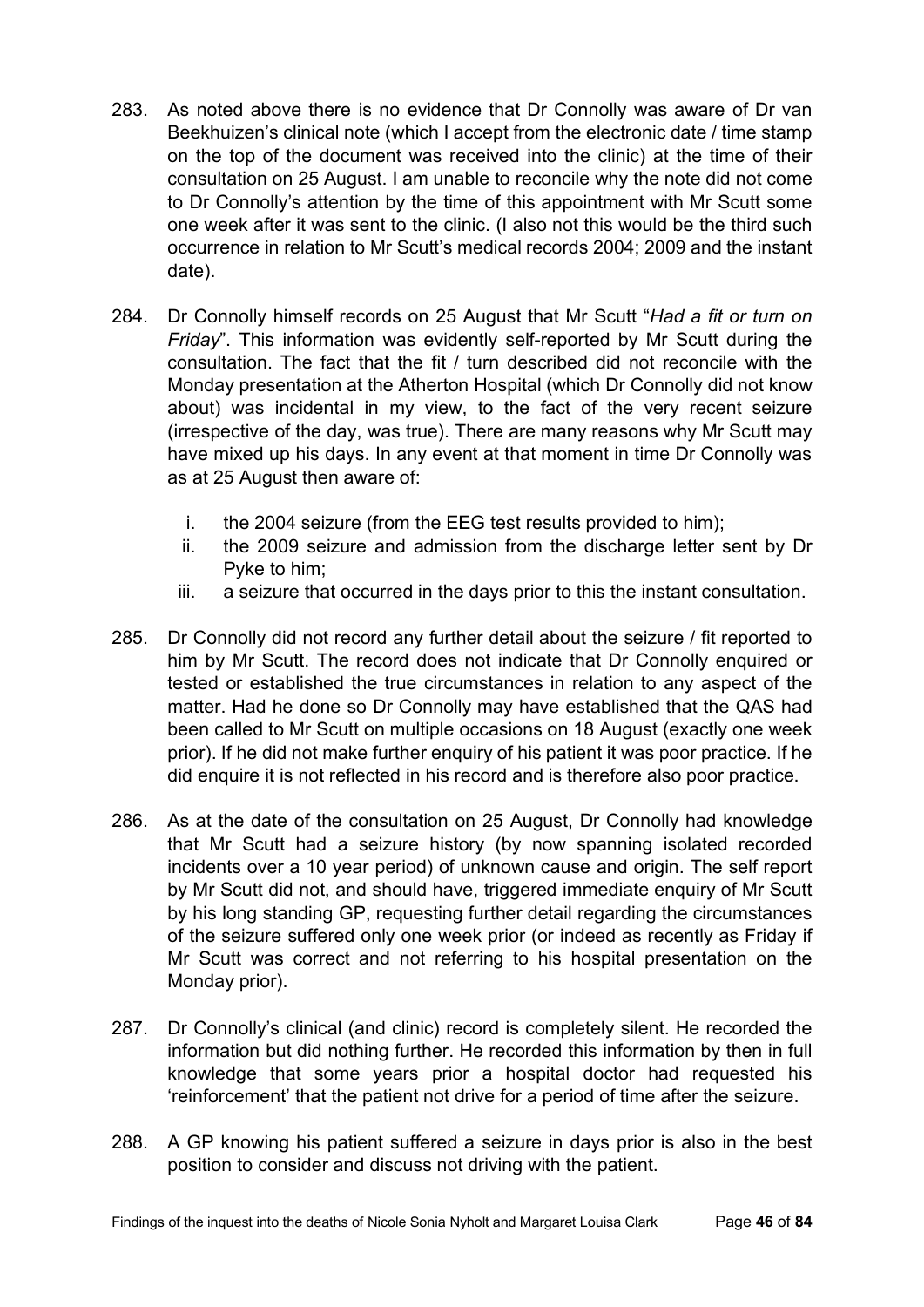- 283. As noted above there is no evidence that Dr Connolly was aware of Dr van Beekhuizen's clinical note (which I accept from the electronic date / time stamp on the top of the document was received into the clinic) at the time of their consultation on 25 August. I am unable to reconcile why the note did not come to Dr Connolly's attention by the time of this appointment with Mr Scutt some one week after it was sent to the clinic. (I also not this would be the third such occurrence in relation to Mr Scutt's medical records 2004; 2009 and the instant date).
- 284. Dr Connolly himself records on 25 August that Mr Scutt "*Had a fit or turn on Friday*". This information was evidently self-reported by Mr Scutt during the consultation. The fact that the fit / turn described did not reconcile with the Monday presentation at the Atherton Hospital (which Dr Connolly did not know about) was incidental in my view, to the fact of the very recent seizure (irrespective of the day, was true). There are many reasons why Mr Scutt may have mixed up his days. In any event at that moment in time Dr Connolly was as at 25 August then aware of:
	- i. the 2004 seizure (from the EEG test results provided to him);
	- ii. the 2009 seizure and admission from the discharge letter sent by Dr Pyke to him;
	- iii. a seizure that occurred in the days prior to this the instant consultation.
- 285. Dr Connolly did not record any further detail about the seizure / fit reported to him by Mr Scutt. The record does not indicate that Dr Connolly enquired or tested or established the true circumstances in relation to any aspect of the matter. Had he done so Dr Connolly may have established that the QAS had been called to Mr Scutt on multiple occasions on 18 August (exactly one week prior). If he did not make further enquiry of his patient it was poor practice. If he did enquire it is not reflected in his record and is therefore also poor practice.
- 286. As at the date of the consultation on 25 August, Dr Connolly had knowledge that Mr Scutt had a seizure history (by now spanning isolated recorded incidents over a 10 year period) of unknown cause and origin. The self report by Mr Scutt did not, and should have, triggered immediate enquiry of Mr Scutt by his long standing GP, requesting further detail regarding the circumstances of the seizure suffered only one week prior (or indeed as recently as Friday if Mr Scutt was correct and not referring to his hospital presentation on the Monday prior).
- 287. Dr Connolly's clinical (and clinic) record is completely silent. He recorded the information but did nothing further. He recorded this information by then in full knowledge that some years prior a hospital doctor had requested his 'reinforcement' that the patient not drive for a period of time after the seizure.
- 288. A GP knowing his patient suffered a seizure in days prior is also in the best position to consider and discuss not driving with the patient.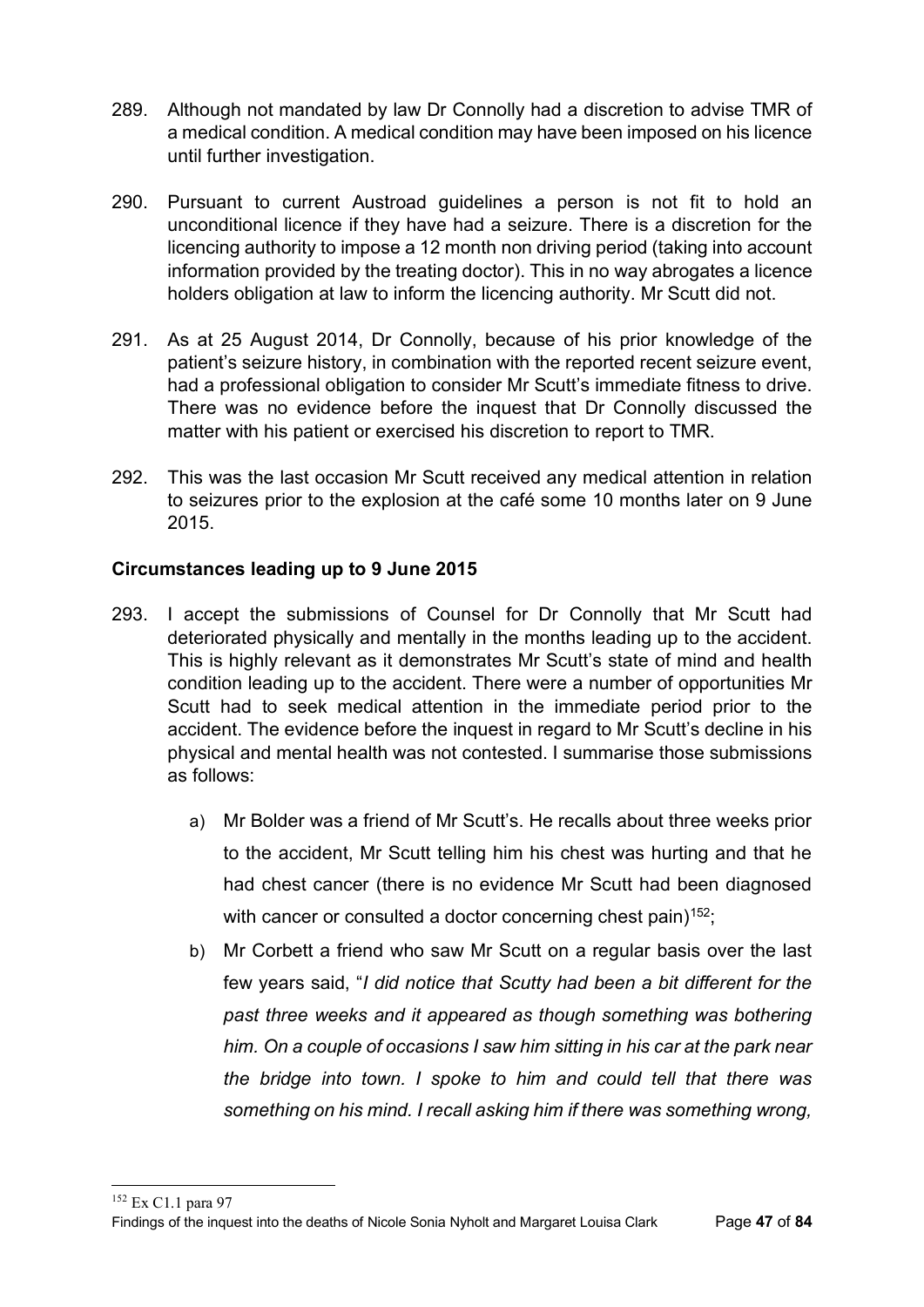- 289. Although not mandated by law Dr Connolly had a discretion to advise TMR of a medical condition. A medical condition may have been imposed on his licence until further investigation.
- 290. Pursuant to current Austroad guidelines a person is not fit to hold an unconditional licence if they have had a seizure. There is a discretion for the licencing authority to impose a 12 month non driving period (taking into account information provided by the treating doctor). This in no way abrogates a licence holders obligation at law to inform the licencing authority. Mr Scutt did not.
- 291. As at 25 August 2014, Dr Connolly, because of his prior knowledge of the patient's seizure history, in combination with the reported recent seizure event, had a professional obligation to consider Mr Scutt's immediate fitness to drive. There was no evidence before the inquest that Dr Connolly discussed the matter with his patient or exercised his discretion to report to TMR.
- 292. This was the last occasion Mr Scutt received any medical attention in relation to seizures prior to the explosion at the café some 10 months later on 9 June 2015.

# **Circumstances leading up to 9 June 2015**

- <span id="page-49-0"></span>293. I accept the submissions of Counsel for Dr Connolly that Mr Scutt had deteriorated physically and mentally in the months leading up to the accident. This is highly relevant as it demonstrates Mr Scutt's state of mind and health condition leading up to the accident. There were a number of opportunities Mr Scutt had to seek medical attention in the immediate period prior to the accident. The evidence before the inquest in regard to Mr Scutt's decline in his physical and mental health was not contested. I summarise those submissions as follows:
	- a) Mr Bolder was a friend of Mr Scutt's. He recalls about three weeks prior to the accident, Mr Scutt telling him his chest was hurting and that he had chest cancer (there is no evidence Mr Scutt had been diagnosed with cancer or consulted a doctor concerning chest pain)<sup>152</sup>;
	- b) Mr Corbett a friend who saw Mr Scutt on a regular basis over the last few years said, "*I did notice that Scutty had been a bit different for the past three weeks and it appeared as though something was bothering him. On a couple of occasions I saw him sitting in his car at the park near the bridge into town. I spoke to him and could tell that there was something on his mind. I recall asking him if there was something wrong,*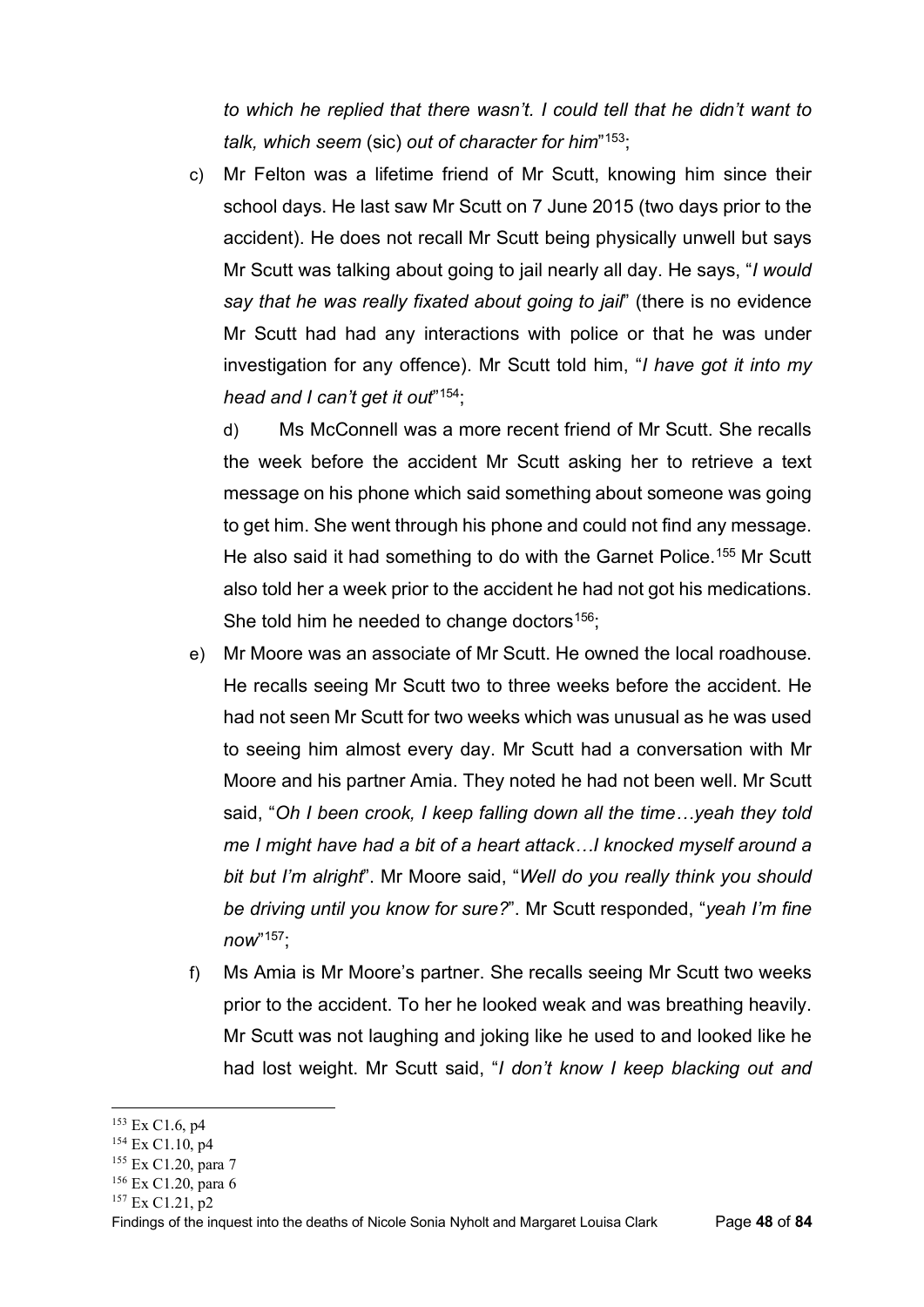*to which he replied that there wasn't. I could tell that he didn't want to talk, which seem* (sic) *out of character for him*"[153;](#page-50-0)

c) Mr Felton was a lifetime friend of Mr Scutt, knowing him since their school days. He last saw Mr Scutt on 7 June 2015 (two days prior to the accident). He does not recall Mr Scutt being physically unwell but says Mr Scutt was talking about going to jail nearly all day. He says, "*I would say that he was really fixated about going to jail*" (there is no evidence Mr Scutt had had any interactions with police or that he was under investigation for any offence). Mr Scutt told him, "*I have got it into my head and I can't get it out*"[154](#page-50-1);

d) Ms McConnell was a more recent friend of Mr Scutt. She recalls the week before the accident Mr Scutt asking her to retrieve a text message on his phone which said something about someone was going to get him. She went through his phone and could not find any message. He also said it had something to do with the Garnet Police.<sup>155</sup> Mr Scutt also told her a week prior to the accident he had not got his medications. She told him he needed to change doctors<sup>[156](#page-50-3)</sup>:

- e) Mr Moore was an associate of Mr Scutt. He owned the local roadhouse. He recalls seeing Mr Scutt two to three weeks before the accident. He had not seen Mr Scutt for two weeks which was unusual as he was used to seeing him almost every day. Mr Scutt had a conversation with Mr Moore and his partner Amia. They noted he had not been well. Mr Scutt said, "*Oh I been crook, I keep falling down all the time…yeah they told me I might have had a bit of a heart attack…I knocked myself around a bit but I'm alright*". Mr Moore said, "*Well do you really think you should be driving until you know for sure?*". Mr Scutt responded, "*yeah I'm fine now*["157](#page-50-4);
- f) Ms Amia is Mr Moore's partner. She recalls seeing Mr Scutt two weeks prior to the accident. To her he looked weak and was breathing heavily. Mr Scutt was not laughing and joking like he used to and looked like he had lost weight. Mr Scutt said, "*I don't know I keep blacking out and*

<span id="page-50-3"></span>

<span id="page-50-4"></span>Findings of the inquest into the deaths of Nicole Sonia Nyholt and Margaret Louisa Clark Page **48** of **84**

<span id="page-50-1"></span>

<span id="page-50-2"></span>

<span id="page-50-0"></span><sup>153</sup> Ex C1.6, p4<br>
154 Ex C1.10, p4<br>
155 Ex C1.20, para 7<br>
156 Ex C1.20, para 6<br>
157 Ex C1.21, p2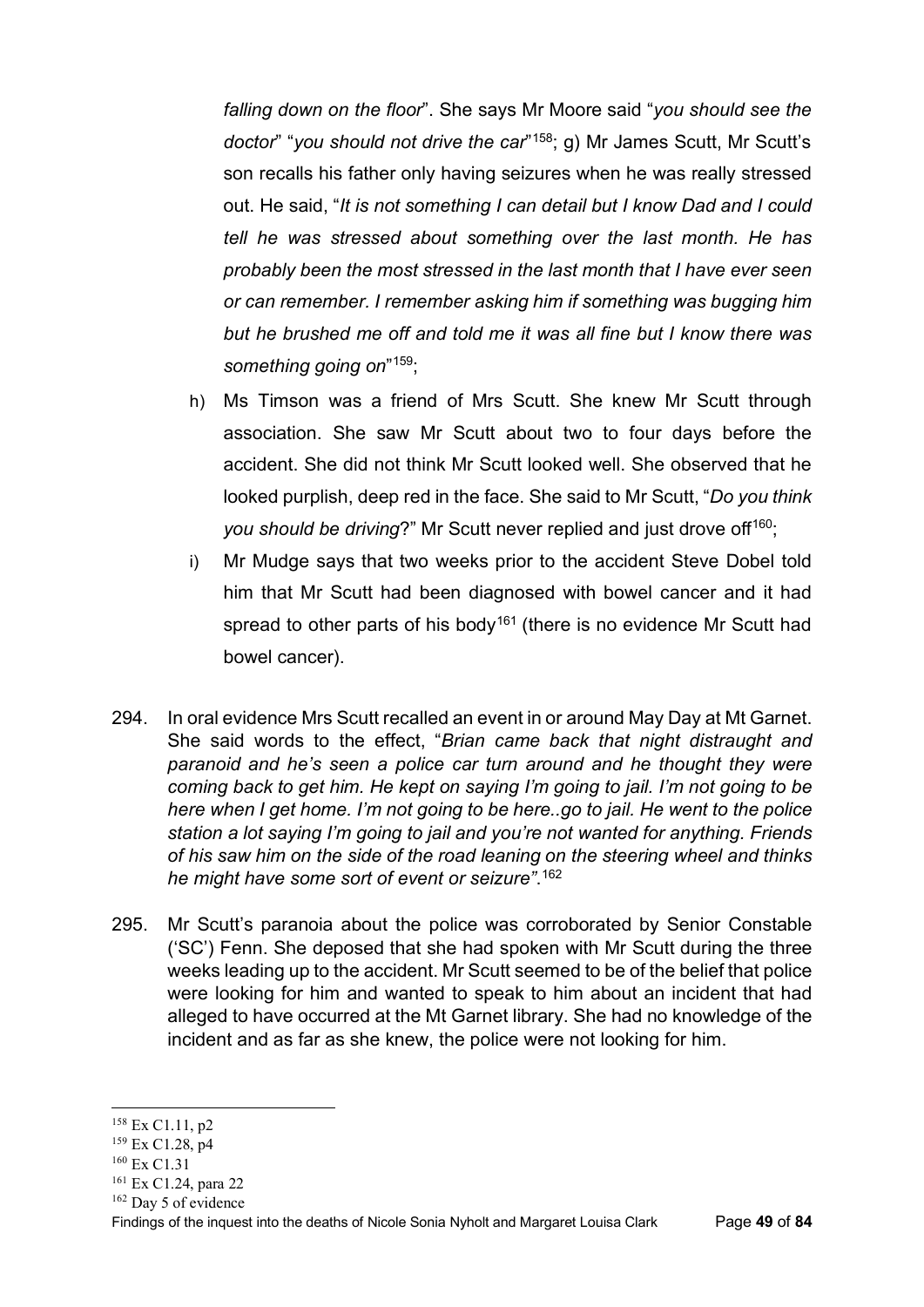*falling down on the floor*". She says Mr Moore said "*you should see the doctor*" "*you should not drive the car*"[158](#page-51-0); g) Mr James Scutt, Mr Scutt's son recalls his father only having seizures when he was really stressed out. He said, "*It is not something I can detail but I know Dad and I could tell he was stressed about something over the last month. He has probably been the most stressed in the last month that I have ever seen or can remember. I remember asking him if something was bugging him but he brushed me off and told me it was all fine but I know there was something going on*"[159](#page-51-1);

- h) Ms Timson was a friend of Mrs Scutt. She knew Mr Scutt through association. She saw Mr Scutt about two to four days before the accident. She did not think Mr Scutt looked well. She observed that he looked purplish, deep red in the face. She said to Mr Scutt, "*Do you think you should be driving*?" Mr Scutt never replied and just drove of <sup>160</sup>;
- i) Mr Mudge says that two weeks prior to the accident Steve Dobel told him that Mr Scutt had been diagnosed with bowel cancer and it had spread to other parts of his body<sup>[161](#page-51-3)</sup> (there is no evidence Mr Scutt had bowel cancer).
- 294. In oral evidence Mrs Scutt recalled an event in or around May Day at Mt Garnet. She said words to the effect, "*Brian came back that night distraught and paranoid and he's seen a police car turn around and he thought they were coming back to get him. He kept on saying I'm going to jail. I'm not going to be here when I get home. I'm not going to be here..go to jail. He went to the police station a lot saying I'm going to jail and you're not wanted for anything. Friends of his saw him on the side of the road leaning on the steering wheel and thinks he might have some sort of event or seizure"*. [162](#page-51-4)
- 295. Mr Scutt's paranoia about the police was corroborated by Senior Constable ('SC') Fenn. She deposed that she had spoken with Mr Scutt during the three weeks leading up to the accident. Mr Scutt seemed to be of the belief that police were looking for him and wanted to speak to him about an incident that had alleged to have occurred at the Mt Garnet library. She had no knowledge of the incident and as far as she knew, the police were not looking for him.

<span id="page-51-3"></span><span id="page-51-2"></span>

<span id="page-51-1"></span><span id="page-51-0"></span><sup>&</sup>lt;sup>158</sup> Ex C1.11, p2<br><sup>159</sup> Ex C1.28, p4<br><sup>160</sup> Ex C1.31<br><sup>161</sup> Ex C1.24, para 22<br><sup>162</sup> Day 5 of evidence

<span id="page-51-4"></span>Findings of the inquest into the deaths of Nicole Sonia Nyholt and Margaret Louisa Clark Page **49** of **84**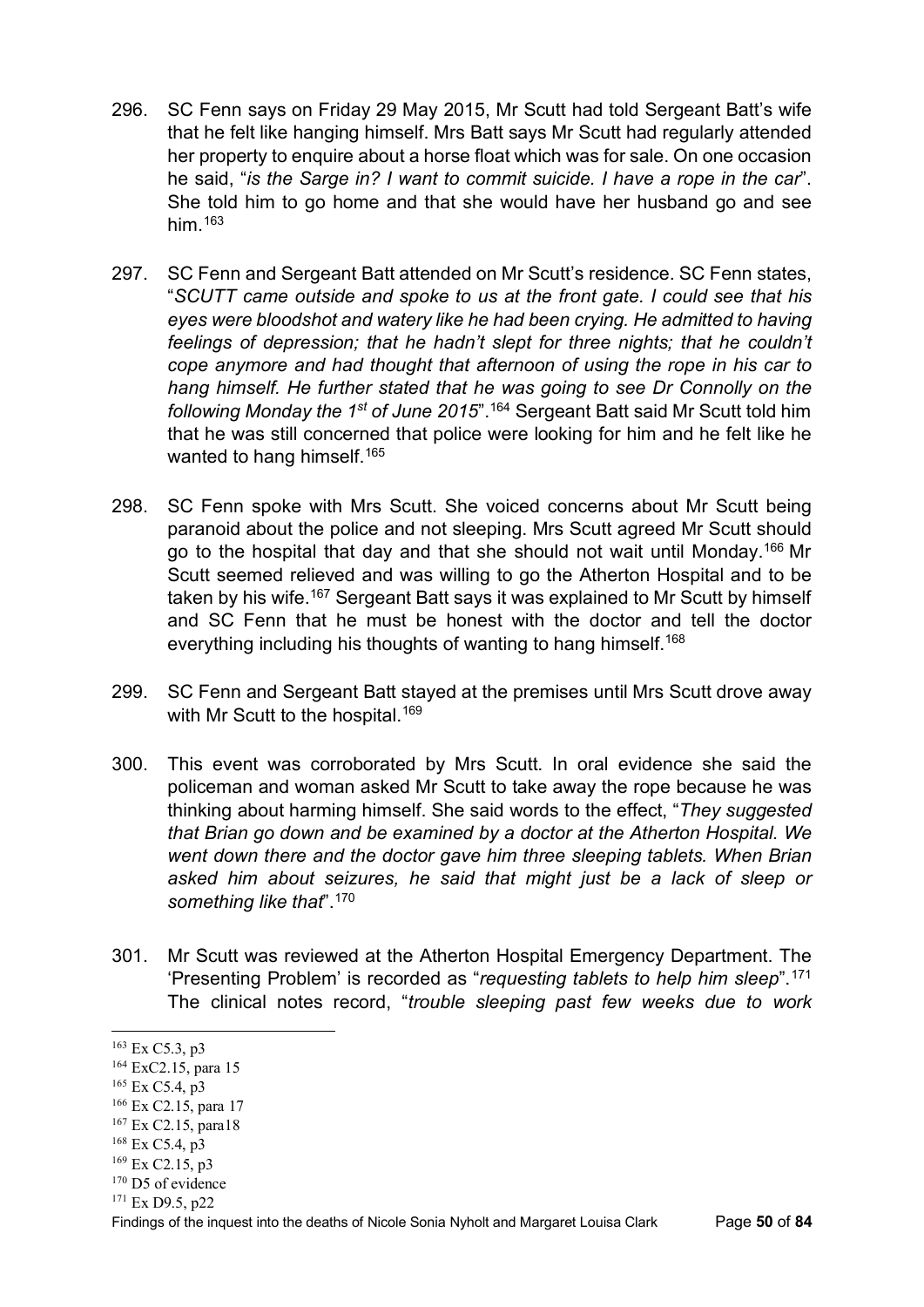- 296. SC Fenn says on Friday 29 May 2015, Mr Scutt had told Sergeant Batt's wife that he felt like hanging himself. Mrs Batt says Mr Scutt had regularly attended her property to enquire about a horse float which was for sale. On one occasion he said, "*is the Sarge in? I want to commit suicide. I have a rope in the car*". She told him to go home and that she would have her husband go and see him $163$
- 297. SC Fenn and Sergeant Batt attended on Mr Scutt's residence. SC Fenn states, "*SCUTT came outside and spoke to us at the front gate. I could see that his eyes were bloodshot and watery like he had been crying. He admitted to having feelings of depression; that he hadn't slept for three nights; that he couldn't cope anymore and had thought that afternoon of using the rope in his car to hang himself. He further stated that he was going to see Dr Connolly on the following Monday the 1st of June 2015*".[164](#page-52-1) Sergeant Batt said Mr Scutt told him that he was still concerned that police were looking for him and he felt like he wanted to hang himself.<sup>[165](#page-52-2)</sup>
- 298. SC Fenn spoke with Mrs Scutt. She voiced concerns about Mr Scutt being paranoid about the police and not sleeping. Mrs Scutt agreed Mr Scutt should go to the hospital that day and that she should not wait until Monday.[166](#page-52-3) Mr Scutt seemed relieved and was willing to go the Atherton Hospital and to be taken by his wife.<sup>[167](#page-52-4)</sup> Sergeant Batt says it was explained to Mr Scutt by himself and SC Fenn that he must be honest with the doctor and tell the doctor everything including his thoughts of wanting to hang himself.<sup>[168](#page-52-5)</sup>
- 299. SC Fenn and Sergeant Batt stayed at the premises until Mrs Scutt drove away with Mr Scutt to the hospital.<sup>[169](#page-52-6)</sup>
- 300. This event was corroborated by Mrs Scutt. In oral evidence she said the policeman and woman asked Mr Scutt to take away the rope because he was thinking about harming himself. She said words to the effect, "*They suggested that Brian go down and be examined by a doctor at the Atherton Hospital. We went down there and the doctor gave him three sleeping tablets. When Brian asked him about seizures, he said that might just be a lack of sleep or something like that*".[170](#page-52-7)
- 301. Mr Scutt was reviewed at the Atherton Hospital Emergency Department. The 'Presenting Problem' is recorded as "*requesting tablets to help him sleep*".[171](#page-52-8) The clinical notes record, "*trouble sleeping past few weeks due to work*

<span id="page-52-6"></span>

<span id="page-52-8"></span>

<span id="page-52-3"></span><span id="page-52-2"></span>

<span id="page-52-1"></span><span id="page-52-0"></span><sup>163</sup> Ex C5.3, p3<br>
164 ExC2.15, para 15<br>
165 Ex C5.4, p3<br>
166 Ex C2.15, para 17<br>
167 Ex C2.15, para18<br>
168 Ex C5.4, p3<br>
169 Ex C2.15, p3<br>
170 D5 of evidence<br>
171 Ex D9.5, p22

<span id="page-52-5"></span><span id="page-52-4"></span>

<span id="page-52-7"></span>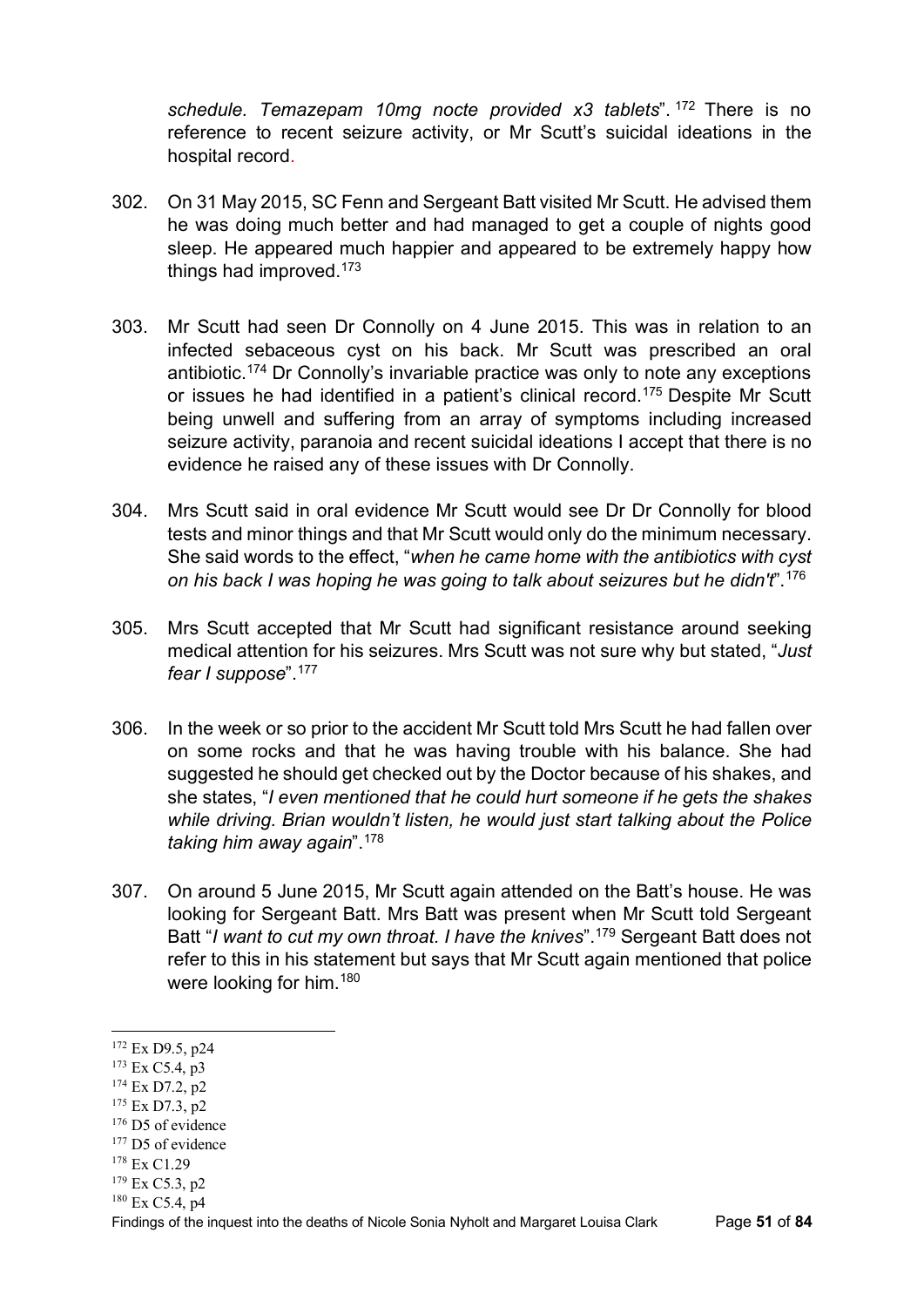*schedule. Temazepam 10mg nocte provided x3 tablets*". [172](#page-53-0) There is no reference to recent seizure activity, or Mr Scutt's suicidal ideations in the hospital record.

- 302. On 31 May 2015, SC Fenn and Sergeant Batt visited Mr Scutt. He advised them he was doing much better and had managed to get a couple of nights good sleep. He appeared much happier and appeared to be extremely happy how things had improved.[173](#page-53-1)
- 303. Mr Scutt had seen Dr Connolly on 4 June 2015. This was in relation to an infected sebaceous cyst on his back. Mr Scutt was prescribed an oral antibiotic.[174](#page-53-2) Dr Connolly's invariable practice was only to note any exceptions or issues he had identified in a patient's clinical record.[175](#page-53-3) Despite Mr Scutt being unwell and suffering from an array of symptoms including increased seizure activity, paranoia and recent suicidal ideations I accept that there is no evidence he raised any of these issues with Dr Connolly.
- 304. Mrs Scutt said in oral evidence Mr Scutt would see Dr Dr Connolly for blood tests and minor things and that Mr Scutt would only do the minimum necessary. She said words to the effect, "*when he came home with the antibiotics with cyst on his back I was hoping he was going to talk about seizures but he didn't*".[176](#page-53-4)
- 305. Mrs Scutt accepted that Mr Scutt had significant resistance around seeking medical attention for his seizures. Mrs Scutt was not sure why but stated, "*Just fear I suppose*".[177](#page-53-5)
- 306. In the week or so prior to the accident Mr Scutt told Mrs Scutt he had fallen over on some rocks and that he was having trouble with his balance. She had suggested he should get checked out by the Doctor because of his shakes, and she states, "*I even mentioned that he could hurt someone if he gets the shakes while driving. Brian wouldn't listen, he would just start talking about the Police taking him away again*"[.178](#page-53-6)
- 307. On around 5 June 2015, Mr Scutt again attended on the Batt's house. He was looking for Sergeant Batt. Mrs Batt was present when Mr Scutt told Sergeant Batt "*I want to cut my own throat. I have the knives*".[179](#page-53-7) Sergeant Batt does not refer to this in his statement but says that Mr Scutt again mentioned that police were looking for him.[180](#page-53-8)

- <span id="page-53-2"></span>
- <span id="page-53-3"></span>

- <span id="page-53-5"></span><span id="page-53-4"></span>
- <span id="page-53-6"></span>
- <span id="page-53-7"></span>
- <span id="page-53-8"></span>

<span id="page-53-1"></span>

<span id="page-53-0"></span><sup>172</sup> Ex D9.5, p24<br>
173 Ex C5.4, p3<br>
174 Ex D7.2, p2<br>
175 Ex D7.3, p2<br>
176 D5 of evidence<br>
177 D5 of evidence<br>
178 Ex C1.29<br>
179 Ex C5.3, p2<br>
180 Ex C5.4, p4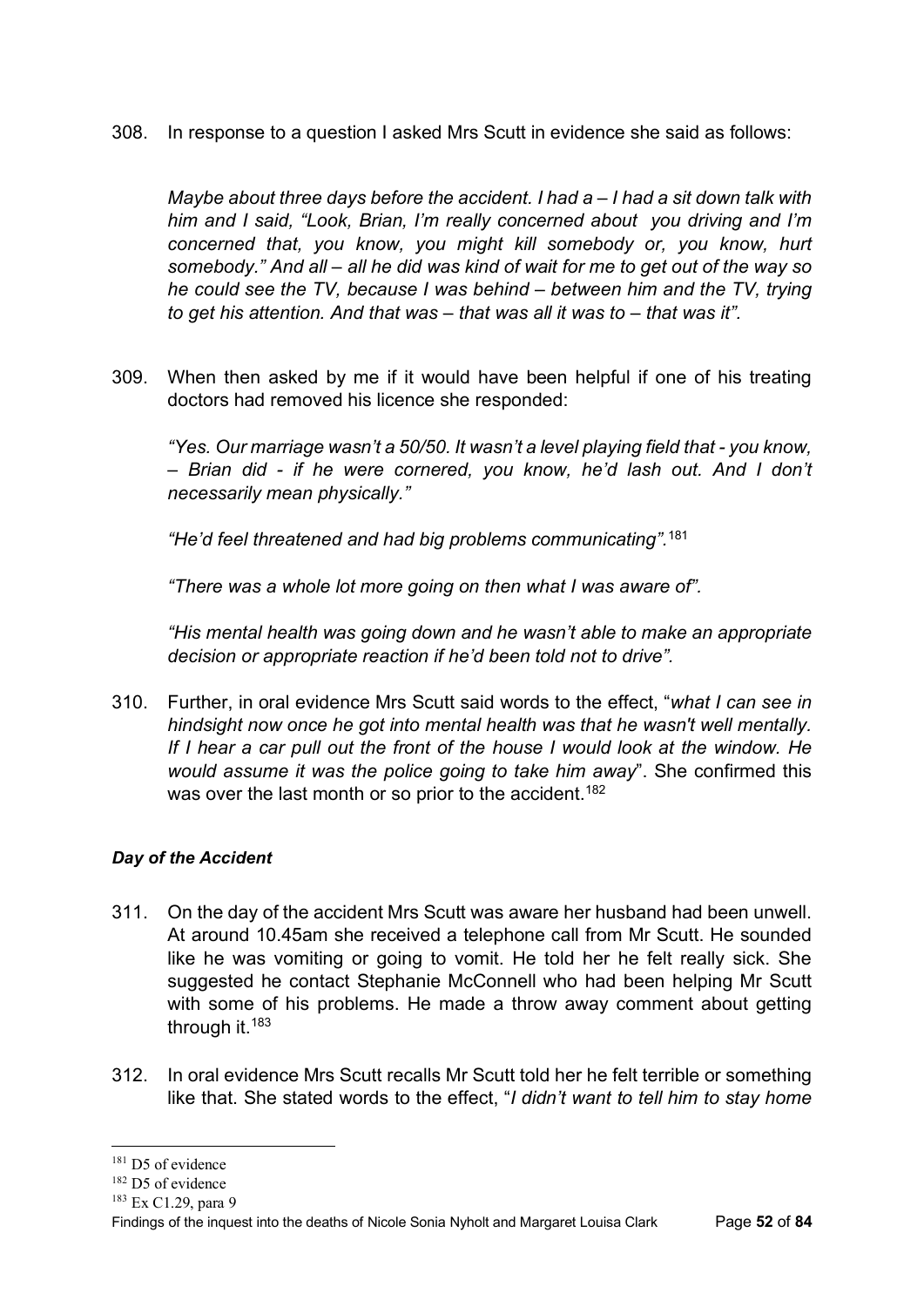308. In response to a question I asked Mrs Scutt in evidence she said as follows:

*Maybe about three days before the accident. I had a – I had a sit down talk with him and I said, "Look, Brian, I'm really concerned about you driving and I'm concerned that, you know, you might kill somebody or, you know, hurt somebody." And all – all he did was kind of wait for me to get out of the way so he could see the TV, because I was behind – between him and the TV, trying to get his attention. And that was – that was all it was to – that was it".*

309. When then asked by me if it would have been helpful if one of his treating doctors had removed his licence she responded:

*"Yes. Our marriage wasn't a 50/50. It wasn't a level playing field that - you know, – Brian did - if he were cornered, you know, he'd lash out. And I don't necessarily mean physically."*

*"He'd feel threatened and had big problems communicating".* [181](#page-54-0) 

*"There was a whole lot more going on then what I was aware of".*

*"His mental health was going down and he wasn't able to make an appropriate decision or appropriate reaction if he'd been told not to drive".*

310. Further, in oral evidence Mrs Scutt said words to the effect, "*what I can see in hindsight now once he got into mental health was that he wasn't well mentally. If I hear a car pull out the front of the house I would look at the window. He would assume it was the police going to take him away*". She confirmed this was over the last month or so prior to the accident.<sup>182</sup>

# *Day of the Accident*

- 311. On the day of the accident Mrs Scutt was aware her husband had been unwell. At around 10.45am she received a telephone call from Mr Scutt. He sounded like he was vomiting or going to vomit. He told her he felt really sick. She suggested he contact Stephanie McConnell who had been helping Mr Scutt with some of his problems. He made a throw away comment about getting through it.<sup>183</sup>
- 312. In oral evidence Mrs Scutt recalls Mr Scutt told her he felt terrible or something like that. She stated words to the effect, "*I didn't want to tell him to stay home*

<span id="page-54-1"></span><span id="page-54-0"></span><sup>&</sup>lt;sup>181</sup> D5 of evidence<br><sup>182</sup> D5 of evidence<br><sup>183</sup> Ex C1.29, para 9

<span id="page-54-2"></span>Findings of the inquest into the deaths of Nicole Sonia Nyholt and Margaret Louisa Clark Page **52** of **84**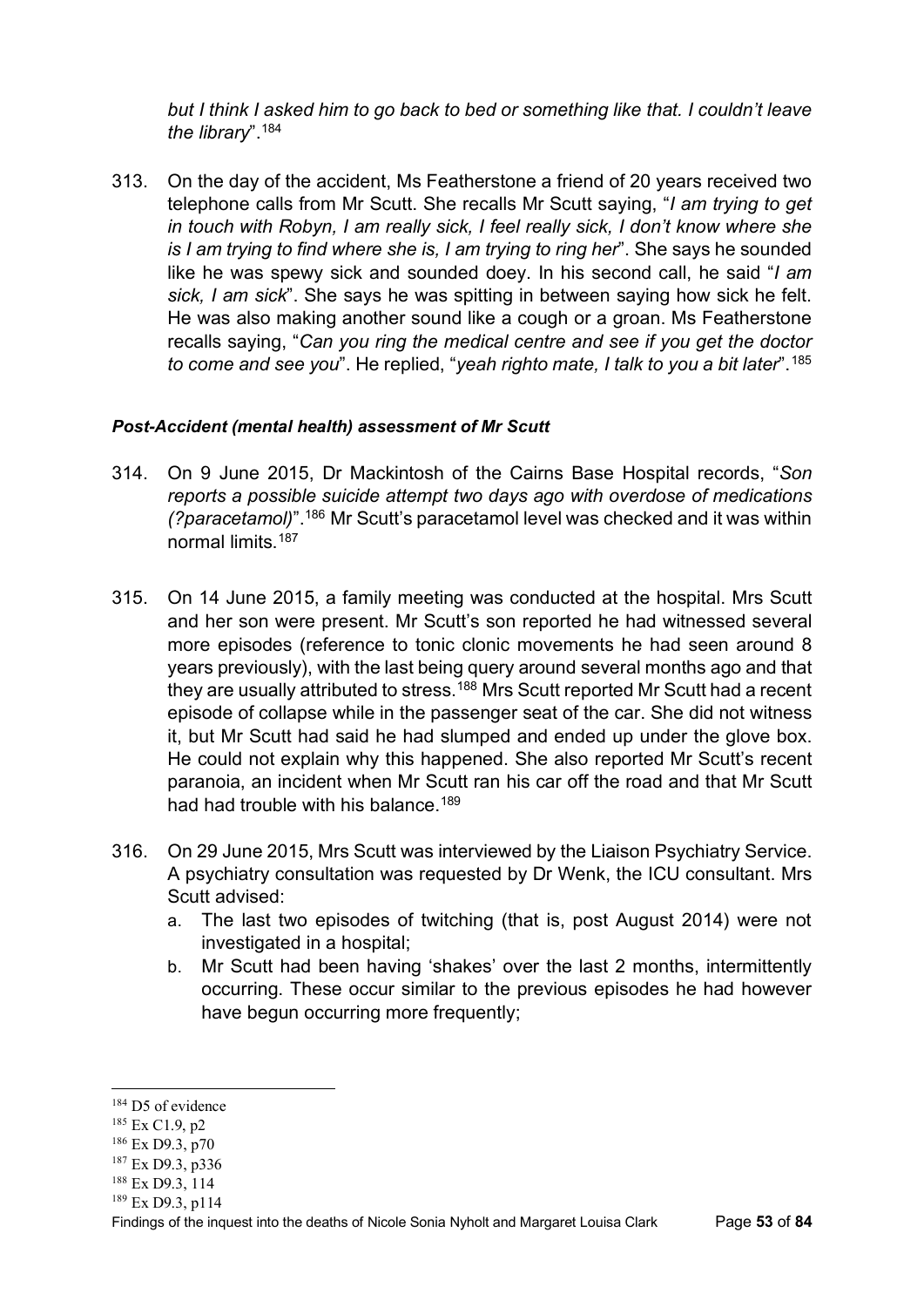*but I think I asked him to go back to bed or something like that. I couldn't leave the library*"[.184](#page-55-0)

313. On the day of the accident, Ms Featherstone a friend of 20 years received two telephone calls from Mr Scutt. She recalls Mr Scutt saying, "*I am trying to get in touch with Robyn, I am really sick, I feel really sick, I don't know where she is I am trying to find where she is, I am trying to ring her*". She says he sounded like he was spewy sick and sounded doey. In his second call, he said "*I am sick, I am sick*". She says he was spitting in between saying how sick he felt. He was also making another sound like a cough or a groan. Ms Featherstone recalls saying, "*Can you ring the medical centre and see if you get the doctor to come and see you*". He replied, "*yeah righto mate, I talk to you a bit later*".[185](#page-55-1)

#### *Post-Accident (mental health) assessment of Mr Scutt*

- 314. On 9 June 2015, Dr Mackintosh of the Cairns Base Hospital records, "*Son reports a possible suicide attempt two days ago with overdose of medications (?paracetamol)*".[186](#page-55-2) Mr Scutt's paracetamol level was checked and it was within normal limits.<sup>[187](#page-55-3)</sup>
- 315. On 14 June 2015, a family meeting was conducted at the hospital. Mrs Scutt and her son were present. Mr Scutt's son reported he had witnessed several more episodes (reference to tonic clonic movements he had seen around 8 years previously), with the last being query around several months ago and that they are usually attributed to stress.<sup>188</sup> Mrs Scutt reported Mr Scutt had a recent episode of collapse while in the passenger seat of the car. She did not witness it, but Mr Scutt had said he had slumped and ended up under the glove box. He could not explain why this happened. She also reported Mr Scutt's recent paranoia, an incident when Mr Scutt ran his car off the road and that Mr Scutt had had trouble with his balance.<sup>[189](#page-55-5)</sup>
- 316. On 29 June 2015, Mrs Scutt was interviewed by the Liaison Psychiatry Service. A psychiatry consultation was requested by Dr Wenk, the ICU consultant. Mrs Scutt advised:
	- a. The last two episodes of twitching (that is, post August 2014) were not investigated in a hospital;
	- b. Mr Scutt had been having 'shakes' over the last 2 months, intermittently occurring. These occur similar to the previous episodes he had however have begun occurring more frequently;

<span id="page-55-1"></span><span id="page-55-0"></span><sup>&</sup>lt;sup>184</sup> D5 of evidence<br><sup>185</sup> Ex C1.9, p2<br><sup>186</sup> Ex D9.3, p70<br><sup>187</sup> Ex D9.3, p336<br><sup>188</sup> Ex D9.3, 114<br><sup>189</sup> Ex D9.3, p114

<span id="page-55-2"></span>

<span id="page-55-3"></span>

<span id="page-55-4"></span>

<span id="page-55-5"></span>Findings of the inquest into the deaths of Nicole Sonia Nyholt and Margaret Louisa Clark Page **53** of **84**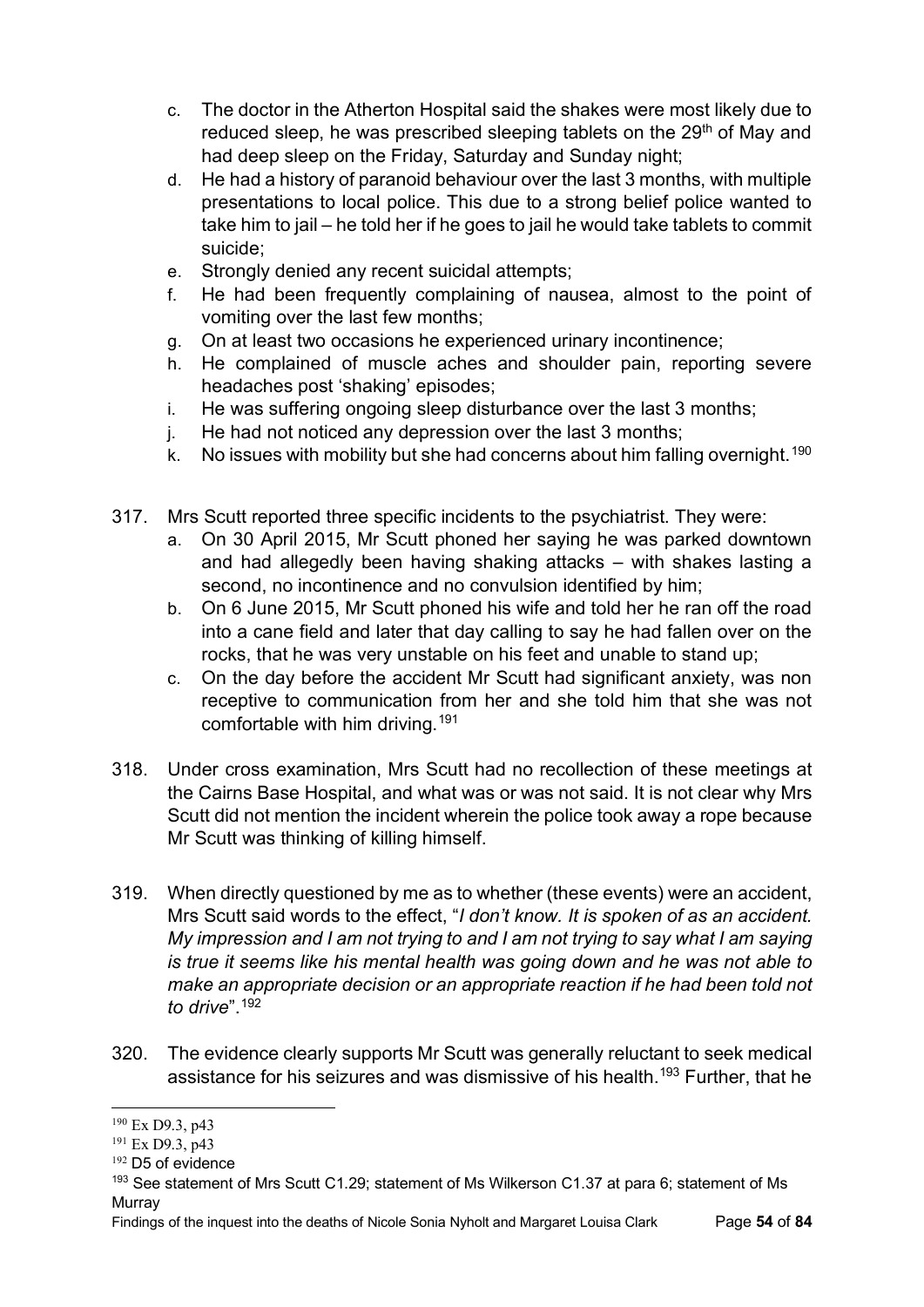- c. The doctor in the Atherton Hospital said the shakes were most likely due to reduced sleep, he was prescribed sleeping tablets on the 29<sup>th</sup> of May and had deep sleep on the Friday, Saturday and Sunday night;
- d. He had a history of paranoid behaviour over the last 3 months, with multiple presentations to local police. This due to a strong belief police wanted to take him to jail – he told her if he goes to jail he would take tablets to commit suicide;
- e. Strongly denied any recent suicidal attempts;
- f. He had been frequently complaining of nausea, almost to the point of vomiting over the last few months;
- g. On at least two occasions he experienced urinary incontinence;
- h. He complained of muscle aches and shoulder pain, reporting severe headaches post 'shaking' episodes;
- i. He was suffering ongoing sleep disturbance over the last 3 months;
- j. He had not noticed any depression over the last 3 months;
- k. No issues with mobility but she had concerns about him falling overnight.<sup>[190](#page-56-0)</sup>
- 317. Mrs Scutt reported three specific incidents to the psychiatrist. They were:
	- a. On 30 April 2015, Mr Scutt phoned her saying he was parked downtown and had allegedly been having shaking attacks – with shakes lasting a second, no incontinence and no convulsion identified by him;
	- b. On 6 June 2015, Mr Scutt phoned his wife and told her he ran off the road into a cane field and later that day calling to say he had fallen over on the rocks, that he was very unstable on his feet and unable to stand up;
	- c. On the day before the accident Mr Scutt had significant anxiety, was non receptive to communication from her and she told him that she was not comfortable with him driving.[191](#page-56-1)
- 318. Under cross examination, Mrs Scutt had no recollection of these meetings at the Cairns Base Hospital, and what was or was not said. It is not clear why Mrs Scutt did not mention the incident wherein the police took away a rope because Mr Scutt was thinking of killing himself.
- 319. When directly questioned by me as to whether (these events) were an accident, Mrs Scutt said words to the effect, "*I don't know. It is spoken of as an accident. My impression and I am not trying to and I am not trying to say what I am saying is true it seems like his mental health was going down and he was not able to make an appropriate decision or an appropriate reaction if he had been told not to drive*".[192](#page-56-2)
- 320. The evidence clearly supports Mr Scutt was generally reluctant to seek medical assistance for his seizures and was dismissive of his health.<sup>[193](#page-56-3)</sup> Further, that he

<span id="page-56-1"></span><span id="page-56-0"></span><sup>&</sup>lt;sup>190</sup> Ex D9.3, p43<br><sup>191</sup> Ex D9.3, p43<br><sup>192</sup> D5 of evidence

<span id="page-56-3"></span><span id="page-56-2"></span><sup>&</sup>lt;sup>193</sup> See statement of Mrs Scutt C1.29; statement of Ms Wilkerson C1.37 at para 6; statement of Ms Murray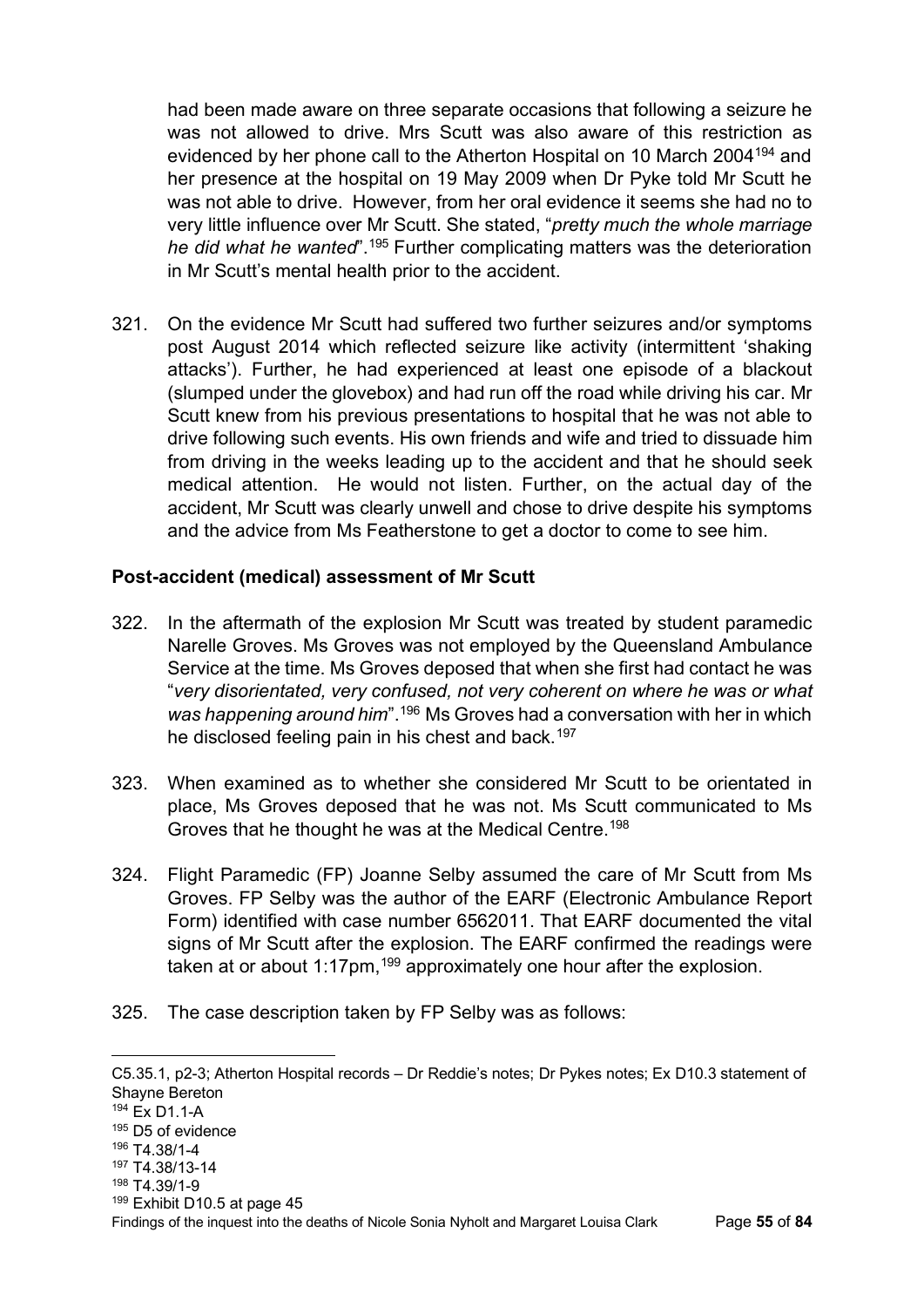had been made aware on three separate occasions that following a seizure he was not allowed to drive. Mrs Scutt was also aware of this restriction as evidenced by her phone call to the Atherton Hospital on 10 March 2004<sup>194</sup> and her presence at the hospital on 19 May 2009 when Dr Pyke told Mr Scutt he was not able to drive. However, from her oral evidence it seems she had no to very little influence over Mr Scutt. She stated, "*pretty much the whole marriage he did what he wanted*".[195](#page-57-1) Further complicating matters was the deterioration in Mr Scutt's mental health prior to the accident.

321. On the evidence Mr Scutt had suffered two further seizures and/or symptoms post August 2014 which reflected seizure like activity (intermittent 'shaking attacks'). Further, he had experienced at least one episode of a blackout (slumped under the glovebox) and had run off the road while driving his car. Mr Scutt knew from his previous presentations to hospital that he was not able to drive following such events. His own friends and wife and tried to dissuade him from driving in the weeks leading up to the accident and that he should seek medical attention. He would not listen. Further, on the actual day of the accident, Mr Scutt was clearly unwell and chose to drive despite his symptoms and the advice from Ms Featherstone to get a doctor to come to see him.

### **Post-accident (medical) assessment of Mr Scutt**

- 322. In the aftermath of the explosion Mr Scutt was treated by student paramedic Narelle Groves. Ms Groves was not employed by the Queensland Ambulance Service at the time. Ms Groves deposed that when she first had contact he was "*very disorientated, very confused, not very coherent on where he was or what was happening around him*".[196](#page-57-2) Ms Groves had a conversation with her in which he disclosed feeling pain in his chest and back.<sup>[197](#page-57-3)</sup>
- 323. When examined as to whether she considered Mr Scutt to be orientated in place, Ms Groves deposed that he was not. Ms Scutt communicated to Ms Groves that he thought he was at the Medical Centre.[198](#page-57-4)
- 324. Flight Paramedic (FP) Joanne Selby assumed the care of Mr Scutt from Ms Groves. FP Selby was the author of the EARF (Electronic Ambulance Report Form) identified with case number 6562011. That EARF documented the vital signs of Mr Scutt after the explosion. The EARF confirmed the readings were taken at or about  $1:17$ pm,<sup>199</sup> approximately one hour after the explosion.
- 325. The case description taken by FP Selby was as follows:

<span id="page-57-5"></span><sup>199</sup> Exhibit D10.5 at page 45

C5.35.1, p2-3; Atherton Hospital records – Dr Reddie's notes; Dr Pykes notes; Ex D10.3 statement of Shayne Bereton

<span id="page-57-0"></span><sup>194</sup> Ex D1.1-A

<span id="page-57-1"></span><sup>&</sup>lt;sup>195</sup> D5 of evidence

<span id="page-57-2"></span><sup>196</sup> T4.38/1-4

<span id="page-57-3"></span><sup>197</sup> T4.38/13-14

<span id="page-57-4"></span><sup>198</sup> T4.39/1-9

Findings of the inquest into the deaths of Nicole Sonia Nyholt and Margaret Louisa Clark Page **55** of **84**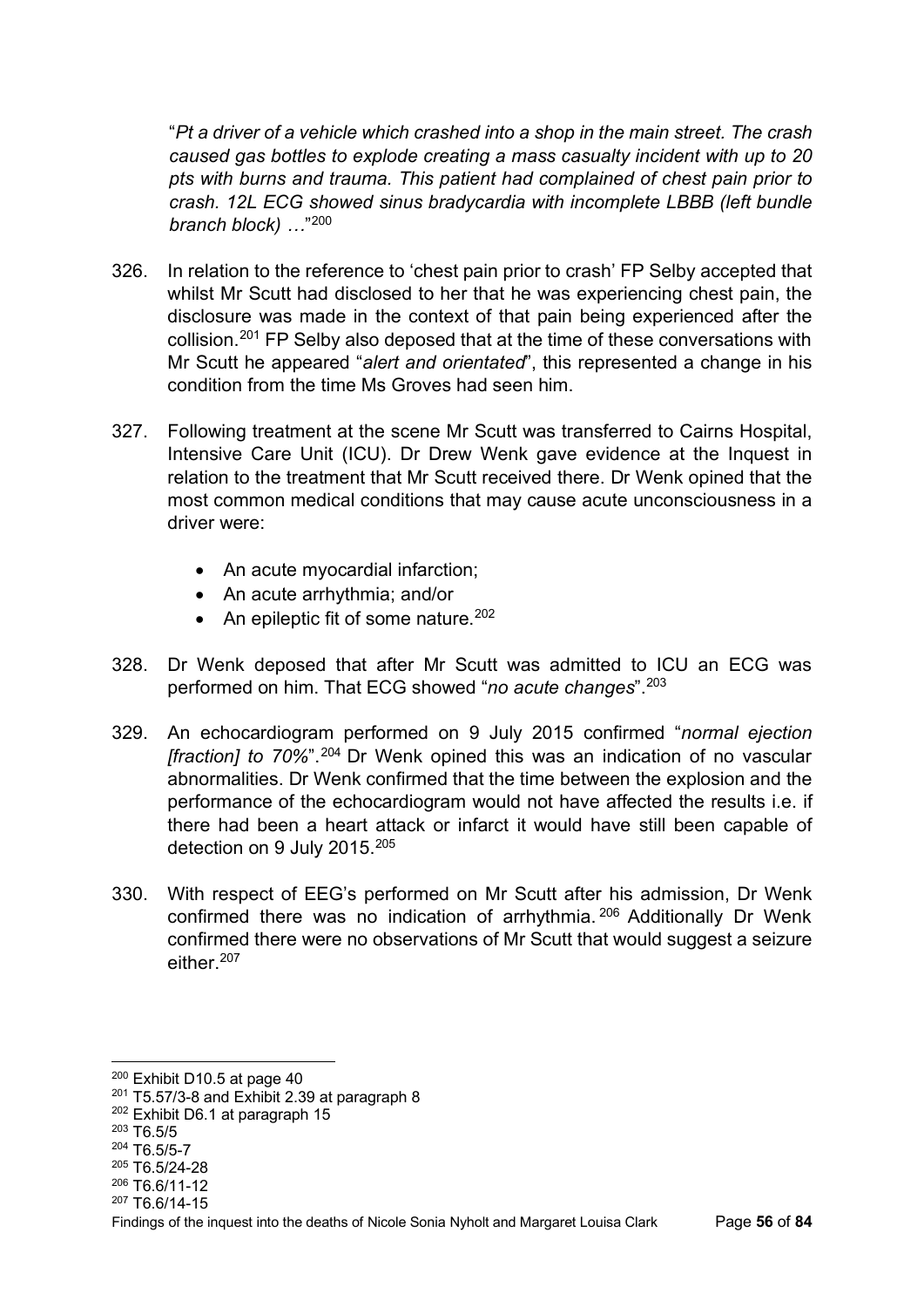"*Pt a driver of a vehicle which crashed into a shop in the main street. The crash caused gas bottles to explode creating a mass casualty incident with up to 20 pts with burns and trauma. This patient had complained of chest pain prior to crash. 12L ECG showed sinus bradycardia with incomplete LBBB (left bundle branch block) …*"[200](#page-58-0)

- 326. In relation to the reference to 'chest pain prior to crash' FP Selby accepted that whilst Mr Scutt had disclosed to her that he was experiencing chest pain, the disclosure was made in the context of that pain being experienced after the collision.[201](#page-58-1) FP Selby also deposed that at the time of these conversations with Mr Scutt he appeared "*alert and orientated*", this represented a change in his condition from the time Ms Groves had seen him.
- 327. Following treatment at the scene Mr Scutt was transferred to Cairns Hospital, Intensive Care Unit (ICU). Dr Drew Wenk gave evidence at the Inquest in relation to the treatment that Mr Scutt received there. Dr Wenk opined that the most common medical conditions that may cause acute unconsciousness in a driver were:
	- An acute myocardial infarction;
	- An acute arrhythmia; and/or
	- An epileptic fit of some nature.<sup>[202](#page-58-2)</sup>
- 328. Dr Wenk deposed that after Mr Scutt was admitted to ICU an ECG was performed on him. That ECG showed "*no acute changes*".[203](#page-58-3)
- 329. An echocardiogram performed on 9 July 2015 confirmed "*normal ejection Ifraction1 to 70%*".<sup>[204](#page-58-4)</sup> Dr Wenk opined this was an indication of no vascular abnormalities. Dr Wenk confirmed that the time between the explosion and the performance of the echocardiogram would not have affected the results i.e. if there had been a heart attack or infarct it would have still been capable of detection on 9 July 2015.[205](#page-58-5)
- 330. With respect of EEG's performed on Mr Scutt after his admission, Dr Wenk confirmed there was no indication of arrhythmia. [206](#page-58-6) Additionally Dr Wenk confirmed there were no observations of Mr Scutt that would suggest a seizure either.<sup>[207](#page-58-7)</sup>

<span id="page-58-0"></span><sup>200</sup> Exhibit D10.5 at page 40

<span id="page-58-1"></span> $201$  T5.57/3-8 and Exhibit 2.39 at paragraph 8

<span id="page-58-2"></span><sup>202</sup> Exhibit D6.1 at paragraph 15

<span id="page-58-3"></span><sup>203</sup> T6.5/5

<span id="page-58-4"></span><sup>204</sup> T6.5/5-7

<span id="page-58-5"></span><sup>205</sup> T6.5/24-28

<span id="page-58-6"></span> $206$  T<sub>6</sub> $6/11-12$ 

<span id="page-58-7"></span><sup>207</sup> T6.6/14-15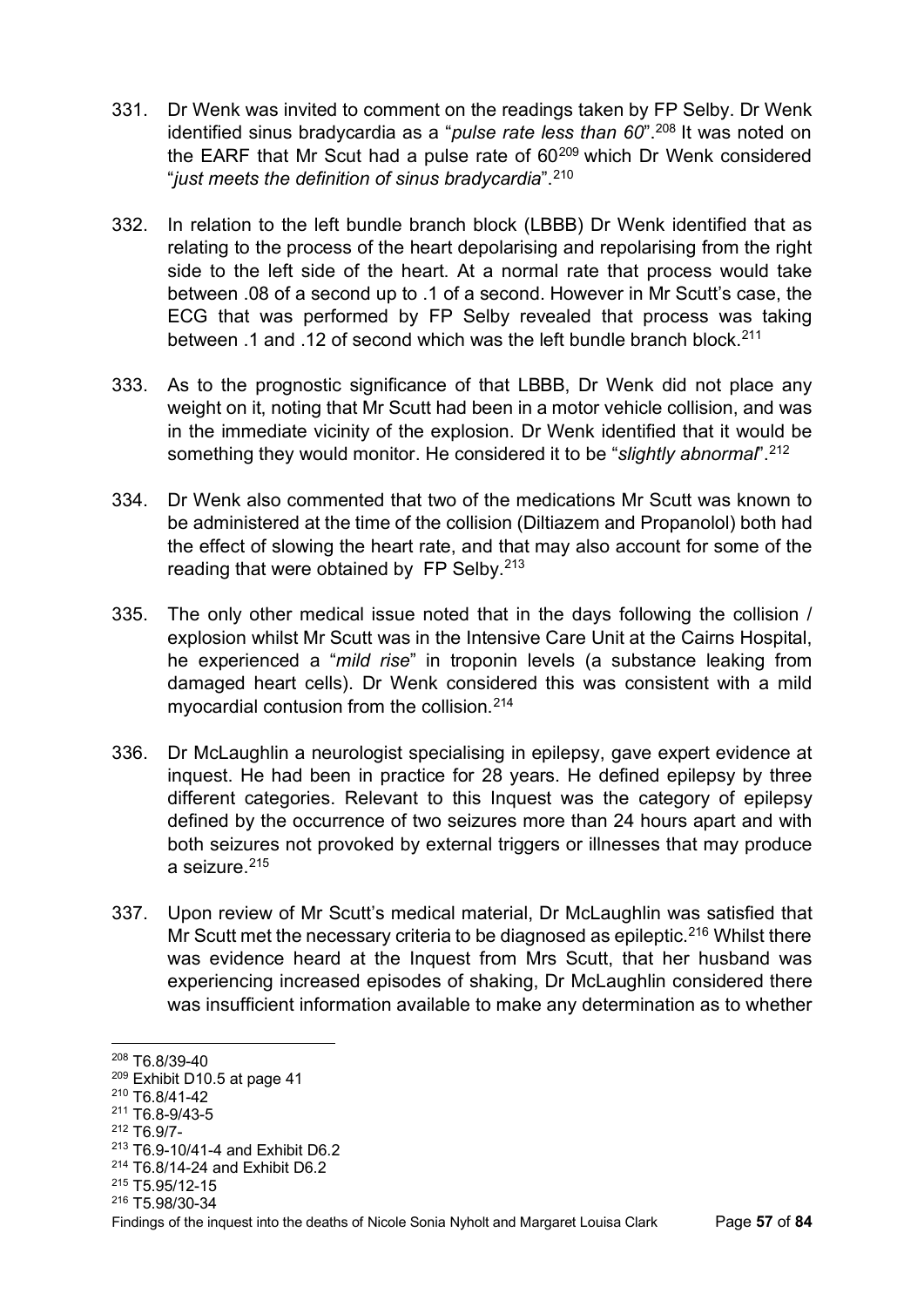- 331. Dr Wenk was invited to comment on the readings taken by FP Selby. Dr Wenk identified sinus bradycardia as a "*pulse rate less than 60*".<sup>[208](#page-59-0)</sup> It was noted on the EARF that Mr Scut had a pulse rate of 60<sup>[209](#page-59-1)</sup> which Dr Wenk considered "*just meets the definition of sinus bradycardia*".[210](#page-59-2)
- 332. In relation to the left bundle branch block (LBBB) Dr Wenk identified that as relating to the process of the heart depolarising and repolarising from the right side to the left side of the heart. At a normal rate that process would take between .08 of a second up to .1 of a second. However in Mr Scutt's case, the ECG that was performed by FP Selby revealed that process was taking between .1 and .12 of second which was the left bundle branch block.[211](#page-59-3)
- 333. As to the prognostic significance of that LBBB, Dr Wenk did not place any weight on it, noting that Mr Scutt had been in a motor vehicle collision, and was in the immediate vicinity of the explosion. Dr Wenk identified that it would be something they would monitor. He considered it to be "*slightly abnormal*".[212](#page-59-4)
- 334. Dr Wenk also commented that two of the medications Mr Scutt was known to be administered at the time of the collision (Diltiazem and Propanolol) both had the effect of slowing the heart rate, and that may also account for some of the reading that were obtained by FP Selby.<sup>[213](#page-59-5)</sup>
- 335. The only other medical issue noted that in the days following the collision / explosion whilst Mr Scutt was in the Intensive Care Unit at the Cairns Hospital, he experienced a "*mild rise*" in troponin levels (a substance leaking from damaged heart cells). Dr Wenk considered this was consistent with a mild myocardial contusion from the collision.[214](#page-59-6)
- 336. Dr McLaughlin a neurologist specialising in epilepsy, gave expert evidence at inquest. He had been in practice for 28 years. He defined epilepsy by three different categories. Relevant to this Inquest was the category of epilepsy defined by the occurrence of two seizures more than 24 hours apart and with both seizures not provoked by external triggers or illnesses that may produce a seizure.[215](#page-59-7)
- 337. Upon review of Mr Scutt's medical material, Dr McLaughlin was satisfied that Mr Scutt met the necessary criteria to be diagnosed as epileptic.<sup>[216](#page-59-8)</sup> Whilst there was evidence heard at the Inquest from Mrs Scutt, that her husband was experiencing increased episodes of shaking, Dr McLaughlin considered there was insufficient information available to make any determination as to whether

- <span id="page-59-5"></span><sup>213</sup> T6.9-10/41-4 and Exhibit D6.2
- <span id="page-59-6"></span><sup>214</sup> T6.8/14-24 and Exhibit D6.2
- <span id="page-59-7"></span> $215$  T<sub>5</sub>.95/12-15

<span id="page-59-0"></span><sup>208</sup> T6.8/39-40

<span id="page-59-1"></span><sup>209</sup> Exhibit D10.5 at page 41

<span id="page-59-2"></span><sup>210</sup> T6.8/41-42

<span id="page-59-3"></span><sup>211</sup> T6.8-9/43-5

<span id="page-59-4"></span><sup>212</sup> T6.9/7-

<span id="page-59-8"></span><sup>216</sup> T5.98/30-34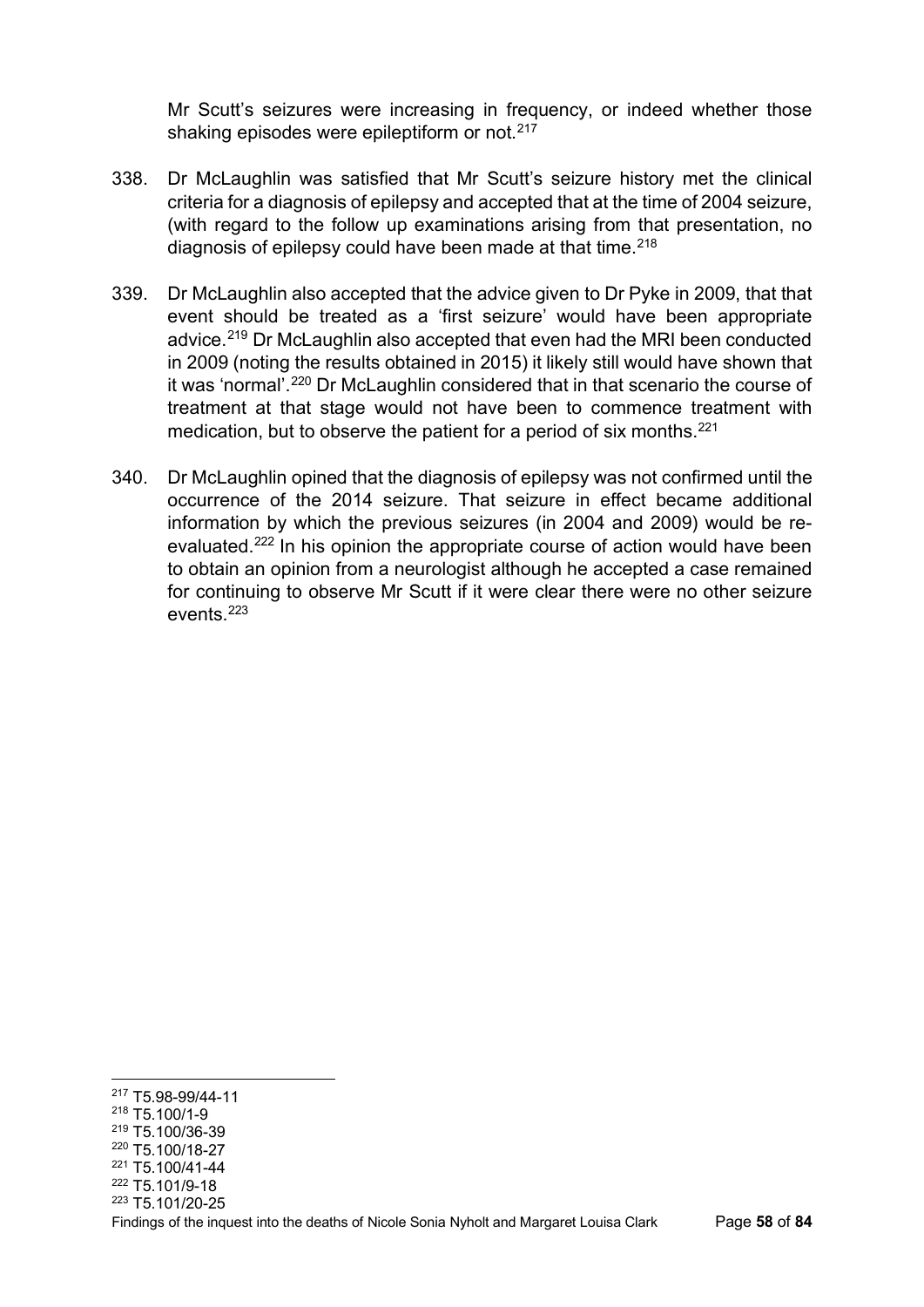Mr Scutt's seizures were increasing in frequency, or indeed whether those shaking episodes were epileptiform or not.<sup>[217](#page-60-0)</sup>

- 338. Dr McLaughlin was satisfied that Mr Scutt's seizure history met the clinical criteria for a diagnosis of epilepsy and accepted that at the time of 2004 seizure, (with regard to the follow up examinations arising from that presentation, no diagnosis of epilepsy could have been made at that time.<sup>[218](#page-60-1)</sup>
- 339. Dr McLaughlin also accepted that the advice given to Dr Pyke in 2009, that that event should be treated as a 'first seizure' would have been appropriate advice.[219](#page-60-2) Dr McLaughlin also accepted that even had the MRI been conducted in 2009 (noting the results obtained in 2015) it likely still would have shown that it was 'normal'.[220](#page-60-3) Dr McLaughlin considered that in that scenario the course of treatment at that stage would not have been to commence treatment with medication, but to observe the patient for a period of six months.<sup>[221](#page-60-4)</sup>
- 340. Dr McLaughlin opined that the diagnosis of epilepsy was not confirmed until the occurrence of the 2014 seizure. That seizure in effect became additional information by which the previous seizures (in 2004 and 2009) would be reevaluated.[222](#page-60-5) In his opinion the appropriate course of action would have been to obtain an opinion from a neurologist although he accepted a case remained for continuing to observe Mr Scutt if it were clear there were no other seizure events.[223](#page-60-6)

<span id="page-60-0"></span><sup>217</sup> T5.98-99/44-11

<span id="page-60-1"></span><sup>218</sup> T5.100/1-9

<span id="page-60-2"></span><sup>219</sup> T5.100/36-39

<span id="page-60-3"></span><sup>220</sup> T5.100/18-27

<span id="page-60-4"></span><sup>221</sup> T5.100/41-44 <sup>222</sup> T5.101/9-18

<span id="page-60-6"></span><span id="page-60-5"></span><sup>223</sup> T5.101/20-25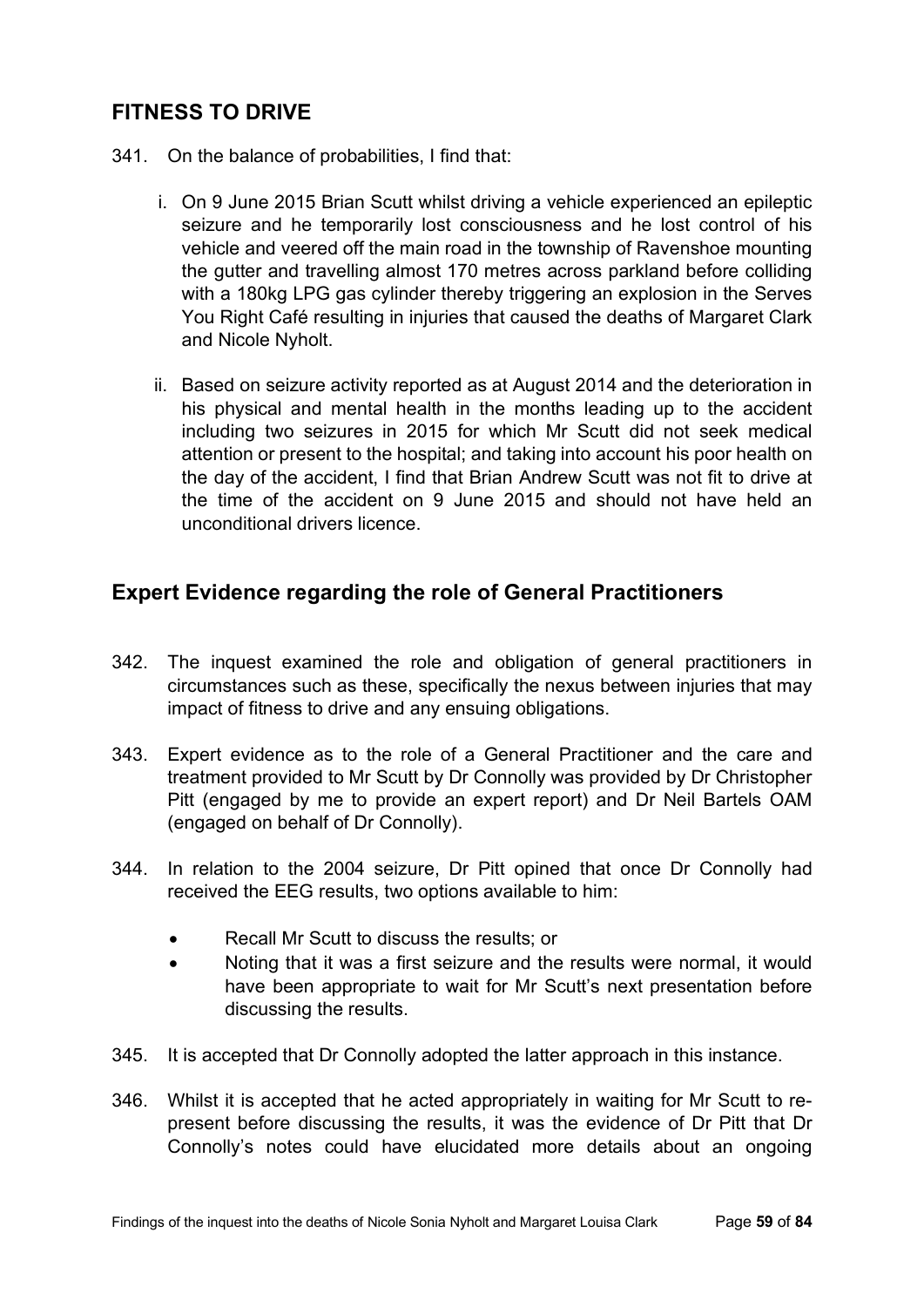# **FITNESS TO DRIVE**

- 341. On the balance of probabilities, I find that:
	- i. On 9 June 2015 Brian Scutt whilst driving a vehicle experienced an epileptic seizure and he temporarily lost consciousness and he lost control of his vehicle and veered off the main road in the township of Ravenshoe mounting the gutter and travelling almost 170 metres across parkland before colliding with a 180kg LPG gas cylinder thereby triggering an explosion in the Serves You Right Café resulting in injuries that caused the deaths of Margaret Clark and Nicole Nyholt.
	- ii. Based on seizure activity reported as at August 2014 and the deterioration in his physical and mental health in the months leading up to the accident including two seizures in 2015 for which Mr Scutt did not seek medical attention or present to the hospital; and taking into account his poor health on the day of the accident, I find that Brian Andrew Scutt was not fit to drive at the time of the accident on 9 June 2015 and should not have held an unconditional drivers licence.

# **Expert Evidence regarding the role of General Practitioners**

- 342. The inquest examined the role and obligation of general practitioners in circumstances such as these, specifically the nexus between injuries that may impact of fitness to drive and any ensuing obligations.
- 343. Expert evidence as to the role of a General Practitioner and the care and treatment provided to Mr Scutt by Dr Connolly was provided by Dr Christopher Pitt (engaged by me to provide an expert report) and Dr Neil Bartels OAM (engaged on behalf of Dr Connolly).
- 344. In relation to the 2004 seizure, Dr Pitt opined that once Dr Connolly had received the EEG results, two options available to him:
	- Recall Mr Scutt to discuss the results; or
	- Noting that it was a first seizure and the results were normal, it would have been appropriate to wait for Mr Scutt's next presentation before discussing the results.
- 345. It is accepted that Dr Connolly adopted the latter approach in this instance.
- 346. Whilst it is accepted that he acted appropriately in waiting for Mr Scutt to represent before discussing the results, it was the evidence of Dr Pitt that Dr Connolly's notes could have elucidated more details about an ongoing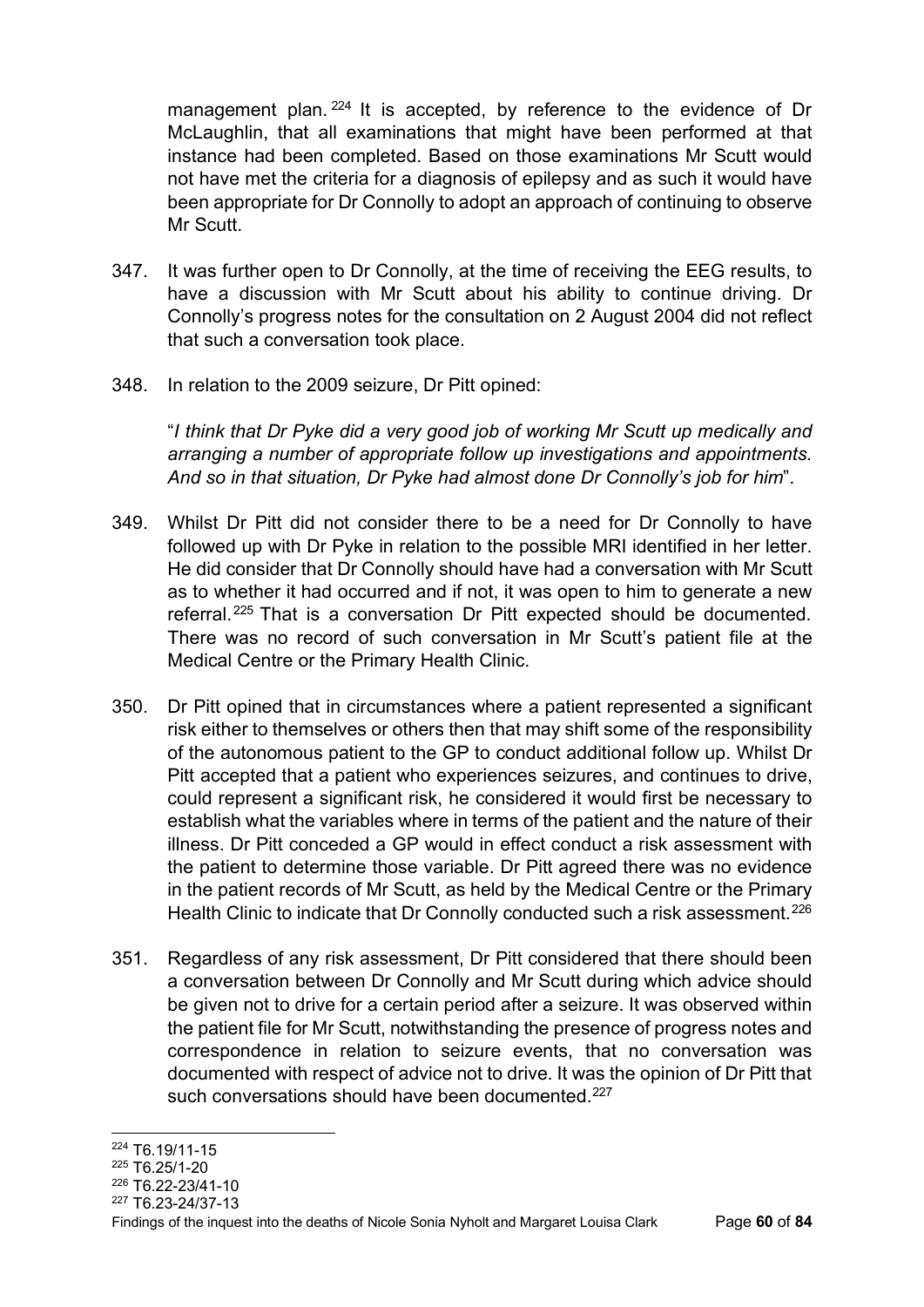management plan. <sup>[224](#page-62-0)</sup> It is accepted, by reference to the evidence of Dr McLaughlin, that all examinations that might have been performed at that instance had been completed. Based on those examinations Mr Scutt would not have met the criteria for a diagnosis of epilepsy and as such it would have been appropriate for Dr Connolly to adopt an approach of continuing to observe Mr Scutt.

- 347. It was further open to Dr Connolly, at the time of receiving the EEG results, to have a discussion with Mr Scutt about his ability to continue driving. Dr Connolly's progress notes for the consultation on 2 August 2004 did not reflect that such a conversation took place.
- 348. In relation to the 2009 seizure, Dr Pitt opined:

"*I think that Dr Pyke did a very good job of working Mr Scutt up medically and arranging a number of appropriate follow up investigations and appointments. And so in that situation, Dr Pyke had almost done Dr Connolly's job for him*".

- 349. Whilst Dr Pitt did not consider there to be a need for Dr Connolly to have followed up with Dr Pyke in relation to the possible MRI identified in her letter. He did consider that Dr Connolly should have had a conversation with Mr Scutt as to whether it had occurred and if not, it was open to him to generate a new referral.[225](#page-62-1) That is a conversation Dr Pitt expected should be documented. There was no record of such conversation in Mr Scutt's patient file at the Medical Centre or the Primary Health Clinic.
- 350. Dr Pitt opined that in circumstances where a patient represented a significant risk either to themselves or others then that may shift some of the responsibility of the autonomous patient to the GP to conduct additional follow up. Whilst Dr Pitt accepted that a patient who experiences seizures, and continues to drive, could represent a significant risk, he considered it would first be necessary to establish what the variables where in terms of the patient and the nature of their illness. Dr Pitt conceded a GP would in effect conduct a risk assessment with the patient to determine those variable. Dr Pitt agreed there was no evidence in the patient records of Mr Scutt, as held by the Medical Centre or the Primary Health Clinic to indicate that Dr Connolly conducted such a risk assessment.<sup>[226](#page-62-2)</sup>
- 351. Regardless of any risk assessment, Dr Pitt considered that there should been a conversation between Dr Connolly and Mr Scutt during which advice should be given not to drive for a certain period after a seizure. It was observed within the patient file for Mr Scutt, notwithstanding the presence of progress notes and correspondence in relation to seizure events, that no conversation was documented with respect of advice not to drive. It was the opinion of Dr Pitt that such conversations should have been documented.<sup>[227](#page-62-3)</sup>

<span id="page-62-3"></span><sup>227</sup> T6.23-24/37-13

<span id="page-62-0"></span><sup>224</sup> T6.19/11-15

<span id="page-62-1"></span> $225$  T6.25/1-20

<span id="page-62-2"></span> $226$  T6.22-23/41-10

Findings of the inquest into the deaths of Nicole Sonia Nyholt and Margaret Louisa Clark Page **60** of **84**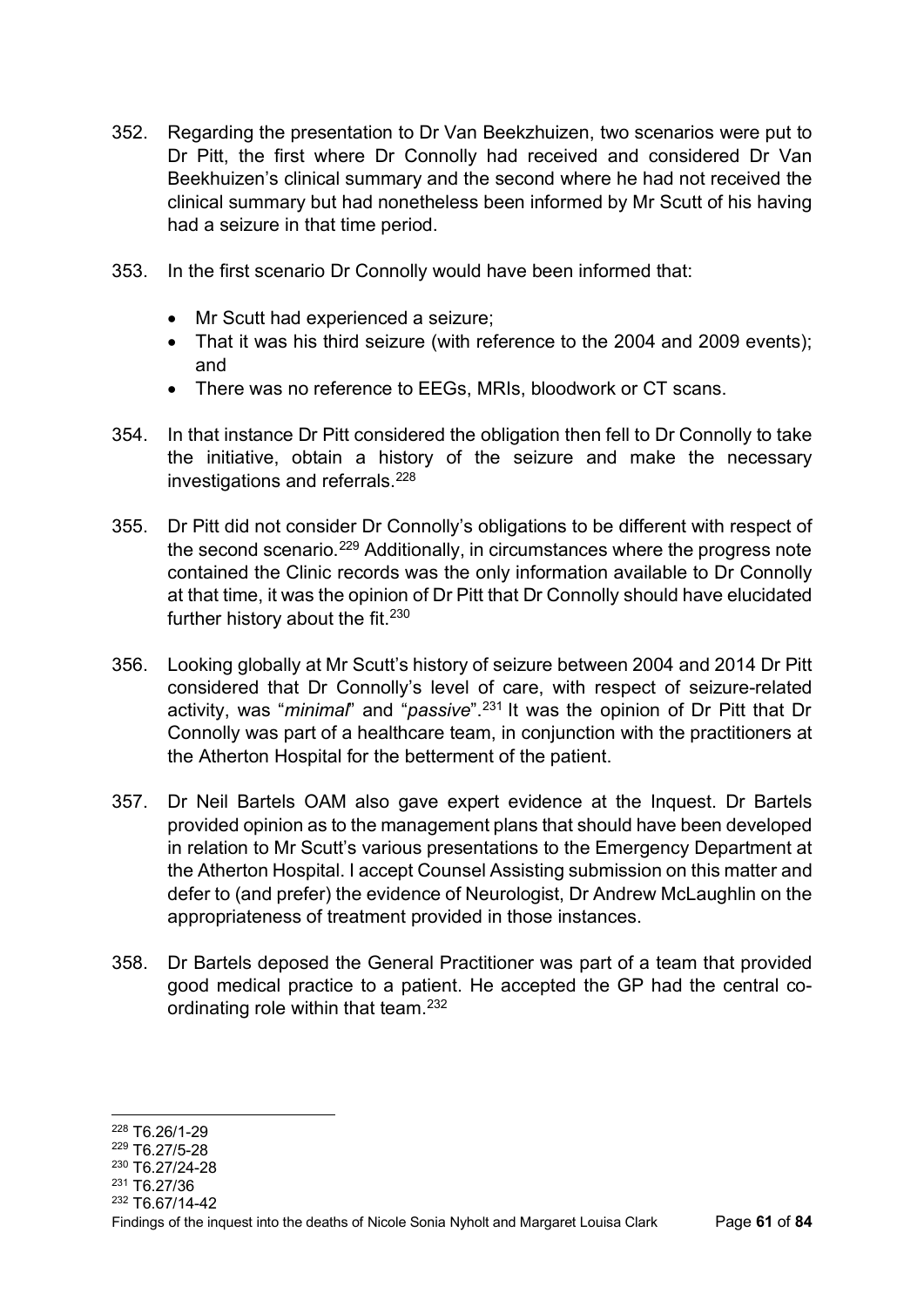- 352. Regarding the presentation to Dr Van Beekzhuizen, two scenarios were put to Dr Pitt, the first where Dr Connolly had received and considered Dr Van Beekhuizen's clinical summary and the second where he had not received the clinical summary but had nonetheless been informed by Mr Scutt of his having had a seizure in that time period.
- 353. In the first scenario Dr Connolly would have been informed that:
	- Mr Scutt had experienced a seizure;
	- That it was his third seizure (with reference to the 2004 and 2009 events); and
	- There was no reference to EEGs, MRIs, bloodwork or CT scans.
- 354. In that instance Dr Pitt considered the obligation then fell to Dr Connolly to take the initiative, obtain a history of the seizure and make the necessary investigations and referrals. [228](#page-63-0)
- 355. Dr Pitt did not consider Dr Connolly's obligations to be different with respect of the second scenario.<sup>[229](#page-63-1)</sup> Additionally, in circumstances where the progress note contained the Clinic records was the only information available to Dr Connolly at that time, it was the opinion of Dr Pitt that Dr Connolly should have elucidated further history about the fit.<sup>230</sup>
- 356. Looking globally at Mr Scutt's history of seizure between 2004 and 2014 Dr Pitt considered that Dr Connolly's level of care, with respect of seizure-related activity, was "*minimal*" and "*passive*".[231](#page-63-3) It was the opinion of Dr Pitt that Dr Connolly was part of a healthcare team, in conjunction with the practitioners at the Atherton Hospital for the betterment of the patient.
- 357. Dr Neil Bartels OAM also gave expert evidence at the Inquest. Dr Bartels provided opinion as to the management plans that should have been developed in relation to Mr Scutt's various presentations to the Emergency Department at the Atherton Hospital. I accept Counsel Assisting submission on this matter and defer to (and prefer) the evidence of Neurologist, Dr Andrew McLaughlin on the appropriateness of treatment provided in those instances.
- 358. Dr Bartels deposed the General Practitioner was part of a team that provided good medical practice to a patient. He accepted the GP had the central coordinating role within that team[.232](#page-63-4)

<span id="page-63-0"></span><sup>228</sup> T6.26/1-29

<span id="page-63-1"></span><sup>229</sup> T6.27/5-28

<span id="page-63-2"></span><sup>230</sup> T6.27/24-28

<span id="page-63-3"></span><sup>231</sup> T6.27/36 <sup>232</sup> T6.67/14-42

<span id="page-63-4"></span>Findings of the inquest into the deaths of Nicole Sonia Nyholt and Margaret Louisa Clark Page **61** of **84**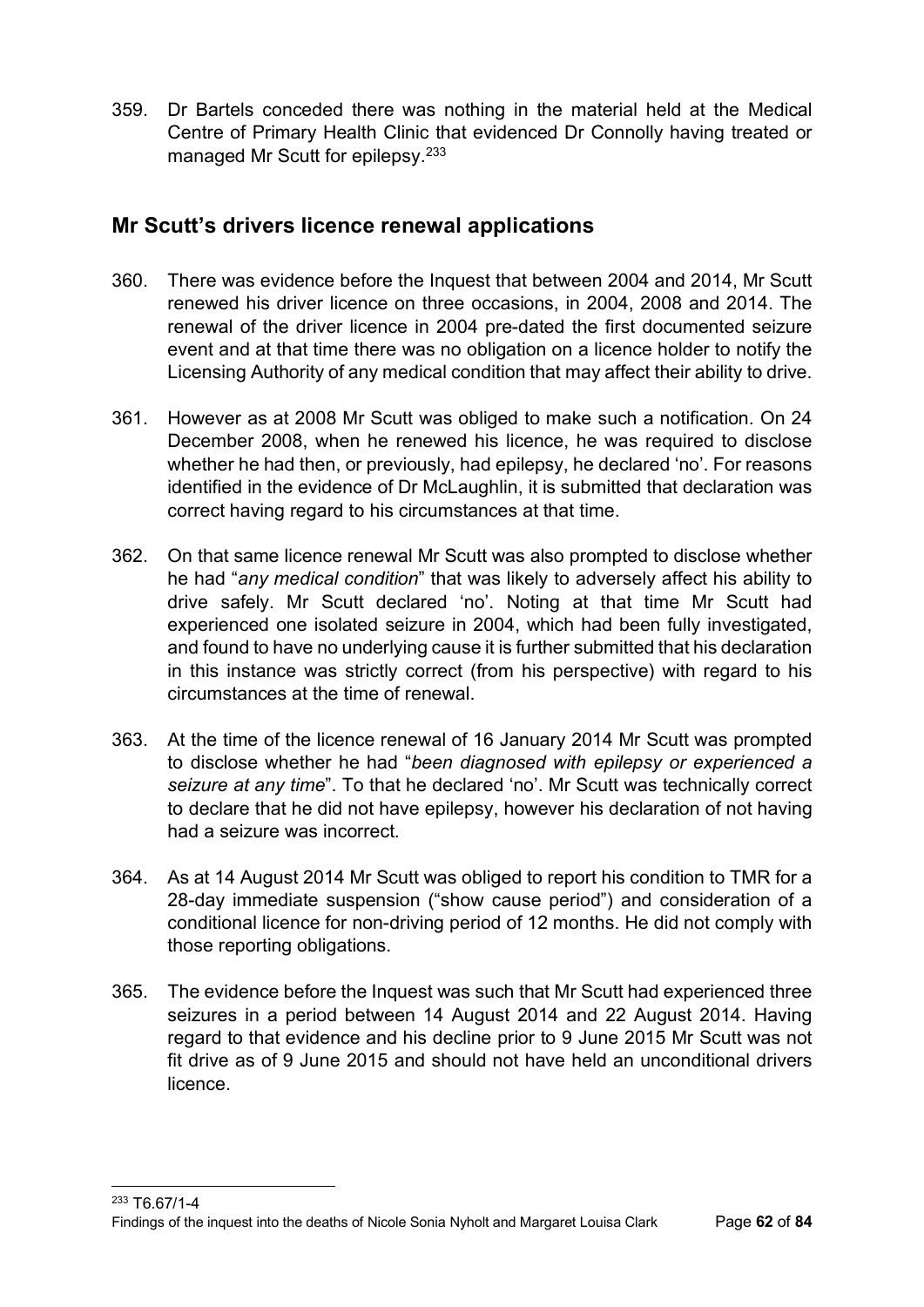359. Dr Bartels conceded there was nothing in the material held at the Medical Centre of Primary Health Clinic that evidenced Dr Connolly having treated or managed Mr Scutt for epilepsy.[233](#page-64-0)

# **Mr Scutt's drivers licence renewal applications**

- 360. There was evidence before the Inquest that between 2004 and 2014, Mr Scutt renewed his driver licence on three occasions, in 2004, 2008 and 2014. The renewal of the driver licence in 2004 pre-dated the first documented seizure event and at that time there was no obligation on a licence holder to notify the Licensing Authority of any medical condition that may affect their ability to drive.
- 361. However as at 2008 Mr Scutt was obliged to make such a notification. On 24 December 2008, when he renewed his licence, he was required to disclose whether he had then, or previously, had epilepsy, he declared 'no'. For reasons identified in the evidence of Dr McLaughlin, it is submitted that declaration was correct having regard to his circumstances at that time.
- 362. On that same licence renewal Mr Scutt was also prompted to disclose whether he had "*any medical condition*" that was likely to adversely affect his ability to drive safely. Mr Scutt declared 'no'. Noting at that time Mr Scutt had experienced one isolated seizure in 2004, which had been fully investigated, and found to have no underlying cause it is further submitted that his declaration in this instance was strictly correct (from his perspective) with regard to his circumstances at the time of renewal.
- 363. At the time of the licence renewal of 16 January 2014 Mr Scutt was prompted to disclose whether he had "*been diagnosed with epilepsy or experienced a seizure at any time*". To that he declared 'no'. Mr Scutt was technically correct to declare that he did not have epilepsy, however his declaration of not having had a seizure was incorrect.
- 364. As at 14 August 2014 Mr Scutt was obliged to report his condition to TMR for a 28-day immediate suspension ("show cause period") and consideration of a conditional licence for non-driving period of 12 months. He did not comply with those reporting obligations.
- <span id="page-64-0"></span>365. The evidence before the Inquest was such that Mr Scutt had experienced three seizures in a period between 14 August 2014 and 22 August 2014. Having regard to that evidence and his decline prior to 9 June 2015 Mr Scutt was not fit drive as of 9 June 2015 and should not have held an unconditional drivers licence.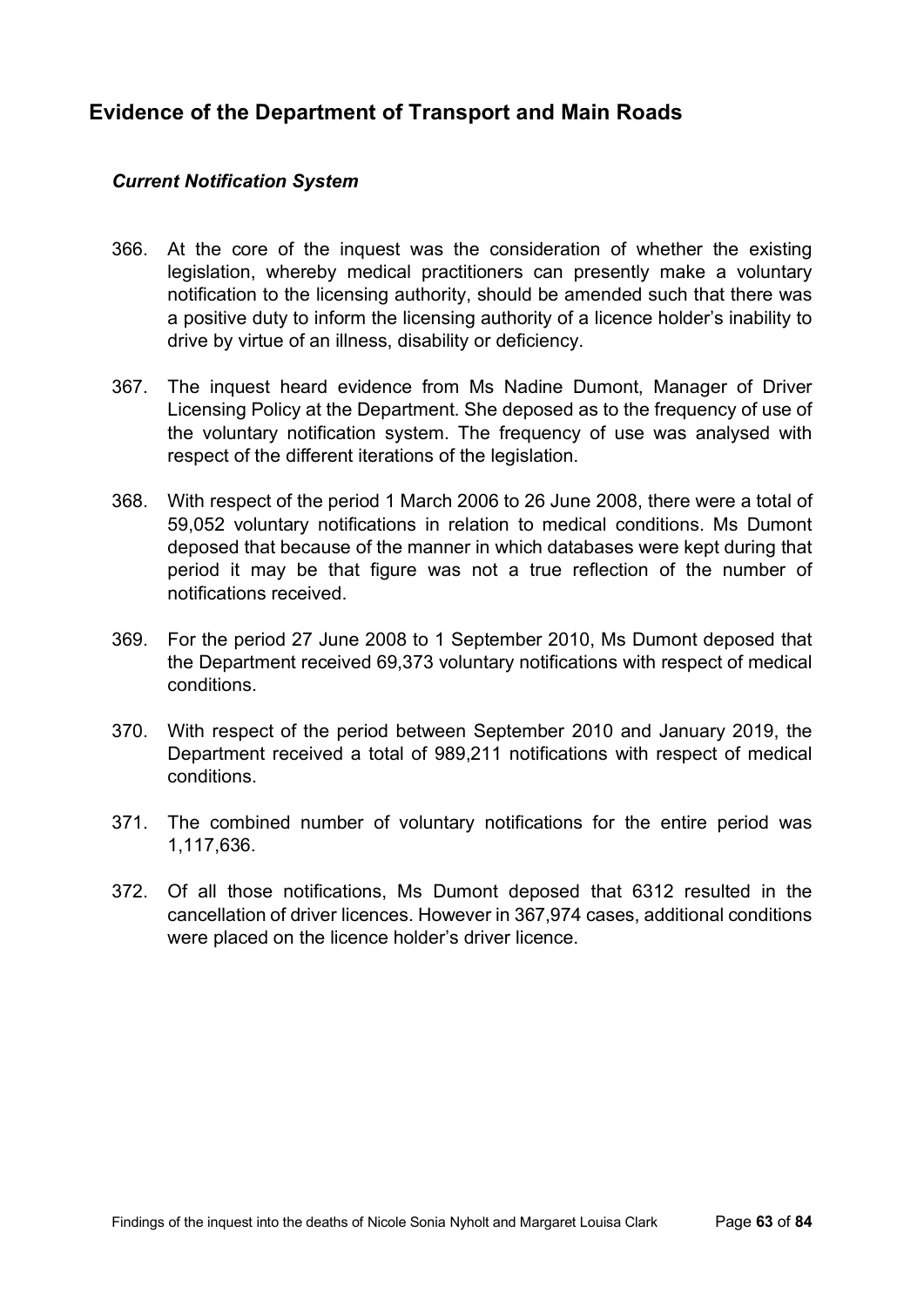# **Evidence of the Department of Transport and Main Roads**

### *Current Notification System*

- 366. At the core of the inquest was the consideration of whether the existing legislation, whereby medical practitioners can presently make a voluntary notification to the licensing authority, should be amended such that there was a positive duty to inform the licensing authority of a licence holder's inability to drive by virtue of an illness, disability or deficiency.
- 367. The inquest heard evidence from Ms Nadine Dumont, Manager of Driver Licensing Policy at the Department. She deposed as to the frequency of use of the voluntary notification system. The frequency of use was analysed with respect of the different iterations of the legislation.
- 368. With respect of the period 1 March 2006 to 26 June 2008, there were a total of 59,052 voluntary notifications in relation to medical conditions. Ms Dumont deposed that because of the manner in which databases were kept during that period it may be that figure was not a true reflection of the number of notifications received.
- 369. For the period 27 June 2008 to 1 September 2010, Ms Dumont deposed that the Department received 69,373 voluntary notifications with respect of medical conditions.
- 370. With respect of the period between September 2010 and January 2019, the Department received a total of 989,211 notifications with respect of medical conditions.
- 371. The combined number of voluntary notifications for the entire period was 1,117,636.
- 372. Of all those notifications, Ms Dumont deposed that 6312 resulted in the cancellation of driver licences. However in 367,974 cases, additional conditions were placed on the licence holder's driver licence.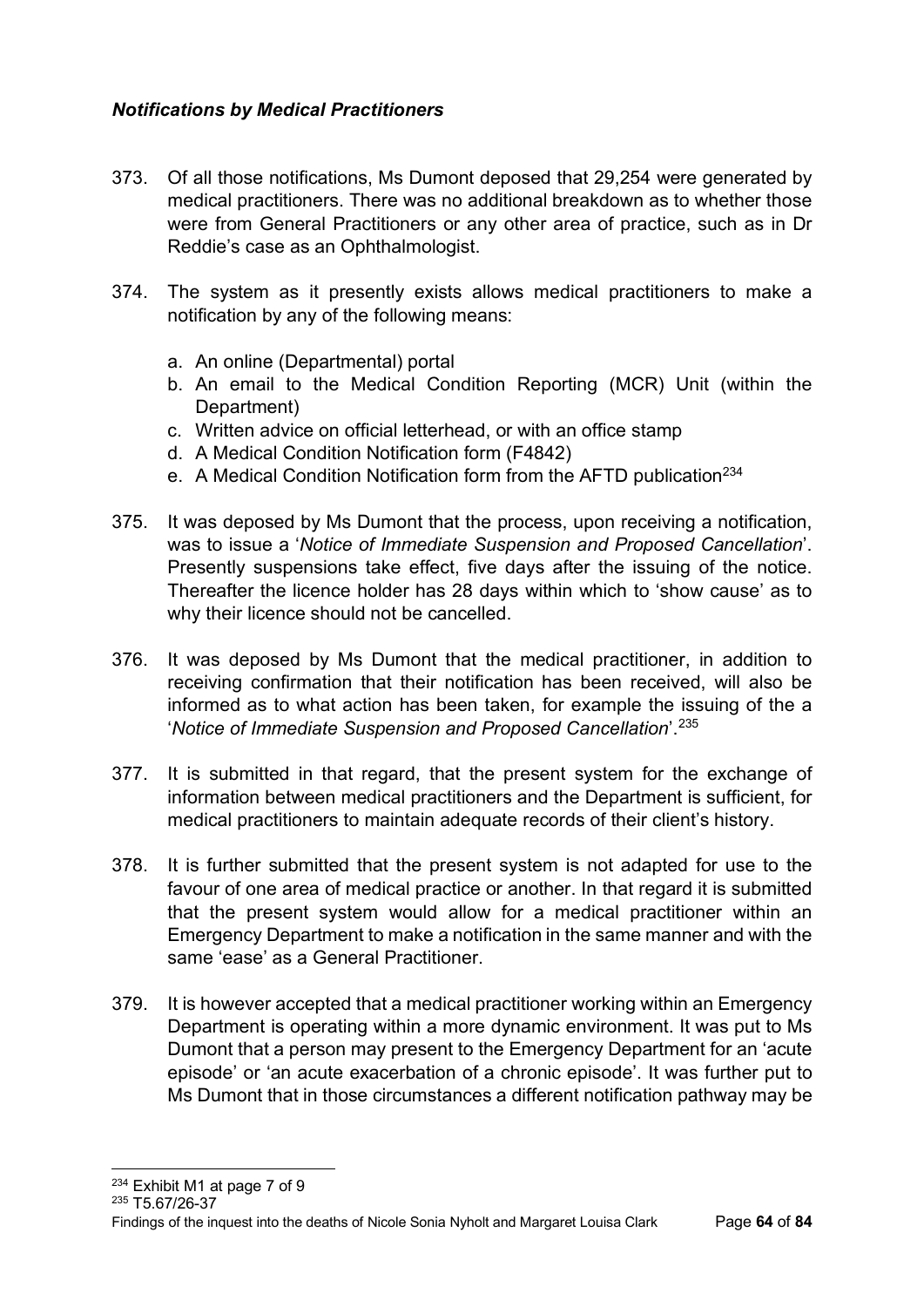# *Notifications by Medical Practitioners*

- 373. Of all those notifications, Ms Dumont deposed that 29,254 were generated by medical practitioners. There was no additional breakdown as to whether those were from General Practitioners or any other area of practice, such as in Dr Reddie's case as an Ophthalmologist.
- 374. The system as it presently exists allows medical practitioners to make a notification by any of the following means:
	- a. An online (Departmental) portal
	- b. An email to the Medical Condition Reporting (MCR) Unit (within the Department)
	- c. Written advice on official letterhead, or with an office stamp
	- d. A Medical Condition Notification form (F4842)
	- e. A Medical Condition Notification form from the AFTD publication<sup>[234](#page-66-0)</sup>
- 375. It was deposed by Ms Dumont that the process, upon receiving a notification, was to issue a '*Notice of Immediate Suspension and Proposed Cancellation*'. Presently suspensions take effect, five days after the issuing of the notice. Thereafter the licence holder has 28 days within which to 'show cause' as to why their licence should not be cancelled.
- 376. It was deposed by Ms Dumont that the medical practitioner, in addition to receiving confirmation that their notification has been received, will also be informed as to what action has been taken, for example the issuing of the a '*Notice of Immediate Suspension and Proposed Cancellation*'[.235](#page-66-1)
- 377. It is submitted in that regard, that the present system for the exchange of information between medical practitioners and the Department is sufficient, for medical practitioners to maintain adequate records of their client's history.
- 378. It is further submitted that the present system is not adapted for use to the favour of one area of medical practice or another. In that regard it is submitted that the present system would allow for a medical practitioner within an Emergency Department to make a notification in the same manner and with the same 'ease' as a General Practitioner.
- 379. It is however accepted that a medical practitioner working within an Emergency Department is operating within a more dynamic environment. It was put to Ms Dumont that a person may present to the Emergency Department for an 'acute episode' or 'an acute exacerbation of a chronic episode'. It was further put to Ms Dumont that in those circumstances a different notification pathway may be

<sup>234</sup> Exhibit M1 at page 7 of 9

<span id="page-66-1"></span><span id="page-66-0"></span><sup>235</sup> T5.67/26-37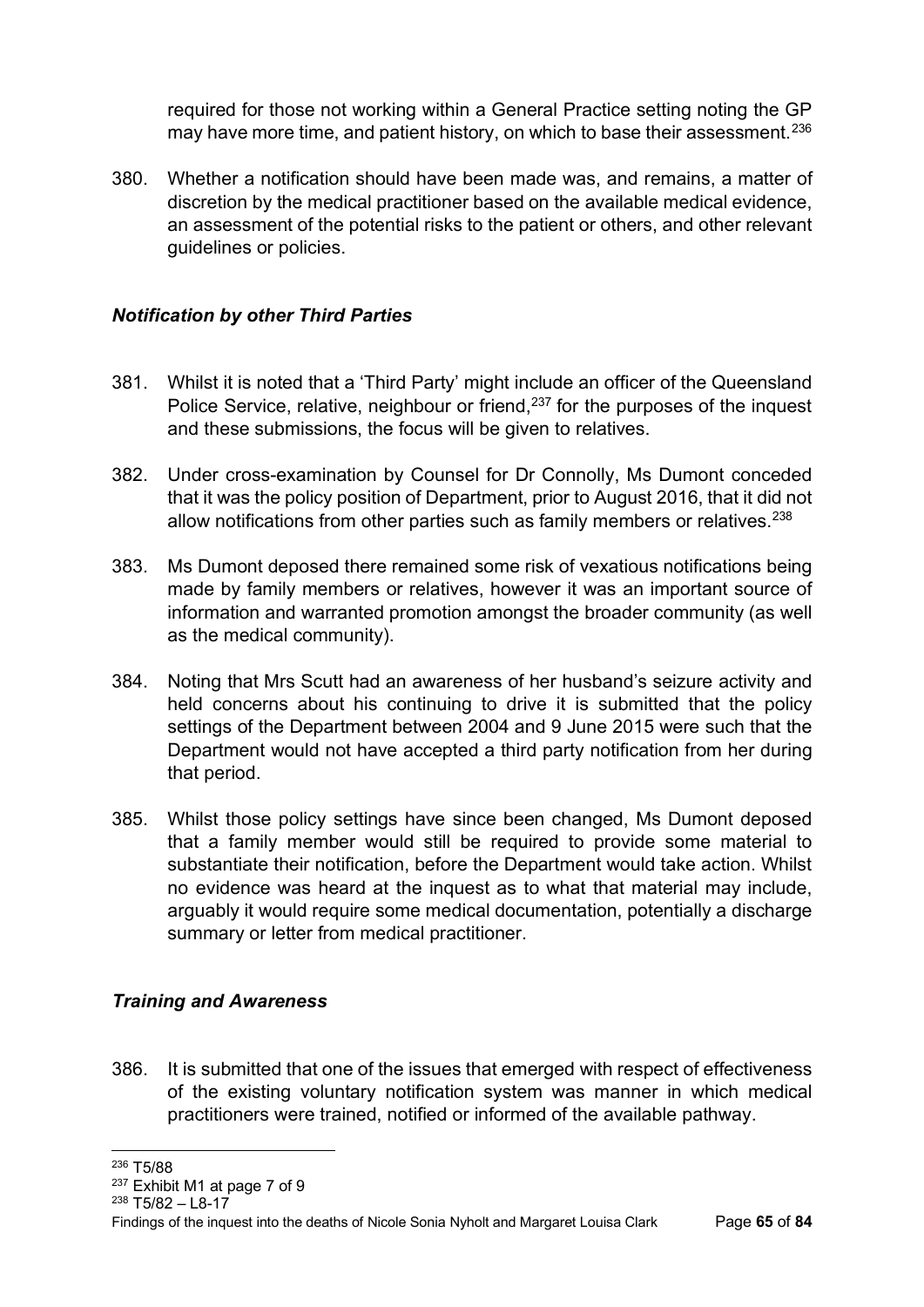required for those not working within a General Practice setting noting the GP may have more time, and patient history, on which to base their assessment.<sup>[236](#page-67-0)</sup>

380. Whether a notification should have been made was, and remains, a matter of discretion by the medical practitioner based on the available medical evidence, an assessment of the potential risks to the patient or others, and other relevant guidelines or policies.

### *Notification by other Third Parties*

- 381. Whilst it is noted that a 'Third Party' might include an officer of the Queensland Police Service, relative, neighbour or friend,<sup>237</sup> for the purposes of the inquest and these submissions, the focus will be given to relatives.
- 382. Under cross-examination by Counsel for Dr Connolly, Ms Dumont conceded that it was the policy position of Department, prior to August 2016, that it did not allow notifications from other parties such as family members or relatives.<sup>[238](#page-67-2)</sup>
- 383. Ms Dumont deposed there remained some risk of vexatious notifications being made by family members or relatives, however it was an important source of information and warranted promotion amongst the broader community (as well as the medical community).
- 384. Noting that Mrs Scutt had an awareness of her husband's seizure activity and held concerns about his continuing to drive it is submitted that the policy settings of the Department between 2004 and 9 June 2015 were such that the Department would not have accepted a third party notification from her during that period.
- 385. Whilst those policy settings have since been changed, Ms Dumont deposed that a family member would still be required to provide some material to substantiate their notification, before the Department would take action. Whilst no evidence was heard at the inquest as to what that material may include, arguably it would require some medical documentation, potentially a discharge summary or letter from medical practitioner.

# *Training and Awareness*

386. It is submitted that one of the issues that emerged with respect of effectiveness of the existing voluntary notification system was manner in which medical practitioners were trained, notified or informed of the available pathway.

<span id="page-67-1"></span><sup>237</sup> Exhibit M1 at page 7 of 9

<span id="page-67-2"></span> $238$  T5/82 – L8-17

<span id="page-67-0"></span><sup>236</sup> T5/88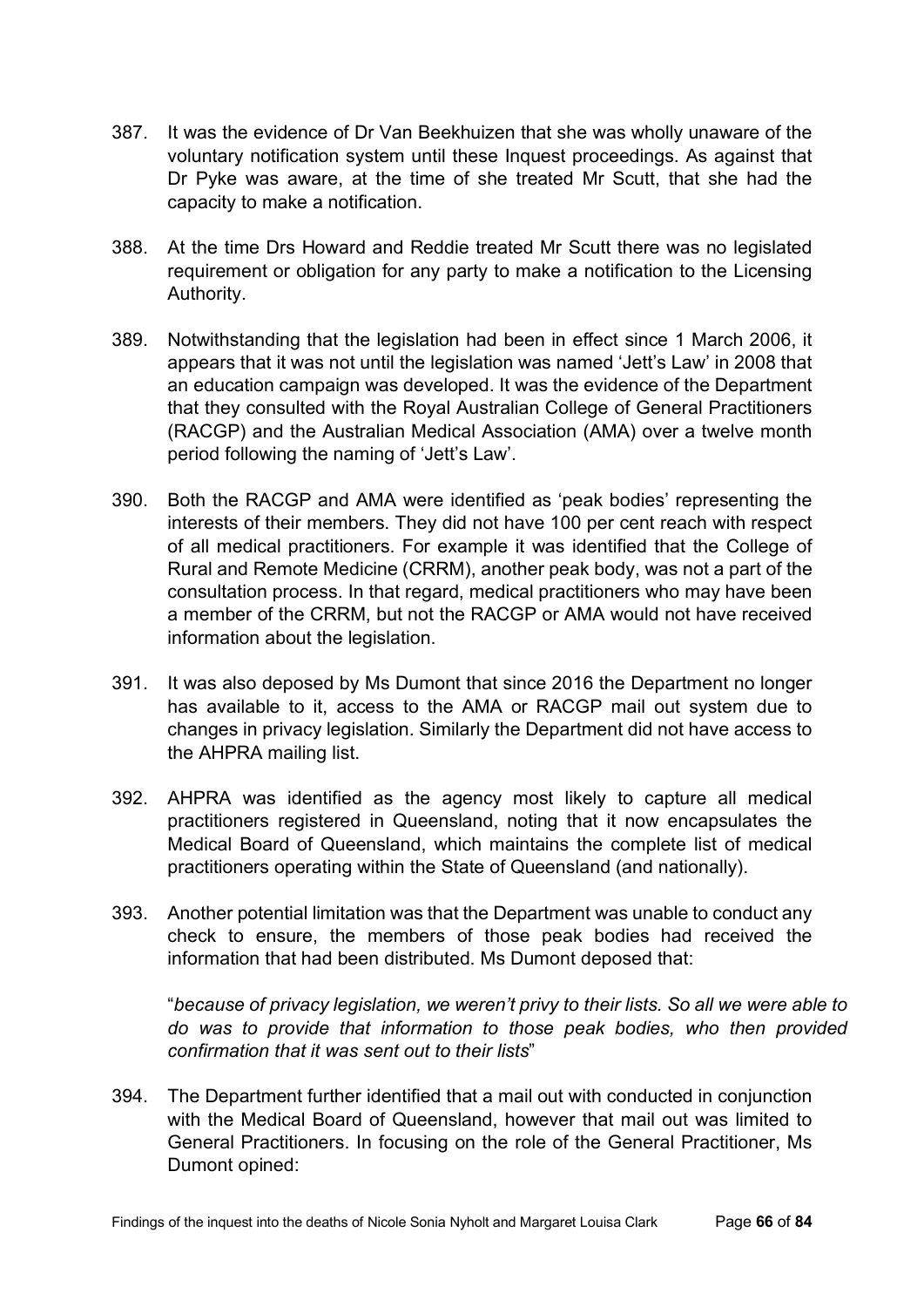- 387. It was the evidence of Dr Van Beekhuizen that she was wholly unaware of the voluntary notification system until these Inquest proceedings. As against that Dr Pyke was aware, at the time of she treated Mr Scutt, that she had the capacity to make a notification.
- 388. At the time Drs Howard and Reddie treated Mr Scutt there was no legislated requirement or obligation for any party to make a notification to the Licensing Authority.
- 389. Notwithstanding that the legislation had been in effect since 1 March 2006, it appears that it was not until the legislation was named 'Jett's Law' in 2008 that an education campaign was developed. It was the evidence of the Department that they consulted with the Royal Australian College of General Practitioners (RACGP) and the Australian Medical Association (AMA) over a twelve month period following the naming of 'Jett's Law'.
- 390. Both the RACGP and AMA were identified as 'peak bodies' representing the interests of their members. They did not have 100 per cent reach with respect of all medical practitioners. For example it was identified that the College of Rural and Remote Medicine (CRRM), another peak body, was not a part of the consultation process. In that regard, medical practitioners who may have been a member of the CRRM, but not the RACGP or AMA would not have received information about the legislation.
- 391. It was also deposed by Ms Dumont that since 2016 the Department no longer has available to it, access to the AMA or RACGP mail out system due to changes in privacy legislation. Similarly the Department did not have access to the AHPRA mailing list.
- 392. AHPRA was identified as the agency most likely to capture all medical practitioners registered in Queensland, noting that it now encapsulates the Medical Board of Queensland, which maintains the complete list of medical practitioners operating within the State of Queensland (and nationally).
- 393. Another potential limitation was that the Department was unable to conduct any check to ensure, the members of those peak bodies had received the information that had been distributed. Ms Dumont deposed that:

"*because of privacy legislation, we weren't privy to their lists. So all we were able to do was to provide that information to those peak bodies, who then provided confirmation that it was sent out to their lists*"

394. The Department further identified that a mail out with conducted in conjunction with the Medical Board of Queensland, however that mail out was limited to General Practitioners. In focusing on the role of the General Practitioner, Ms Dumont opined: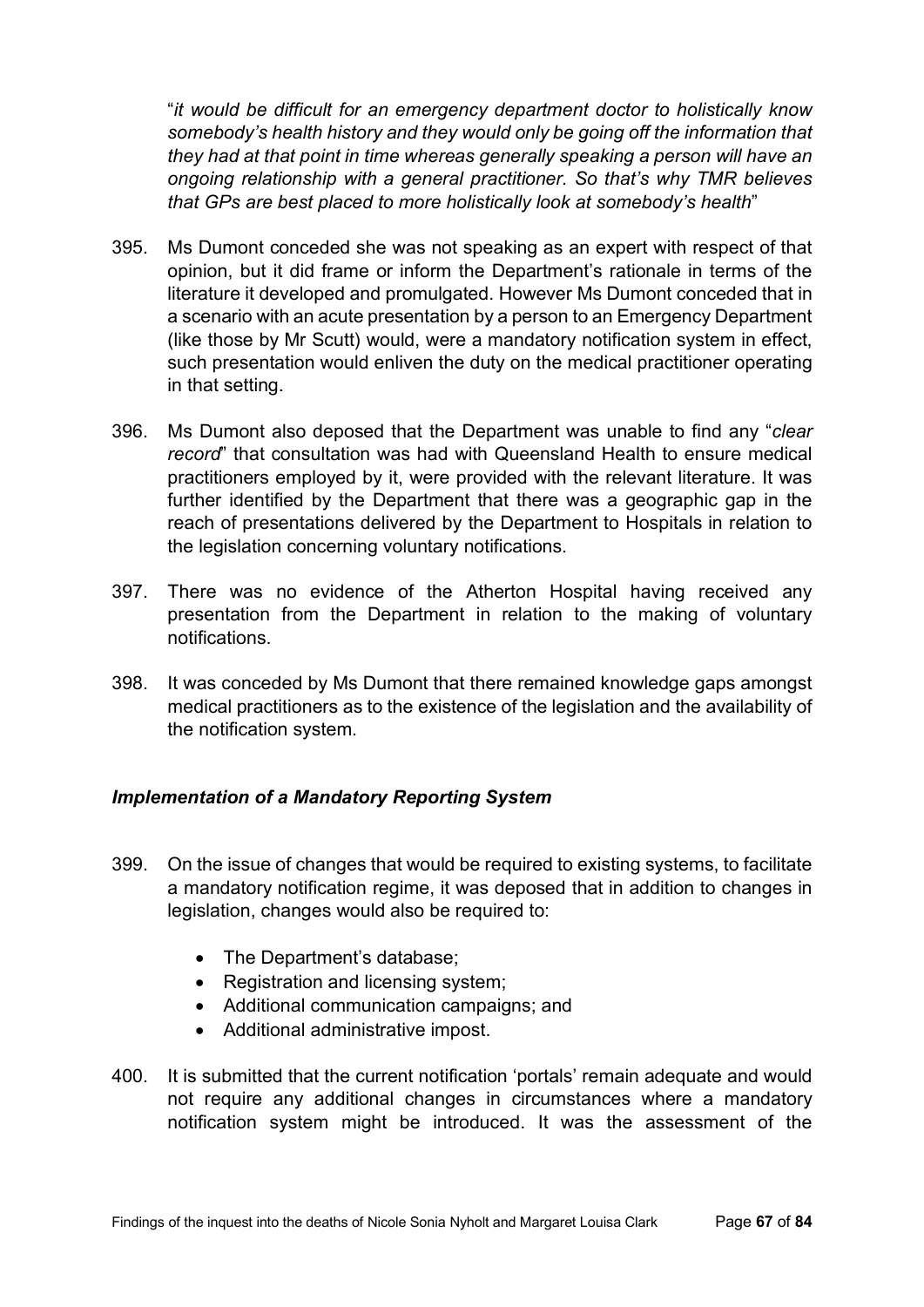"*it would be difficult for an emergency department doctor to holistically know somebody's health history and they would only be going off the information that they had at that point in time whereas generally speaking a person will have an ongoing relationship with a general practitioner. So that's why TMR believes that GPs are best placed to more holistically look at somebody's health*"

- 395. Ms Dumont conceded she was not speaking as an expert with respect of that opinion, but it did frame or inform the Department's rationale in terms of the literature it developed and promulgated. However Ms Dumont conceded that in a scenario with an acute presentation by a person to an Emergency Department (like those by Mr Scutt) would, were a mandatory notification system in effect, such presentation would enliven the duty on the medical practitioner operating in that setting.
- 396. Ms Dumont also deposed that the Department was unable to find any "*clear record*" that consultation was had with Queensland Health to ensure medical practitioners employed by it, were provided with the relevant literature. It was further identified by the Department that there was a geographic gap in the reach of presentations delivered by the Department to Hospitals in relation to the legislation concerning voluntary notifications.
- 397. There was no evidence of the Atherton Hospital having received any presentation from the Department in relation to the making of voluntary notifications.
- 398. It was conceded by Ms Dumont that there remained knowledge gaps amongst medical practitioners as to the existence of the legislation and the availability of the notification system.

### *Implementation of a Mandatory Reporting System*

- 399. On the issue of changes that would be required to existing systems, to facilitate a mandatory notification regime, it was deposed that in addition to changes in legislation, changes would also be required to:
	- The Department's database;
	- Registration and licensing system:
	- Additional communication campaigns; and
	- Additional administrative impost.
- 400. It is submitted that the current notification 'portals' remain adequate and would not require any additional changes in circumstances where a mandatory notification system might be introduced. It was the assessment of the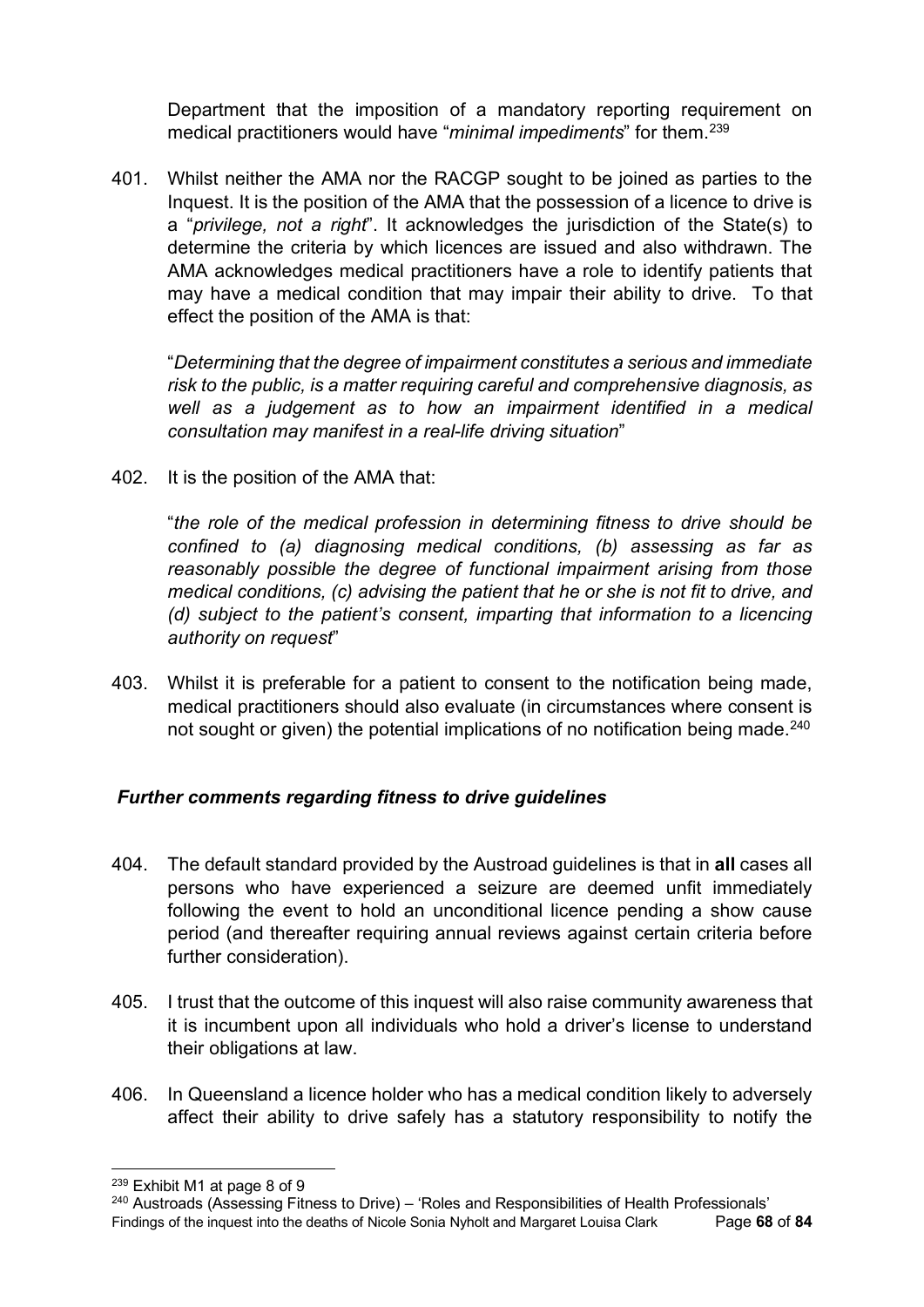Department that the imposition of a mandatory reporting requirement on medical practitioners would have "*minimal impediments*" for them.[239](#page-70-0)

401. Whilst neither the AMA nor the RACGP sought to be joined as parties to the Inquest. It is the position of the AMA that the possession of a licence to drive is a "*privilege, not a right*". It acknowledges the jurisdiction of the State(s) to determine the criteria by which licences are issued and also withdrawn. The AMA acknowledges medical practitioners have a role to identify patients that may have a medical condition that may impair their ability to drive. To that effect the position of the AMA is that:

"*Determining that the degree of impairment constitutes a serious and immediate risk to the public, is a matter requiring careful and comprehensive diagnosis, as well as a judgement as to how an impairment identified in a medical consultation may manifest in a real-life driving situation*"

402. It is the position of the AMA that:

"*the role of the medical profession in determining fitness to drive should be confined to (a) diagnosing medical conditions, (b) assessing as far as reasonably possible the degree of functional impairment arising from those medical conditions, (c) advising the patient that he or she is not fit to drive, and (d) subject to the patient's consent, imparting that information to a licencing authority on request*"

403. Whilst it is preferable for a patient to consent to the notification being made, medical practitioners should also evaluate (in circumstances where consent is not sought or given) the potential implications of no notification being made.<sup>240</sup>

# *Further comments regarding fitness to drive guidelines*

- 404. The default standard provided by the Austroad guidelines is that in **all** cases all persons who have experienced a seizure are deemed unfit immediately following the event to hold an unconditional licence pending a show cause period (and thereafter requiring annual reviews against certain criteria before further consideration).
- 405. I trust that the outcome of this inquest will also raise community awareness that it is incumbent upon all individuals who hold a driver's license to understand their obligations at law.
- 406. In Queensland a licence holder who has a medical condition likely to adversely affect their ability to drive safely has a statutory responsibility to notify the

<span id="page-70-0"></span><sup>239</sup> Exhibit M1 at page 8 of 9

<span id="page-70-1"></span>Findings of the inquest into the deaths of Nicole Sonia Nyholt and Margaret Louisa Clark Page **68** of **84** <sup>240</sup> Austroads (Assessing Fitness to Drive) – 'Roles and Responsibilities of Health Professionals'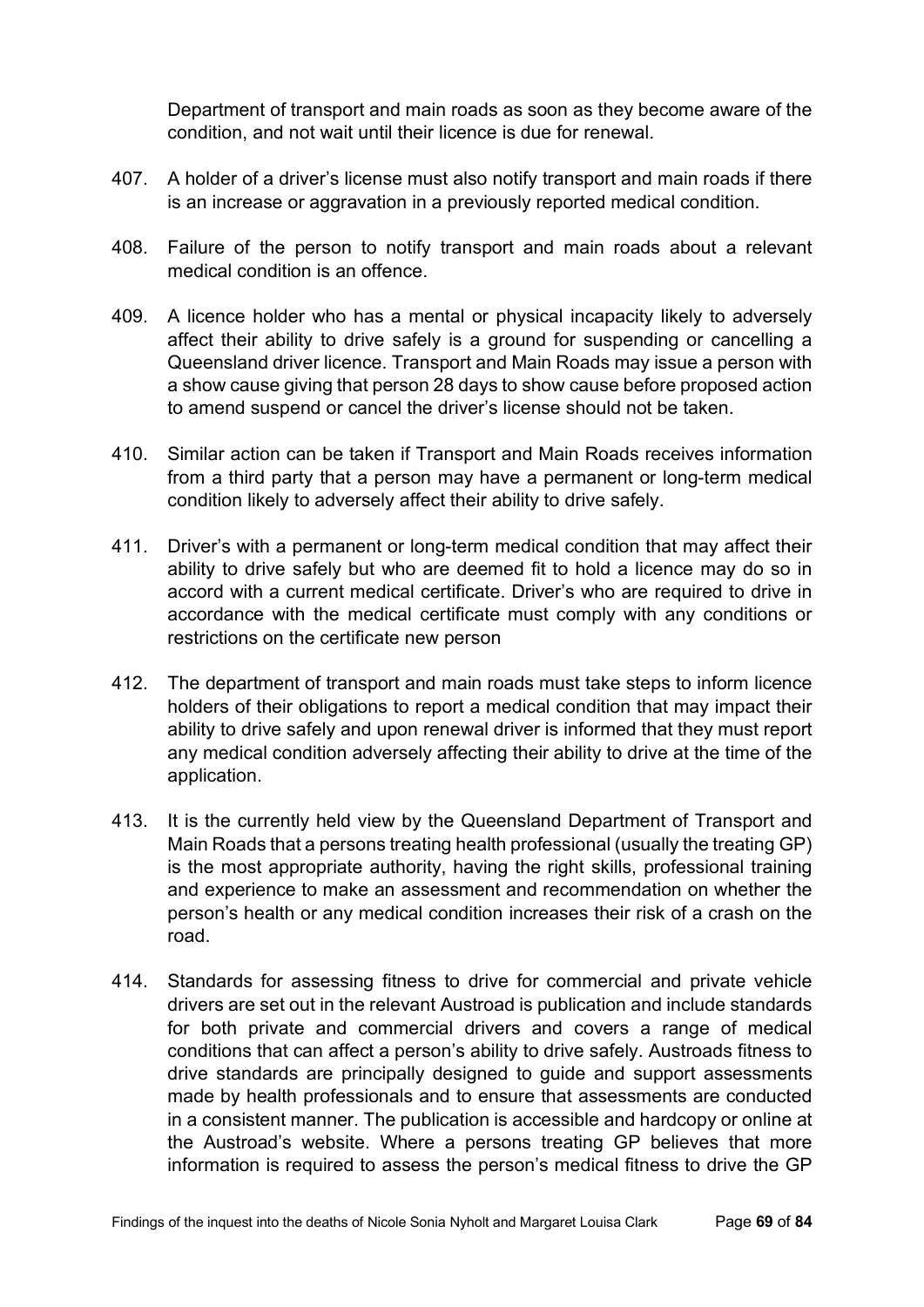Department of transport and main roads as soon as they become aware of the condition, and not wait until their licence is due for renewal.

- 407. A holder of a driver's license must also notify transport and main roads if there is an increase or aggravation in a previously reported medical condition.
- 408. Failure of the person to notify transport and main roads about a relevant medical condition is an offence.
- 409. A licence holder who has a mental or physical incapacity likely to adversely affect their ability to drive safely is a ground for suspending or cancelling a Queensland driver licence. Transport and Main Roads may issue a person with a show cause giving that person 28 days to show cause before proposed action to amend suspend or cancel the driver's license should not be taken.
- 410. Similar action can be taken if Transport and Main Roads receives information from a third party that a person may have a permanent or long-term medical condition likely to adversely affect their ability to drive safely.
- 411. Driver's with a permanent or long-term medical condition that may affect their ability to drive safely but who are deemed fit to hold a licence may do so in accord with a current medical certificate. Driver's who are required to drive in accordance with the medical certificate must comply with any conditions or restrictions on the certificate new person
- 412. The department of transport and main roads must take steps to inform licence holders of their obligations to report a medical condition that may impact their ability to drive safely and upon renewal driver is informed that they must report any medical condition adversely affecting their ability to drive at the time of the application.
- 413. It is the currently held view by the Queensland Department of Transport and Main Roads that a persons treating health professional (usually the treating GP) is the most appropriate authority, having the right skills, professional training and experience to make an assessment and recommendation on whether the person's health or any medical condition increases their risk of a crash on the road.
- 414. Standards for assessing fitness to drive for commercial and private vehicle drivers are set out in the relevant Austroad is publication and include standards for both private and commercial drivers and covers a range of medical conditions that can affect a person's ability to drive safely. Austroads fitness to drive standards are principally designed to guide and support assessments made by health professionals and to ensure that assessments are conducted in a consistent manner. The publication is accessible and hardcopy or online at the Austroad's website. Where a persons treating GP believes that more information is required to assess the person's medical fitness to drive the GP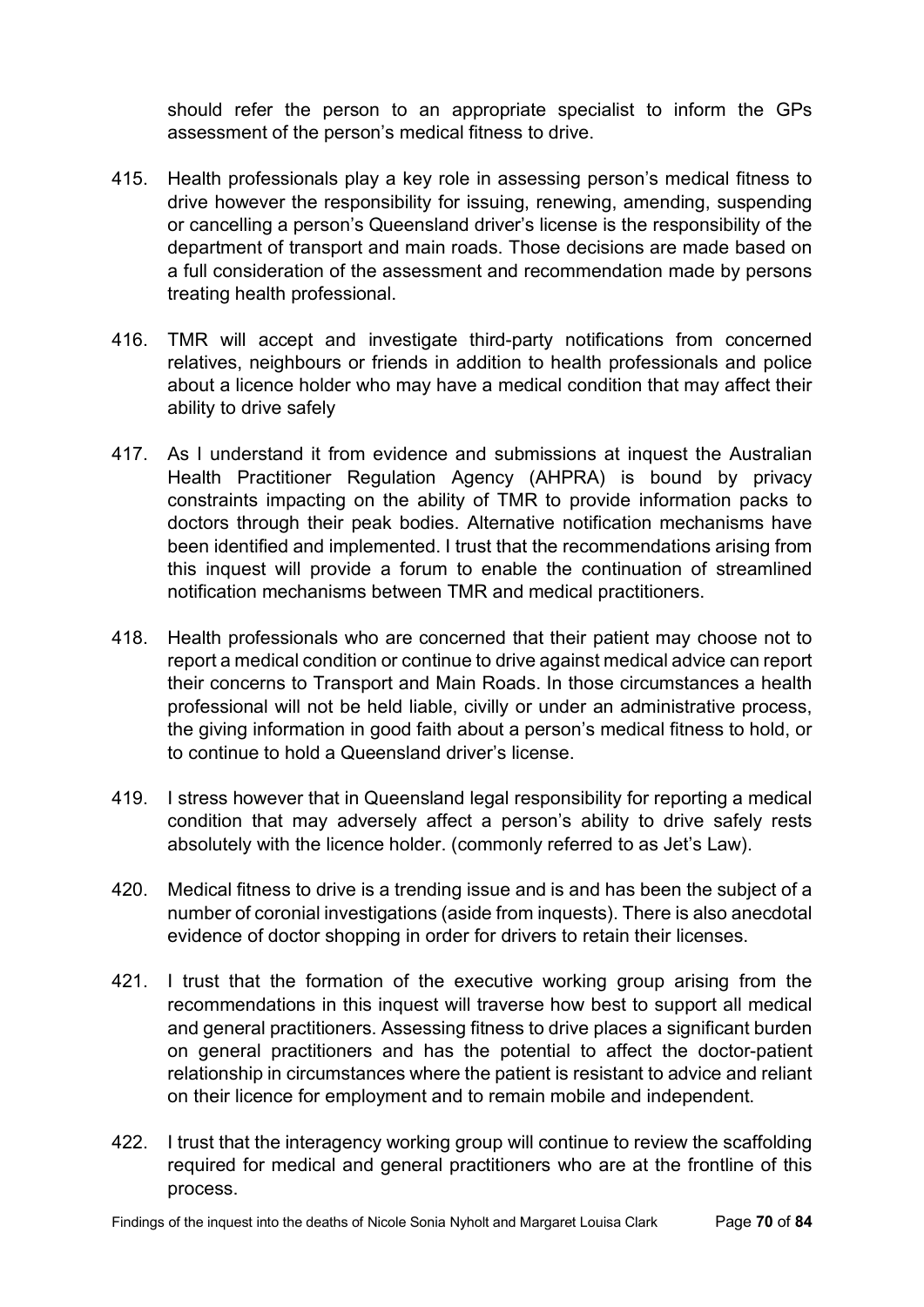should refer the person to an appropriate specialist to inform the GPs assessment of the person's medical fitness to drive.

- 415. Health professionals play a key role in assessing person's medical fitness to drive however the responsibility for issuing, renewing, amending, suspending or cancelling a person's Queensland driver's license is the responsibility of the department of transport and main roads. Those decisions are made based on a full consideration of the assessment and recommendation made by persons treating health professional.
- 416. TMR will accept and investigate third-party notifications from concerned relatives, neighbours or friends in addition to health professionals and police about a licence holder who may have a medical condition that may affect their ability to drive safely
- 417. As I understand it from evidence and submissions at inquest the Australian Health Practitioner Regulation Agency (AHPRA) is bound by privacy constraints impacting on the ability of TMR to provide information packs to doctors through their peak bodies. Alternative notification mechanisms have been identified and implemented. I trust that the recommendations arising from this inquest will provide a forum to enable the continuation of streamlined notification mechanisms between TMR and medical practitioners.
- 418. Health professionals who are concerned that their patient may choose not to report a medical condition or continue to drive against medical advice can report their concerns to Transport and Main Roads. In those circumstances a health professional will not be held liable, civilly or under an administrative process, the giving information in good faith about a person's medical fitness to hold, or to continue to hold a Queensland driver's license.
- 419. I stress however that in Queensland legal responsibility for reporting a medical condition that may adversely affect a person's ability to drive safely rests absolutely with the licence holder. (commonly referred to as Jet's Law).
- 420. Medical fitness to drive is a trending issue and is and has been the subject of a number of coronial investigations (aside from inquests). There is also anecdotal evidence of doctor shopping in order for drivers to retain their licenses.
- 421. I trust that the formation of the executive working group arising from the recommendations in this inquest will traverse how best to support all medical and general practitioners. Assessing fitness to drive places a significant burden on general practitioners and has the potential to affect the doctor-patient relationship in circumstances where the patient is resistant to advice and reliant on their licence for employment and to remain mobile and independent.
- 422. I trust that the interagency working group will continue to review the scaffolding required for medical and general practitioners who are at the frontline of this process.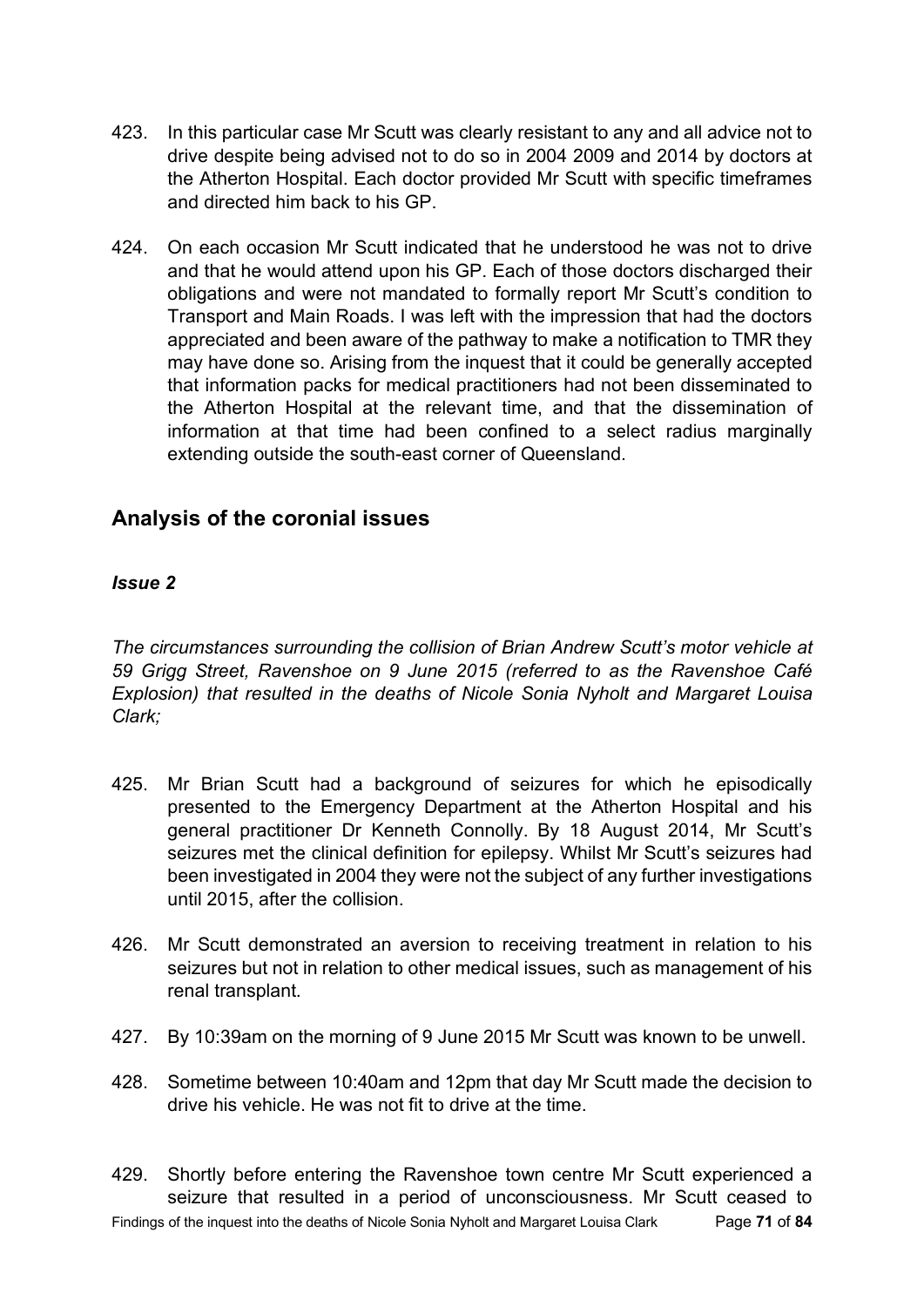- 423. In this particular case Mr Scutt was clearly resistant to any and all advice not to drive despite being advised not to do so in 2004 2009 and 2014 by doctors at the Atherton Hospital. Each doctor provided Mr Scutt with specific timeframes and directed him back to his GP.
- 424. On each occasion Mr Scutt indicated that he understood he was not to drive and that he would attend upon his GP. Each of those doctors discharged their obligations and were not mandated to formally report Mr Scutt's condition to Transport and Main Roads. I was left with the impression that had the doctors appreciated and been aware of the pathway to make a notification to TMR they may have done so. Arising from the inquest that it could be generally accepted that information packs for medical practitioners had not been disseminated to the Atherton Hospital at the relevant time, and that the dissemination of information at that time had been confined to a select radius marginally extending outside the south-east corner of Queensland.

## **Analysis of the coronial issues**

### *Issue 2*

*The circumstances surrounding the collision of Brian Andrew Scutt's motor vehicle at 59 Grigg Street, Ravenshoe on 9 June 2015 (referred to as the Ravenshoe Café Explosion) that resulted in the deaths of Nicole Sonia Nyholt and Margaret Louisa Clark;*

- 425. Mr Brian Scutt had a background of seizures for which he episodically presented to the Emergency Department at the Atherton Hospital and his general practitioner Dr Kenneth Connolly. By 18 August 2014, Mr Scutt's seizures met the clinical definition for epilepsy. Whilst Mr Scutt's seizures had been investigated in 2004 they were not the subject of any further investigations until 2015, after the collision.
- 426. Mr Scutt demonstrated an aversion to receiving treatment in relation to his seizures but not in relation to other medical issues, such as management of his renal transplant.
- 427. By 10:39am on the morning of 9 June 2015 Mr Scutt was known to be unwell.
- 428. Sometime between 10:40am and 12pm that day Mr Scutt made the decision to drive his vehicle. He was not fit to drive at the time.
- Findings of the inquest into the deaths of Nicole Sonia Nyholt and Margaret Louisa Clark Page **71** of **84** 429. Shortly before entering the Ravenshoe town centre Mr Scutt experienced a seizure that resulted in a period of unconsciousness. Mr Scutt ceased to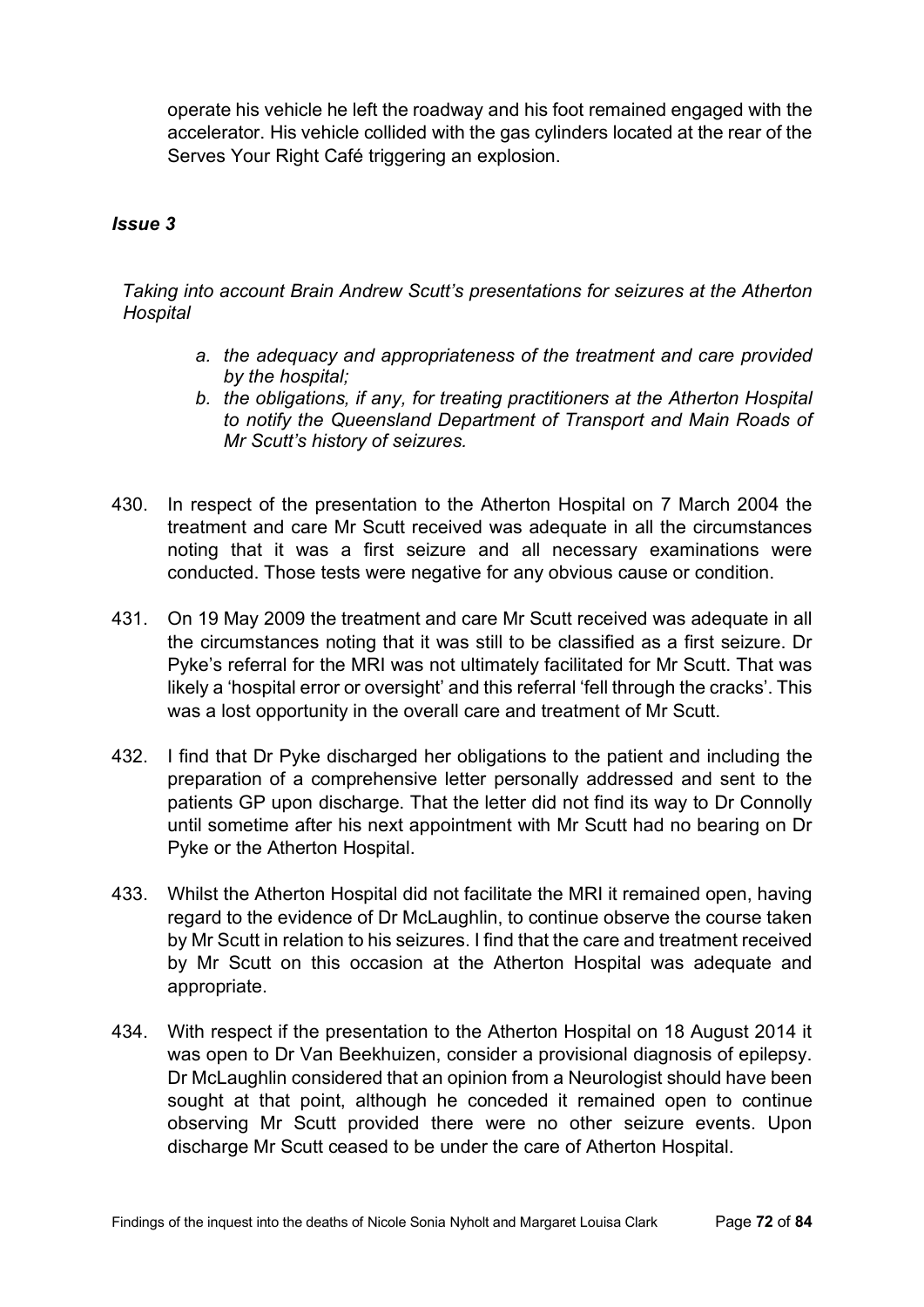operate his vehicle he left the roadway and his foot remained engaged with the accelerator. His vehicle collided with the gas cylinders located at the rear of the Serves Your Right Café triggering an explosion.

#### *Issue 3*

*Taking into account Brain Andrew Scutt's presentations for seizures at the Atherton Hospital*

- *a. the adequacy and appropriateness of the treatment and care provided by the hospital;*
- *b. the obligations, if any, for treating practitioners at the Atherton Hospital to notify the Queensland Department of Transport and Main Roads of Mr Scutt's history of seizures.*
- 430. In respect of the presentation to the Atherton Hospital on 7 March 2004 the treatment and care Mr Scutt received was adequate in all the circumstances noting that it was a first seizure and all necessary examinations were conducted. Those tests were negative for any obvious cause or condition.
- 431. On 19 May 2009 the treatment and care Mr Scutt received was adequate in all the circumstances noting that it was still to be classified as a first seizure. Dr Pyke's referral for the MRI was not ultimately facilitated for Mr Scutt. That was likely a 'hospital error or oversight' and this referral 'fell through the cracks'. This was a lost opportunity in the overall care and treatment of Mr Scutt.
- 432. I find that Dr Pyke discharged her obligations to the patient and including the preparation of a comprehensive letter personally addressed and sent to the patients GP upon discharge. That the letter did not find its way to Dr Connolly until sometime after his next appointment with Mr Scutt had no bearing on Dr Pyke or the Atherton Hospital.
- 433. Whilst the Atherton Hospital did not facilitate the MRI it remained open, having regard to the evidence of Dr McLaughlin, to continue observe the course taken by Mr Scutt in relation to his seizures. I find that the care and treatment received by Mr Scutt on this occasion at the Atherton Hospital was adequate and appropriate.
- 434. With respect if the presentation to the Atherton Hospital on 18 August 2014 it was open to Dr Van Beekhuizen, consider a provisional diagnosis of epilepsy. Dr McLaughlin considered that an opinion from a Neurologist should have been sought at that point, although he conceded it remained open to continue observing Mr Scutt provided there were no other seizure events. Upon discharge Mr Scutt ceased to be under the care of Atherton Hospital.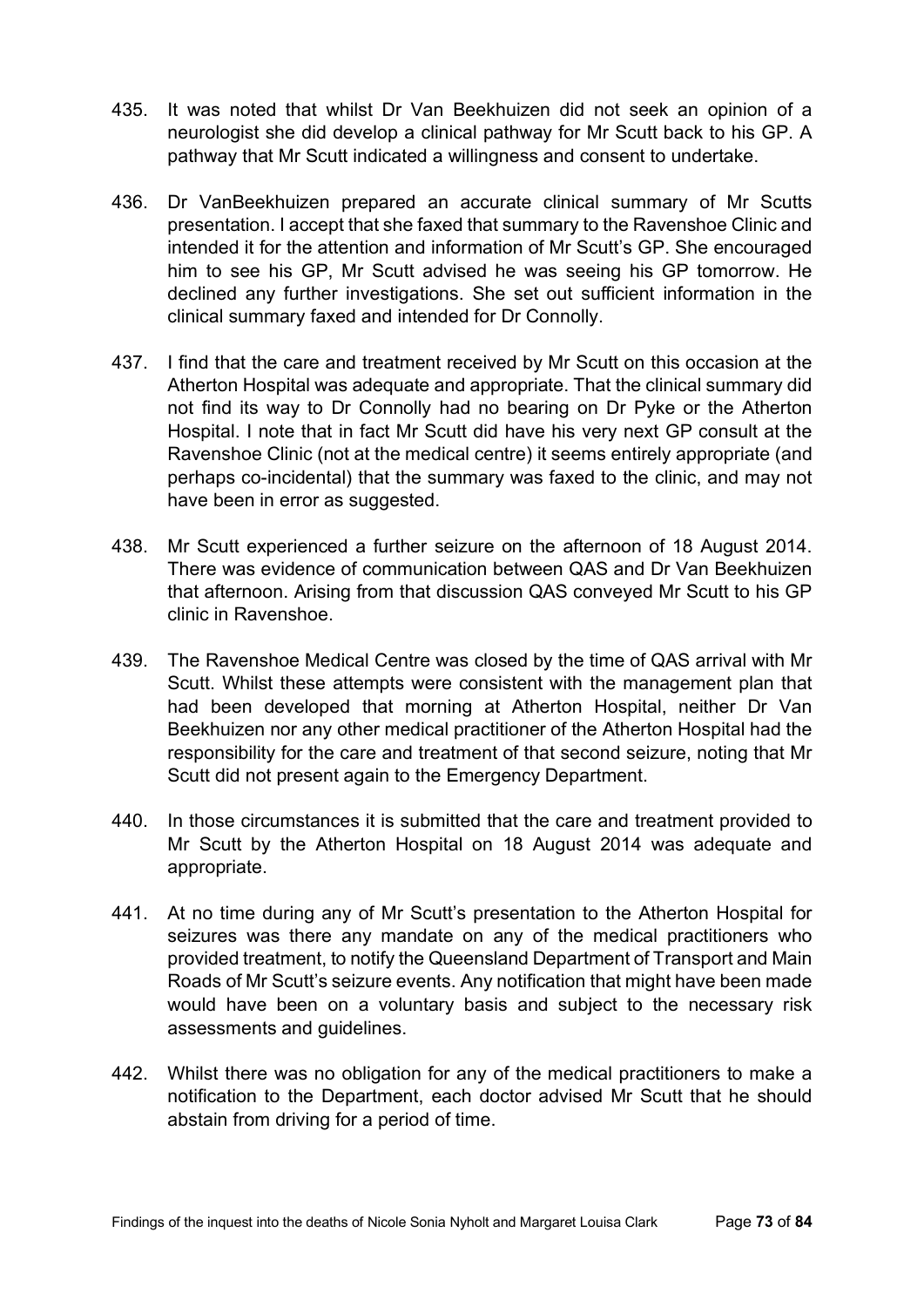- 435. It was noted that whilst Dr Van Beekhuizen did not seek an opinion of a neurologist she did develop a clinical pathway for Mr Scutt back to his GP. A pathway that Mr Scutt indicated a willingness and consent to undertake.
- 436. Dr VanBeekhuizen prepared an accurate clinical summary of Mr Scutts presentation. I accept that she faxed that summary to the Ravenshoe Clinic and intended it for the attention and information of Mr Scutt's GP. She encouraged him to see his GP, Mr Scutt advised he was seeing his GP tomorrow. He declined any further investigations. She set out sufficient information in the clinical summary faxed and intended for Dr Connolly.
- 437. I find that the care and treatment received by Mr Scutt on this occasion at the Atherton Hospital was adequate and appropriate. That the clinical summary did not find its way to Dr Connolly had no bearing on Dr Pyke or the Atherton Hospital. I note that in fact Mr Scutt did have his very next GP consult at the Ravenshoe Clinic (not at the medical centre) it seems entirely appropriate (and perhaps co-incidental) that the summary was faxed to the clinic, and may not have been in error as suggested.
- 438. Mr Scutt experienced a further seizure on the afternoon of 18 August 2014. There was evidence of communication between QAS and Dr Van Beekhuizen that afternoon. Arising from that discussion QAS conveyed Mr Scutt to his GP clinic in Ravenshoe.
- 439. The Ravenshoe Medical Centre was closed by the time of QAS arrival with Mr Scutt. Whilst these attempts were consistent with the management plan that had been developed that morning at Atherton Hospital, neither Dr Van Beekhuizen nor any other medical practitioner of the Atherton Hospital had the responsibility for the care and treatment of that second seizure, noting that Mr Scutt did not present again to the Emergency Department.
- 440. In those circumstances it is submitted that the care and treatment provided to Mr Scutt by the Atherton Hospital on 18 August 2014 was adequate and appropriate.
- 441. At no time during any of Mr Scutt's presentation to the Atherton Hospital for seizures was there any mandate on any of the medical practitioners who provided treatment, to notify the Queensland Department of Transport and Main Roads of Mr Scutt's seizure events. Any notification that might have been made would have been on a voluntary basis and subject to the necessary risk assessments and guidelines.
- 442. Whilst there was no obligation for any of the medical practitioners to make a notification to the Department, each doctor advised Mr Scutt that he should abstain from driving for a period of time.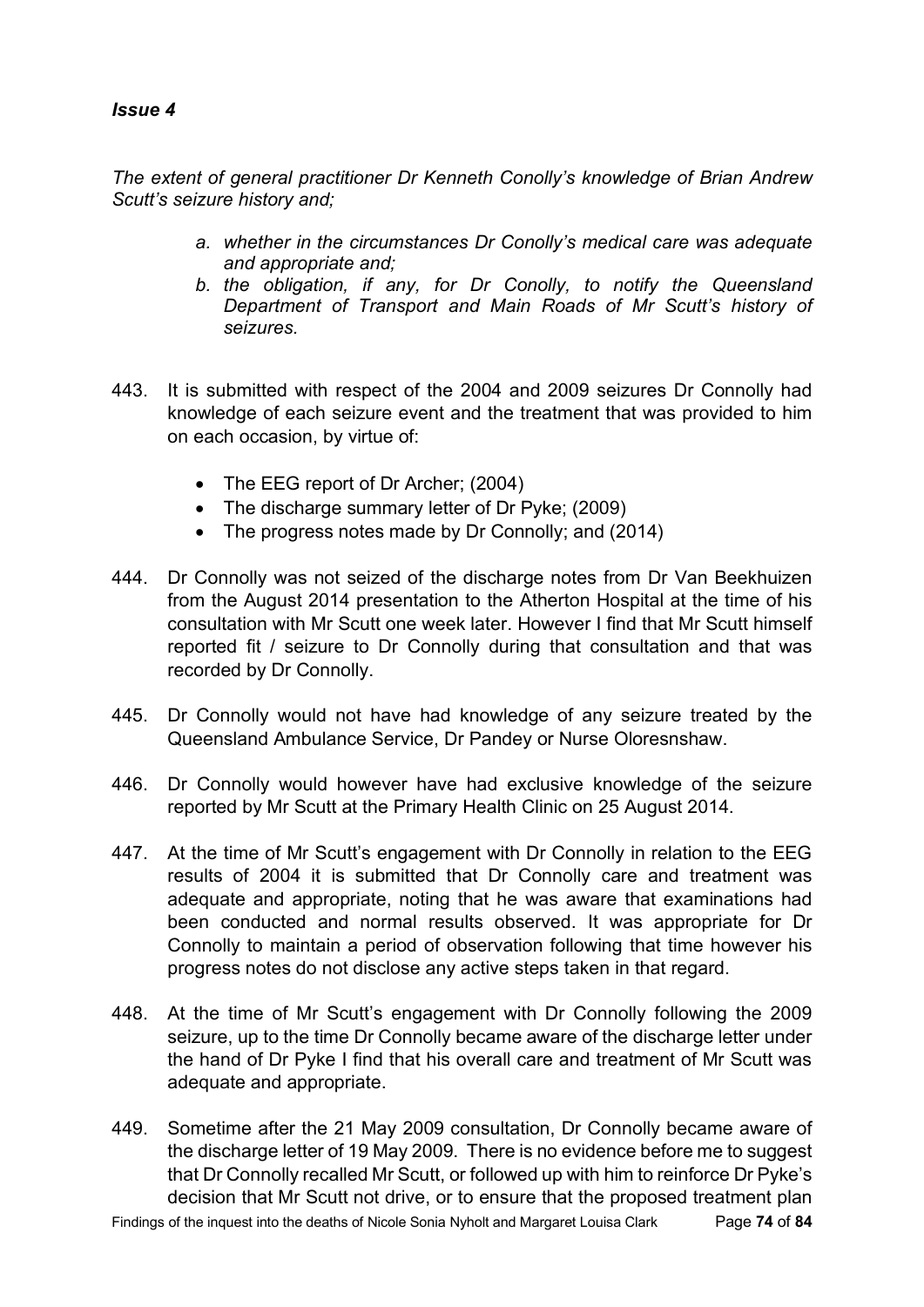#### *Issue 4*

*The extent of general practitioner Dr Kenneth Conolly's knowledge of Brian Andrew Scutt's seizure history and;* 

- *a. whether in the circumstances Dr Conolly's medical care was adequate and appropriate and;*
- *b. the obligation, if any, for Dr Conolly, to notify the Queensland Department of Transport and Main Roads of Mr Scutt's history of seizures.*
- 443. It is submitted with respect of the 2004 and 2009 seizures Dr Connolly had knowledge of each seizure event and the treatment that was provided to him on each occasion, by virtue of:
	- The EEG report of Dr Archer; (2004)
	- The discharge summary letter of Dr Pyke; (2009)
	- The progress notes made by Dr Connolly; and (2014)
- 444. Dr Connolly was not seized of the discharge notes from Dr Van Beekhuizen from the August 2014 presentation to the Atherton Hospital at the time of his consultation with Mr Scutt one week later. However I find that Mr Scutt himself reported fit / seizure to Dr Connolly during that consultation and that was recorded by Dr Connolly.
- 445. Dr Connolly would not have had knowledge of any seizure treated by the Queensland Ambulance Service, Dr Pandey or Nurse Oloresnshaw.
- 446. Dr Connolly would however have had exclusive knowledge of the seizure reported by Mr Scutt at the Primary Health Clinic on 25 August 2014.
- 447. At the time of Mr Scutt's engagement with Dr Connolly in relation to the EEG results of 2004 it is submitted that Dr Connolly care and treatment was adequate and appropriate, noting that he was aware that examinations had been conducted and normal results observed. It was appropriate for Dr Connolly to maintain a period of observation following that time however his progress notes do not disclose any active steps taken in that regard.
- 448. At the time of Mr Scutt's engagement with Dr Connolly following the 2009 seizure, up to the time Dr Connolly became aware of the discharge letter under the hand of Dr Pyke I find that his overall care and treatment of Mr Scutt was adequate and appropriate.
- 449. Sometime after the 21 May 2009 consultation, Dr Connolly became aware of the discharge letter of 19 May 2009. There is no evidence before me to suggest that Dr Connolly recalled Mr Scutt, or followed up with him to reinforce Dr Pyke's decision that Mr Scutt not drive, or to ensure that the proposed treatment plan

Findings of the inquest into the deaths of Nicole Sonia Nyholt and Margaret Louisa Clark Page **74** of **84**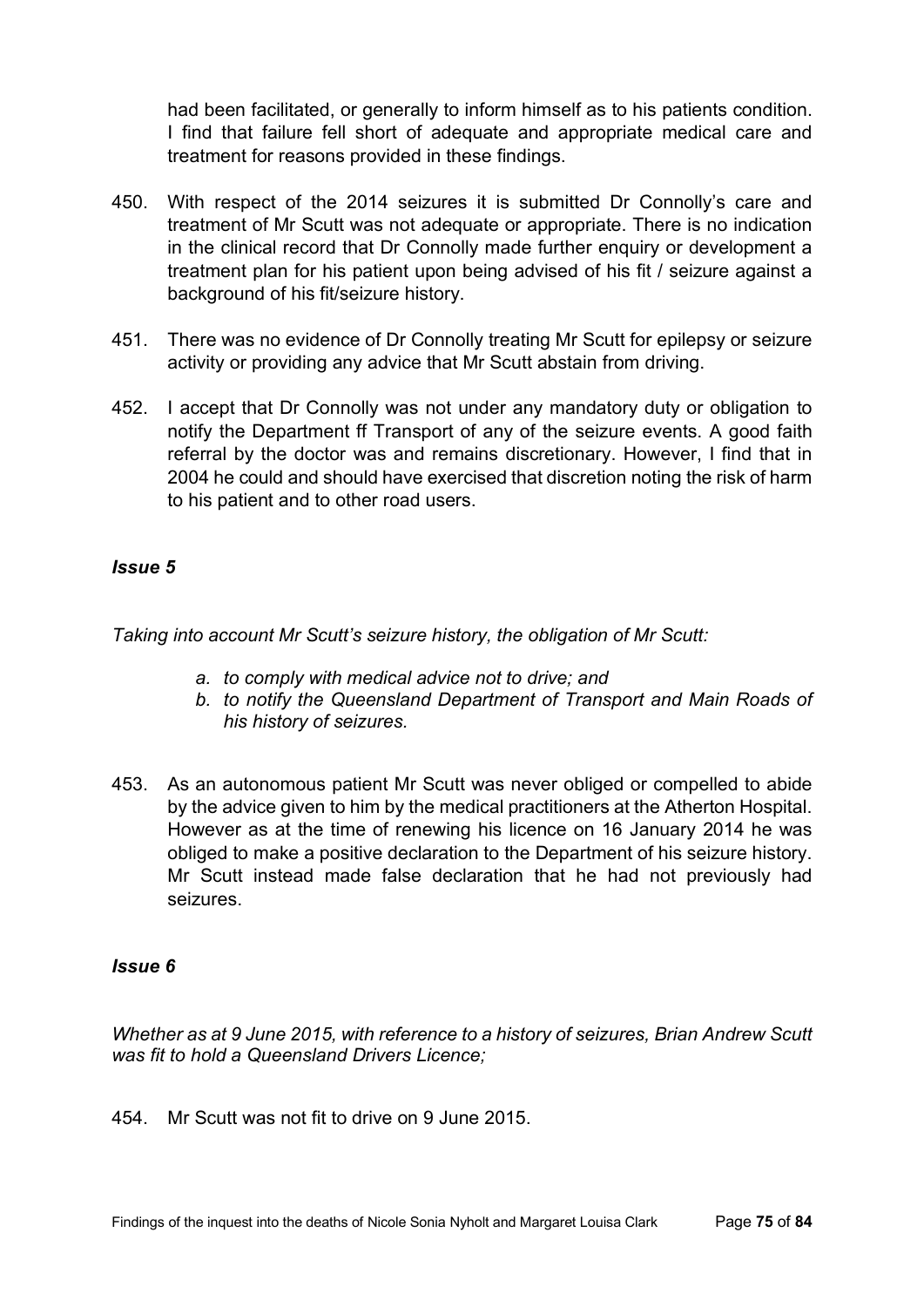had been facilitated, or generally to inform himself as to his patients condition. I find that failure fell short of adequate and appropriate medical care and treatment for reasons provided in these findings.

- 450. With respect of the 2014 seizures it is submitted Dr Connolly's care and treatment of Mr Scutt was not adequate or appropriate. There is no indication in the clinical record that Dr Connolly made further enquiry or development a treatment plan for his patient upon being advised of his fit / seizure against a background of his fit/seizure history.
- 451. There was no evidence of Dr Connolly treating Mr Scutt for epilepsy or seizure activity or providing any advice that Mr Scutt abstain from driving.
- 452. I accept that Dr Connolly was not under any mandatory duty or obligation to notify the Department ff Transport of any of the seizure events. A good faith referral by the doctor was and remains discretionary. However, I find that in 2004 he could and should have exercised that discretion noting the risk of harm to his patient and to other road users.

#### *Issue 5*

*Taking into account Mr Scutt's seizure history, the obligation of Mr Scutt:*

- *a. to comply with medical advice not to drive; and*
- *b. to notify the Queensland Department of Transport and Main Roads of his history of seizures.*
- 453. As an autonomous patient Mr Scutt was never obliged or compelled to abide by the advice given to him by the medical practitioners at the Atherton Hospital. However as at the time of renewing his licence on 16 January 2014 he was obliged to make a positive declaration to the Department of his seizure history. Mr Scutt instead made false declaration that he had not previously had seizures.

#### *Issue 6*

*Whether as at 9 June 2015, with reference to a history of seizures, Brian Andrew Scutt was fit to hold a Queensland Drivers Licence;* 

454. Mr Scutt was not fit to drive on 9 June 2015.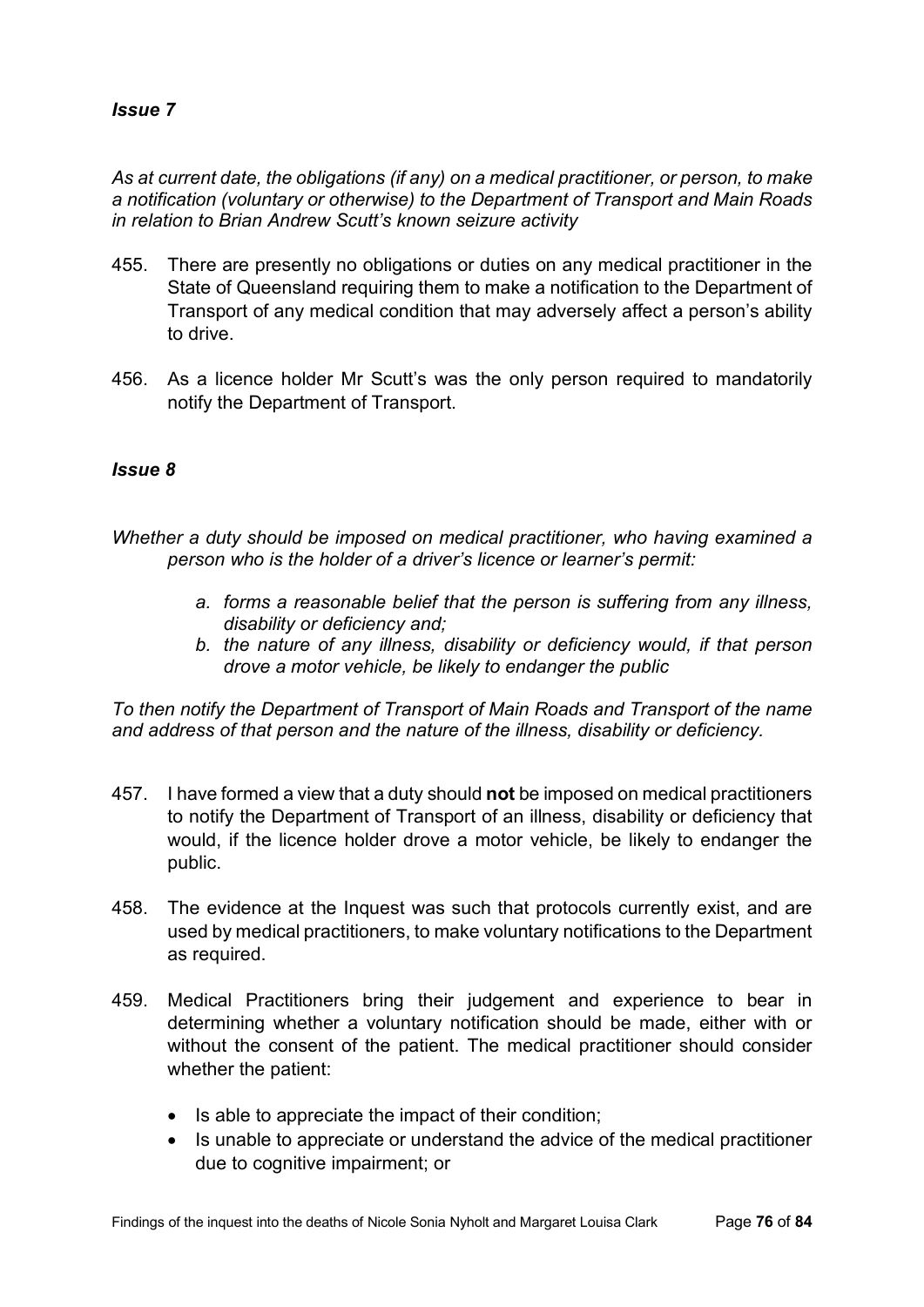#### *Issue 7*

*As at current date, the obligations (if any) on a medical practitioner, or person, to make a notification (voluntary or otherwise) to the Department of Transport and Main Roads in relation to Brian Andrew Scutt's known seizure activity*

- 455. There are presently no obligations or duties on any medical practitioner in the State of Queensland requiring them to make a notification to the Department of Transport of any medical condition that may adversely affect a person's ability to drive.
- 456. As a licence holder Mr Scutt's was the only person required to mandatorily notify the Department of Transport.

#### *Issue 8*

*Whether a duty should be imposed on medical practitioner, who having examined a person who is the holder of a driver's licence or learner's permit:*

- *a. forms a reasonable belief that the person is suffering from any illness, disability or deficiency and;*
- *b. the nature of any illness, disability or deficiency would, if that person drove a motor vehicle, be likely to endanger the public*

*To then notify the Department of Transport of Main Roads and Transport of the name and address of that person and the nature of the illness, disability or deficiency.*

- 457. I have formed a view that a duty should **not** be imposed on medical practitioners to notify the Department of Transport of an illness, disability or deficiency that would, if the licence holder drove a motor vehicle, be likely to endanger the public.
- 458. The evidence at the Inquest was such that protocols currently exist, and are used by medical practitioners, to make voluntary notifications to the Department as required.
- 459. Medical Practitioners bring their judgement and experience to bear in determining whether a voluntary notification should be made, either with or without the consent of the patient. The medical practitioner should consider whether the patient:
	- Is able to appreciate the impact of their condition;
	- Is unable to appreciate or understand the advice of the medical practitioner due to cognitive impairment; or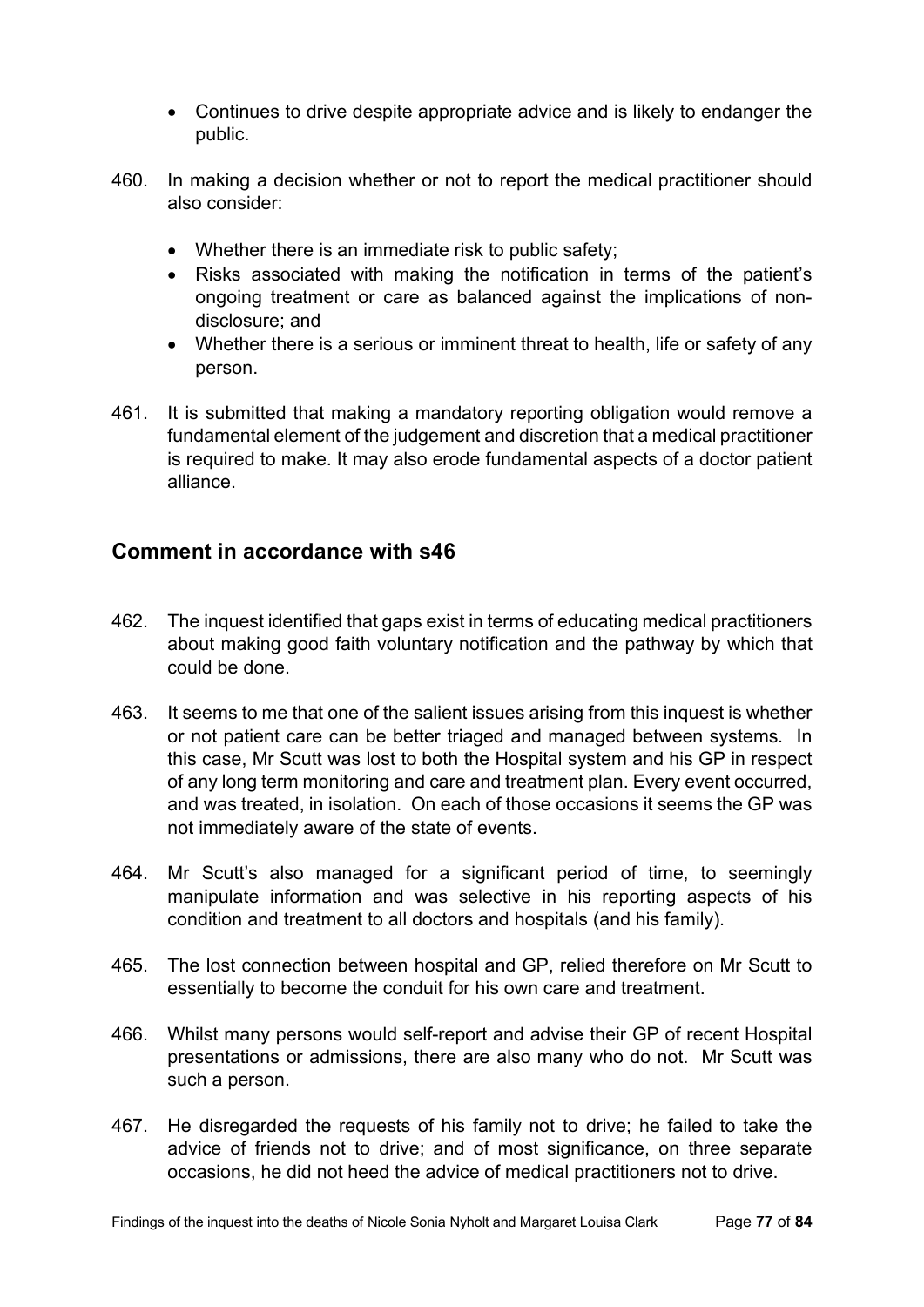- Continues to drive despite appropriate advice and is likely to endanger the public.
- 460. In making a decision whether or not to report the medical practitioner should also consider:
	- Whether there is an immediate risk to public safety;
	- Risks associated with making the notification in terms of the patient's ongoing treatment or care as balanced against the implications of nondisclosure; and
	- Whether there is a serious or imminent threat to health, life or safety of any person.
- 461. It is submitted that making a mandatory reporting obligation would remove a fundamental element of the judgement and discretion that a medical practitioner is required to make. It may also erode fundamental aspects of a doctor patient alliance.

# **Comment in accordance with s46**

- 462. The inquest identified that gaps exist in terms of educating medical practitioners about making good faith voluntary notification and the pathway by which that could be done.
- 463. It seems to me that one of the salient issues arising from this inquest is whether or not patient care can be better triaged and managed between systems. In this case, Mr Scutt was lost to both the Hospital system and his GP in respect of any long term monitoring and care and treatment plan. Every event occurred, and was treated, in isolation. On each of those occasions it seems the GP was not immediately aware of the state of events.
- 464. Mr Scutt's also managed for a significant period of time, to seemingly manipulate information and was selective in his reporting aspects of his condition and treatment to all doctors and hospitals (and his family).
- 465. The lost connection between hospital and GP, relied therefore on Mr Scutt to essentially to become the conduit for his own care and treatment.
- 466. Whilst many persons would self-report and advise their GP of recent Hospital presentations or admissions, there are also many who do not. Mr Scutt was such a person.
- 467. He disregarded the requests of his family not to drive; he failed to take the advice of friends not to drive; and of most significance, on three separate occasions, he did not heed the advice of medical practitioners not to drive.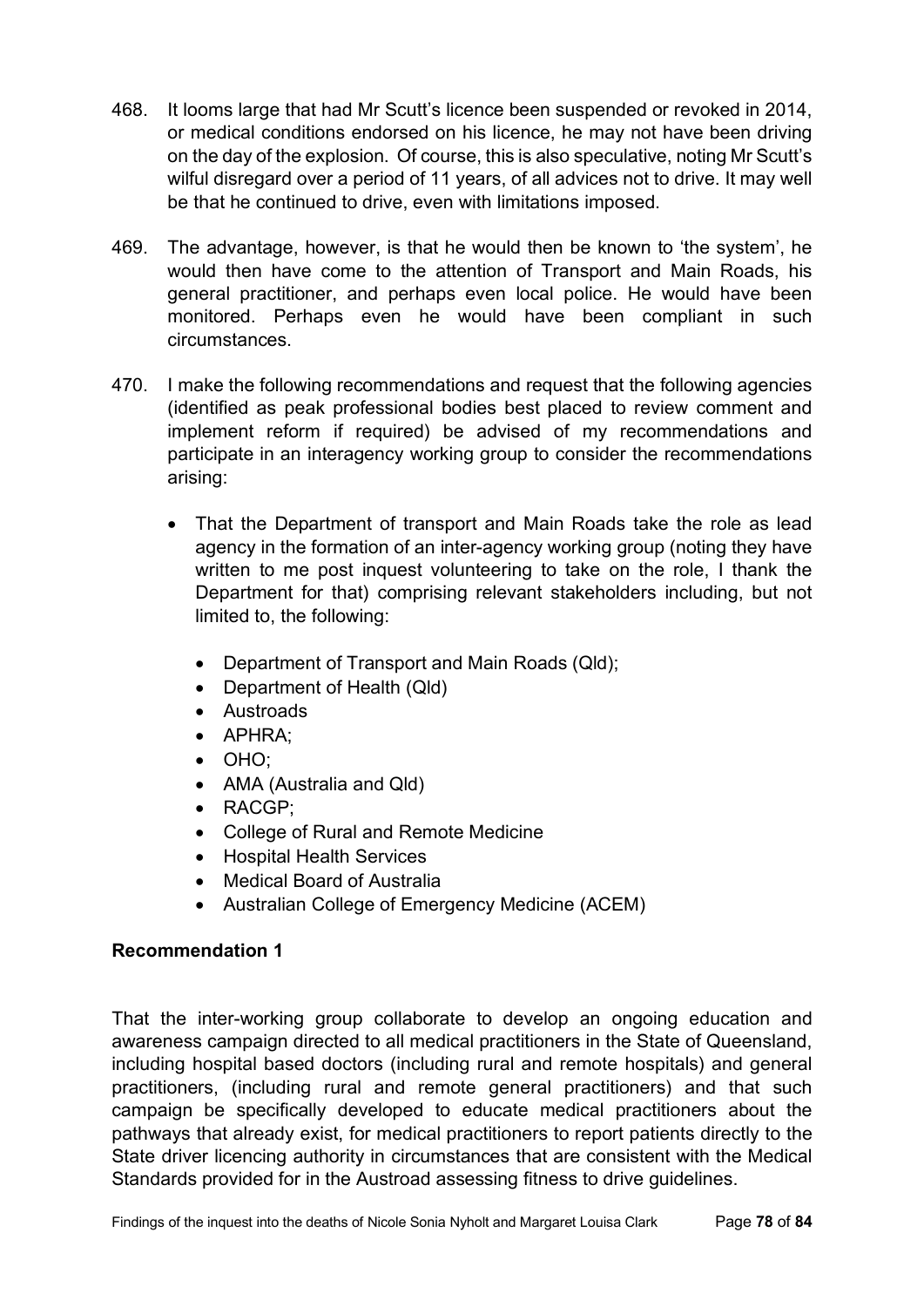- 468. It looms large that had Mr Scutt's licence been suspended or revoked in 2014, or medical conditions endorsed on his licence, he may not have been driving on the day of the explosion. Of course, this is also speculative, noting Mr Scutt's wilful disregard over a period of 11 years, of all advices not to drive. It may well be that he continued to drive, even with limitations imposed.
- 469. The advantage, however, is that he would then be known to 'the system', he would then have come to the attention of Transport and Main Roads, his general practitioner, and perhaps even local police. He would have been monitored. Perhaps even he would have been compliant in such circumstances.
- 470. I make the following recommendations and request that the following agencies (identified as peak professional bodies best placed to review comment and implement reform if required) be advised of my recommendations and participate in an interagency working group to consider the recommendations arising:
	- That the Department of transport and Main Roads take the role as lead agency in the formation of an inter-agency working group (noting they have written to me post inquest volunteering to take on the role, I thank the Department for that) comprising relevant stakeholders including, but not limited to, the following:
		- Department of Transport and Main Roads (Qld);
		- Department of Health (Qld)
		- Austroads
		- APHRA;
		- OHO;
		- AMA (Australia and Qld)
		- RACGP;
		- College of Rural and Remote Medicine
		- Hospital Health Services
		- Medical Board of Australia
		- Australian College of Emergency Medicine (ACEM)

## **Recommendation 1**

That the inter-working group collaborate to develop an ongoing education and awareness campaign directed to all medical practitioners in the State of Queensland, including hospital based doctors (including rural and remote hospitals) and general practitioners, (including rural and remote general practitioners) and that such campaign be specifically developed to educate medical practitioners about the pathways that already exist, for medical practitioners to report patients directly to the State driver licencing authority in circumstances that are consistent with the Medical Standards provided for in the Austroad assessing fitness to drive guidelines.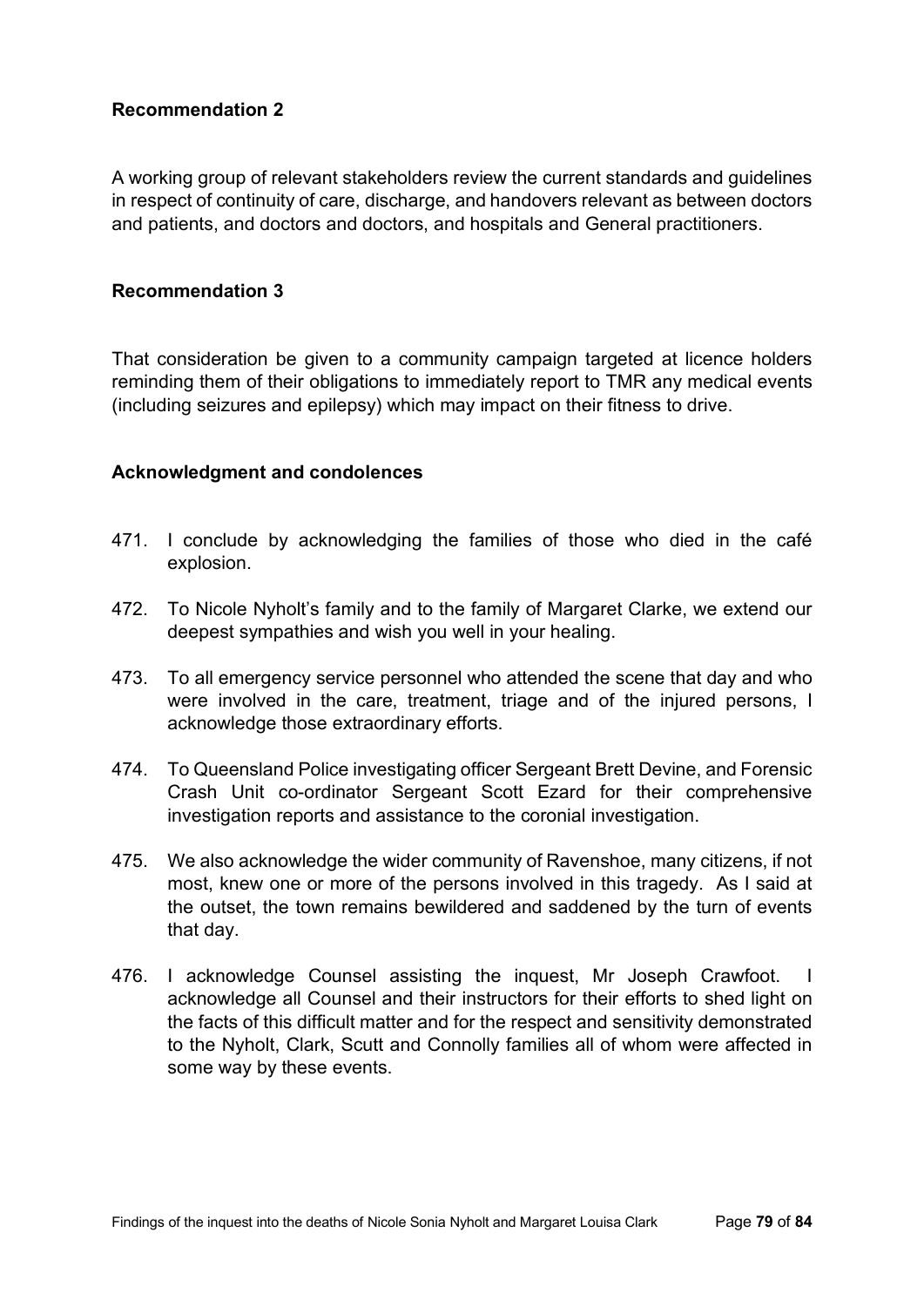#### **Recommendation 2**

A working group of relevant stakeholders review the current standards and guidelines in respect of continuity of care, discharge, and handovers relevant as between doctors and patients, and doctors and doctors, and hospitals and General practitioners.

#### **Recommendation 3**

That consideration be given to a community campaign targeted at licence holders reminding them of their obligations to immediately report to TMR any medical events (including seizures and epilepsy) which may impact on their fitness to drive.

#### **Acknowledgment and condolences**

- 471. I conclude by acknowledging the families of those who died in the café explosion.
- 472. To Nicole Nyholt's family and to the family of Margaret Clarke, we extend our deepest sympathies and wish you well in your healing.
- 473. To all emergency service personnel who attended the scene that day and who were involved in the care, treatment, triage and of the injured persons, I acknowledge those extraordinary efforts.
- 474. To Queensland Police investigating officer Sergeant Brett Devine, and Forensic Crash Unit co-ordinator Sergeant Scott Ezard for their comprehensive investigation reports and assistance to the coronial investigation.
- 475. We also acknowledge the wider community of Ravenshoe, many citizens, if not most, knew one or more of the persons involved in this tragedy. As I said at the outset, the town remains bewildered and saddened by the turn of events that day.
- 476. I acknowledge Counsel assisting the inquest, Mr Joseph Crawfoot. acknowledge all Counsel and their instructors for their efforts to shed light on the facts of this difficult matter and for the respect and sensitivity demonstrated to the Nyholt, Clark, Scutt and Connolly families all of whom were affected in some way by these events.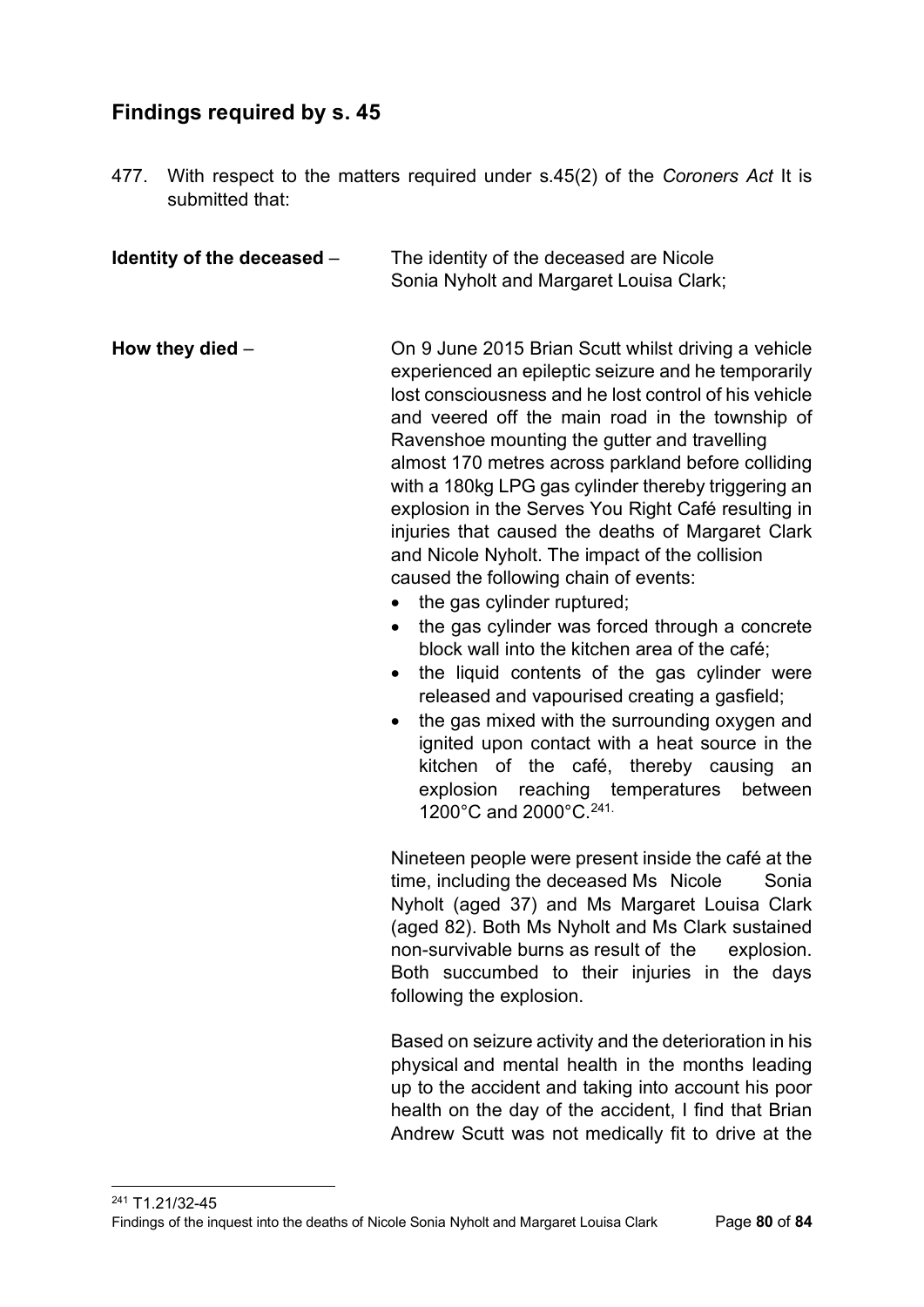# **Findings required by s. 45**

477. With respect to the matters required under s.45(2) of the *Coroners Act* It is submitted that:

| Identity of the deceased - | The identity of the deceased are Nicole<br>Sonia Nyholt and Margaret Louisa Clark;                                                                                                                                                                                                                                                                                                                                                                                                                                                                                                                                                                                                                                                                                                                                                                                                                                                                                                                                                                                                                  |
|----------------------------|-----------------------------------------------------------------------------------------------------------------------------------------------------------------------------------------------------------------------------------------------------------------------------------------------------------------------------------------------------------------------------------------------------------------------------------------------------------------------------------------------------------------------------------------------------------------------------------------------------------------------------------------------------------------------------------------------------------------------------------------------------------------------------------------------------------------------------------------------------------------------------------------------------------------------------------------------------------------------------------------------------------------------------------------------------------------------------------------------------|
| How they died $-$          | On 9 June 2015 Brian Scutt whilst driving a vehicle<br>experienced an epileptic seizure and he temporarily<br>lost consciousness and he lost control of his vehicle<br>and veered off the main road in the township of<br>Ravenshoe mounting the gutter and travelling<br>almost 170 metres across parkland before colliding<br>with a 180kg LPG gas cylinder thereby triggering an<br>explosion in the Serves You Right Café resulting in<br>injuries that caused the deaths of Margaret Clark<br>and Nicole Nyholt. The impact of the collision<br>caused the following chain of events:<br>the gas cylinder ruptured;<br>$\bullet$<br>the gas cylinder was forced through a concrete<br>$\bullet$<br>block wall into the kitchen area of the café;<br>the liquid contents of the gas cylinder were<br>$\bullet$<br>released and vapourised creating a gasfield;<br>the gas mixed with the surrounding oxygen and<br>ignited upon contact with a heat source in the<br>kitchen of the café, thereby causing an<br>explosion reaching temperatures<br>between<br>1200°C and 2000°C. <sup>241</sup> |
|                            | Nineteen people were present inside the café at the<br>time, including the deceased Ms Nicole<br>Sonia<br>Nyholt (aged 37) and Ms Margaret Louisa Clark<br>(aged 82). Both Ms Nyholt and Ms Clark sustained<br>non-survivable burns as result of the<br>explosion.<br>Both succumbed to their injuries in the days                                                                                                                                                                                                                                                                                                                                                                                                                                                                                                                                                                                                                                                                                                                                                                                  |

<span id="page-82-0"></span>Based on seizure activity and the deterioration in his physical and mental health in the months leading up to the accident and taking into account his poor health on the day of the accident, I find that Brian Andrew Scutt was not medically fit to drive at the

following the explosion.